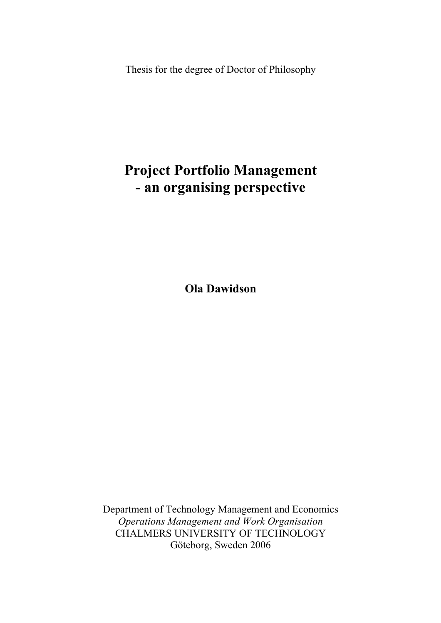Thesis for the degree of Doctor of Philosophy

# **Project Portfolio Management - an organising perspective**

**Ola Dawidson** 

Department of Technology Management and Economics *Operations Management and Work Organisation*  CHALMERS UNIVERSITY OF TECHNOLOGY Göteborg, Sweden 2006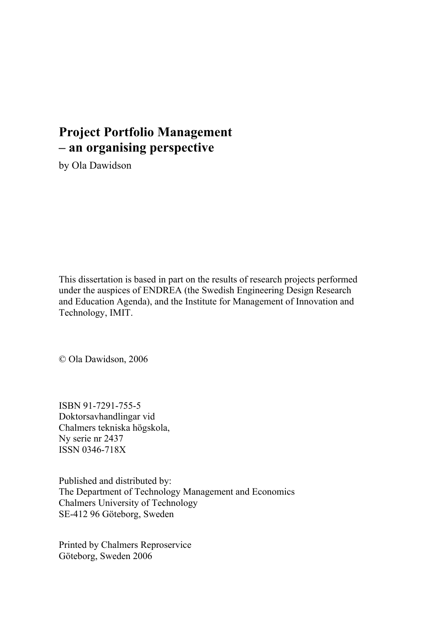## **Project Portfolio Management – an organising perspective**

by Ola Dawidson

This dissertation is based in part on the results of research projects performed under the auspices of ENDREA (the Swedish Engineering Design Research and Education Agenda), and the Institute for Management of Innovation and Technology, IMIT.

© Ola Dawidson, 2006

ISBN 91-7291-755-5 Doktorsavhandlingar vid Chalmers tekniska högskola, Ny serie nr 2437 ISSN 0346-718X

Published and distributed by: The Department of Technology Management and Economics Chalmers University of Technology SE-412 96 Göteborg, Sweden

Printed by Chalmers Reproservice Göteborg, Sweden 2006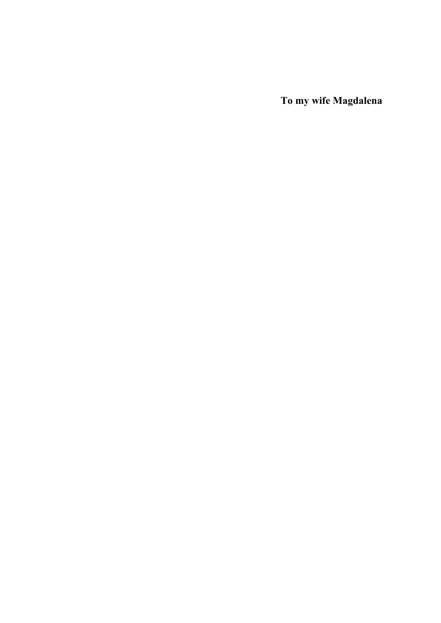**To my wife Magdalena**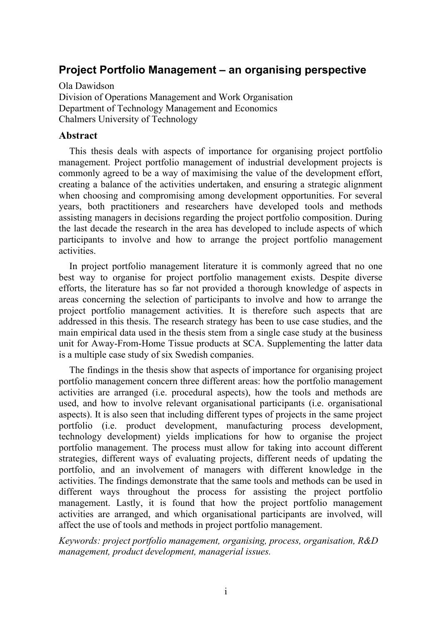## **Project Portfolio Management – an organising perspective**

Ola Dawidson Division of Operations Management and Work Organisation Department of Technology Management and Economics Chalmers University of Technology

#### **Abstract**

This thesis deals with aspects of importance for organising project portfolio management. Project portfolio management of industrial development projects is commonly agreed to be a way of maximising the value of the development effort, creating a balance of the activities undertaken, and ensuring a strategic alignment when choosing and compromising among development opportunities. For several years, both practitioners and researchers have developed tools and methods assisting managers in decisions regarding the project portfolio composition. During the last decade the research in the area has developed to include aspects of which participants to involve and how to arrange the project portfolio management activities.

In project portfolio management literature it is commonly agreed that no one best way to organise for project portfolio management exists. Despite diverse efforts, the literature has so far not provided a thorough knowledge of aspects in areas concerning the selection of participants to involve and how to arrange the project portfolio management activities. It is therefore such aspects that are addressed in this thesis. The research strategy has been to use case studies, and the main empirical data used in the thesis stem from a single case study at the business unit for Away-From-Home Tissue products at SCA. Supplementing the latter data is a multiple case study of six Swedish companies.

The findings in the thesis show that aspects of importance for organising project portfolio management concern three different areas: how the portfolio management activities are arranged (i.e. procedural aspects), how the tools and methods are used, and how to involve relevant organisational participants (i.e. organisational aspects). It is also seen that including different types of projects in the same project portfolio (i.e. product development, manufacturing process development, technology development) yields implications for how to organise the project portfolio management. The process must allow for taking into account different strategies, different ways of evaluating projects, different needs of updating the portfolio, and an involvement of managers with different knowledge in the activities. The findings demonstrate that the same tools and methods can be used in different ways throughout the process for assisting the project portfolio management. Lastly, it is found that how the project portfolio management activities are arranged, and which organisational participants are involved, will affect the use of tools and methods in project portfolio management.

*Keywords: project portfolio management, organising, process, organisation, R&D management, product development, managerial issues.*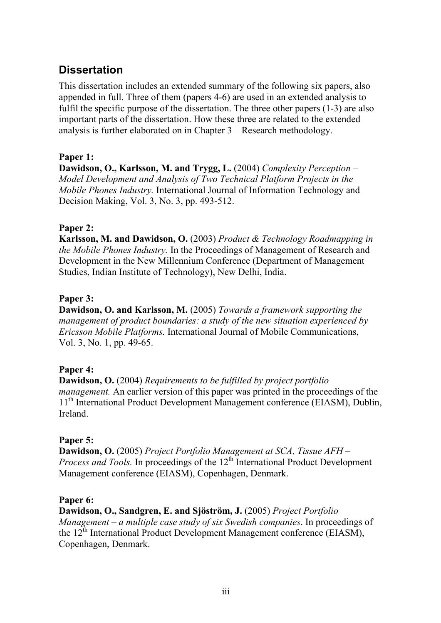## **Dissertation**

This dissertation includes an extended summary of the following six papers, also appended in full. Three of them (papers 4-6) are used in an extended analysis to fulfil the specific purpose of the dissertation. The three other papers (1-3) are also important parts of the dissertation. How these three are related to the extended analysis is further elaborated on in Chapter 3 – Research methodology.

## **Paper 1:**

**Dawidson, O., Karlsson, M. and Trygg, L.** (2004) *Complexity Perception – Model Development and Analysis of Two Technical Platform Projects in the Mobile Phones Industry.* International Journal of Information Technology and Decision Making, Vol. 3, No. 3, pp. 493-512.

## **Paper 2:**

**Karlsson, M. and Dawidson, O.** (2003) *Product & Technology Roadmapping in the Mobile Phones Industry.* In the Proceedings of Management of Research and Development in the New Millennium Conference (Department of Management Studies, Indian Institute of Technology), New Delhi, India.

## **Paper 3:**

**Dawidson, O. and Karlsson, M.** (2005) *Towards a framework supporting the management of product boundaries: a study of the new situation experienced by Ericsson Mobile Platforms.* International Journal of Mobile Communications, Vol. 3, No. 1, pp. 49-65.

## **Paper 4:**

**Dawidson, O.** (2004) *Requirements to be fulfilled by project portfolio management.* An earlier version of this paper was printed in the proceedings of the 11<sup>th</sup> International Product Development Management conference (EIASM), Dublin, Ireland.

## **Paper 5:**

**Dawidson, O.** (2005) *Project Portfolio Management at SCA, Tissue AFH – Process and Tools.* In proceedings of the 12<sup>th</sup> International Product Development Management conference (EIASM), Copenhagen, Denmark.

## **Paper 6:**

**Dawidson, O., Sandgren, E. and Sjöström, J.** (2005) *Project Portfolio Management – a multiple case study of six Swedish companies*. In proceedings of the 12<sup>th</sup> International Product Development Management conference (EIASM), Copenhagen, Denmark.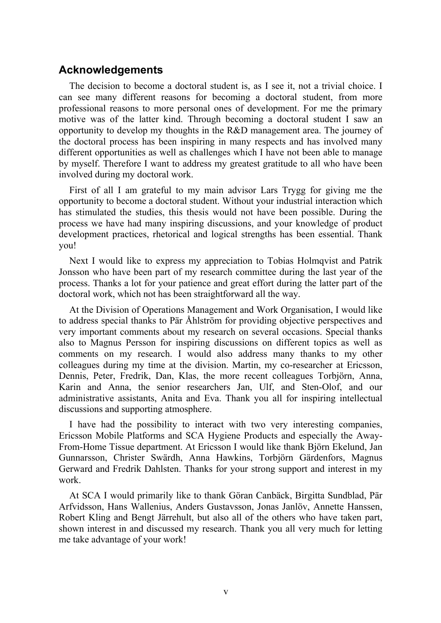## **Acknowledgements**

The decision to become a doctoral student is, as I see it, not a trivial choice. I can see many different reasons for becoming a doctoral student, from more professional reasons to more personal ones of development. For me the primary motive was of the latter kind. Through becoming a doctoral student I saw an opportunity to develop my thoughts in the R&D management area. The journey of the doctoral process has been inspiring in many respects and has involved many different opportunities as well as challenges which I have not been able to manage by myself. Therefore I want to address my greatest gratitude to all who have been involved during my doctoral work.

First of all I am grateful to my main advisor Lars Trygg for giving me the opportunity to become a doctoral student. Without your industrial interaction which has stimulated the studies, this thesis would not have been possible. During the process we have had many inspiring discussions, and your knowledge of product development practices, rhetorical and logical strengths has been essential. Thank you!

Next I would like to express my appreciation to Tobias Holmqvist and Patrik Jonsson who have been part of my research committee during the last year of the process. Thanks a lot for your patience and great effort during the latter part of the doctoral work, which not has been straightforward all the way.

At the Division of Operations Management and Work Organisation, I would like to address special thanks to Pär Åhlström for providing objective perspectives and very important comments about my research on several occasions. Special thanks also to Magnus Persson for inspiring discussions on different topics as well as comments on my research. I would also address many thanks to my other colleagues during my time at the division. Martin, my co-researcher at Ericsson, Dennis, Peter, Fredrik, Dan, Klas, the more recent colleagues Torbjörn, Anna, Karin and Anna, the senior researchers Jan, Ulf, and Sten-Olof, and our administrative assistants, Anita and Eva. Thank you all for inspiring intellectual discussions and supporting atmosphere.

I have had the possibility to interact with two very interesting companies, Ericsson Mobile Platforms and SCA Hygiene Products and especially the Away-From-Home Tissue department. At Ericsson I would like thank Björn Ekelund, Jan Gunnarsson, Christer Swärdh, Anna Hawkins, Torbjörn Gärdenfors, Magnus Gerward and Fredrik Dahlsten. Thanks for your strong support and interest in my work.

At SCA I would primarily like to thank Göran Canbäck, Birgitta Sundblad, Pär Arfvidsson, Hans Wallenius, Anders Gustavsson, Jonas Janlöv, Annette Hanssen, Robert Kling and Bengt Järrehult, but also all of the others who have taken part, shown interest in and discussed my research. Thank you all very much for letting me take advantage of your work!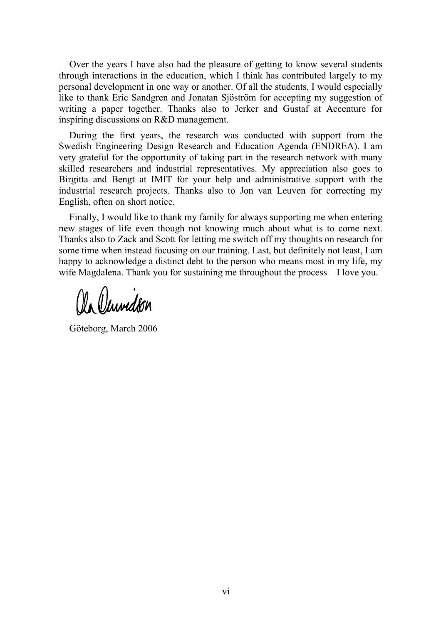Over the years I have also had the pleasure of getting to know several students through interactions in the education, which I think has contributed largely to my personal development in one way or another. Of all the students, I would especially like to thank Eric Sandgren and Jonatan Sjöström for accepting my suggestion of writing a paper together. Thanks also to Jerker and Gustaf at Accenture for inspiring discussions on R&D management.

During the first years, the research was conducted with support from the Swedish Engineering Design Research and Education Agenda (ENDREA). I am very grateful for the opportunity of taking part in the research network with many skilled researchers and industrial representatives. My appreciation also goes to Birgitta and Bengt at IMIT for your help and administrative support with the industrial research projects. Thanks also to Jon van Leuven for correcting my English, often on short notice.

Finally, I would like to thank my family for always supporting me when entering new stages of life even though not knowing much about what is to come next. Thanks also to Zack and Scott for letting me switch off my thoughts on research for some time when instead focusing on our training. Last, but definitely not least, I am happy to acknowledge a distinct debt to the person who means most in my life, my wife Magdalena. Thank you for sustaining me throughout the process – I love you.

a (1) mudkin

Göteborg, March 2006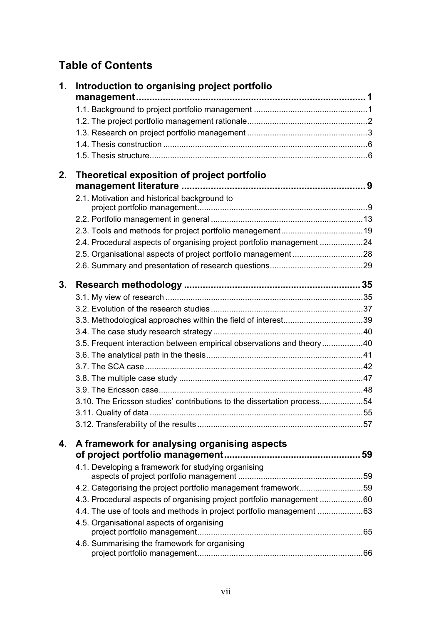## **Table of Contents**

| 1. | Introduction to organising project portfolio                            |  |
|----|-------------------------------------------------------------------------|--|
|    |                                                                         |  |
|    |                                                                         |  |
|    |                                                                         |  |
|    |                                                                         |  |
|    |                                                                         |  |
|    |                                                                         |  |
| 2. | Theoretical exposition of project portfolio                             |  |
|    |                                                                         |  |
|    | 2.1. Motivation and historical background to                            |  |
|    |                                                                         |  |
|    |                                                                         |  |
|    |                                                                         |  |
|    | 2.4. Procedural aspects of organising project portfolio management 24   |  |
|    |                                                                         |  |
|    |                                                                         |  |
| 3. |                                                                         |  |
|    |                                                                         |  |
|    |                                                                         |  |
|    |                                                                         |  |
|    |                                                                         |  |
|    | 3.5. Frequent interaction between empirical observations and theory40   |  |
|    |                                                                         |  |
|    |                                                                         |  |
|    |                                                                         |  |
|    |                                                                         |  |
|    | 3.10. The Ericsson studies' contributions to the dissertation process54 |  |
|    |                                                                         |  |
|    |                                                                         |  |
|    |                                                                         |  |
| 4. | A framework for analysing organising aspects                            |  |
|    | 4.1. Developing a framework for studying organising                     |  |
|    |                                                                         |  |
|    | 4.2. Categorising the project portfolio management framework59          |  |
|    | 4.3. Procedural aspects of organising project portfolio management 60   |  |
|    |                                                                         |  |
|    | 4.5. Organisational aspects of organising                               |  |
|    |                                                                         |  |
|    | 4.6. Summarising the framework for organising                           |  |
|    |                                                                         |  |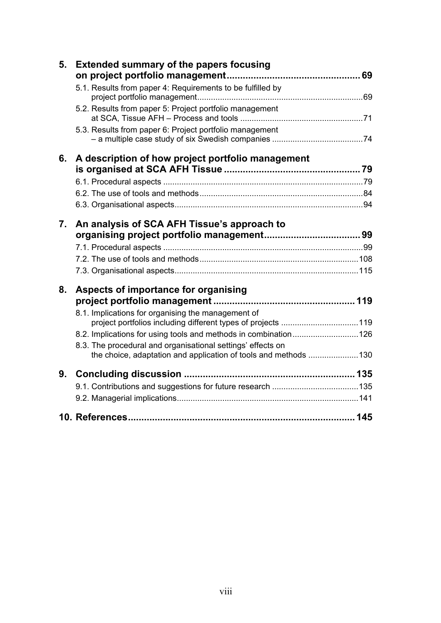| 5. | <b>Extended summary of the papers focusing</b>                                                                     |  |
|----|--------------------------------------------------------------------------------------------------------------------|--|
|    | 5.1. Results from paper 4: Requirements to be fulfilled by                                                         |  |
|    | 5.2. Results from paper 5: Project portfolio management                                                            |  |
|    | 5.3. Results from paper 6: Project portfolio management                                                            |  |
| 6. | A description of how project portfolio management                                                                  |  |
|    |                                                                                                                    |  |
|    |                                                                                                                    |  |
|    |                                                                                                                    |  |
| 7. | An analysis of SCA AFH Tissue's approach to                                                                        |  |
|    |                                                                                                                    |  |
|    |                                                                                                                    |  |
|    |                                                                                                                    |  |
|    |                                                                                                                    |  |
| 8. | Aspects of importance for organising                                                                               |  |
|    |                                                                                                                    |  |
|    | 8.1. Implications for organising the management of<br>project portfolios including different types of projects 119 |  |
|    | 8.2. Implications for using tools and methods in combination126                                                    |  |
|    | 8.3. The procedural and organisational settings' effects on                                                        |  |
|    | the choice, adaptation and application of tools and methods 130                                                    |  |
| 9. |                                                                                                                    |  |
|    |                                                                                                                    |  |
|    |                                                                                                                    |  |
|    |                                                                                                                    |  |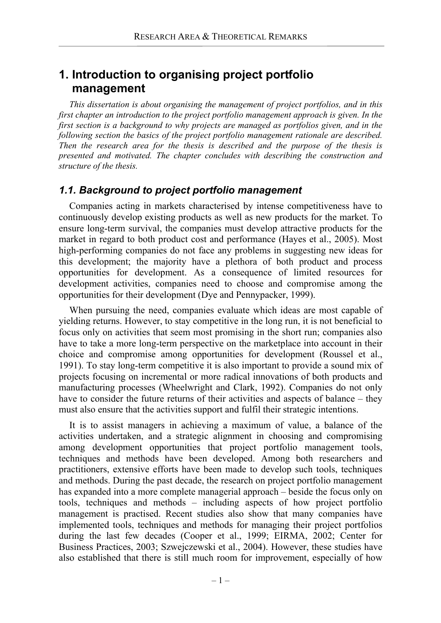## **1. Introduction to organising project portfolio management**

*This dissertation is about organising the management of project portfolios, and in this first chapter an introduction to the project portfolio management approach is given. In the first section is a background to why projects are managed as portfolios given, and in the following section the basics of the project portfolio management rationale are described. Then the research area for the thesis is described and the purpose of the thesis is presented and motivated. The chapter concludes with describing the construction and structure of the thesis.* 

## *1.1. Background to project portfolio management*

Companies acting in markets characterised by intense competitiveness have to continuously develop existing products as well as new products for the market. To ensure long-term survival, the companies must develop attractive products for the market in regard to both product cost and performance (Hayes et al., 2005). Most high-performing companies do not face any problems in suggesting new ideas for this development; the majority have a plethora of both product and process opportunities for development. As a consequence of limited resources for development activities, companies need to choose and compromise among the opportunities for their development (Dye and Pennypacker, 1999).

When pursuing the need, companies evaluate which ideas are most capable of yielding returns. However, to stay competitive in the long run, it is not beneficial to focus only on activities that seem most promising in the short run; companies also have to take a more long-term perspective on the marketplace into account in their choice and compromise among opportunities for development (Roussel et al., 1991). To stay long-term competitive it is also important to provide a sound mix of projects focusing on incremental or more radical innovations of both products and manufacturing processes (Wheelwright and Clark, 1992). Companies do not only have to consider the future returns of their activities and aspects of balance – they must also ensure that the activities support and fulfil their strategic intentions.

It is to assist managers in achieving a maximum of value, a balance of the activities undertaken, and a strategic alignment in choosing and compromising among development opportunities that project portfolio management tools, techniques and methods have been developed. Among both researchers and practitioners, extensive efforts have been made to develop such tools, techniques and methods. During the past decade, the research on project portfolio management has expanded into a more complete managerial approach – beside the focus only on tools, techniques and methods – including aspects of how project portfolio management is practised. Recent studies also show that many companies have implemented tools, techniques and methods for managing their project portfolios during the last few decades (Cooper et al., 1999; EIRMA, 2002; Center for Business Practices, 2003; Szwejczewski et al., 2004). However, these studies have also established that there is still much room for improvement, especially of how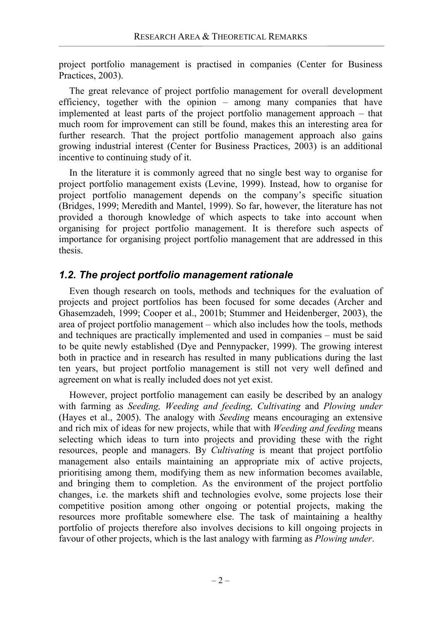project portfolio management is practised in companies (Center for Business Practices, 2003).

The great relevance of project portfolio management for overall development efficiency, together with the opinion – among many companies that have implemented at least parts of the project portfolio management approach – that much room for improvement can still be found, makes this an interesting area for further research. That the project portfolio management approach also gains growing industrial interest (Center for Business Practices, 2003) is an additional incentive to continuing study of it.

In the literature it is commonly agreed that no single best way to organise for project portfolio management exists (Levine, 1999). Instead, how to organise for project portfolio management depends on the company's specific situation (Bridges, 1999; Meredith and Mantel, 1999). So far, however, the literature has not provided a thorough knowledge of which aspects to take into account when organising for project portfolio management. It is therefore such aspects of importance for organising project portfolio management that are addressed in this thesis.

## *1.2. The project portfolio management rationale*

Even though research on tools, methods and techniques for the evaluation of projects and project portfolios has been focused for some decades (Archer and Ghasemzadeh, 1999; Cooper et al., 2001b; Stummer and Heidenberger, 2003), the area of project portfolio management – which also includes how the tools, methods and techniques are practically implemented and used in companies – must be said to be quite newly established (Dye and Pennypacker, 1999). The growing interest both in practice and in research has resulted in many publications during the last ten years, but project portfolio management is still not very well defined and agreement on what is really included does not yet exist.

However, project portfolio management can easily be described by an analogy with farming as *Seeding, Weeding and feeding, Cultivating* and *Plowing under*  (Hayes et al., 2005). The analogy with *Seeding* means encouraging an extensive and rich mix of ideas for new projects, while that with *Weeding and feeding* means selecting which ideas to turn into projects and providing these with the right resources, people and managers. By *Cultivating* is meant that project portfolio management also entails maintaining an appropriate mix of active projects, prioritising among them, modifying them as new information becomes available, and bringing them to completion. As the environment of the project portfolio changes, i.e. the markets shift and technologies evolve, some projects lose their competitive position among other ongoing or potential projects, making the resources more profitable somewhere else. The task of maintaining a healthy portfolio of projects therefore also involves decisions to kill ongoing projects in favour of other projects, which is the last analogy with farming as *Plowing under*.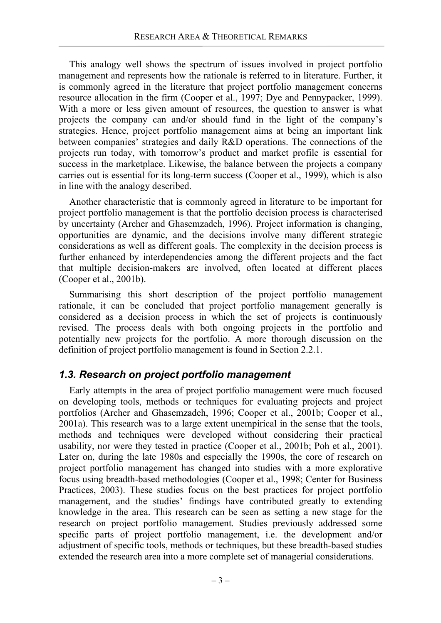This analogy well shows the spectrum of issues involved in project portfolio management and represents how the rationale is referred to in literature. Further, it is commonly agreed in the literature that project portfolio management concerns resource allocation in the firm (Cooper et al., 1997; Dye and Pennypacker, 1999). With a more or less given amount of resources, the question to answer is what projects the company can and/or should fund in the light of the company's strategies. Hence, project portfolio management aims at being an important link between companies' strategies and daily R&D operations. The connections of the projects run today, with tomorrow's product and market profile is essential for success in the marketplace. Likewise, the balance between the projects a company carries out is essential for its long-term success (Cooper et al., 1999), which is also in line with the analogy described.

Another characteristic that is commonly agreed in literature to be important for project portfolio management is that the portfolio decision process is characterised by uncertainty (Archer and Ghasemzadeh, 1996). Project information is changing, opportunities are dynamic, and the decisions involve many different strategic considerations as well as different goals. The complexity in the decision process is further enhanced by interdependencies among the different projects and the fact that multiple decision-makers are involved, often located at different places (Cooper et al., 2001b).

Summarising this short description of the project portfolio management rationale, it can be concluded that project portfolio management generally is considered as a decision process in which the set of projects is continuously revised. The process deals with both ongoing projects in the portfolio and potentially new projects for the portfolio. A more thorough discussion on the definition of project portfolio management is found in Section 2.2.1.

## *1.3. Research on project portfolio management*

Early attempts in the area of project portfolio management were much focused on developing tools, methods or techniques for evaluating projects and project portfolios (Archer and Ghasemzadeh, 1996; Cooper et al., 2001b; Cooper et al., 2001a). This research was to a large extent unempirical in the sense that the tools, methods and techniques were developed without considering their practical usability, nor were they tested in practice (Cooper et al., 2001b; Poh et al., 2001). Later on, during the late 1980s and especially the 1990s, the core of research on project portfolio management has changed into studies with a more explorative focus using breadth-based methodologies (Cooper et al., 1998; Center for Business Practices, 2003). These studies focus on the best practices for project portfolio management, and the studies' findings have contributed greatly to extending knowledge in the area. This research can be seen as setting a new stage for the research on project portfolio management. Studies previously addressed some specific parts of project portfolio management, i.e. the development and/or adjustment of specific tools, methods or techniques, but these breadth-based studies extended the research area into a more complete set of managerial considerations.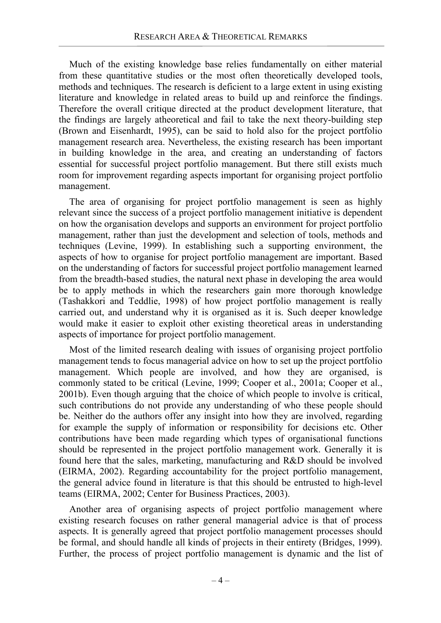Much of the existing knowledge base relies fundamentally on either material from these quantitative studies or the most often theoretically developed tools, methods and techniques. The research is deficient to a large extent in using existing literature and knowledge in related areas to build up and reinforce the findings. Therefore the overall critique directed at the product development literature, that the findings are largely atheoretical and fail to take the next theory-building step (Brown and Eisenhardt, 1995), can be said to hold also for the project portfolio management research area. Nevertheless, the existing research has been important in building knowledge in the area, and creating an understanding of factors essential for successful project portfolio management. But there still exists much room for improvement regarding aspects important for organising project portfolio management.

The area of organising for project portfolio management is seen as highly relevant since the success of a project portfolio management initiative is dependent on how the organisation develops and supports an environment for project portfolio management, rather than just the development and selection of tools, methods and techniques (Levine, 1999). In establishing such a supporting environment, the aspects of how to organise for project portfolio management are important. Based on the understanding of factors for successful project portfolio management learned from the breadth-based studies, the natural next phase in developing the area would be to apply methods in which the researchers gain more thorough knowledge (Tashakkori and Teddlie, 1998) of how project portfolio management is really carried out, and understand why it is organised as it is. Such deeper knowledge would make it easier to exploit other existing theoretical areas in understanding aspects of importance for project portfolio management.

Most of the limited research dealing with issues of organising project portfolio management tends to focus managerial advice on how to set up the project portfolio management. Which people are involved, and how they are organised, is commonly stated to be critical (Levine, 1999; Cooper et al., 2001a; Cooper et al., 2001b). Even though arguing that the choice of which people to involve is critical, such contributions do not provide any understanding of who these people should be. Neither do the authors offer any insight into how they are involved, regarding for example the supply of information or responsibility for decisions etc. Other contributions have been made regarding which types of organisational functions should be represented in the project portfolio management work. Generally it is found here that the sales, marketing, manufacturing and R&D should be involved (EIRMA, 2002). Regarding accountability for the project portfolio management, the general advice found in literature is that this should be entrusted to high-level teams (EIRMA, 2002; Center for Business Practices, 2003).

Another area of organising aspects of project portfolio management where existing research focuses on rather general managerial advice is that of process aspects. It is generally agreed that project portfolio management processes should be formal, and should handle all kinds of projects in their entirety (Bridges, 1999). Further, the process of project portfolio management is dynamic and the list of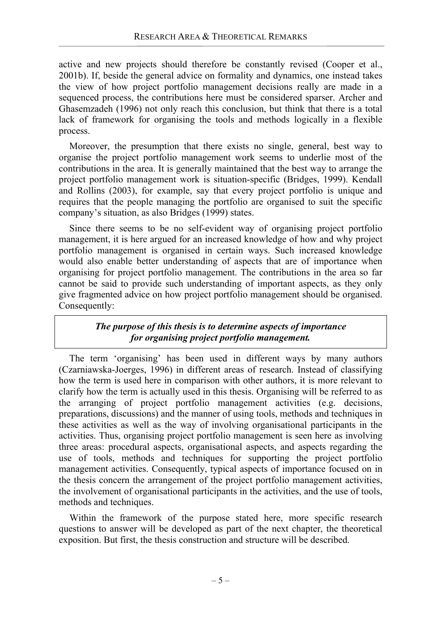active and new projects should therefore be constantly revised (Cooper et al., 2001b). If, beside the general advice on formality and dynamics, one instead takes the view of how project portfolio management decisions really are made in a sequenced process, the contributions here must be considered sparser. Archer and Ghasemzadeh (1996) not only reach this conclusion, but think that there is a total lack of framework for organising the tools and methods logically in a flexible process.

Moreover, the presumption that there exists no single, general, best way to organise the project portfolio management work seems to underlie most of the contributions in the area. It is generally maintained that the best way to arrange the project portfolio management work is situation-specific (Bridges, 1999). Kendall and Rollins (2003), for example, say that every project portfolio is unique and requires that the people managing the portfolio are organised to suit the specific company's situation, as also Bridges (1999) states.

Since there seems to be no self-evident way of organising project portfolio management, it is here argued for an increased knowledge of how and why project portfolio management is organised in certain ways. Such increased knowledge would also enable better understanding of aspects that are of importance when organising for project portfolio management. The contributions in the area so far cannot be said to provide such understanding of important aspects, as they only give fragmented advice on how project portfolio management should be organised. Consequently:

## *The purpose of this thesis is to determine aspects of importance for organising project portfolio management.*

The term 'organising' has been used in different ways by many authors (Czarniawska-Joerges, 1996) in different areas of research. Instead of classifying how the term is used here in comparison with other authors, it is more relevant to clarify how the term is actually used in this thesis. Organising will be referred to as the arranging of project portfolio management activities (e.g. decisions, preparations, discussions) and the manner of using tools, methods and techniques in these activities as well as the way of involving organisational participants in the activities. Thus, organising project portfolio management is seen here as involving three areas: procedural aspects, organisational aspects, and aspects regarding the use of tools, methods and techniques for supporting the project portfolio management activities. Consequently, typical aspects of importance focused on in the thesis concern the arrangement of the project portfolio management activities, the involvement of organisational participants in the activities, and the use of tools, methods and techniques.

Within the framework of the purpose stated here, more specific research questions to answer will be developed as part of the next chapter, the theoretical exposition. But first, the thesis construction and structure will be described.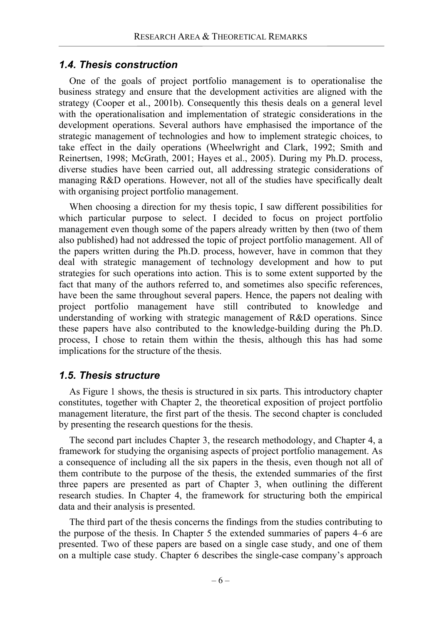## *1.4. Thesis construction*

One of the goals of project portfolio management is to operationalise the business strategy and ensure that the development activities are aligned with the strategy (Cooper et al., 2001b). Consequently this thesis deals on a general level with the operationalisation and implementation of strategic considerations in the development operations. Several authors have emphasised the importance of the strategic management of technologies and how to implement strategic choices, to take effect in the daily operations (Wheelwright and Clark, 1992; Smith and Reinertsen, 1998; McGrath, 2001; Hayes et al., 2005). During my Ph.D. process, diverse studies have been carried out, all addressing strategic considerations of managing R&D operations. However, not all of the studies have specifically dealt with organising project portfolio management.

When choosing a direction for my thesis topic, I saw different possibilities for which particular purpose to select. I decided to focus on project portfolio management even though some of the papers already written by then (two of them also published) had not addressed the topic of project portfolio management. All of the papers written during the Ph.D. process, however, have in common that they deal with strategic management of technology development and how to put strategies for such operations into action. This is to some extent supported by the fact that many of the authors referred to, and sometimes also specific references, have been the same throughout several papers. Hence, the papers not dealing with project portfolio management have still contributed to knowledge and understanding of working with strategic management of R&D operations. Since these papers have also contributed to the knowledge-building during the Ph.D. process, I chose to retain them within the thesis, although this has had some implications for the structure of the thesis.

## *1.5. Thesis structure*

As Figure 1 shows, the thesis is structured in six parts. This introductory chapter constitutes, together with Chapter 2, the theoretical exposition of project portfolio management literature, the first part of the thesis. The second chapter is concluded by presenting the research questions for the thesis.

The second part includes Chapter 3, the research methodology, and Chapter 4, a framework for studying the organising aspects of project portfolio management. As a consequence of including all the six papers in the thesis, even though not all of them contribute to the purpose of the thesis, the extended summaries of the first three papers are presented as part of Chapter 3, when outlining the different research studies. In Chapter 4, the framework for structuring both the empirical data and their analysis is presented.

The third part of the thesis concerns the findings from the studies contributing to the purpose of the thesis. In Chapter 5 the extended summaries of papers 4–6 are presented. Two of these papers are based on a single case study, and one of them on a multiple case study. Chapter 6 describes the single-case company's approach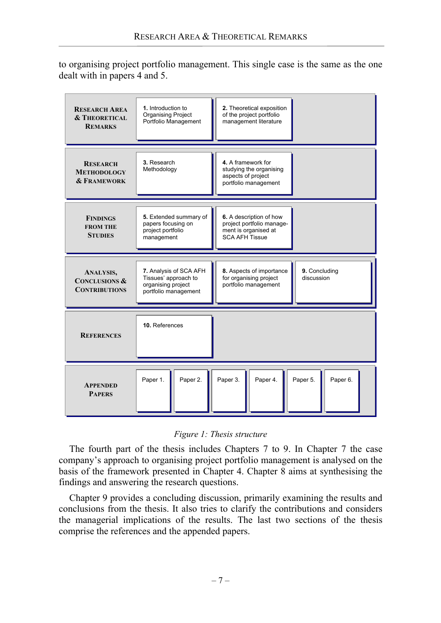to organising project portfolio management. This single case is the same as the one dealt with in papers 4 and 5.

| <b>RESEARCH AREA</b><br><b>&amp; THEORETICAL</b><br><b>REMARKS</b> | 1. Introduction to<br><b>Organising Project</b><br>Portfolio Management                      | 2. Theoretical exposition<br>of the project portfolio<br>management literature                            |
|--------------------------------------------------------------------|----------------------------------------------------------------------------------------------|-----------------------------------------------------------------------------------------------------------|
| <b>RESEARCH</b><br><b>METHODOLOGY</b><br><b>&amp; FRAMEWORK</b>    | 3. Research<br>Methodology                                                                   | 4. A framework for<br>studying the organising<br>aspects of project<br>portfolio management               |
| <b>FINDINGS</b><br><b>FROM THE</b><br><b>STUDIES</b>               | 5. Extended summary of<br>papers focusing on<br>project portfolio<br>management              | 6. A description of how<br>project portfolio manage-<br>ment is organised at<br><b>SCA AFH Tissue</b>     |
|                                                                    |                                                                                              |                                                                                                           |
| ANALYSIS,<br><b>CONCLUSIONS &amp;</b><br><b>CONTRIBUTIONS</b>      | 7. Analysis of SCA AFH<br>Tissues' approach to<br>organising project<br>portfolio management | 8. Aspects of importance<br>9. Concluding<br>discussion<br>for organising project<br>portfolio management |
| <b>REFERENCES</b>                                                  | 10. References                                                                               |                                                                                                           |

#### *Figure 1: Thesis structure*

The fourth part of the thesis includes Chapters 7 to 9. In Chapter 7 the case company's approach to organising project portfolio management is analysed on the basis of the framework presented in Chapter 4. Chapter 8 aims at synthesising the findings and answering the research questions.

Chapter 9 provides a concluding discussion, primarily examining the results and conclusions from the thesis. It also tries to clarify the contributions and considers the managerial implications of the results. The last two sections of the thesis comprise the references and the appended papers.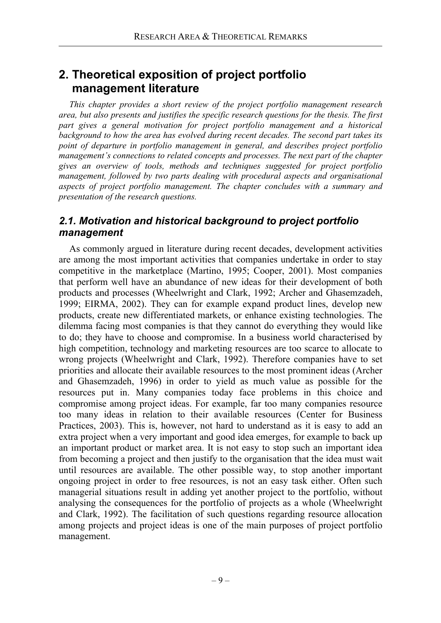## **2. Theoretical exposition of project portfolio management literature**

*This chapter provides a short review of the project portfolio management research area, but also presents and justifies the specific research questions for the thesis. The first part gives a general motivation for project portfolio management and a historical background to how the area has evolved during recent decades. The second part takes its point of departure in portfolio management in general, and describes project portfolio management's connections to related concepts and processes. The next part of the chapter gives an overview of tools, methods and techniques suggested for project portfolio management, followed by two parts dealing with procedural aspects and organisational aspects of project portfolio management. The chapter concludes with a summary and presentation of the research questions.* 

## *2.1. Motivation and historical background to project portfolio management*

As commonly argued in literature during recent decades, development activities are among the most important activities that companies undertake in order to stay competitive in the marketplace (Martino, 1995; Cooper, 2001). Most companies that perform well have an abundance of new ideas for their development of both products and processes (Wheelwright and Clark, 1992; Archer and Ghasemzadeh, 1999; EIRMA, 2002). They can for example expand product lines, develop new products, create new differentiated markets, or enhance existing technologies. The dilemma facing most companies is that they cannot do everything they would like to do; they have to choose and compromise. In a business world characterised by high competition, technology and marketing resources are too scarce to allocate to wrong projects (Wheelwright and Clark, 1992). Therefore companies have to set priorities and allocate their available resources to the most prominent ideas (Archer and Ghasemzadeh, 1996) in order to yield as much value as possible for the resources put in. Many companies today face problems in this choice and compromise among project ideas. For example, far too many companies resource too many ideas in relation to their available resources (Center for Business Practices, 2003). This is, however, not hard to understand as it is easy to add an extra project when a very important and good idea emerges, for example to back up an important product or market area. It is not easy to stop such an important idea from becoming a project and then justify to the organisation that the idea must wait until resources are available. The other possible way, to stop another important ongoing project in order to free resources, is not an easy task either. Often such managerial situations result in adding yet another project to the portfolio, without analysing the consequences for the portfolio of projects as a whole (Wheelwright and Clark, 1992). The facilitation of such questions regarding resource allocation among projects and project ideas is one of the main purposes of project portfolio management.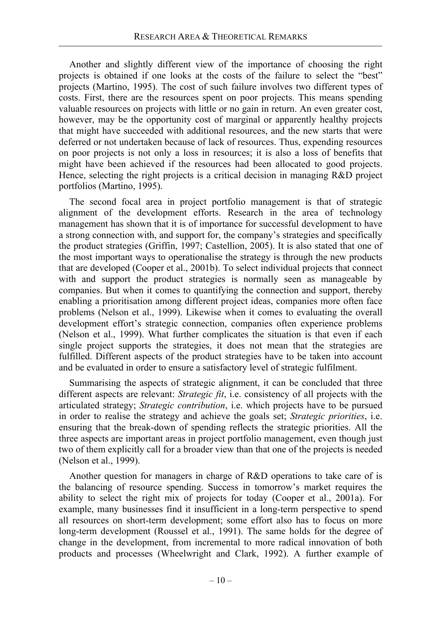Another and slightly different view of the importance of choosing the right projects is obtained if one looks at the costs of the failure to select the "best" projects (Martino, 1995). The cost of such failure involves two different types of costs. First, there are the resources spent on poor projects. This means spending valuable resources on projects with little or no gain in return. An even greater cost, however, may be the opportunity cost of marginal or apparently healthy projects that might have succeeded with additional resources, and the new starts that were deferred or not undertaken because of lack of resources. Thus, expending resources on poor projects is not only a loss in resources; it is also a loss of benefits that might have been achieved if the resources had been allocated to good projects. Hence, selecting the right projects is a critical decision in managing R&D project portfolios (Martino, 1995).

The second focal area in project portfolio management is that of strategic alignment of the development efforts. Research in the area of technology management has shown that it is of importance for successful development to have a strong connection with, and support for, the company's strategies and specifically the product strategies (Griffin, 1997; Castellion, 2005). It is also stated that one of the most important ways to operationalise the strategy is through the new products that are developed (Cooper et al., 2001b). To select individual projects that connect with and support the product strategies is normally seen as manageable by companies. But when it comes to quantifying the connection and support, thereby enabling a prioritisation among different project ideas, companies more often face problems (Nelson et al., 1999). Likewise when it comes to evaluating the overall development effort's strategic connection, companies often experience problems (Nelson et al., 1999). What further complicates the situation is that even if each single project supports the strategies, it does not mean that the strategies are fulfilled. Different aspects of the product strategies have to be taken into account and be evaluated in order to ensure a satisfactory level of strategic fulfilment.

Summarising the aspects of strategic alignment, it can be concluded that three different aspects are relevant: *Strategic fit*, i.e. consistency of all projects with the articulated strategy; *Strategic contribution*, i.e. which projects have to be pursued in order to realise the strategy and achieve the goals set; *Strategic priorities*, i.e. ensuring that the break-down of spending reflects the strategic priorities. All the three aspects are important areas in project portfolio management, even though just two of them explicitly call for a broader view than that one of the projects is needed (Nelson et al., 1999).

Another question for managers in charge of R&D operations to take care of is the balancing of resource spending. Success in tomorrow's market requires the ability to select the right mix of projects for today (Cooper et al., 2001a). For example, many businesses find it insufficient in a long-term perspective to spend all resources on short-term development; some effort also has to focus on more long-term development (Roussel et al., 1991). The same holds for the degree of change in the development, from incremental to more radical innovation of both products and processes (Wheelwright and Clark, 1992). A further example of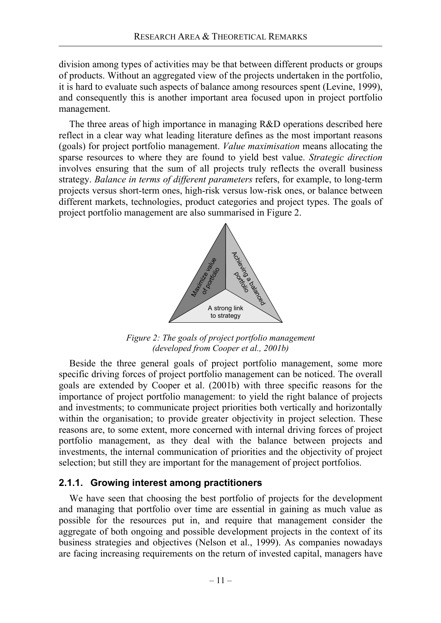division among types of activities may be that between different products or groups of products. Without an aggregated view of the projects undertaken in the portfolio, it is hard to evaluate such aspects of balance among resources spent (Levine, 1999), and consequently this is another important area focused upon in project portfolio management.

The three areas of high importance in managing R&D operations described here reflect in a clear way what leading literature defines as the most important reasons (goals) for project portfolio management. *Value maximisation* means allocating the sparse resources to where they are found to yield best value. *Strategic direction* involves ensuring that the sum of all projects truly reflects the overall business strategy. *Balance in terms of different parameters* refers, for example, to long-term projects versus short-term ones, high-risk versus low-risk ones, or balance between different markets, technologies, product categories and project types. The goals of project portfolio management are also summarised in Figure 2.



*Figure 2: The goals of project portfolio management (developed from Cooper et al., 2001b)* 

Beside the three general goals of project portfolio management, some more specific driving forces of project portfolio management can be noticed. The overall goals are extended by Cooper et al. (2001b) with three specific reasons for the importance of project portfolio management: to yield the right balance of projects and investments; to communicate project priorities both vertically and horizontally within the organisation; to provide greater objectivity in project selection. These reasons are, to some extent, more concerned with internal driving forces of project portfolio management, as they deal with the balance between projects and investments, the internal communication of priorities and the objectivity of project selection; but still they are important for the management of project portfolios.

## **2.1.1. Growing interest among practitioners**

We have seen that choosing the best portfolio of projects for the development and managing that portfolio over time are essential in gaining as much value as possible for the resources put in, and require that management consider the aggregate of both ongoing and possible development projects in the context of its business strategies and objectives (Nelson et al., 1999). As companies nowadays are facing increasing requirements on the return of invested capital, managers have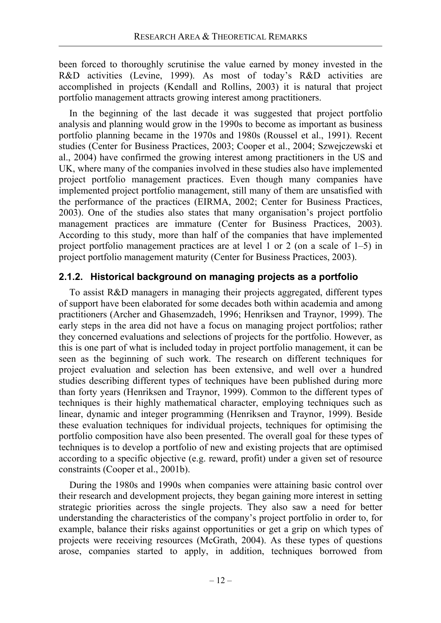been forced to thoroughly scrutinise the value earned by money invested in the R&D activities (Levine, 1999). As most of today's R&D activities are accomplished in projects (Kendall and Rollins, 2003) it is natural that project portfolio management attracts growing interest among practitioners.

In the beginning of the last decade it was suggested that project portfolio analysis and planning would grow in the 1990s to become as important as business portfolio planning became in the 1970s and 1980s (Roussel et al., 1991). Recent studies (Center for Business Practices, 2003; Cooper et al., 2004; Szwejczewski et al., 2004) have confirmed the growing interest among practitioners in the US and UK, where many of the companies involved in these studies also have implemented project portfolio management practices. Even though many companies have implemented project portfolio management, still many of them are unsatisfied with the performance of the practices (EIRMA, 2002; Center for Business Practices, 2003). One of the studies also states that many organisation's project portfolio management practices are immature (Center for Business Practices, 2003). According to this study, more than half of the companies that have implemented project portfolio management practices are at level 1 or 2 (on a scale of 1–5) in project portfolio management maturity (Center for Business Practices, 2003).

## **2.1.2. Historical background on managing projects as a portfolio**

To assist R&D managers in managing their projects aggregated, different types of support have been elaborated for some decades both within academia and among practitioners (Archer and Ghasemzadeh, 1996; Henriksen and Traynor, 1999). The early steps in the area did not have a focus on managing project portfolios; rather they concerned evaluations and selections of projects for the portfolio. However, as this is one part of what is included today in project portfolio management, it can be seen as the beginning of such work. The research on different techniques for project evaluation and selection has been extensive, and well over a hundred studies describing different types of techniques have been published during more than forty years (Henriksen and Traynor, 1999). Common to the different types of techniques is their highly mathematical character, employing techniques such as linear, dynamic and integer programming (Henriksen and Traynor, 1999). Beside these evaluation techniques for individual projects, techniques for optimising the portfolio composition have also been presented. The overall goal for these types of techniques is to develop a portfolio of new and existing projects that are optimised according to a specific objective (e.g. reward, profit) under a given set of resource constraints (Cooper et al., 2001b).

During the 1980s and 1990s when companies were attaining basic control over their research and development projects, they began gaining more interest in setting strategic priorities across the single projects. They also saw a need for better understanding the characteristics of the company's project portfolio in order to, for example, balance their risks against opportunities or get a grip on which types of projects were receiving resources (McGrath, 2004). As these types of questions arose, companies started to apply, in addition, techniques borrowed from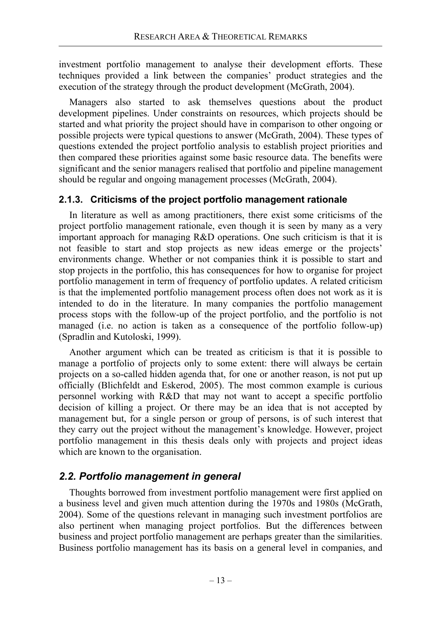investment portfolio management to analyse their development efforts. These techniques provided a link between the companies' product strategies and the execution of the strategy through the product development (McGrath, 2004).

Managers also started to ask themselves questions about the product development pipelines. Under constraints on resources, which projects should be started and what priority the project should have in comparison to other ongoing or possible projects were typical questions to answer (McGrath, 2004). These types of questions extended the project portfolio analysis to establish project priorities and then compared these priorities against some basic resource data. The benefits were significant and the senior managers realised that portfolio and pipeline management should be regular and ongoing management processes (McGrath, 2004).

## **2.1.3. Criticisms of the project portfolio management rationale**

In literature as well as among practitioners, there exist some criticisms of the project portfolio management rationale, even though it is seen by many as a very important approach for managing R&D operations. One such criticism is that it is not feasible to start and stop projects as new ideas emerge or the projects' environments change. Whether or not companies think it is possible to start and stop projects in the portfolio, this has consequences for how to organise for project portfolio management in term of frequency of portfolio updates. A related criticism is that the implemented portfolio management process often does not work as it is intended to do in the literature. In many companies the portfolio management process stops with the follow-up of the project portfolio, and the portfolio is not managed (i.e. no action is taken as a consequence of the portfolio follow-up) (Spradlin and Kutoloski, 1999).

Another argument which can be treated as criticism is that it is possible to manage a portfolio of projects only to some extent: there will always be certain projects on a so-called hidden agenda that, for one or another reason, is not put up officially (Blichfeldt and Eskerod, 2005). The most common example is curious personnel working with R&D that may not want to accept a specific portfolio decision of killing a project. Or there may be an idea that is not accepted by management but, for a single person or group of persons, is of such interest that they carry out the project without the management's knowledge. However, project portfolio management in this thesis deals only with projects and project ideas which are known to the organisation.

## *2.2. Portfolio management in general*

Thoughts borrowed from investment portfolio management were first applied on a business level and given much attention during the 1970s and 1980s (McGrath, 2004). Some of the questions relevant in managing such investment portfolios are also pertinent when managing project portfolios. But the differences between business and project portfolio management are perhaps greater than the similarities. Business portfolio management has its basis on a general level in companies, and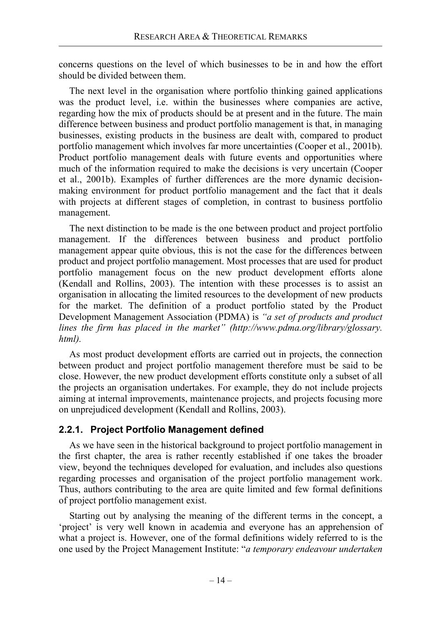concerns questions on the level of which businesses to be in and how the effort should be divided between them.

The next level in the organisation where portfolio thinking gained applications was the product level, i.e. within the businesses where companies are active, regarding how the mix of products should be at present and in the future. The main difference between business and product portfolio management is that, in managing businesses, existing products in the business are dealt with, compared to product portfolio management which involves far more uncertainties (Cooper et al., 2001b). Product portfolio management deals with future events and opportunities where much of the information required to make the decisions is very uncertain (Cooper et al., 2001b). Examples of further differences are the more dynamic decisionmaking environment for product portfolio management and the fact that it deals with projects at different stages of completion, in contrast to business portfolio management.

The next distinction to be made is the one between product and project portfolio management. If the differences between business and product portfolio management appear quite obvious, this is not the case for the differences between product and project portfolio management. Most processes that are used for product portfolio management focus on the new product development efforts alone (Kendall and Rollins, 2003). The intention with these processes is to assist an organisation in allocating the limited resources to the development of new products for the market. The definition of a product portfolio stated by the Product Development Management Association (PDMA) is *"a set of products and product lines the firm has placed in the market" (http://www.pdma.org/library/glossary. html).*

As most product development efforts are carried out in projects, the connection between product and project portfolio management therefore must be said to be close. However, the new product development efforts constitute only a subset of all the projects an organisation undertakes. For example, they do not include projects aiming at internal improvements, maintenance projects, and projects focusing more on unprejudiced development (Kendall and Rollins, 2003).

## **2.2.1. Project Portfolio Management defined**

As we have seen in the historical background to project portfolio management in the first chapter, the area is rather recently established if one takes the broader view, beyond the techniques developed for evaluation, and includes also questions regarding processes and organisation of the project portfolio management work. Thus, authors contributing to the area are quite limited and few formal definitions of project portfolio management exist.

Starting out by analysing the meaning of the different terms in the concept, a 'project' is very well known in academia and everyone has an apprehension of what a project is. However, one of the formal definitions widely referred to is the one used by the Project Management Institute: "*a temporary endeavour undertaken*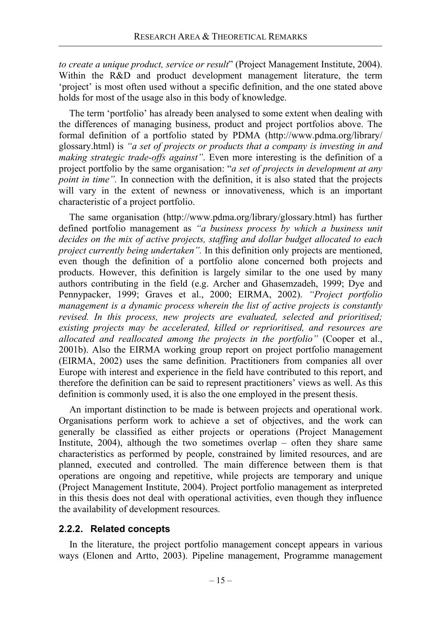*to create a unique product, service or result*" (Project Management Institute, 2004). Within the R&D and product development management literature, the term 'project' is most often used without a specific definition, and the one stated above holds for most of the usage also in this body of knowledge.

The term 'portfolio' has already been analysed to some extent when dealing with the differences of managing business, product and project portfolios above. The formal definition of a portfolio stated by PDMA (http://www.pdma.org/library/ glossary.html) is *"a set of projects or products that a company is investing in and making strategic trade-offs against"*. Even more interesting is the definition of a project portfolio by the same organisation: "*a set of projects in development at any point in time"*. In connection with the definition, it is also stated that the projects will vary in the extent of newness or innovativeness, which is an important characteristic of a project portfolio.

The same organisation (http://www.pdma.org/library/glossary.html) has further defined portfolio management as *"a business process by which a business unit decides on the mix of active projects, staffing and dollar budget allocated to each project currently being undertaken"*. In this definition only projects are mentioned, even though the definition of a portfolio alone concerned both projects and products. However, this definition is largely similar to the one used by many authors contributing in the field (e.g. Archer and Ghasemzadeh, 1999; Dye and Pennypacker, 1999; Graves et al., 2000; EIRMA, 2002). *"Project portfolio management is a dynamic process wherein the list of active projects is constantly revised. In this process, new projects are evaluated, selected and prioritised; existing projects may be accelerated, killed or reprioritised, and resources are allocated and reallocated among the projects in the portfolio"* (Cooper et al., 2001b). Also the EIRMA working group report on project portfolio management (EIRMA, 2002) uses the same definition. Practitioners from companies all over Europe with interest and experience in the field have contributed to this report, and therefore the definition can be said to represent practitioners' views as well. As this definition is commonly used, it is also the one employed in the present thesis.

An important distinction to be made is between projects and operational work. Organisations perform work to achieve a set of objectives, and the work can generally be classified as either projects or operations (Project Management Institute,  $2004$ , although the two sometimes overlap – often they share same characteristics as performed by people, constrained by limited resources, and are planned, executed and controlled. The main difference between them is that operations are ongoing and repetitive, while projects are temporary and unique (Project Management Institute, 2004). Project portfolio management as interpreted in this thesis does not deal with operational activities, even though they influence the availability of development resources.

## **2.2.2. Related concepts**

In the literature, the project portfolio management concept appears in various ways (Elonen and Artto, 2003). Pipeline management, Programme management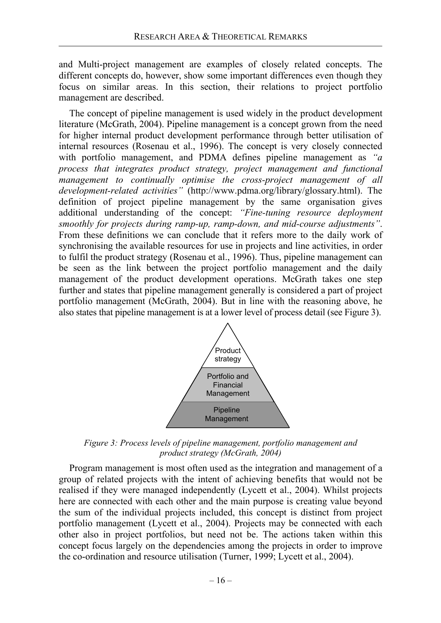and Multi-project management are examples of closely related concepts. The different concepts do, however, show some important differences even though they focus on similar areas. In this section, their relations to project portfolio management are described.

The concept of pipeline management is used widely in the product development literature (McGrath, 2004). Pipeline management is a concept grown from the need for higher internal product development performance through better utilisation of internal resources (Rosenau et al., 1996). The concept is very closely connected with portfolio management, and PDMA defines pipeline management as *"a process that integrates product strategy, project management and functional management to continually optimise the cross-project management of all development-related activities"* (http://www.pdma.org/library/glossary.html). The definition of project pipeline management by the same organisation gives additional understanding of the concept: *"Fine-tuning resource deployment smoothly for projects during ramp-up, ramp-down, and mid-course adjustments"*. From these definitions we can conclude that it refers more to the daily work of synchronising the available resources for use in projects and line activities, in order to fulfil the product strategy (Rosenau et al., 1996). Thus, pipeline management can be seen as the link between the project portfolio management and the daily management of the product development operations. McGrath takes one step further and states that pipeline management generally is considered a part of project portfolio management (McGrath, 2004). But in line with the reasoning above, he also states that pipeline management is at a lower level of process detail (see Figure 3).



*Figure 3: Process levels of pipeline management, portfolio management and product strategy (McGrath, 2004)* 

Program management is most often used as the integration and management of a group of related projects with the intent of achieving benefits that would not be realised if they were managed independently (Lycett et al., 2004). Whilst projects here are connected with each other and the main purpose is creating value beyond the sum of the individual projects included, this concept is distinct from project portfolio management (Lycett et al., 2004). Projects may be connected with each other also in project portfolios, but need not be. The actions taken within this concept focus largely on the dependencies among the projects in order to improve the co-ordination and resource utilisation (Turner, 1999; Lycett et al., 2004).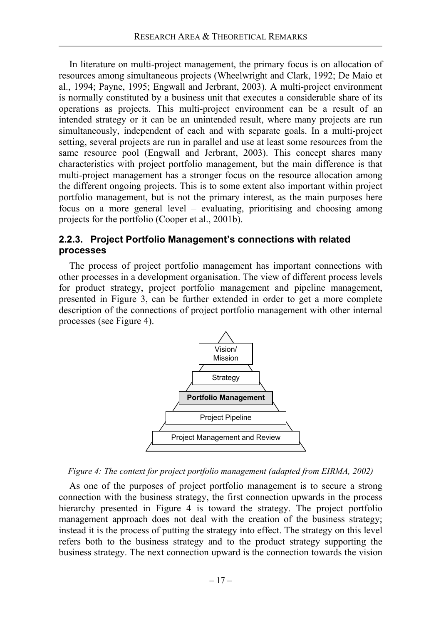In literature on multi-project management, the primary focus is on allocation of resources among simultaneous projects (Wheelwright and Clark, 1992; De Maio et al., 1994; Payne, 1995; Engwall and Jerbrant, 2003). A multi-project environment is normally constituted by a business unit that executes a considerable share of its operations as projects. This multi-project environment can be a result of an intended strategy or it can be an unintended result, where many projects are run simultaneously, independent of each and with separate goals. In a multi-project setting, several projects are run in parallel and use at least some resources from the same resource pool (Engwall and Jerbrant, 2003). This concept shares many characteristics with project portfolio management, but the main difference is that multi-project management has a stronger focus on the resource allocation among the different ongoing projects. This is to some extent also important within project portfolio management, but is not the primary interest, as the main purposes here focus on a more general level – evaluating, prioritising and choosing among projects for the portfolio (Cooper et al., 2001b).

## **2.2.3. Project Portfolio Management's connections with related processes**

The process of project portfolio management has important connections with other processes in a development organisation. The view of different process levels for product strategy, project portfolio management and pipeline management, presented in Figure 3, can be further extended in order to get a more complete description of the connections of project portfolio management with other internal processes (see Figure 4).



*Figure 4: The context for project portfolio management (adapted from EIRMA, 2002)* 

As one of the purposes of project portfolio management is to secure a strong connection with the business strategy, the first connection upwards in the process hierarchy presented in Figure 4 is toward the strategy. The project portfolio management approach does not deal with the creation of the business strategy; instead it is the process of putting the strategy into effect. The strategy on this level refers both to the business strategy and to the product strategy supporting the business strategy. The next connection upward is the connection towards the vision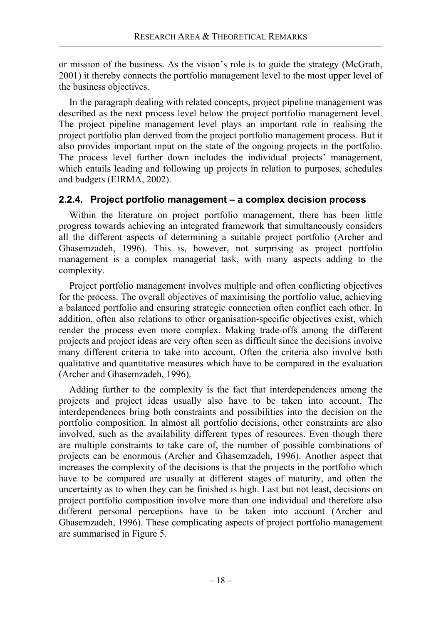or mission of the business. As the vision's role is to guide the strategy (McGrath, 2001) it thereby connects the portfolio management level to the most upper level of the business objectives.

In the paragraph dealing with related concepts, project pipeline management was described as the next process level below the project portfolio management level. The project pipeline management level plays an important role in realising the project portfolio plan derived from the project portfolio management process. But it also provides important input on the state of the ongoing projects in the portfolio. The process level further down includes the individual projects' management, which entails leading and following up projects in relation to purposes, schedules and budgets (EIRMA, 2002).

## **2.2.4. Project portfolio management – a complex decision process**

Within the literature on project portfolio management, there has been little progress towards achieving an integrated framework that simultaneously considers all the different aspects of determining a suitable project portfolio (Archer and Ghasemzadeh, 1996). This is, however, not surprising as project portfolio management is a complex managerial task, with many aspects adding to the complexity.

Project portfolio management involves multiple and often conflicting objectives for the process. The overall objectives of maximising the portfolio value, achieving a balanced portfolio and ensuring strategic connection often conflict each other. In addition, often also relations to other organisation-specific objectives exist, which render the process even more complex. Making trade-offs among the different projects and project ideas are very often seen as difficult since the decisions involve many different criteria to take into account. Often the criteria also involve both qualitative and quantitative measures which have to be compared in the evaluation (Archer and Ghasemzadeh, 1996).

Adding further to the complexity is the fact that interdependences among the projects and project ideas usually also have to be taken into account. The interdependences bring both constraints and possibilities into the decision on the portfolio composition. In almost all portfolio decisions, other constraints are also involved, such as the availability different types of resources. Even though there are multiple constraints to take care of, the number of possible combinations of projects can be enormous (Archer and Ghasemzadeh, 1996). Another aspect that increases the complexity of the decisions is that the projects in the portfolio which have to be compared are usually at different stages of maturity, and often the uncertainty as to when they can be finished is high. Last but not least, decisions on project portfolio composition involve more than one individual and therefore also different personal perceptions have to be taken into account (Archer and Ghasemzadeh, 1996). These complicating aspects of project portfolio management are summarised in Figure 5.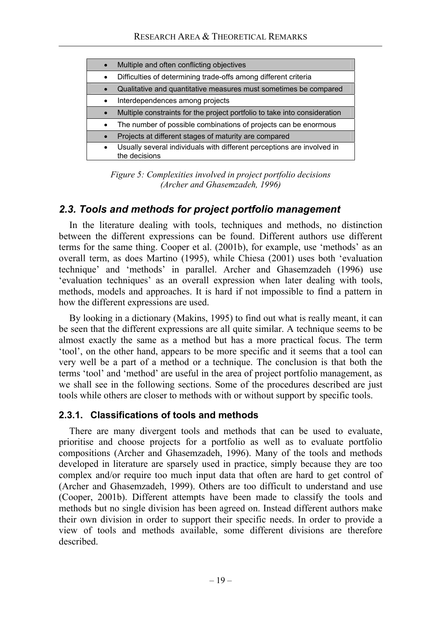|           | Multiple and often conflicting objectives                                               |
|-----------|-----------------------------------------------------------------------------------------|
| $\bullet$ | Difficulties of determining trade-offs among different criteria                         |
|           | Qualitative and quantitative measures must sometimes be compared                        |
| $\bullet$ | Interdependences among projects                                                         |
|           | Multiple constraints for the project portfolio to take into consideration               |
|           | The number of possible combinations of projects can be enormous                         |
|           | Projects at different stages of maturity are compared                                   |
| $\bullet$ | Usually several individuals with different perceptions are involved in<br>the decisions |

*Figure 5: Complexities involved in project portfolio decisions (Archer and Ghasemzadeh, 1996)* 

## *2.3. Tools and methods for project portfolio management*

In the literature dealing with tools, techniques and methods, no distinction between the different expressions can be found. Different authors use different terms for the same thing. Cooper et al. (2001b), for example, use 'methods' as an overall term, as does Martino (1995), while Chiesa (2001) uses both 'evaluation technique' and 'methods' in parallel. Archer and Ghasemzadeh (1996) use 'evaluation techniques' as an overall expression when later dealing with tools, methods, models and approaches. It is hard if not impossible to find a pattern in how the different expressions are used.

By looking in a dictionary (Makins, 1995) to find out what is really meant, it can be seen that the different expressions are all quite similar. A technique seems to be almost exactly the same as a method but has a more practical focus. The term 'tool', on the other hand, appears to be more specific and it seems that a tool can very well be a part of a method or a technique. The conclusion is that both the terms 'tool' and 'method' are useful in the area of project portfolio management, as we shall see in the following sections. Some of the procedures described are just tools while others are closer to methods with or without support by specific tools.

## **2.3.1. Classifications of tools and methods**

There are many divergent tools and methods that can be used to evaluate, prioritise and choose projects for a portfolio as well as to evaluate portfolio compositions (Archer and Ghasemzadeh, 1996). Many of the tools and methods developed in literature are sparsely used in practice, simply because they are too complex and/or require too much input data that often are hard to get control of (Archer and Ghasemzadeh, 1999). Others are too difficult to understand and use (Cooper, 2001b). Different attempts have been made to classify the tools and methods but no single division has been agreed on. Instead different authors make their own division in order to support their specific needs. In order to provide a view of tools and methods available, some different divisions are therefore described.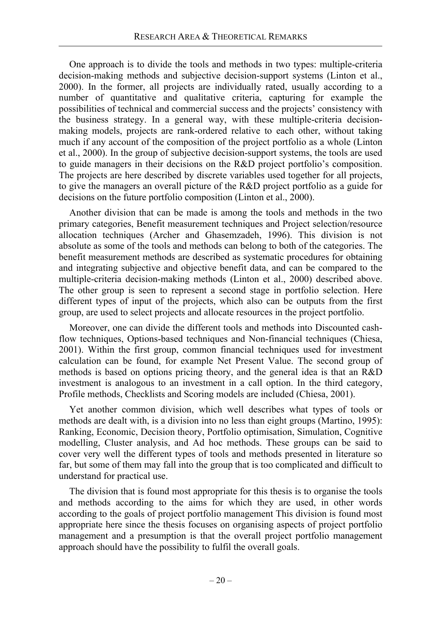One approach is to divide the tools and methods in two types: multiple-criteria decision-making methods and subjective decision-support systems (Linton et al., 2000). In the former, all projects are individually rated, usually according to a number of quantitative and qualitative criteria, capturing for example the possibilities of technical and commercial success and the projects' consistency with the business strategy. In a general way, with these multiple-criteria decisionmaking models, projects are rank-ordered relative to each other, without taking much if any account of the composition of the project portfolio as a whole (Linton et al., 2000). In the group of subjective decision-support systems, the tools are used to guide managers in their decisions on the R&D project portfolio's composition. The projects are here described by discrete variables used together for all projects, to give the managers an overall picture of the R&D project portfolio as a guide for decisions on the future portfolio composition (Linton et al., 2000).

Another division that can be made is among the tools and methods in the two primary categories, Benefit measurement techniques and Project selection/resource allocation techniques (Archer and Ghasemzadeh, 1996). This division is not absolute as some of the tools and methods can belong to both of the categories. The benefit measurement methods are described as systematic procedures for obtaining and integrating subjective and objective benefit data, and can be compared to the multiple-criteria decision-making methods (Linton et al., 2000) described above. The other group is seen to represent a second stage in portfolio selection. Here different types of input of the projects, which also can be outputs from the first group, are used to select projects and allocate resources in the project portfolio.

Moreover, one can divide the different tools and methods into Discounted cashflow techniques, Options-based techniques and Non-financial techniques (Chiesa, 2001). Within the first group, common financial techniques used for investment calculation can be found, for example Net Present Value. The second group of methods is based on options pricing theory, and the general idea is that an R&D investment is analogous to an investment in a call option. In the third category, Profile methods, Checklists and Scoring models are included (Chiesa, 2001).

Yet another common division, which well describes what types of tools or methods are dealt with, is a division into no less than eight groups (Martino, 1995): Ranking, Economic, Decision theory, Portfolio optimisation, Simulation, Cognitive modelling, Cluster analysis, and Ad hoc methods. These groups can be said to cover very well the different types of tools and methods presented in literature so far, but some of them may fall into the group that is too complicated and difficult to understand for practical use.

The division that is found most appropriate for this thesis is to organise the tools and methods according to the aims for which they are used, in other words according to the goals of project portfolio management This division is found most appropriate here since the thesis focuses on organising aspects of project portfolio management and a presumption is that the overall project portfolio management approach should have the possibility to fulfil the overall goals.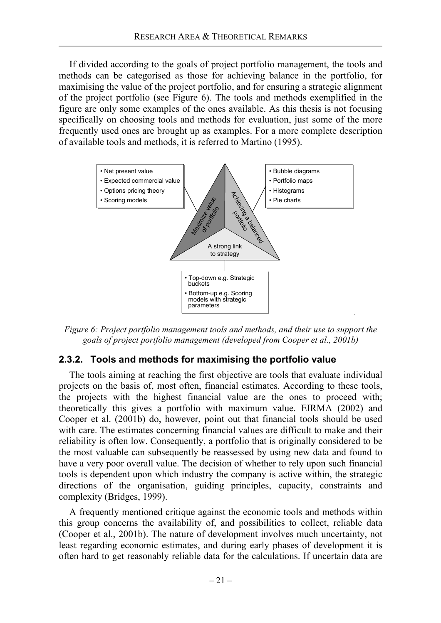If divided according to the goals of project portfolio management, the tools and methods can be categorised as those for achieving balance in the portfolio, for maximising the value of the project portfolio, and for ensuring a strategic alignment of the project portfolio (see Figure 6). The tools and methods exemplified in the figure are only some examples of the ones available. As this thesis is not focusing specifically on choosing tools and methods for evaluation, just some of the more frequently used ones are brought up as examples. For a more complete description of available tools and methods, it is referred to Martino (1995).



*Figure 6: Project portfolio management tools and methods, and their use to support the goals of project portfolio management (developed from Cooper et al., 2001b)* 

## **2.3.2. Tools and methods for maximising the portfolio value**

The tools aiming at reaching the first objective are tools that evaluate individual projects on the basis of, most often, financial estimates. According to these tools, the projects with the highest financial value are the ones to proceed with; theoretically this gives a portfolio with maximum value. EIRMA (2002) and Cooper et al. (2001b) do, however, point out that financial tools should be used with care. The estimates concerning financial values are difficult to make and their reliability is often low. Consequently, a portfolio that is originally considered to be the most valuable can subsequently be reassessed by using new data and found to have a very poor overall value. The decision of whether to rely upon such financial tools is dependent upon which industry the company is active within, the strategic directions of the organisation, guiding principles, capacity, constraints and complexity (Bridges, 1999).

A frequently mentioned critique against the economic tools and methods within this group concerns the availability of, and possibilities to collect, reliable data (Cooper et al., 2001b). The nature of development involves much uncertainty, not least regarding economic estimates, and during early phases of development it is often hard to get reasonably reliable data for the calculations. If uncertain data are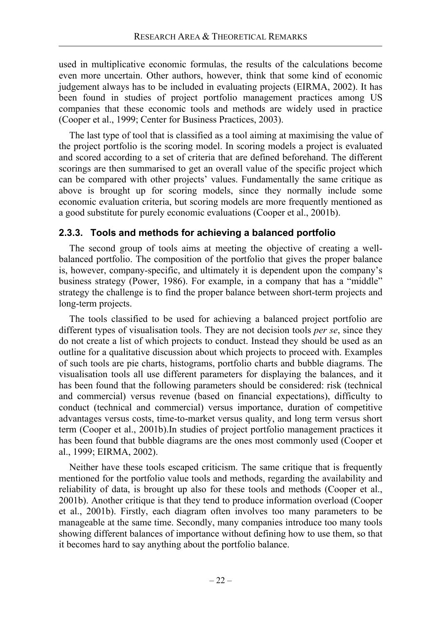used in multiplicative economic formulas, the results of the calculations become even more uncertain. Other authors, however, think that some kind of economic judgement always has to be included in evaluating projects (EIRMA, 2002). It has been found in studies of project portfolio management practices among US companies that these economic tools and methods are widely used in practice (Cooper et al., 1999; Center for Business Practices, 2003).

The last type of tool that is classified as a tool aiming at maximising the value of the project portfolio is the scoring model. In scoring models a project is evaluated and scored according to a set of criteria that are defined beforehand. The different scorings are then summarised to get an overall value of the specific project which can be compared with other projects' values. Fundamentally the same critique as above is brought up for scoring models, since they normally include some economic evaluation criteria, but scoring models are more frequently mentioned as a good substitute for purely economic evaluations (Cooper et al., 2001b).

## **2.3.3. Tools and methods for achieving a balanced portfolio**

The second group of tools aims at meeting the objective of creating a wellbalanced portfolio. The composition of the portfolio that gives the proper balance is, however, company-specific, and ultimately it is dependent upon the company's business strategy (Power, 1986). For example, in a company that has a "middle" strategy the challenge is to find the proper balance between short-term projects and long-term projects.

The tools classified to be used for achieving a balanced project portfolio are different types of visualisation tools. They are not decision tools *per se*, since they do not create a list of which projects to conduct. Instead they should be used as an outline for a qualitative discussion about which projects to proceed with. Examples of such tools are pie charts, histograms, portfolio charts and bubble diagrams. The visualisation tools all use different parameters for displaying the balances, and it has been found that the following parameters should be considered: risk (technical and commercial) versus revenue (based on financial expectations), difficulty to conduct (technical and commercial) versus importance, duration of competitive advantages versus costs, time-to-market versus quality, and long term versus short term (Cooper et al., 2001b).In studies of project portfolio management practices it has been found that bubble diagrams are the ones most commonly used (Cooper et al., 1999; EIRMA, 2002).

Neither have these tools escaped criticism. The same critique that is frequently mentioned for the portfolio value tools and methods, regarding the availability and reliability of data, is brought up also for these tools and methods (Cooper et al., 2001b). Another critique is that they tend to produce information overload (Cooper et al., 2001b). Firstly, each diagram often involves too many parameters to be manageable at the same time. Secondly, many companies introduce too many tools showing different balances of importance without defining how to use them, so that it becomes hard to say anything about the portfolio balance.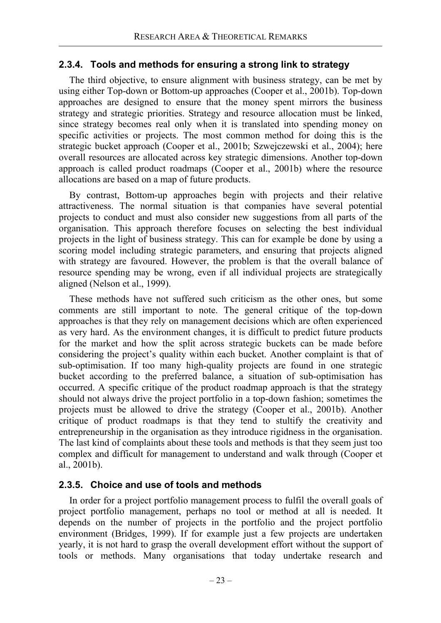## **2.3.4. Tools and methods for ensuring a strong link to strategy**

The third objective, to ensure alignment with business strategy, can be met by using either Top-down or Bottom-up approaches (Cooper et al., 2001b). Top-down approaches are designed to ensure that the money spent mirrors the business strategy and strategic priorities. Strategy and resource allocation must be linked, since strategy becomes real only when it is translated into spending money on specific activities or projects. The most common method for doing this is the strategic bucket approach (Cooper et al., 2001b; Szwejczewski et al., 2004); here overall resources are allocated across key strategic dimensions. Another top-down approach is called product roadmaps (Cooper et al., 2001b) where the resource allocations are based on a map of future products.

By contrast, Bottom-up approaches begin with projects and their relative attractiveness. The normal situation is that companies have several potential projects to conduct and must also consider new suggestions from all parts of the organisation. This approach therefore focuses on selecting the best individual projects in the light of business strategy. This can for example be done by using a scoring model including strategic parameters, and ensuring that projects aligned with strategy are favoured. However, the problem is that the overall balance of resource spending may be wrong, even if all individual projects are strategically aligned (Nelson et al., 1999).

These methods have not suffered such criticism as the other ones, but some comments are still important to note. The general critique of the top-down approaches is that they rely on management decisions which are often experienced as very hard. As the environment changes, it is difficult to predict future products for the market and how the split across strategic buckets can be made before considering the project's quality within each bucket. Another complaint is that of sub-optimisation. If too many high-quality projects are found in one strategic bucket according to the preferred balance, a situation of sub-optimisation has occurred. A specific critique of the product roadmap approach is that the strategy should not always drive the project portfolio in a top-down fashion; sometimes the projects must be allowed to drive the strategy (Cooper et al., 2001b). Another critique of product roadmaps is that they tend to stultify the creativity and entrepreneurship in the organisation as they introduce rigidness in the organisation. The last kind of complaints about these tools and methods is that they seem just too complex and difficult for management to understand and walk through (Cooper et al., 2001b).

## **2.3.5. Choice and use of tools and methods**

In order for a project portfolio management process to fulfil the overall goals of project portfolio management, perhaps no tool or method at all is needed. It depends on the number of projects in the portfolio and the project portfolio environment (Bridges, 1999). If for example just a few projects are undertaken yearly, it is not hard to grasp the overall development effort without the support of tools or methods. Many organisations that today undertake research and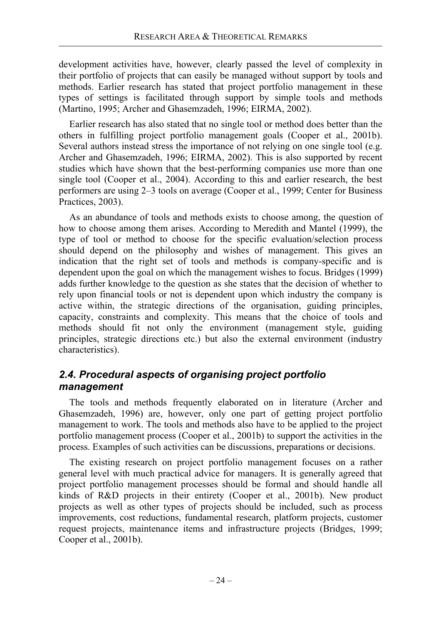development activities have, however, clearly passed the level of complexity in their portfolio of projects that can easily be managed without support by tools and methods. Earlier research has stated that project portfolio management in these types of settings is facilitated through support by simple tools and methods (Martino, 1995; Archer and Ghasemzadeh, 1996; EIRMA, 2002).

Earlier research has also stated that no single tool or method does better than the others in fulfilling project portfolio management goals (Cooper et al., 2001b). Several authors instead stress the importance of not relying on one single tool (e.g. Archer and Ghasemzadeh, 1996; EIRMA, 2002). This is also supported by recent studies which have shown that the best-performing companies use more than one single tool (Cooper et al., 2004). According to this and earlier research, the best performers are using 2–3 tools on average (Cooper et al., 1999; Center for Business Practices, 2003).

As an abundance of tools and methods exists to choose among, the question of how to choose among them arises. According to Meredith and Mantel (1999), the type of tool or method to choose for the specific evaluation/selection process should depend on the philosophy and wishes of management. This gives an indication that the right set of tools and methods is company-specific and is dependent upon the goal on which the management wishes to focus. Bridges (1999) adds further knowledge to the question as she states that the decision of whether to rely upon financial tools or not is dependent upon which industry the company is active within, the strategic directions of the organisation, guiding principles, capacity, constraints and complexity. This means that the choice of tools and methods should fit not only the environment (management style, guiding principles, strategic directions etc.) but also the external environment (industry characteristics).

## *2.4. Procedural aspects of organising project portfolio management*

The tools and methods frequently elaborated on in literature (Archer and Ghasemzadeh, 1996) are, however, only one part of getting project portfolio management to work. The tools and methods also have to be applied to the project portfolio management process (Cooper et al., 2001b) to support the activities in the process. Examples of such activities can be discussions, preparations or decisions.

The existing research on project portfolio management focuses on a rather general level with much practical advice for managers. It is generally agreed that project portfolio management processes should be formal and should handle all kinds of R&D projects in their entirety (Cooper et al., 2001b). New product projects as well as other types of projects should be included, such as process improvements, cost reductions, fundamental research, platform projects, customer request projects, maintenance items and infrastructure projects (Bridges, 1999; Cooper et al., 2001b).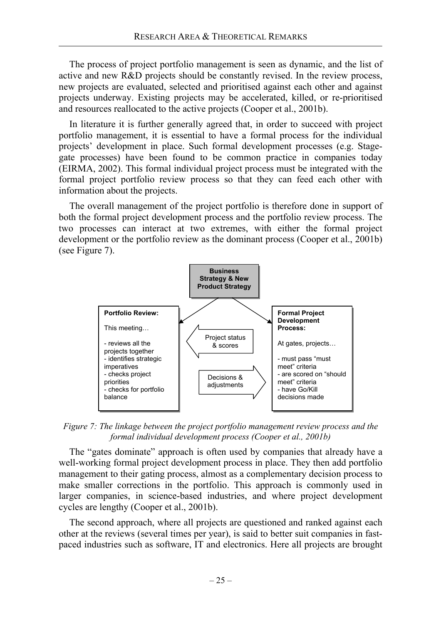The process of project portfolio management is seen as dynamic, and the list of active and new R&D projects should be constantly revised. In the review process, new projects are evaluated, selected and prioritised against each other and against projects underway. Existing projects may be accelerated, killed, or re-prioritised and resources reallocated to the active projects (Cooper et al., 2001b).

In literature it is further generally agreed that, in order to succeed with project portfolio management, it is essential to have a formal process for the individual projects' development in place. Such formal development processes (e.g. Stagegate processes) have been found to be common practice in companies today (EIRMA, 2002). This formal individual project process must be integrated with the formal project portfolio review process so that they can feed each other with information about the projects.

The overall management of the project portfolio is therefore done in support of both the formal project development process and the portfolio review process. The two processes can interact at two extremes, with either the formal project development or the portfolio review as the dominant process (Cooper et al., 2001b) (see Figure 7).



*Figure 7: The linkage between the project portfolio management review process and the formal individual development process (Cooper et al., 2001b)*

The "gates dominate" approach is often used by companies that already have a well-working formal project development process in place. They then add portfolio management to their gating process, almost as a complementary decision process to make smaller corrections in the portfolio. This approach is commonly used in larger companies, in science-based industries, and where project development cycles are lengthy (Cooper et al., 2001b).

The second approach, where all projects are questioned and ranked against each other at the reviews (several times per year), is said to better suit companies in fastpaced industries such as software, IT and electronics. Here all projects are brought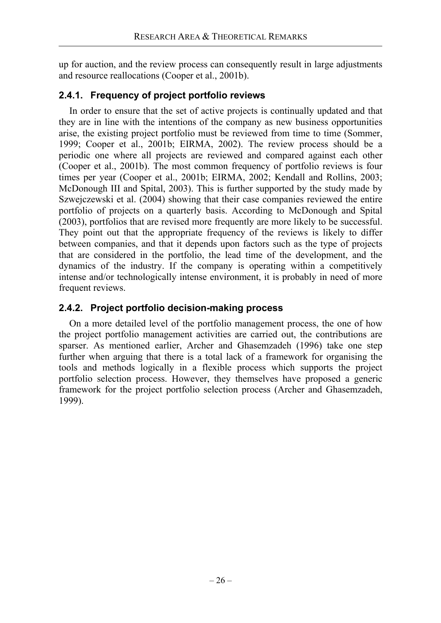up for auction, and the review process can consequently result in large adjustments and resource reallocations (Cooper et al., 2001b).

# **2.4.1. Frequency of project portfolio reviews**

In order to ensure that the set of active projects is continually updated and that they are in line with the intentions of the company as new business opportunities arise, the existing project portfolio must be reviewed from time to time (Sommer, 1999; Cooper et al., 2001b; EIRMA, 2002). The review process should be a periodic one where all projects are reviewed and compared against each other (Cooper et al., 2001b). The most common frequency of portfolio reviews is four times per year (Cooper et al., 2001b; EIRMA, 2002; Kendall and Rollins, 2003; McDonough III and Spital, 2003). This is further supported by the study made by Szwejczewski et al. (2004) showing that their case companies reviewed the entire portfolio of projects on a quarterly basis. According to McDonough and Spital (2003), portfolios that are revised more frequently are more likely to be successful. They point out that the appropriate frequency of the reviews is likely to differ between companies, and that it depends upon factors such as the type of projects that are considered in the portfolio, the lead time of the development, and the dynamics of the industry. If the company is operating within a competitively intense and/or technologically intense environment, it is probably in need of more frequent reviews.

# **2.4.2. Project portfolio decision-making process**

On a more detailed level of the portfolio management process, the one of how the project portfolio management activities are carried out, the contributions are sparser. As mentioned earlier, Archer and Ghasemzadeh (1996) take one step further when arguing that there is a total lack of a framework for organising the tools and methods logically in a flexible process which supports the project portfolio selection process. However, they themselves have proposed a generic framework for the project portfolio selection process (Archer and Ghasemzadeh, 1999).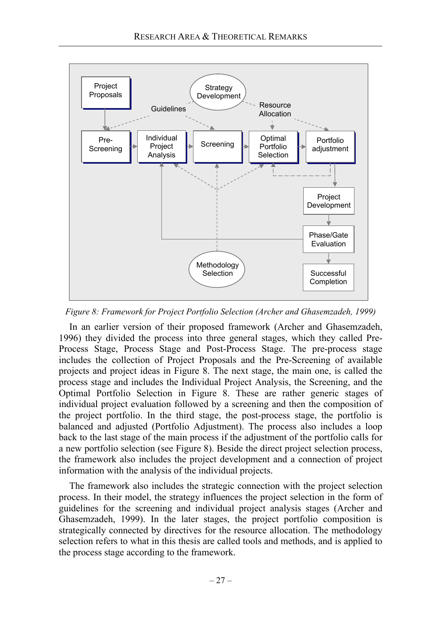

*Figure 8: Framework for Project Portfolio Selection (Archer and Ghasemzadeh, 1999)* 

In an earlier version of their proposed framework (Archer and Ghasemzadeh, 1996) they divided the process into three general stages, which they called Pre-Process Stage, Process Stage and Post-Process Stage. The pre-process stage includes the collection of Project Proposals and the Pre-Screening of available projects and project ideas in Figure 8. The next stage, the main one, is called the process stage and includes the Individual Project Analysis, the Screening, and the Optimal Portfolio Selection in Figure 8. These are rather generic stages of individual project evaluation followed by a screening and then the composition of the project portfolio. In the third stage, the post-process stage, the portfolio is balanced and adjusted (Portfolio Adjustment). The process also includes a loop back to the last stage of the main process if the adjustment of the portfolio calls for a new portfolio selection (see Figure 8). Beside the direct project selection process, the framework also includes the project development and a connection of project information with the analysis of the individual projects.

The framework also includes the strategic connection with the project selection process. In their model, the strategy influences the project selection in the form of guidelines for the screening and individual project analysis stages (Archer and Ghasemzadeh, 1999). In the later stages, the project portfolio composition is strategically connected by directives for the resource allocation. The methodology selection refers to what in this thesis are called tools and methods, and is applied to the process stage according to the framework.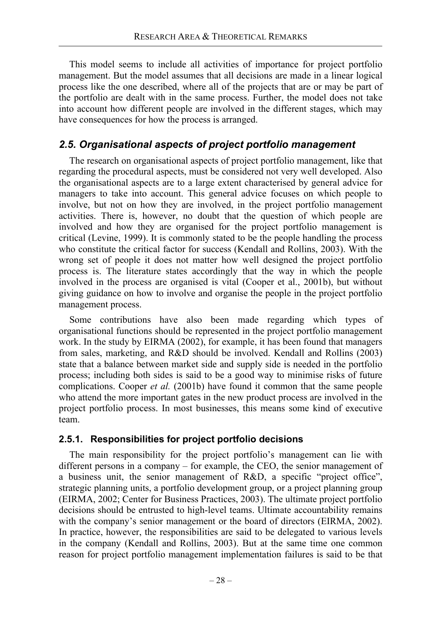This model seems to include all activities of importance for project portfolio management. But the model assumes that all decisions are made in a linear logical process like the one described, where all of the projects that are or may be part of the portfolio are dealt with in the same process. Further, the model does not take into account how different people are involved in the different stages, which may have consequences for how the process is arranged.

# *2.5. Organisational aspects of project portfolio management*

The research on organisational aspects of project portfolio management, like that regarding the procedural aspects, must be considered not very well developed. Also the organisational aspects are to a large extent characterised by general advice for managers to take into account. This general advice focuses on which people to involve, but not on how they are involved, in the project portfolio management activities. There is, however, no doubt that the question of which people are involved and how they are organised for the project portfolio management is critical (Levine, 1999). It is commonly stated to be the people handling the process who constitute the critical factor for success (Kendall and Rollins, 2003). With the wrong set of people it does not matter how well designed the project portfolio process is. The literature states accordingly that the way in which the people involved in the process are organised is vital (Cooper et al., 2001b), but without giving guidance on how to involve and organise the people in the project portfolio management process.

Some contributions have also been made regarding which types of organisational functions should be represented in the project portfolio management work. In the study by EIRMA (2002), for example, it has been found that managers from sales, marketing, and R&D should be involved. Kendall and Rollins (2003) state that a balance between market side and supply side is needed in the portfolio process; including both sides is said to be a good way to minimise risks of future complications. Cooper *et al.* (2001b) have found it common that the same people who attend the more important gates in the new product process are involved in the project portfolio process. In most businesses, this means some kind of executive team.

# **2.5.1. Responsibilities for project portfolio decisions**

The main responsibility for the project portfolio's management can lie with different persons in a company – for example, the CEO, the senior management of a business unit, the senior management of R&D, a specific "project office", strategic planning units, a portfolio development group, or a project planning group (EIRMA, 2002; Center for Business Practices, 2003). The ultimate project portfolio decisions should be entrusted to high-level teams. Ultimate accountability remains with the company's senior management or the board of directors (EIRMA, 2002). In practice, however, the responsibilities are said to be delegated to various levels in the company (Kendall and Rollins, 2003). But at the same time one common reason for project portfolio management implementation failures is said to be that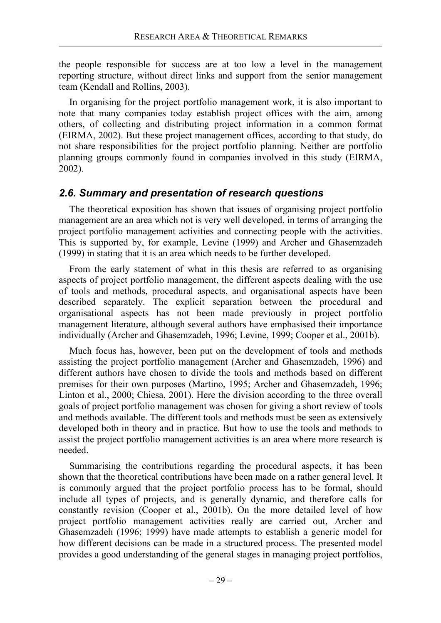the people responsible for success are at too low a level in the management reporting structure, without direct links and support from the senior management team (Kendall and Rollins, 2003).

In organising for the project portfolio management work, it is also important to note that many companies today establish project offices with the aim, among others, of collecting and distributing project information in a common format (EIRMA, 2002). But these project management offices, according to that study, do not share responsibilities for the project portfolio planning. Neither are portfolio planning groups commonly found in companies involved in this study (EIRMA, 2002).

## *2.6. Summary and presentation of research questions*

The theoretical exposition has shown that issues of organising project portfolio management are an area which not is very well developed, in terms of arranging the project portfolio management activities and connecting people with the activities. This is supported by, for example, Levine (1999) and Archer and Ghasemzadeh (1999) in stating that it is an area which needs to be further developed.

From the early statement of what in this thesis are referred to as organising aspects of project portfolio management, the different aspects dealing with the use of tools and methods, procedural aspects, and organisational aspects have been described separately. The explicit separation between the procedural and organisational aspects has not been made previously in project portfolio management literature, although several authors have emphasised their importance individually (Archer and Ghasemzadeh, 1996; Levine, 1999; Cooper et al., 2001b).

Much focus has, however, been put on the development of tools and methods assisting the project portfolio management (Archer and Ghasemzadeh, 1996) and different authors have chosen to divide the tools and methods based on different premises for their own purposes (Martino, 1995; Archer and Ghasemzadeh, 1996; Linton et al., 2000; Chiesa, 2001). Here the division according to the three overall goals of project portfolio management was chosen for giving a short review of tools and methods available. The different tools and methods must be seen as extensively developed both in theory and in practice. But how to use the tools and methods to assist the project portfolio management activities is an area where more research is needed.

Summarising the contributions regarding the procedural aspects, it has been shown that the theoretical contributions have been made on a rather general level. It is commonly argued that the project portfolio process has to be formal, should include all types of projects, and is generally dynamic, and therefore calls for constantly revision (Cooper et al., 2001b). On the more detailed level of how project portfolio management activities really are carried out, Archer and Ghasemzadeh (1996; 1999) have made attempts to establish a generic model for how different decisions can be made in a structured process. The presented model provides a good understanding of the general stages in managing project portfolios,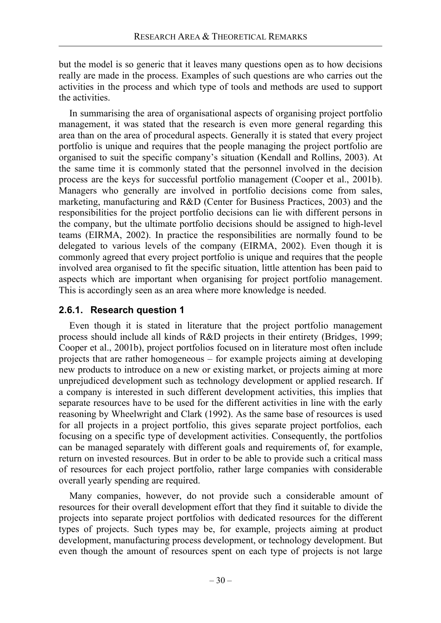but the model is so generic that it leaves many questions open as to how decisions really are made in the process. Examples of such questions are who carries out the activities in the process and which type of tools and methods are used to support the activities.

In summarising the area of organisational aspects of organising project portfolio management, it was stated that the research is even more general regarding this area than on the area of procedural aspects. Generally it is stated that every project portfolio is unique and requires that the people managing the project portfolio are organised to suit the specific company's situation (Kendall and Rollins, 2003). At the same time it is commonly stated that the personnel involved in the decision process are the keys for successful portfolio management (Cooper et al., 2001b). Managers who generally are involved in portfolio decisions come from sales, marketing, manufacturing and R&D (Center for Business Practices, 2003) and the responsibilities for the project portfolio decisions can lie with different persons in the company, but the ultimate portfolio decisions should be assigned to high-level teams (EIRMA, 2002). In practice the responsibilities are normally found to be delegated to various levels of the company (EIRMA, 2002). Even though it is commonly agreed that every project portfolio is unique and requires that the people involved area organised to fit the specific situation, little attention has been paid to aspects which are important when organising for project portfolio management. This is accordingly seen as an area where more knowledge is needed.

# **2.6.1. Research question 1**

Even though it is stated in literature that the project portfolio management process should include all kinds of R&D projects in their entirety (Bridges, 1999; Cooper et al., 2001b), project portfolios focused on in literature most often include projects that are rather homogeneous – for example projects aiming at developing new products to introduce on a new or existing market, or projects aiming at more unprejudiced development such as technology development or applied research. If a company is interested in such different development activities, this implies that separate resources have to be used for the different activities in line with the early reasoning by Wheelwright and Clark (1992). As the same base of resources is used for all projects in a project portfolio, this gives separate project portfolios, each focusing on a specific type of development activities. Consequently, the portfolios can be managed separately with different goals and requirements of, for example, return on invested resources. But in order to be able to provide such a critical mass of resources for each project portfolio, rather large companies with considerable overall yearly spending are required.

Many companies, however, do not provide such a considerable amount of resources for their overall development effort that they find it suitable to divide the projects into separate project portfolios with dedicated resources for the different types of projects. Such types may be, for example, projects aiming at product development, manufacturing process development, or technology development. But even though the amount of resources spent on each type of projects is not large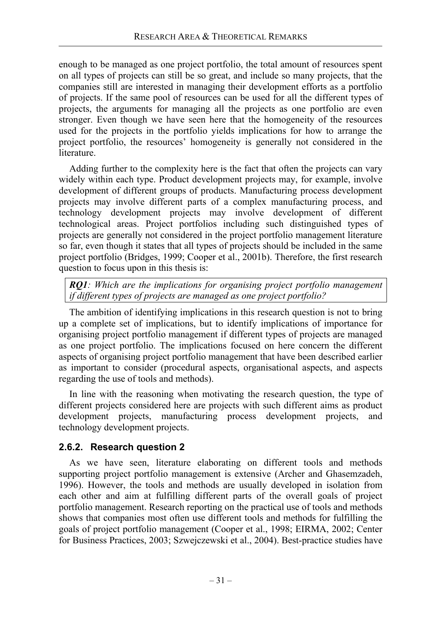enough to be managed as one project portfolio, the total amount of resources spent on all types of projects can still be so great, and include so many projects, that the companies still are interested in managing their development efforts as a portfolio of projects. If the same pool of resources can be used for all the different types of projects, the arguments for managing all the projects as one portfolio are even stronger. Even though we have seen here that the homogeneity of the resources used for the projects in the portfolio yields implications for how to arrange the project portfolio, the resources' homogeneity is generally not considered in the literature.

Adding further to the complexity here is the fact that often the projects can vary widely within each type. Product development projects may, for example, involve development of different groups of products. Manufacturing process development projects may involve different parts of a complex manufacturing process, and technology development projects may involve development of different technological areas. Project portfolios including such distinguished types of projects are generally not considered in the project portfolio management literature so far, even though it states that all types of projects should be included in the same project portfolio (Bridges, 1999; Cooper et al., 2001b). Therefore, the first research question to focus upon in this thesis is:

*RQ1: Which are the implications for organising project portfolio management if different types of projects are managed as one project portfolio?* 

The ambition of identifying implications in this research question is not to bring up a complete set of implications, but to identify implications of importance for organising project portfolio management if different types of projects are managed as one project portfolio. The implications focused on here concern the different aspects of organising project portfolio management that have been described earlier as important to consider (procedural aspects, organisational aspects, and aspects regarding the use of tools and methods).

In line with the reasoning when motivating the research question, the type of different projects considered here are projects with such different aims as product development projects, manufacturing process development projects, and technology development projects.

# **2.6.2. Research question 2**

As we have seen, literature elaborating on different tools and methods supporting project portfolio management is extensive (Archer and Ghasemzadeh, 1996). However, the tools and methods are usually developed in isolation from each other and aim at fulfilling different parts of the overall goals of project portfolio management. Research reporting on the practical use of tools and methods shows that companies most often use different tools and methods for fulfilling the goals of project portfolio management (Cooper et al., 1998; EIRMA, 2002; Center for Business Practices, 2003; Szwejczewski et al., 2004). Best-practice studies have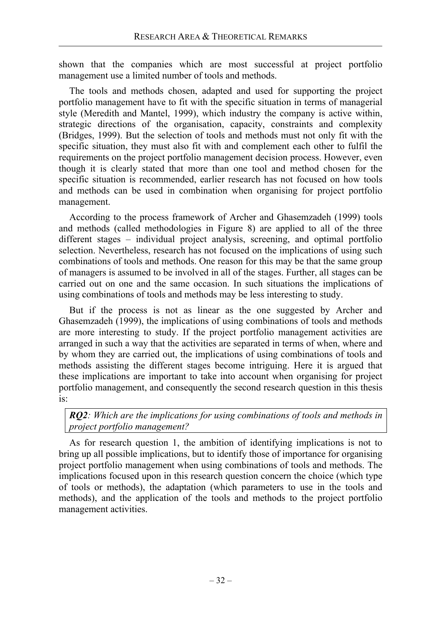shown that the companies which are most successful at project portfolio management use a limited number of tools and methods.

The tools and methods chosen, adapted and used for supporting the project portfolio management have to fit with the specific situation in terms of managerial style (Meredith and Mantel, 1999), which industry the company is active within, strategic directions of the organisation, capacity, constraints and complexity (Bridges, 1999). But the selection of tools and methods must not only fit with the specific situation, they must also fit with and complement each other to fulfil the requirements on the project portfolio management decision process. However, even though it is clearly stated that more than one tool and method chosen for the specific situation is recommended, earlier research has not focused on how tools and methods can be used in combination when organising for project portfolio management.

According to the process framework of Archer and Ghasemzadeh (1999) tools and methods (called methodologies in Figure 8) are applied to all of the three different stages – individual project analysis, screening, and optimal portfolio selection. Nevertheless, research has not focused on the implications of using such combinations of tools and methods. One reason for this may be that the same group of managers is assumed to be involved in all of the stages. Further, all stages can be carried out on one and the same occasion. In such situations the implications of using combinations of tools and methods may be less interesting to study.

But if the process is not as linear as the one suggested by Archer and Ghasemzadeh (1999), the implications of using combinations of tools and methods are more interesting to study. If the project portfolio management activities are arranged in such a way that the activities are separated in terms of when, where and by whom they are carried out, the implications of using combinations of tools and methods assisting the different stages become intriguing. Here it is argued that these implications are important to take into account when organising for project portfolio management, and consequently the second research question in this thesis is:

*RQ2: Which are the implications for using combinations of tools and methods in project portfolio management?* 

As for research question 1, the ambition of identifying implications is not to bring up all possible implications, but to identify those of importance for organising project portfolio management when using combinations of tools and methods. The implications focused upon in this research question concern the choice (which type of tools or methods), the adaptation (which parameters to use in the tools and methods), and the application of the tools and methods to the project portfolio management activities.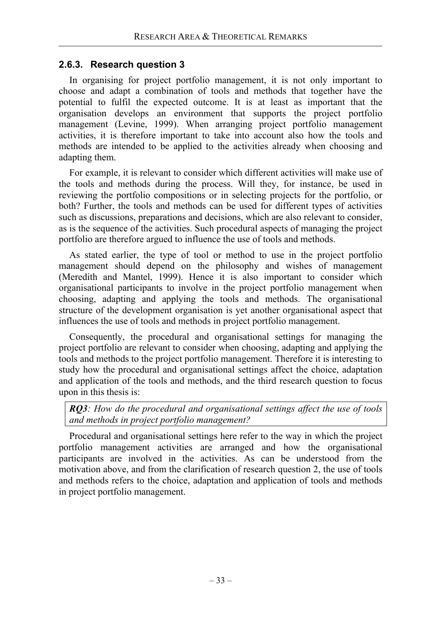## **2.6.3. Research question 3**

In organising for project portfolio management, it is not only important to choose and adapt a combination of tools and methods that together have the potential to fulfil the expected outcome. It is at least as important that the organisation develops an environment that supports the project portfolio management (Levine, 1999). When arranging project portfolio management activities, it is therefore important to take into account also how the tools and methods are intended to be applied to the activities already when choosing and adapting them.

For example, it is relevant to consider which different activities will make use of the tools and methods during the process. Will they, for instance, be used in reviewing the portfolio compositions or in selecting projects for the portfolio, or both? Further, the tools and methods can be used for different types of activities such as discussions, preparations and decisions, which are also relevant to consider, as is the sequence of the activities. Such procedural aspects of managing the project portfolio are therefore argued to influence the use of tools and methods.

As stated earlier, the type of tool or method to use in the project portfolio management should depend on the philosophy and wishes of management (Meredith and Mantel, 1999). Hence it is also important to consider which organisational participants to involve in the project portfolio management when choosing, adapting and applying the tools and methods. The organisational structure of the development organisation is yet another organisational aspect that influences the use of tools and methods in project portfolio management.

Consequently, the procedural and organisational settings for managing the project portfolio are relevant to consider when choosing, adapting and applying the tools and methods to the project portfolio management. Therefore it is interesting to study how the procedural and organisational settings affect the choice, adaptation and application of the tools and methods, and the third research question to focus upon in this thesis is:

*RQ3: How do the procedural and organisational settings affect the use of tools and methods in project portfolio management?* 

Procedural and organisational settings here refer to the way in which the project portfolio management activities are arranged and how the organisational participants are involved in the activities. As can be understood from the motivation above, and from the clarification of research question 2, the use of tools and methods refers to the choice, adaptation and application of tools and methods in project portfolio management.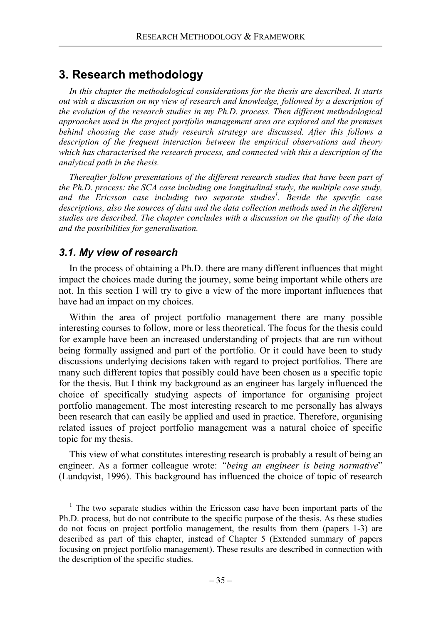# **3. Research methodology**

*In this chapter the methodological considerations for the thesis are described. It starts out with a discussion on my view of research and knowledge, followed by a description of the evolution of the research studies in my Ph.D. process. Then different methodological approaches used in the project portfolio management area are explored and the premises behind choosing the case study research strategy are discussed. After this follows a description of the frequent interaction between the empirical observations and theory which has characterised the research process, and connected with this a description of the analytical path in the thesis.* 

*Thereafter follow presentations of the different research studies that have been part of the Ph.D. process: the SCA case including one longitudinal study, the multiple case study,*  and the Ericsson case including two separate studies<sup>1</sup>. Beside the specific case *descriptions, also the sources of data and the data collection methods used in the different studies are described. The chapter concludes with a discussion on the quality of the data and the possibilities for generalisation.* 

## *3.1. My view of research*

 $\overline{a}$ 

In the process of obtaining a Ph.D. there are many different influences that might impact the choices made during the journey, some being important while others are not. In this section I will try to give a view of the more important influences that have had an impact on my choices.

Within the area of project portfolio management there are many possible interesting courses to follow, more or less theoretical. The focus for the thesis could for example have been an increased understanding of projects that are run without being formally assigned and part of the portfolio. Or it could have been to study discussions underlying decisions taken with regard to project portfolios. There are many such different topics that possibly could have been chosen as a specific topic for the thesis. But I think my background as an engineer has largely influenced the choice of specifically studying aspects of importance for organising project portfolio management. The most interesting research to me personally has always been research that can easily be applied and used in practice. Therefore, organising related issues of project portfolio management was a natural choice of specific topic for my thesis.

This view of what constitutes interesting research is probably a result of being an engineer. As a former colleague wrote: *"being an engineer is being normative*" (Lundqvist, 1996). This background has influenced the choice of topic of research

<sup>&</sup>lt;sup>1</sup> The two separate studies within the Ericsson case have been important parts of the Ph.D. process, but do not contribute to the specific purpose of the thesis. As these studies do not focus on project portfolio management, the results from them (papers 1-3) are described as part of this chapter, instead of Chapter 5 (Extended summary of papers focusing on project portfolio management). These results are described in connection with the description of the specific studies.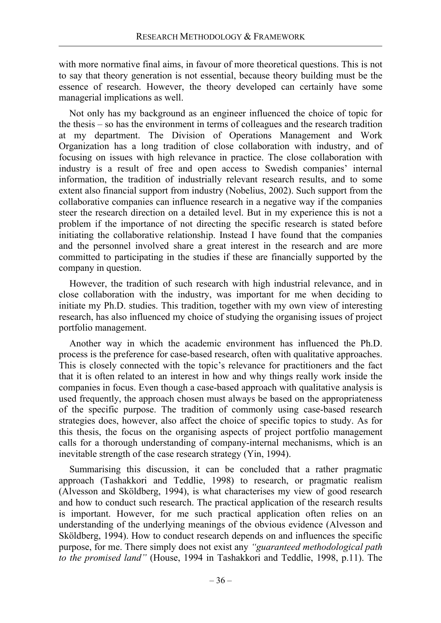with more normative final aims, in favour of more theoretical questions. This is not to say that theory generation is not essential, because theory building must be the essence of research. However, the theory developed can certainly have some managerial implications as well.

Not only has my background as an engineer influenced the choice of topic for the thesis – so has the environment in terms of colleagues and the research tradition at my department. The Division of Operations Management and Work Organization has a long tradition of close collaboration with industry, and of focusing on issues with high relevance in practice. The close collaboration with industry is a result of free and open access to Swedish companies' internal information, the tradition of industrially relevant research results, and to some extent also financial support from industry (Nobelius, 2002). Such support from the collaborative companies can influence research in a negative way if the companies steer the research direction on a detailed level. But in my experience this is not a problem if the importance of not directing the specific research is stated before initiating the collaborative relationship. Instead I have found that the companies and the personnel involved share a great interest in the research and are more committed to participating in the studies if these are financially supported by the company in question.

However, the tradition of such research with high industrial relevance, and in close collaboration with the industry, was important for me when deciding to initiate my Ph.D. studies. This tradition, together with my own view of interesting research, has also influenced my choice of studying the organising issues of project portfolio management.

Another way in which the academic environment has influenced the Ph.D. process is the preference for case-based research, often with qualitative approaches. This is closely connected with the topic's relevance for practitioners and the fact that it is often related to an interest in how and why things really work inside the companies in focus. Even though a case-based approach with qualitative analysis is used frequently, the approach chosen must always be based on the appropriateness of the specific purpose. The tradition of commonly using case-based research strategies does, however, also affect the choice of specific topics to study. As for this thesis, the focus on the organising aspects of project portfolio management calls for a thorough understanding of company-internal mechanisms, which is an inevitable strength of the case research strategy (Yin, 1994).

Summarising this discussion, it can be concluded that a rather pragmatic approach (Tashakkori and Teddlie, 1998) to research, or pragmatic realism (Alvesson and Sköldberg, 1994), is what characterises my view of good research and how to conduct such research. The practical application of the research results is important. However, for me such practical application often relies on an understanding of the underlying meanings of the obvious evidence (Alvesson and Sköldberg, 1994). How to conduct research depends on and influences the specific purpose, for me. There simply does not exist any *"guaranteed methodological path to the promised land"* (House, 1994 in Tashakkori and Teddlie, 1998, p.11). The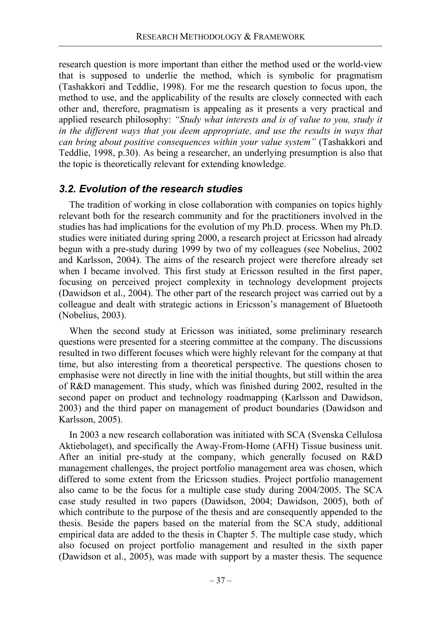research question is more important than either the method used or the world-view that is supposed to underlie the method, which is symbolic for pragmatism (Tashakkori and Teddlie, 1998). For me the research question to focus upon, the method to use, and the applicability of the results are closely connected with each other and, therefore, pragmatism is appealing as it presents a very practical and applied research philosophy: *"Study what interests and is of value to you, study it in the different ways that you deem appropriate, and use the results in ways that can bring about positive consequences within your value system"* (Tashakkori and Teddlie, 1998, p.30). As being a researcher, an underlying presumption is also that the topic is theoretically relevant for extending knowledge.

## *3.2. Evolution of the research studies*

The tradition of working in close collaboration with companies on topics highly relevant both for the research community and for the practitioners involved in the studies has had implications for the evolution of my Ph.D. process. When my Ph.D. studies were initiated during spring 2000, a research project at Ericsson had already begun with a pre-study during 1999 by two of my colleagues (see Nobelius, 2002 and Karlsson, 2004). The aims of the research project were therefore already set when I became involved. This first study at Ericsson resulted in the first paper, focusing on perceived project complexity in technology development projects (Dawidson et al., 2004). The other part of the research project was carried out by a colleague and dealt with strategic actions in Ericsson's management of Bluetooth (Nobelius, 2003).

When the second study at Ericsson was initiated, some preliminary research questions were presented for a steering committee at the company. The discussions resulted in two different focuses which were highly relevant for the company at that time, but also interesting from a theoretical perspective. The questions chosen to emphasise were not directly in line with the initial thoughts, but still within the area of R&D management. This study, which was finished during 2002, resulted in the second paper on product and technology roadmapping (Karlsson and Dawidson, 2003) and the third paper on management of product boundaries (Dawidson and Karlsson, 2005).

In 2003 a new research collaboration was initiated with SCA (Svenska Cellulosa Aktiebolaget), and specifically the Away-From-Home (AFH) Tissue business unit. After an initial pre-study at the company, which generally focused on R&D management challenges, the project portfolio management area was chosen, which differed to some extent from the Ericsson studies. Project portfolio management also came to be the focus for a multiple case study during 2004/2005. The SCA case study resulted in two papers (Dawidson, 2004; Dawidson, 2005), both of which contribute to the purpose of the thesis and are consequently appended to the thesis. Beside the papers based on the material from the SCA study, additional empirical data are added to the thesis in Chapter 5. The multiple case study, which also focused on project portfolio management and resulted in the sixth paper (Dawidson et al., 2005), was made with support by a master thesis. The sequence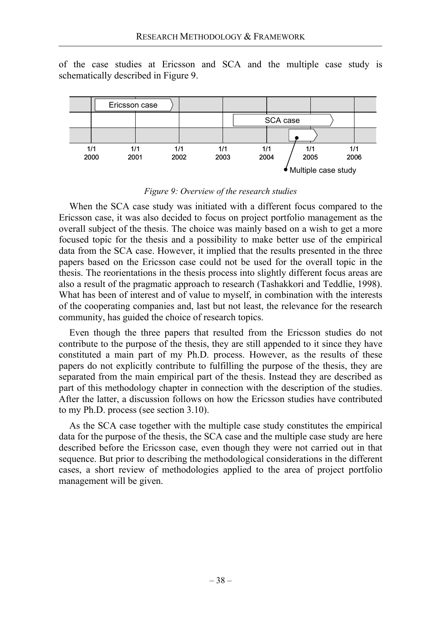of the case studies at Ericsson and SCA and the multiple case study is schematically described in Figure 9.



#### *Figure 9: Overview of the research studies*

When the SCA case study was initiated with a different focus compared to the Ericsson case, it was also decided to focus on project portfolio management as the overall subject of the thesis. The choice was mainly based on a wish to get a more focused topic for the thesis and a possibility to make better use of the empirical data from the SCA case. However, it implied that the results presented in the three papers based on the Ericsson case could not be used for the overall topic in the thesis. The reorientations in the thesis process into slightly different focus areas are also a result of the pragmatic approach to research (Tashakkori and Teddlie, 1998). What has been of interest and of value to myself, in combination with the interests of the cooperating companies and, last but not least, the relevance for the research community, has guided the choice of research topics.

Even though the three papers that resulted from the Ericsson studies do not contribute to the purpose of the thesis, they are still appended to it since they have constituted a main part of my Ph.D. process. However, as the results of these papers do not explicitly contribute to fulfilling the purpose of the thesis, they are separated from the main empirical part of the thesis. Instead they are described as part of this methodology chapter in connection with the description of the studies. After the latter, a discussion follows on how the Ericsson studies have contributed to my Ph.D. process (see section 3.10).

As the SCA case together with the multiple case study constitutes the empirical data for the purpose of the thesis, the SCA case and the multiple case study are here described before the Ericsson case, even though they were not carried out in that sequence. But prior to describing the methodological considerations in the different cases, a short review of methodologies applied to the area of project portfolio management will be given.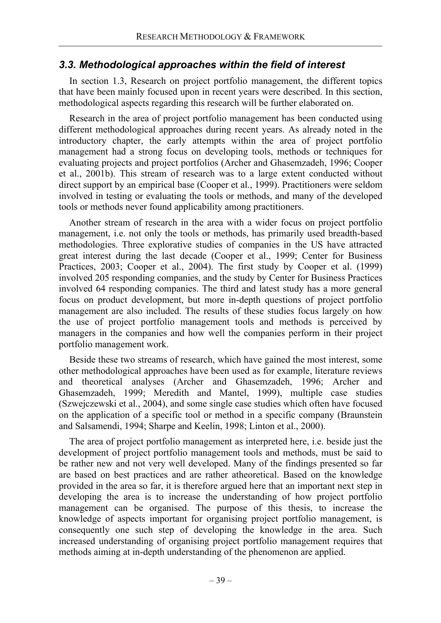# *3.3. Methodological approaches within the field of interest*

In section 1.3, Research on project portfolio management, the different topics that have been mainly focused upon in recent years were described. In this section, methodological aspects regarding this research will be further elaborated on.

Research in the area of project portfolio management has been conducted using different methodological approaches during recent years. As already noted in the introductory chapter, the early attempts within the area of project portfolio management had a strong focus on developing tools, methods or techniques for evaluating projects and project portfolios (Archer and Ghasemzadeh, 1996; Cooper et al., 2001b). This stream of research was to a large extent conducted without direct support by an empirical base (Cooper et al., 1999). Practitioners were seldom involved in testing or evaluating the tools or methods, and many of the developed tools or methods never found applicability among practitioners.

Another stream of research in the area with a wider focus on project portfolio management, i.e. not only the tools or methods, has primarily used breadth-based methodologies. Three explorative studies of companies in the US have attracted great interest during the last decade (Cooper et al., 1999; Center for Business Practices, 2003; Cooper et al., 2004). The first study by Cooper et al. (1999) involved 205 responding companies, and the study by Center for Business Practices involved 64 responding companies. The third and latest study has a more general focus on product development, but more in-depth questions of project portfolio management are also included. The results of these studies focus largely on how the use of project portfolio management tools and methods is perceived by managers in the companies and how well the companies perform in their project portfolio management work.

Beside these two streams of research, which have gained the most interest, some other methodological approaches have been used as for example, literature reviews and theoretical analyses (Archer and Ghasemzadeh, 1996; Archer and Ghasemzadeh, 1999; Meredith and Mantel, 1999), multiple case studies (Szwejczewski et al., 2004), and some single case studies which often have focused on the application of a specific tool or method in a specific company (Braunstein and Salsamendi, 1994; Sharpe and Keelin, 1998; Linton et al., 2000).

The area of project portfolio management as interpreted here, i.e. beside just the development of project portfolio management tools and methods, must be said to be rather new and not very well developed. Many of the findings presented so far are based on best practices and are rather atheoretical. Based on the knowledge provided in the area so far, it is therefore argued here that an important next step in developing the area is to increase the understanding of how project portfolio management can be organised. The purpose of this thesis, to increase the knowledge of aspects important for organising project portfolio management, is consequently one such step of developing the knowledge in the area. Such increased understanding of organising project portfolio management requires that methods aiming at in-depth understanding of the phenomenon are applied.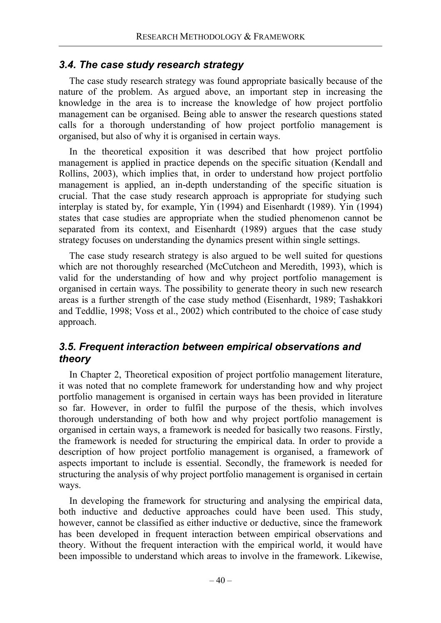## *3.4. The case study research strategy*

The case study research strategy was found appropriate basically because of the nature of the problem. As argued above, an important step in increasing the knowledge in the area is to increase the knowledge of how project portfolio management can be organised. Being able to answer the research questions stated calls for a thorough understanding of how project portfolio management is organised, but also of why it is organised in certain ways.

In the theoretical exposition it was described that how project portfolio management is applied in practice depends on the specific situation (Kendall and Rollins, 2003), which implies that, in order to understand how project portfolio management is applied, an in-depth understanding of the specific situation is crucial. That the case study research approach is appropriate for studying such interplay is stated by, for example, Yin (1994) and Eisenhardt (1989). Yin (1994) states that case studies are appropriate when the studied phenomenon cannot be separated from its context, and Eisenhardt (1989) argues that the case study strategy focuses on understanding the dynamics present within single settings.

The case study research strategy is also argued to be well suited for questions which are not thoroughly researched (McCutcheon and Meredith, 1993), which is valid for the understanding of how and why project portfolio management is organised in certain ways. The possibility to generate theory in such new research areas is a further strength of the case study method (Eisenhardt, 1989; Tashakkori and Teddlie, 1998; Voss et al., 2002) which contributed to the choice of case study approach.

# *3.5. Frequent interaction between empirical observations and theory*

In Chapter 2, Theoretical exposition of project portfolio management literature, it was noted that no complete framework for understanding how and why project portfolio management is organised in certain ways has been provided in literature so far. However, in order to fulfil the purpose of the thesis, which involves thorough understanding of both how and why project portfolio management is organised in certain ways, a framework is needed for basically two reasons. Firstly, the framework is needed for structuring the empirical data. In order to provide a description of how project portfolio management is organised, a framework of aspects important to include is essential. Secondly, the framework is needed for structuring the analysis of why project portfolio management is organised in certain ways.

In developing the framework for structuring and analysing the empirical data, both inductive and deductive approaches could have been used. This study, however, cannot be classified as either inductive or deductive, since the framework has been developed in frequent interaction between empirical observations and theory. Without the frequent interaction with the empirical world, it would have been impossible to understand which areas to involve in the framework. Likewise,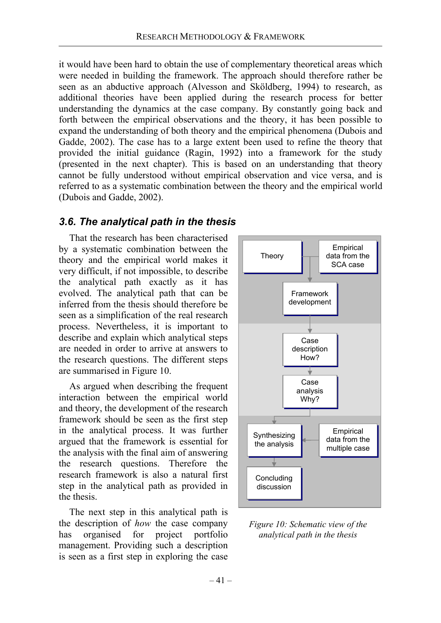it would have been hard to obtain the use of complementary theoretical areas which were needed in building the framework. The approach should therefore rather be seen as an abductive approach (Alvesson and Sköldberg, 1994) to research, as additional theories have been applied during the research process for better understanding the dynamics at the case company. By constantly going back and forth between the empirical observations and the theory, it has been possible to expand the understanding of both theory and the empirical phenomena (Dubois and Gadde, 2002). The case has to a large extent been used to refine the theory that provided the initial guidance (Ragin, 1992) into a framework for the study (presented in the next chapter). This is based on an understanding that theory cannot be fully understood without empirical observation and vice versa, and is referred to as a systematic combination between the theory and the empirical world (Dubois and Gadde, 2002).

## *3.6. The analytical path in the thesis*

That the research has been characterised by a systematic combination between the theory and the empirical world makes it very difficult, if not impossible, to describe the analytical path exactly as it has evolved. The analytical path that can be inferred from the thesis should therefore be seen as a simplification of the real research process. Nevertheless, it is important to describe and explain which analytical steps are needed in order to arrive at answers to the research questions. The different steps are summarised in Figure 10.

As argued when describing the frequent interaction between the empirical world and theory, the development of the research framework should be seen as the first step in the analytical process. It was further argued that the framework is essential for the analysis with the final aim of answering the research questions. Therefore the research framework is also a natural first step in the analytical path as provided in the thesis.

The next step in this analytical path is the description of *how* the case company has organised for project portfolio management. Providing such a description is seen as a first step in exploring the case



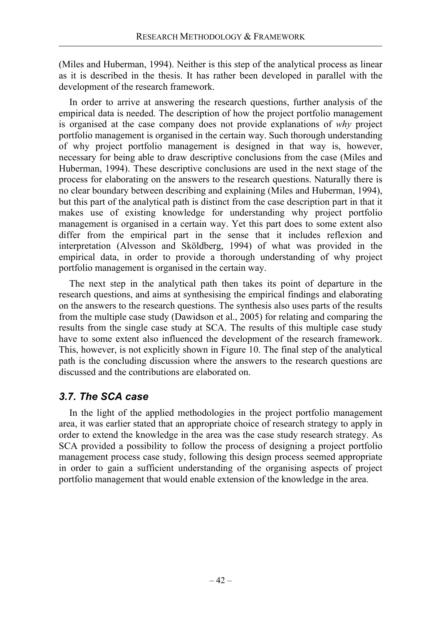(Miles and Huberman, 1994). Neither is this step of the analytical process as linear as it is described in the thesis. It has rather been developed in parallel with the development of the research framework.

In order to arrive at answering the research questions, further analysis of the empirical data is needed. The description of how the project portfolio management is organised at the case company does not provide explanations of *why* project portfolio management is organised in the certain way. Such thorough understanding of why project portfolio management is designed in that way is, however, necessary for being able to draw descriptive conclusions from the case (Miles and Huberman, 1994). These descriptive conclusions are used in the next stage of the process for elaborating on the answers to the research questions. Naturally there is no clear boundary between describing and explaining (Miles and Huberman, 1994), but this part of the analytical path is distinct from the case description part in that it makes use of existing knowledge for understanding why project portfolio management is organised in a certain way. Yet this part does to some extent also differ from the empirical part in the sense that it includes reflexion and interpretation (Alvesson and Sköldberg, 1994) of what was provided in the empirical data, in order to provide a thorough understanding of why project portfolio management is organised in the certain way.

The next step in the analytical path then takes its point of departure in the research questions, and aims at synthesising the empirical findings and elaborating on the answers to the research questions. The synthesis also uses parts of the results from the multiple case study (Dawidson et al., 2005) for relating and comparing the results from the single case study at SCA. The results of this multiple case study have to some extent also influenced the development of the research framework. This, however, is not explicitly shown in Figure 10. The final step of the analytical path is the concluding discussion where the answers to the research questions are discussed and the contributions are elaborated on.

# *3.7. The SCA case*

In the light of the applied methodologies in the project portfolio management area, it was earlier stated that an appropriate choice of research strategy to apply in order to extend the knowledge in the area was the case study research strategy. As SCA provided a possibility to follow the process of designing a project portfolio management process case study, following this design process seemed appropriate in order to gain a sufficient understanding of the organising aspects of project portfolio management that would enable extension of the knowledge in the area.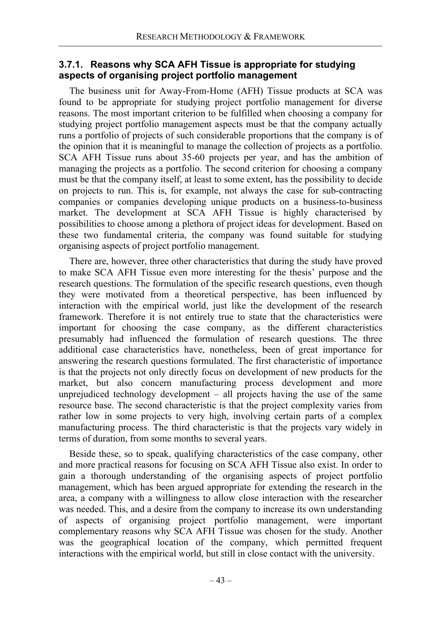### **3.7.1. Reasons why SCA AFH Tissue is appropriate for studying aspects of organising project portfolio management**

The business unit for Away-From-Home (AFH) Tissue products at SCA was found to be appropriate for studying project portfolio management for diverse reasons. The most important criterion to be fulfilled when choosing a company for studying project portfolio management aspects must be that the company actually runs a portfolio of projects of such considerable proportions that the company is of the opinion that it is meaningful to manage the collection of projects as a portfolio. SCA AFH Tissue runs about 35-60 projects per year, and has the ambition of managing the projects as a portfolio. The second criterion for choosing a company must be that the company itself, at least to some extent, has the possibility to decide on projects to run. This is, for example, not always the case for sub-contracting companies or companies developing unique products on a business-to-business market. The development at SCA AFH Tissue is highly characterised by possibilities to choose among a plethora of project ideas for development. Based on these two fundamental criteria, the company was found suitable for studying organising aspects of project portfolio management.

There are, however, three other characteristics that during the study have proved to make SCA AFH Tissue even more interesting for the thesis' purpose and the research questions. The formulation of the specific research questions, even though they were motivated from a theoretical perspective, has been influenced by interaction with the empirical world, just like the development of the research framework. Therefore it is not entirely true to state that the characteristics were important for choosing the case company, as the different characteristics presumably had influenced the formulation of research questions. The three additional case characteristics have, nonetheless, been of great importance for answering the research questions formulated. The first characteristic of importance is that the projects not only directly focus on development of new products for the market, but also concern manufacturing process development and more unprejudiced technology development – all projects having the use of the same resource base. The second characteristic is that the project complexity varies from rather low in some projects to very high, involving certain parts of a complex manufacturing process. The third characteristic is that the projects vary widely in terms of duration, from some months to several years.

Beside these, so to speak, qualifying characteristics of the case company, other and more practical reasons for focusing on SCA AFH Tissue also exist. In order to gain a thorough understanding of the organising aspects of project portfolio management, which has been argued appropriate for extending the research in the area, a company with a willingness to allow close interaction with the researcher was needed. This, and a desire from the company to increase its own understanding of aspects of organising project portfolio management, were important complementary reasons why SCA AFH Tissue was chosen for the study. Another was the geographical location of the company, which permitted frequent interactions with the empirical world, but still in close contact with the university.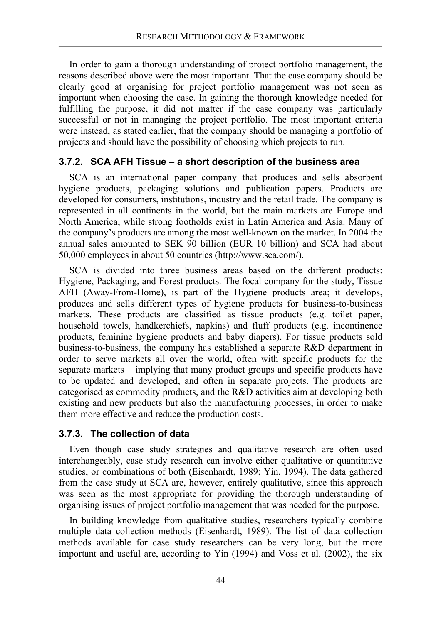In order to gain a thorough understanding of project portfolio management, the reasons described above were the most important. That the case company should be clearly good at organising for project portfolio management was not seen as important when choosing the case. In gaining the thorough knowledge needed for fulfilling the purpose, it did not matter if the case company was particularly successful or not in managing the project portfolio. The most important criteria were instead, as stated earlier, that the company should be managing a portfolio of projects and should have the possibility of choosing which projects to run.

## **3.7.2. SCA AFH Tissue – a short description of the business area**

SCA is an international paper company that produces and sells absorbent hygiene products, packaging solutions and publication papers. Products are developed for consumers, institutions, industry and the retail trade. The company is represented in all continents in the world, but the main markets are Europe and North America, while strong footholds exist in Latin America and Asia. Many of the company's products are among the most well-known on the market. In 2004 the annual sales amounted to SEK 90 billion (EUR 10 billion) and SCA had about 50,000 employees in about 50 countries (http://www.sca.com/).

SCA is divided into three business areas based on the different products: Hygiene, Packaging, and Forest products. The focal company for the study, Tissue AFH (Away-From-Home), is part of the Hygiene products area; it develops, produces and sells different types of hygiene products for business-to-business markets. These products are classified as tissue products (e.g. toilet paper, household towels, handkerchiefs, napkins) and fluff products (e.g. incontinence products, feminine hygiene products and baby diapers). For tissue products sold business-to-business, the company has established a separate R&D department in order to serve markets all over the world, often with specific products for the separate markets – implying that many product groups and specific products have to be updated and developed, and often in separate projects. The products are categorised as commodity products, and the R&D activities aim at developing both existing and new products but also the manufacturing processes, in order to make them more effective and reduce the production costs.

### **3.7.3. The collection of data**

Even though case study strategies and qualitative research are often used interchangeably, case study research can involve either qualitative or quantitative studies, or combinations of both (Eisenhardt, 1989; Yin, 1994). The data gathered from the case study at SCA are, however, entirely qualitative, since this approach was seen as the most appropriate for providing the thorough understanding of organising issues of project portfolio management that was needed for the purpose.

In building knowledge from qualitative studies, researchers typically combine multiple data collection methods (Eisenhardt, 1989). The list of data collection methods available for case study researchers can be very long, but the more important and useful are, according to Yin (1994) and Voss et al. (2002), the six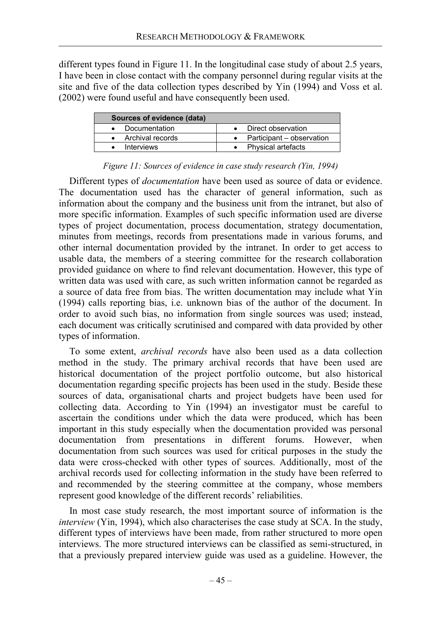different types found in Figure 11. In the longitudinal case study of about 2.5 years, I have been in close contact with the company personnel during regular visits at the site and five of the data collection types described by Yin (1994) and Voss et al. (2002) were found useful and have consequently been used.

| Sources of evidence (data) |                           |  |  |  |
|----------------------------|---------------------------|--|--|--|
| • Documentation            | Direct observation        |  |  |  |
| • Archival records         | Participant – observation |  |  |  |
| • Interviews               | • Physical artefacts      |  |  |  |

#### *Figure 11: Sources of evidence in case study research (Yin, 1994)*

Different types of *documentation* have been used as source of data or evidence. The documentation used has the character of general information, such as information about the company and the business unit from the intranet, but also of more specific information. Examples of such specific information used are diverse types of project documentation, process documentation, strategy documentation, minutes from meetings, records from presentations made in various forums, and other internal documentation provided by the intranet. In order to get access to usable data, the members of a steering committee for the research collaboration provided guidance on where to find relevant documentation. However, this type of written data was used with care, as such written information cannot be regarded as a source of data free from bias. The written documentation may include what Yin (1994) calls reporting bias, i.e. unknown bias of the author of the document. In order to avoid such bias, no information from single sources was used; instead, each document was critically scrutinised and compared with data provided by other types of information.

To some extent, *archival records* have also been used as a data collection method in the study. The primary archival records that have been used are historical documentation of the project portfolio outcome, but also historical documentation regarding specific projects has been used in the study. Beside these sources of data, organisational charts and project budgets have been used for collecting data. According to Yin (1994) an investigator must be careful to ascertain the conditions under which the data were produced, which has been important in this study especially when the documentation provided was personal documentation from presentations in different forums. However, when documentation from such sources was used for critical purposes in the study the data were cross-checked with other types of sources. Additionally, most of the archival records used for collecting information in the study have been referred to and recommended by the steering committee at the company, whose members represent good knowledge of the different records' reliabilities.

In most case study research, the most important source of information is the *interview* (Yin, 1994), which also characterises the case study at SCA. In the study, different types of interviews have been made, from rather structured to more open interviews. The more structured interviews can be classified as semi-structured, in that a previously prepared interview guide was used as a guideline. However, the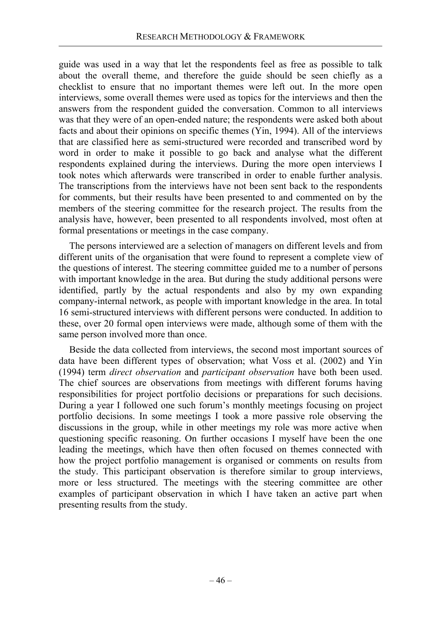guide was used in a way that let the respondents feel as free as possible to talk about the overall theme, and therefore the guide should be seen chiefly as a checklist to ensure that no important themes were left out. In the more open interviews, some overall themes were used as topics for the interviews and then the answers from the respondent guided the conversation. Common to all interviews was that they were of an open-ended nature; the respondents were asked both about facts and about their opinions on specific themes (Yin, 1994). All of the interviews that are classified here as semi-structured were recorded and transcribed word by word in order to make it possible to go back and analyse what the different respondents explained during the interviews. During the more open interviews I took notes which afterwards were transcribed in order to enable further analysis. The transcriptions from the interviews have not been sent back to the respondents for comments, but their results have been presented to and commented on by the members of the steering committee for the research project. The results from the analysis have, however, been presented to all respondents involved, most often at formal presentations or meetings in the case company.

The persons interviewed are a selection of managers on different levels and from different units of the organisation that were found to represent a complete view of the questions of interest. The steering committee guided me to a number of persons with important knowledge in the area. But during the study additional persons were identified, partly by the actual respondents and also by my own expanding company-internal network, as people with important knowledge in the area. In total 16 semi-structured interviews with different persons were conducted. In addition to these, over 20 formal open interviews were made, although some of them with the same person involved more than once.

Beside the data collected from interviews, the second most important sources of data have been different types of observation; what Voss et al. (2002) and Yin (1994) term *direct observation* and *participant observation* have both been used. The chief sources are observations from meetings with different forums having responsibilities for project portfolio decisions or preparations for such decisions. During a year I followed one such forum's monthly meetings focusing on project portfolio decisions. In some meetings I took a more passive role observing the discussions in the group, while in other meetings my role was more active when questioning specific reasoning. On further occasions I myself have been the one leading the meetings, which have then often focused on themes connected with how the project portfolio management is organised or comments on results from the study. This participant observation is therefore similar to group interviews, more or less structured. The meetings with the steering committee are other examples of participant observation in which I have taken an active part when presenting results from the study.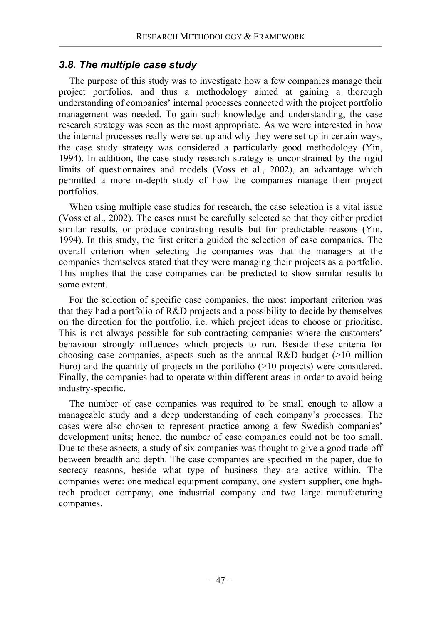# *3.8. The multiple case study*

The purpose of this study was to investigate how a few companies manage their project portfolios, and thus a methodology aimed at gaining a thorough understanding of companies' internal processes connected with the project portfolio management was needed. To gain such knowledge and understanding, the case research strategy was seen as the most appropriate. As we were interested in how the internal processes really were set up and why they were set up in certain ways, the case study strategy was considered a particularly good methodology (Yin, 1994). In addition, the case study research strategy is unconstrained by the rigid limits of questionnaires and models (Voss et al., 2002), an advantage which permitted a more in-depth study of how the companies manage their project portfolios.

When using multiple case studies for research, the case selection is a vital issue (Voss et al., 2002). The cases must be carefully selected so that they either predict similar results, or produce contrasting results but for predictable reasons (Yin, 1994). In this study, the first criteria guided the selection of case companies. The overall criterion when selecting the companies was that the managers at the companies themselves stated that they were managing their projects as a portfolio. This implies that the case companies can be predicted to show similar results to some extent.

For the selection of specific case companies, the most important criterion was that they had a portfolio of R&D projects and a possibility to decide by themselves on the direction for the portfolio, i.e. which project ideas to choose or prioritise. This is not always possible for sub-contracting companies where the customers' behaviour strongly influences which projects to run. Beside these criteria for choosing case companies, aspects such as the annual R&D budget  $(>10$  million Euro) and the quantity of projects in the portfolio (>10 projects) were considered. Finally, the companies had to operate within different areas in order to avoid being industry-specific.

The number of case companies was required to be small enough to allow a manageable study and a deep understanding of each company's processes. The cases were also chosen to represent practice among a few Swedish companies' development units; hence, the number of case companies could not be too small. Due to these aspects, a study of six companies was thought to give a good trade-off between breadth and depth. The case companies are specified in the paper, due to secrecy reasons, beside what type of business they are active within. The companies were: one medical equipment company, one system supplier, one hightech product company, one industrial company and two large manufacturing companies.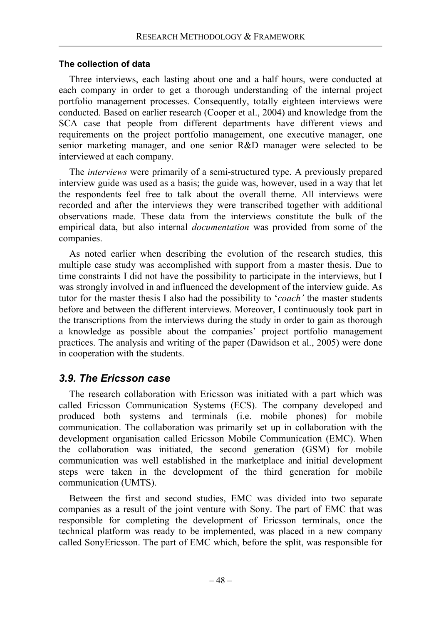#### **The collection of data**

Three interviews, each lasting about one and a half hours, were conducted at each company in order to get a thorough understanding of the internal project portfolio management processes. Consequently, totally eighteen interviews were conducted. Based on earlier research (Cooper et al., 2004) and knowledge from the SCA case that people from different departments have different views and requirements on the project portfolio management, one executive manager, one senior marketing manager, and one senior R&D manager were selected to be interviewed at each company.

The *interviews* were primarily of a semi-structured type. A previously prepared interview guide was used as a basis; the guide was, however, used in a way that let the respondents feel free to talk about the overall theme. All interviews were recorded and after the interviews they were transcribed together with additional observations made. These data from the interviews constitute the bulk of the empirical data, but also internal *documentation* was provided from some of the companies.

As noted earlier when describing the evolution of the research studies, this multiple case study was accomplished with support from a master thesis. Due to time constraints I did not have the possibility to participate in the interviews, but I was strongly involved in and influenced the development of the interview guide. As tutor for the master thesis I also had the possibility to '*coach'* the master students before and between the different interviews. Moreover, I continuously took part in the transcriptions from the interviews during the study in order to gain as thorough a knowledge as possible about the companies' project portfolio management practices. The analysis and writing of the paper (Dawidson et al., 2005) were done in cooperation with the students.

# *3.9. The Ericsson case*

The research collaboration with Ericsson was initiated with a part which was called Ericsson Communication Systems (ECS). The company developed and produced both systems and terminals (i.e. mobile phones) for mobile communication. The collaboration was primarily set up in collaboration with the development organisation called Ericsson Mobile Communication (EMC). When the collaboration was initiated, the second generation (GSM) for mobile communication was well established in the marketplace and initial development steps were taken in the development of the third generation for mobile communication (UMTS).

Between the first and second studies, EMC was divided into two separate companies as a result of the joint venture with Sony. The part of EMC that was responsible for completing the development of Ericsson terminals, once the technical platform was ready to be implemented, was placed in a new company called SonyEricsson. The part of EMC which, before the split, was responsible for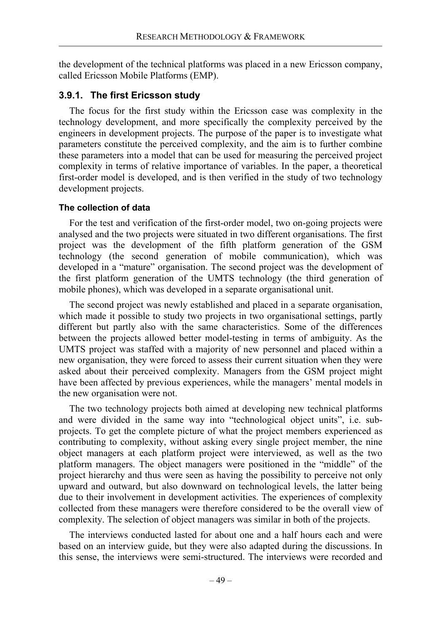the development of the technical platforms was placed in a new Ericsson company, called Ericsson Mobile Platforms (EMP).

### **3.9.1. The first Ericsson study**

The focus for the first study within the Ericsson case was complexity in the technology development, and more specifically the complexity perceived by the engineers in development projects. The purpose of the paper is to investigate what parameters constitute the perceived complexity, and the aim is to further combine these parameters into a model that can be used for measuring the perceived project complexity in terms of relative importance of variables. In the paper, a theoretical first-order model is developed, and is then verified in the study of two technology development projects.

### **The collection of data**

For the test and verification of the first-order model, two on-going projects were analysed and the two projects were situated in two different organisations. The first project was the development of the fifth platform generation of the GSM technology (the second generation of mobile communication), which was developed in a "mature" organisation. The second project was the development of the first platform generation of the UMTS technology (the third generation of mobile phones), which was developed in a separate organisational unit.

The second project was newly established and placed in a separate organisation, which made it possible to study two projects in two organisational settings, partly different but partly also with the same characteristics. Some of the differences between the projects allowed better model-testing in terms of ambiguity. As the UMTS project was staffed with a majority of new personnel and placed within a new organisation, they were forced to assess their current situation when they were asked about their perceived complexity. Managers from the GSM project might have been affected by previous experiences, while the managers' mental models in the new organisation were not.

The two technology projects both aimed at developing new technical platforms and were divided in the same way into "technological object units", i.e. subprojects. To get the complete picture of what the project members experienced as contributing to complexity, without asking every single project member, the nine object managers at each platform project were interviewed, as well as the two platform managers. The object managers were positioned in the "middle" of the project hierarchy and thus were seen as having the possibility to perceive not only upward and outward, but also downward on technological levels, the latter being due to their involvement in development activities. The experiences of complexity collected from these managers were therefore considered to be the overall view of complexity. The selection of object managers was similar in both of the projects.

The interviews conducted lasted for about one and a half hours each and were based on an interview guide, but they were also adapted during the discussions. In this sense, the interviews were semi-structured. The interviews were recorded and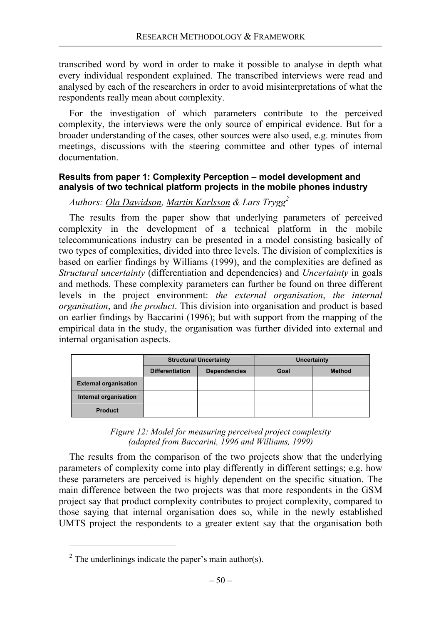transcribed word by word in order to make it possible to analyse in depth what every individual respondent explained. The transcribed interviews were read and analysed by each of the researchers in order to avoid misinterpretations of what the respondents really mean about complexity.

For the investigation of which parameters contribute to the perceived complexity, the interviews were the only source of empirical evidence. But for a broader understanding of the cases, other sources were also used, e.g. minutes from meetings, discussions with the steering committee and other types of internal documentation.

#### **Results from paper 1: Complexity Perception – model development and analysis of two technical platform projects in the mobile phones industry**

# *Authors: Ola Dawidson, Martin Karlsson & Lars Trygg2*

The results from the paper show that underlying parameters of perceived complexity in the development of a technical platform in the mobile telecommunications industry can be presented in a model consisting basically of two types of complexities, divided into three levels. The division of complexities is based on earlier findings by Williams (1999), and the complexities are defined as *Structural uncertainty* (differentiation and dependencies) and *Uncertainty* in goals and methods. These complexity parameters can further be found on three different levels in the project environment: *the external organisation*, *the internal organisation*, and *the product*. This division into organisation and product is based on earlier findings by Baccarini (1996); but with support from the mapping of the empirical data in the study, the organisation was further divided into external and internal organisation aspects.

|                              | <b>Structural Uncertainty</b> |                     | <b>Uncertainty</b> |               |
|------------------------------|-------------------------------|---------------------|--------------------|---------------|
|                              | <b>Differentiation</b>        | <b>Dependencies</b> | Goal               | <b>Method</b> |
| <b>External organisation</b> |                               |                     |                    |               |
| Internal organisation        |                               |                     |                    |               |
| <b>Product</b>               |                               |                     |                    |               |

*Figure 12: Model for measuring perceived project complexity (adapted from Baccarini, 1996 and Williams, 1999)* 

The results from the comparison of the two projects show that the underlying parameters of complexity come into play differently in different settings; e.g. how these parameters are perceived is highly dependent on the specific situation. The main difference between the two projects was that more respondents in the GSM project say that product complexity contributes to project complexity, compared to those saying that internal organisation does so, while in the newly established UMTS project the respondents to a greater extent say that the organisation both

 $\overline{a}$ 

<sup>&</sup>lt;sup>2</sup> The underlinings indicate the paper's main author(s).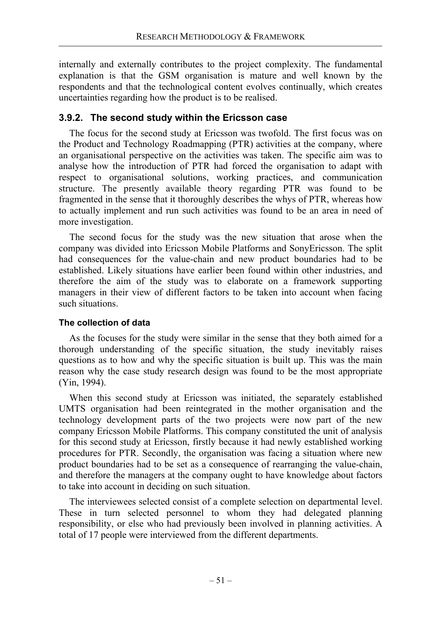internally and externally contributes to the project complexity. The fundamental explanation is that the GSM organisation is mature and well known by the respondents and that the technological content evolves continually, which creates uncertainties regarding how the product is to be realised.

### **3.9.2. The second study within the Ericsson case**

The focus for the second study at Ericsson was twofold. The first focus was on the Product and Technology Roadmapping (PTR) activities at the company, where an organisational perspective on the activities was taken. The specific aim was to analyse how the introduction of PTR had forced the organisation to adapt with respect to organisational solutions, working practices, and communication structure. The presently available theory regarding PTR was found to be fragmented in the sense that it thoroughly describes the whys of PTR, whereas how to actually implement and run such activities was found to be an area in need of more investigation.

The second focus for the study was the new situation that arose when the company was divided into Ericsson Mobile Platforms and SonyEricsson. The split had consequences for the value-chain and new product boundaries had to be established. Likely situations have earlier been found within other industries, and therefore the aim of the study was to elaborate on a framework supporting managers in their view of different factors to be taken into account when facing such situations.

### **The collection of data**

As the focuses for the study were similar in the sense that they both aimed for a thorough understanding of the specific situation, the study inevitably raises questions as to how and why the specific situation is built up. This was the main reason why the case study research design was found to be the most appropriate (Yin, 1994).

When this second study at Ericsson was initiated, the separately established UMTS organisation had been reintegrated in the mother organisation and the technology development parts of the two projects were now part of the new company Ericsson Mobile Platforms. This company constituted the unit of analysis for this second study at Ericsson, firstly because it had newly established working procedures for PTR. Secondly, the organisation was facing a situation where new product boundaries had to be set as a consequence of rearranging the value-chain, and therefore the managers at the company ought to have knowledge about factors to take into account in deciding on such situation.

The interviewees selected consist of a complete selection on departmental level. These in turn selected personnel to whom they had delegated planning responsibility, or else who had previously been involved in planning activities. A total of 17 people were interviewed from the different departments.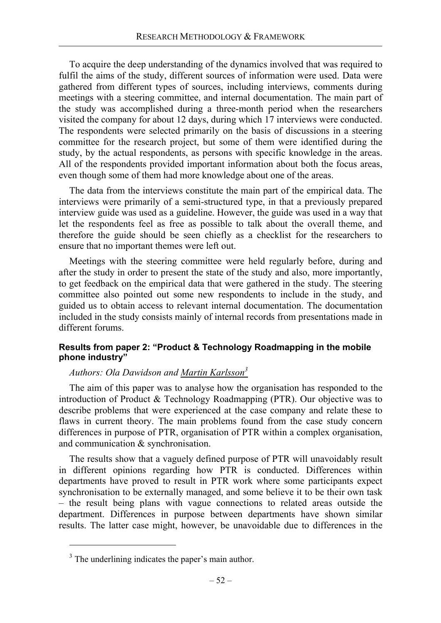To acquire the deep understanding of the dynamics involved that was required to fulfil the aims of the study, different sources of information were used. Data were gathered from different types of sources, including interviews, comments during meetings with a steering committee, and internal documentation. The main part of the study was accomplished during a three-month period when the researchers visited the company for about 12 days, during which 17 interviews were conducted. The respondents were selected primarily on the basis of discussions in a steering committee for the research project, but some of them were identified during the study, by the actual respondents, as persons with specific knowledge in the areas. All of the respondents provided important information about both the focus areas, even though some of them had more knowledge about one of the areas.

The data from the interviews constitute the main part of the empirical data. The interviews were primarily of a semi-structured type, in that a previously prepared interview guide was used as a guideline. However, the guide was used in a way that let the respondents feel as free as possible to talk about the overall theme, and therefore the guide should be seen chiefly as a checklist for the researchers to ensure that no important themes were left out.

Meetings with the steering committee were held regularly before, during and after the study in order to present the state of the study and also, more importantly, to get feedback on the empirical data that were gathered in the study. The steering committee also pointed out some new respondents to include in the study, and guided us to obtain access to relevant internal documentation. The documentation included in the study consists mainly of internal records from presentations made in different forums.

### **Results from paper 2: "Product & Technology Roadmapping in the mobile phone industry"**

## *Authors: Ola Dawidson and Martin Karlsson3*

The aim of this paper was to analyse how the organisation has responded to the introduction of Product & Technology Roadmapping (PTR). Our objective was to describe problems that were experienced at the case company and relate these to flaws in current theory. The main problems found from the case study concern differences in purpose of PTR, organisation of PTR within a complex organisation, and communication & synchronisation.

The results show that a vaguely defined purpose of PTR will unavoidably result in different opinions regarding how PTR is conducted. Differences within departments have proved to result in PTR work where some participants expect synchronisation to be externally managed, and some believe it to be their own task – the result being plans with vague connections to related areas outside the department. Differences in purpose between departments have shown similar results. The latter case might, however, be unavoidable due to differences in the

 $\overline{a}$ 

<sup>&</sup>lt;sup>3</sup> The underlining indicates the paper's main author.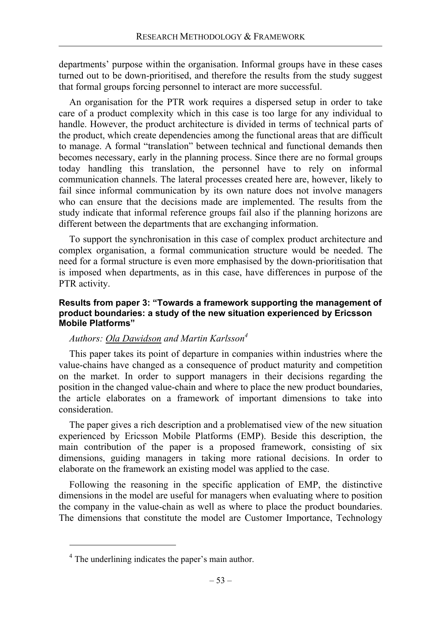departments' purpose within the organisation. Informal groups have in these cases turned out to be down-prioritised, and therefore the results from the study suggest that formal groups forcing personnel to interact are more successful.

An organisation for the PTR work requires a dispersed setup in order to take care of a product complexity which in this case is too large for any individual to handle. However, the product architecture is divided in terms of technical parts of the product, which create dependencies among the functional areas that are difficult to manage. A formal "translation" between technical and functional demands then becomes necessary, early in the planning process. Since there are no formal groups today handling this translation, the personnel have to rely on informal communication channels. The lateral processes created here are, however, likely to fail since informal communication by its own nature does not involve managers who can ensure that the decisions made are implemented. The results from the study indicate that informal reference groups fail also if the planning horizons are different between the departments that are exchanging information.

To support the synchronisation in this case of complex product architecture and complex organisation, a formal communication structure would be needed. The need for a formal structure is even more emphasised by the down-prioritisation that is imposed when departments, as in this case, have differences in purpose of the PTR activity.

#### **Results from paper 3: "Towards a framework supporting the management of product boundaries: a study of the new situation experienced by Ericsson Mobile Platforms"**

## *Authors: Ola Dawidson and Martin Karlsson4*

This paper takes its point of departure in companies within industries where the value-chains have changed as a consequence of product maturity and competition on the market. In order to support managers in their decisions regarding the position in the changed value-chain and where to place the new product boundaries, the article elaborates on a framework of important dimensions to take into consideration.

The paper gives a rich description and a problematised view of the new situation experienced by Ericsson Mobile Platforms (EMP). Beside this description, the main contribution of the paper is a proposed framework, consisting of six dimensions, guiding managers in taking more rational decisions. In order to elaborate on the framework an existing model was applied to the case.

Following the reasoning in the specific application of EMP, the distinctive dimensions in the model are useful for managers when evaluating where to position the company in the value-chain as well as where to place the product boundaries. The dimensions that constitute the model are Customer Importance, Technology

 $\overline{a}$ 

<sup>&</sup>lt;sup>4</sup> The underlining indicates the paper's main author.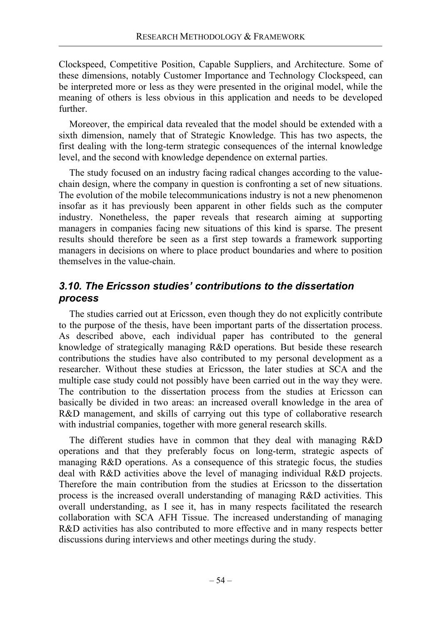Clockspeed, Competitive Position, Capable Suppliers, and Architecture. Some of these dimensions, notably Customer Importance and Technology Clockspeed, can be interpreted more or less as they were presented in the original model, while the meaning of others is less obvious in this application and needs to be developed further.

Moreover, the empirical data revealed that the model should be extended with a sixth dimension, namely that of Strategic Knowledge. This has two aspects, the first dealing with the long-term strategic consequences of the internal knowledge level, and the second with knowledge dependence on external parties.

The study focused on an industry facing radical changes according to the valuechain design, where the company in question is confronting a set of new situations. The evolution of the mobile telecommunications industry is not a new phenomenon insofar as it has previously been apparent in other fields such as the computer industry. Nonetheless, the paper reveals that research aiming at supporting managers in companies facing new situations of this kind is sparse. The present results should therefore be seen as a first step towards a framework supporting managers in decisions on where to place product boundaries and where to position themselves in the value-chain.

# *3.10. The Ericsson studies' contributions to the dissertation process*

The studies carried out at Ericsson, even though they do not explicitly contribute to the purpose of the thesis, have been important parts of the dissertation process. As described above, each individual paper has contributed to the general knowledge of strategically managing R&D operations. But beside these research contributions the studies have also contributed to my personal development as a researcher. Without these studies at Ericsson, the later studies at SCA and the multiple case study could not possibly have been carried out in the way they were. The contribution to the dissertation process from the studies at Ericsson can basically be divided in two areas: an increased overall knowledge in the area of R&D management, and skills of carrying out this type of collaborative research with industrial companies, together with more general research skills.

The different studies have in common that they deal with managing R&D operations and that they preferably focus on long-term, strategic aspects of managing R&D operations. As a consequence of this strategic focus, the studies deal with R&D activities above the level of managing individual R&D projects. Therefore the main contribution from the studies at Ericsson to the dissertation process is the increased overall understanding of managing R&D activities. This overall understanding, as I see it, has in many respects facilitated the research collaboration with SCA AFH Tissue. The increased understanding of managing R&D activities has also contributed to more effective and in many respects better discussions during interviews and other meetings during the study.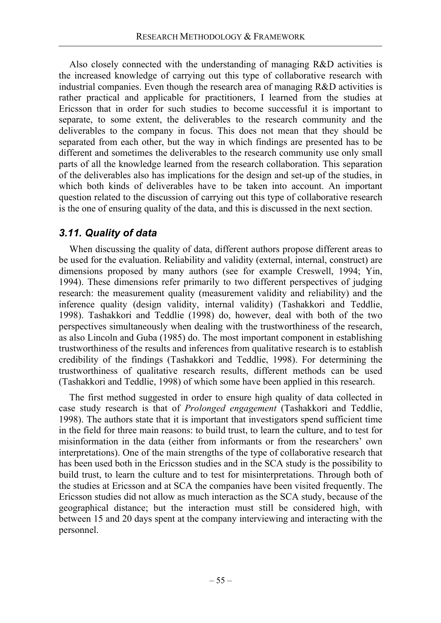Also closely connected with the understanding of managing R&D activities is the increased knowledge of carrying out this type of collaborative research with industrial companies. Even though the research area of managing R&D activities is rather practical and applicable for practitioners, I learned from the studies at Ericsson that in order for such studies to become successful it is important to separate, to some extent, the deliverables to the research community and the deliverables to the company in focus. This does not mean that they should be separated from each other, but the way in which findings are presented has to be different and sometimes the deliverables to the research community use only small parts of all the knowledge learned from the research collaboration. This separation of the deliverables also has implications for the design and set-up of the studies, in which both kinds of deliverables have to be taken into account. An important question related to the discussion of carrying out this type of collaborative research is the one of ensuring quality of the data, and this is discussed in the next section.

# *3.11. Quality of data*

When discussing the quality of data, different authors propose different areas to be used for the evaluation. Reliability and validity (external, internal, construct) are dimensions proposed by many authors (see for example Creswell, 1994; Yin, 1994). These dimensions refer primarily to two different perspectives of judging research: the measurement quality (measurement validity and reliability) and the inference quality (design validity, internal validity) (Tashakkori and Teddlie, 1998). Tashakkori and Teddlie (1998) do, however, deal with both of the two perspectives simultaneously when dealing with the trustworthiness of the research, as also Lincoln and Guba (1985) do. The most important component in establishing trustworthiness of the results and inferences from qualitative research is to establish credibility of the findings (Tashakkori and Teddlie, 1998). For determining the trustworthiness of qualitative research results, different methods can be used (Tashakkori and Teddlie, 1998) of which some have been applied in this research.

The first method suggested in order to ensure high quality of data collected in case study research is that of *Prolonged engagement* (Tashakkori and Teddlie, 1998). The authors state that it is important that investigators spend sufficient time in the field for three main reasons: to build trust, to learn the culture, and to test for misinformation in the data (either from informants or from the researchers' own interpretations). One of the main strengths of the type of collaborative research that has been used both in the Ericsson studies and in the SCA study is the possibility to build trust, to learn the culture and to test for misinterpretations. Through both of the studies at Ericsson and at SCA the companies have been visited frequently. The Ericsson studies did not allow as much interaction as the SCA study, because of the geographical distance; but the interaction must still be considered high, with between 15 and 20 days spent at the company interviewing and interacting with the personnel.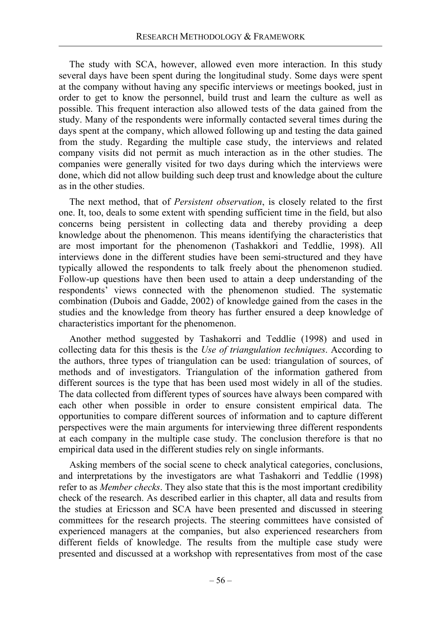The study with SCA, however, allowed even more interaction. In this study several days have been spent during the longitudinal study. Some days were spent at the company without having any specific interviews or meetings booked, just in order to get to know the personnel, build trust and learn the culture as well as possible. This frequent interaction also allowed tests of the data gained from the study. Many of the respondents were informally contacted several times during the days spent at the company, which allowed following up and testing the data gained from the study. Regarding the multiple case study, the interviews and related company visits did not permit as much interaction as in the other studies. The companies were generally visited for two days during which the interviews were done, which did not allow building such deep trust and knowledge about the culture as in the other studies.

The next method, that of *Persistent observation*, is closely related to the first one. It, too, deals to some extent with spending sufficient time in the field, but also concerns being persistent in collecting data and thereby providing a deep knowledge about the phenomenon. This means identifying the characteristics that are most important for the phenomenon (Tashakkori and Teddlie, 1998). All interviews done in the different studies have been semi-structured and they have typically allowed the respondents to talk freely about the phenomenon studied. Follow-up questions have then been used to attain a deep understanding of the respondents' views connected with the phenomenon studied. The systematic combination (Dubois and Gadde, 2002) of knowledge gained from the cases in the studies and the knowledge from theory has further ensured a deep knowledge of characteristics important for the phenomenon.

Another method suggested by Tashakorri and Teddlie (1998) and used in collecting data for this thesis is the *Use of triangulation techniques*. According to the authors, three types of triangulation can be used: triangulation of sources, of methods and of investigators. Triangulation of the information gathered from different sources is the type that has been used most widely in all of the studies. The data collected from different types of sources have always been compared with each other when possible in order to ensure consistent empirical data. The opportunities to compare different sources of information and to capture different perspectives were the main arguments for interviewing three different respondents at each company in the multiple case study. The conclusion therefore is that no empirical data used in the different studies rely on single informants.

Asking members of the social scene to check analytical categories, conclusions, and interpretations by the investigators are what Tashakorri and Teddlie (1998) refer to as *Member checks*. They also state that this is the most important credibility check of the research. As described earlier in this chapter, all data and results from the studies at Ericsson and SCA have been presented and discussed in steering committees for the research projects. The steering committees have consisted of experienced managers at the companies, but also experienced researchers from different fields of knowledge. The results from the multiple case study were presented and discussed at a workshop with representatives from most of the case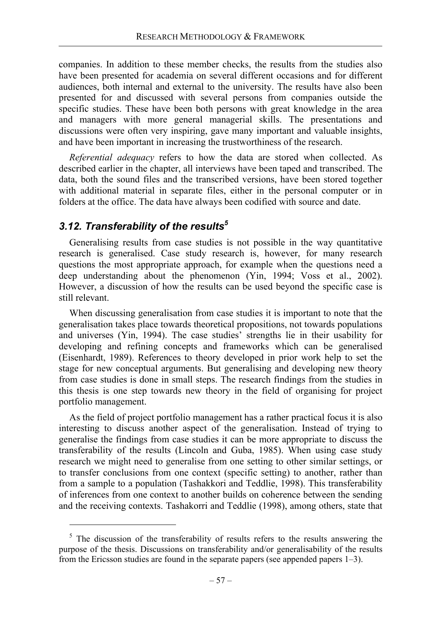companies. In addition to these member checks, the results from the studies also have been presented for academia on several different occasions and for different audiences, both internal and external to the university. The results have also been presented for and discussed with several persons from companies outside the specific studies. These have been both persons with great knowledge in the area and managers with more general managerial skills. The presentations and discussions were often very inspiring, gave many important and valuable insights, and have been important in increasing the trustworthiness of the research.

*Referential adequacy* refers to how the data are stored when collected. As described earlier in the chapter, all interviews have been taped and transcribed. The data, both the sound files and the transcribed versions, have been stored together with additional material in separate files, either in the personal computer or in folders at the office. The data have always been codified with source and date.

# *3.12. Transferability of the results5*

Generalising results from case studies is not possible in the way quantitative research is generalised. Case study research is, however, for many research questions the most appropriate approach, for example when the questions need a deep understanding about the phenomenon (Yin, 1994; Voss et al., 2002). However, a discussion of how the results can be used beyond the specific case is still relevant.

When discussing generalisation from case studies it is important to note that the generalisation takes place towards theoretical propositions, not towards populations and universes (Yin, 1994). The case studies' strengths lie in their usability for developing and refining concepts and frameworks which can be generalised (Eisenhardt, 1989). References to theory developed in prior work help to set the stage for new conceptual arguments. But generalising and developing new theory from case studies is done in small steps. The research findings from the studies in this thesis is one step towards new theory in the field of organising for project portfolio management.

As the field of project portfolio management has a rather practical focus it is also interesting to discuss another aspect of the generalisation. Instead of trying to generalise the findings from case studies it can be more appropriate to discuss the transferability of the results (Lincoln and Guba, 1985). When using case study research we might need to generalise from one setting to other similar settings, or to transfer conclusions from one context (specific setting) to another, rather than from a sample to a population (Tashakkori and Teddlie, 1998). This transferability of inferences from one context to another builds on coherence between the sending and the receiving contexts. Tashakorri and Teddlie (1998), among others, state that

 $5$  The discussion of the transferability of results refers to the results answering the purpose of the thesis. Discussions on transferability and/or generalisability of the results from the Ericsson studies are found in the separate papers (see appended papers 1–3).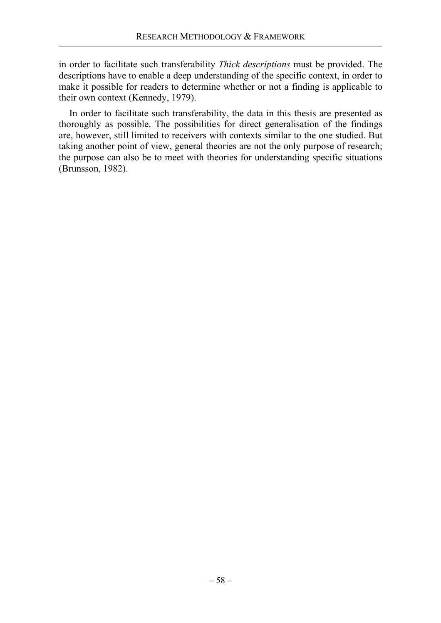in order to facilitate such transferability *Thick descriptions* must be provided. The descriptions have to enable a deep understanding of the specific context, in order to make it possible for readers to determine whether or not a finding is applicable to their own context (Kennedy, 1979).

In order to facilitate such transferability, the data in this thesis are presented as thoroughly as possible. The possibilities for direct generalisation of the findings are, however, still limited to receivers with contexts similar to the one studied. But taking another point of view, general theories are not the only purpose of research; the purpose can also be to meet with theories for understanding specific situations (Brunsson, 1982).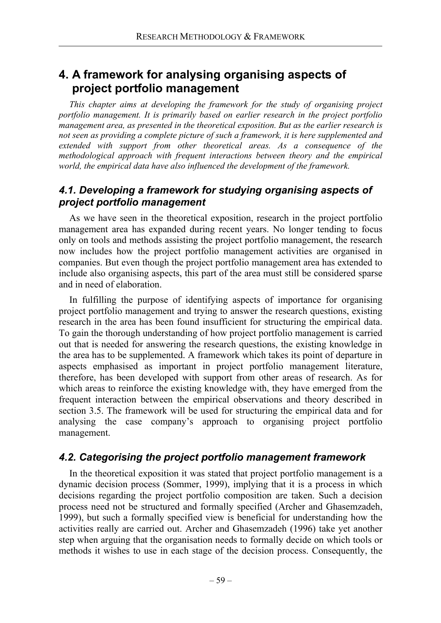# **4. A framework for analysing organising aspects of project portfolio management**

*This chapter aims at developing the framework for the study of organising project portfolio management. It is primarily based on earlier research in the project portfolio management area, as presented in the theoretical exposition. But as the earlier research is not seen as providing a complete picture of such a framework, it is here supplemented and extended with support from other theoretical areas. As a consequence of the methodological approach with frequent interactions between theory and the empirical world, the empirical data have also influenced the development of the framework.* 

# *4.1. Developing a framework for studying organising aspects of project portfolio management*

As we have seen in the theoretical exposition, research in the project portfolio management area has expanded during recent years. No longer tending to focus only on tools and methods assisting the project portfolio management, the research now includes how the project portfolio management activities are organised in companies. But even though the project portfolio management area has extended to include also organising aspects, this part of the area must still be considered sparse and in need of elaboration.

In fulfilling the purpose of identifying aspects of importance for organising project portfolio management and trying to answer the research questions, existing research in the area has been found insufficient for structuring the empirical data. To gain the thorough understanding of how project portfolio management is carried out that is needed for answering the research questions, the existing knowledge in the area has to be supplemented. A framework which takes its point of departure in aspects emphasised as important in project portfolio management literature, therefore, has been developed with support from other areas of research. As for which areas to reinforce the existing knowledge with, they have emerged from the frequent interaction between the empirical observations and theory described in section 3.5. The framework will be used for structuring the empirical data and for analysing the case company's approach to organising project portfolio management.

# *4.2. Categorising the project portfolio management framework*

In the theoretical exposition it was stated that project portfolio management is a dynamic decision process (Sommer, 1999), implying that it is a process in which decisions regarding the project portfolio composition are taken. Such a decision process need not be structured and formally specified (Archer and Ghasemzadeh, 1999), but such a formally specified view is beneficial for understanding how the activities really are carried out. Archer and Ghasemzadeh (1996) take yet another step when arguing that the organisation needs to formally decide on which tools or methods it wishes to use in each stage of the decision process. Consequently, the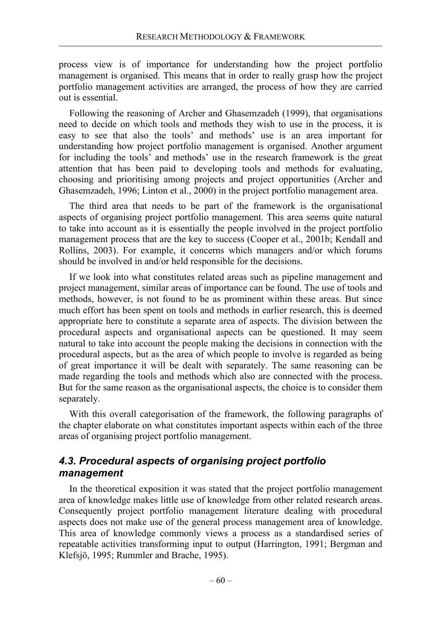process view is of importance for understanding how the project portfolio management is organised. This means that in order to really grasp how the project portfolio management activities are arranged, the process of how they are carried out is essential.

Following the reasoning of Archer and Ghasemzadeh (1999), that organisations need to decide on which tools and methods they wish to use in the process, it is easy to see that also the tools' and methods' use is an area important for understanding how project portfolio management is organised. Another argument for including the tools' and methods' use in the research framework is the great attention that has been paid to developing tools and methods for evaluating, choosing and prioritising among projects and project opportunities (Archer and Ghasemzadeh, 1996; Linton et al., 2000) in the project portfolio management area.

The third area that needs to be part of the framework is the organisational aspects of organising project portfolio management. This area seems quite natural to take into account as it is essentially the people involved in the project portfolio management process that are the key to success (Cooper et al., 2001b; Kendall and Rollins, 2003). For example, it concerns which managers and/or which forums should be involved in and/or held responsible for the decisions.

If we look into what constitutes related areas such as pipeline management and project management, similar areas of importance can be found. The use of tools and methods, however, is not found to be as prominent within these areas. But since much effort has been spent on tools and methods in earlier research, this is deemed appropriate here to constitute a separate area of aspects. The division between the procedural aspects and organisational aspects can be questioned. It may seem natural to take into account the people making the decisions in connection with the procedural aspects, but as the area of which people to involve is regarded as being of great importance it will be dealt with separately. The same reasoning can be made regarding the tools and methods which also are connected with the process. But for the same reason as the organisational aspects, the choice is to consider them separately.

With this overall categorisation of the framework, the following paragraphs of the chapter elaborate on what constitutes important aspects within each of the three areas of organising project portfolio management.

# *4.3. Procedural aspects of organising project portfolio management*

In the theoretical exposition it was stated that the project portfolio management area of knowledge makes little use of knowledge from other related research areas. Consequently project portfolio management literature dealing with procedural aspects does not make use of the general process management area of knowledge. This area of knowledge commonly views a process as a standardised series of repeatable activities transforming input to output (Harrington, 1991; Bergman and Klefsjö, 1995; Rummler and Brache, 1995).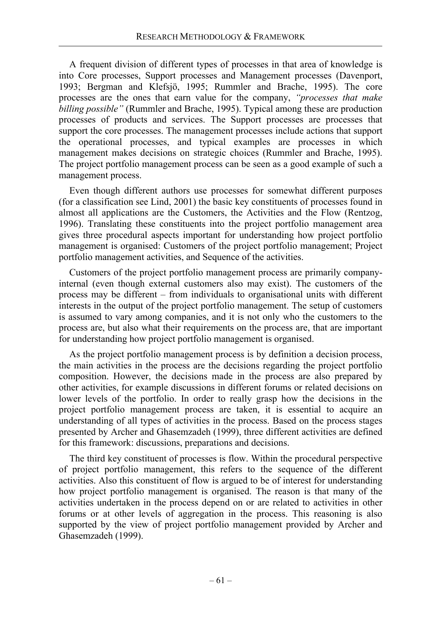A frequent division of different types of processes in that area of knowledge is into Core processes, Support processes and Management processes (Davenport, 1993; Bergman and Klefsjö, 1995; Rummler and Brache, 1995). The core processes are the ones that earn value for the company, *"processes that make billing possible"* (Rummler and Brache, 1995). Typical among these are production processes of products and services. The Support processes are processes that support the core processes. The management processes include actions that support the operational processes, and typical examples are processes in which management makes decisions on strategic choices (Rummler and Brache, 1995). The project portfolio management process can be seen as a good example of such a management process.

Even though different authors use processes for somewhat different purposes (for a classification see Lind, 2001) the basic key constituents of processes found in almost all applications are the Customers, the Activities and the Flow (Rentzog, 1996). Translating these constituents into the project portfolio management area gives three procedural aspects important for understanding how project portfolio management is organised: Customers of the project portfolio management; Project portfolio management activities, and Sequence of the activities.

Customers of the project portfolio management process are primarily companyinternal (even though external customers also may exist). The customers of the process may be different – from individuals to organisational units with different interests in the output of the project portfolio management. The setup of customers is assumed to vary among companies, and it is not only who the customers to the process are, but also what their requirements on the process are, that are important for understanding how project portfolio management is organised.

As the project portfolio management process is by definition a decision process, the main activities in the process are the decisions regarding the project portfolio composition. However, the decisions made in the process are also prepared by other activities, for example discussions in different forums or related decisions on lower levels of the portfolio. In order to really grasp how the decisions in the project portfolio management process are taken, it is essential to acquire an understanding of all types of activities in the process. Based on the process stages presented by Archer and Ghasemzadeh (1999), three different activities are defined for this framework: discussions, preparations and decisions.

The third key constituent of processes is flow. Within the procedural perspective of project portfolio management, this refers to the sequence of the different activities. Also this constituent of flow is argued to be of interest for understanding how project portfolio management is organised. The reason is that many of the activities undertaken in the process depend on or are related to activities in other forums or at other levels of aggregation in the process. This reasoning is also supported by the view of project portfolio management provided by Archer and Ghasemzadeh (1999).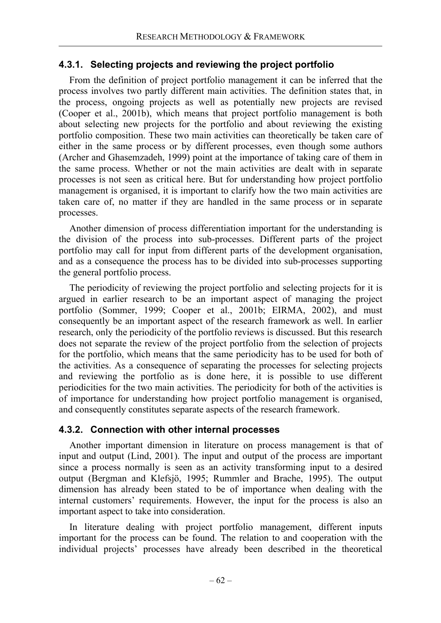## **4.3.1. Selecting projects and reviewing the project portfolio**

From the definition of project portfolio management it can be inferred that the process involves two partly different main activities. The definition states that, in the process, ongoing projects as well as potentially new projects are revised (Cooper et al., 2001b), which means that project portfolio management is both about selecting new projects for the portfolio and about reviewing the existing portfolio composition. These two main activities can theoretically be taken care of either in the same process or by different processes, even though some authors (Archer and Ghasemzadeh, 1999) point at the importance of taking care of them in the same process. Whether or not the main activities are dealt with in separate processes is not seen as critical here. But for understanding how project portfolio management is organised, it is important to clarify how the two main activities are taken care of, no matter if they are handled in the same process or in separate processes.

Another dimension of process differentiation important for the understanding is the division of the process into sub-processes. Different parts of the project portfolio may call for input from different parts of the development organisation, and as a consequence the process has to be divided into sub-processes supporting the general portfolio process.

The periodicity of reviewing the project portfolio and selecting projects for it is argued in earlier research to be an important aspect of managing the project portfolio (Sommer, 1999; Cooper et al., 2001b; EIRMA, 2002), and must consequently be an important aspect of the research framework as well. In earlier research, only the periodicity of the portfolio reviews is discussed. But this research does not separate the review of the project portfolio from the selection of projects for the portfolio, which means that the same periodicity has to be used for both of the activities. As a consequence of separating the processes for selecting projects and reviewing the portfolio as is done here, it is possible to use different periodicities for the two main activities. The periodicity for both of the activities is of importance for understanding how project portfolio management is organised, and consequently constitutes separate aspects of the research framework.

## **4.3.2. Connection with other internal processes**

Another important dimension in literature on process management is that of input and output (Lind, 2001). The input and output of the process are important since a process normally is seen as an activity transforming input to a desired output (Bergman and Klefsjö, 1995; Rummler and Brache, 1995). The output dimension has already been stated to be of importance when dealing with the internal customers' requirements. However, the input for the process is also an important aspect to take into consideration.

In literature dealing with project portfolio management, different inputs important for the process can be found. The relation to and cooperation with the individual projects' processes have already been described in the theoretical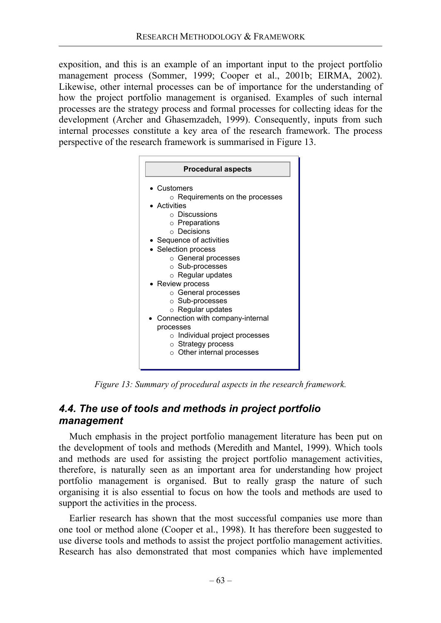exposition, and this is an example of an important input to the project portfolio management process (Sommer, 1999; Cooper et al., 2001b; EIRMA, 2002). Likewise, other internal processes can be of importance for the understanding of how the project portfolio management is organised. Examples of such internal processes are the strategy process and formal processes for collecting ideas for the development (Archer and Ghasemzadeh, 1999). Consequently, inputs from such internal processes constitute a key area of the research framework. The process perspective of the research framework is summarised in Figure 13.



*Figure 13: Summary of procedural aspects in the research framework.* 

## *4.4. The use of tools and methods in project portfolio management*

Much emphasis in the project portfolio management literature has been put on the development of tools and methods (Meredith and Mantel, 1999). Which tools and methods are used for assisting the project portfolio management activities, therefore, is naturally seen as an important area for understanding how project portfolio management is organised. But to really grasp the nature of such organising it is also essential to focus on how the tools and methods are used to support the activities in the process.

Earlier research has shown that the most successful companies use more than one tool or method alone (Cooper et al., 1998). It has therefore been suggested to use diverse tools and methods to assist the project portfolio management activities. Research has also demonstrated that most companies which have implemented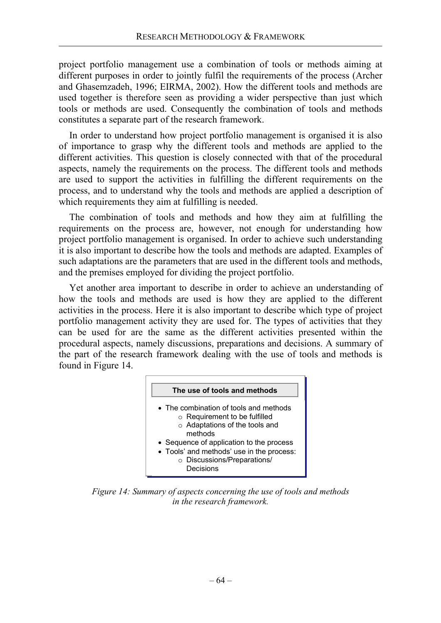project portfolio management use a combination of tools or methods aiming at different purposes in order to jointly fulfil the requirements of the process (Archer and Ghasemzadeh, 1996; EIRMA, 2002). How the different tools and methods are used together is therefore seen as providing a wider perspective than just which tools or methods are used. Consequently the combination of tools and methods constitutes a separate part of the research framework.

In order to understand how project portfolio management is organised it is also of importance to grasp why the different tools and methods are applied to the different activities. This question is closely connected with that of the procedural aspects, namely the requirements on the process. The different tools and methods are used to support the activities in fulfilling the different requirements on the process, and to understand why the tools and methods are applied a description of which requirements they aim at fulfilling is needed.

The combination of tools and methods and how they aim at fulfilling the requirements on the process are, however, not enough for understanding how project portfolio management is organised. In order to achieve such understanding it is also important to describe how the tools and methods are adapted. Examples of such adaptations are the parameters that are used in the different tools and methods, and the premises employed for dividing the project portfolio.

Yet another area important to describe in order to achieve an understanding of how the tools and methods are used is how they are applied to the different activities in the process. Here it is also important to describe which type of project portfolio management activity they are used for. The types of activities that they can be used for are the same as the different activities presented within the procedural aspects, namely discussions, preparations and decisions. A summary of the part of the research framework dealing with the use of tools and methods is found in Figure 14.



*Figure 14: Summary of aspects concerning the use of tools and methods in the research framework.*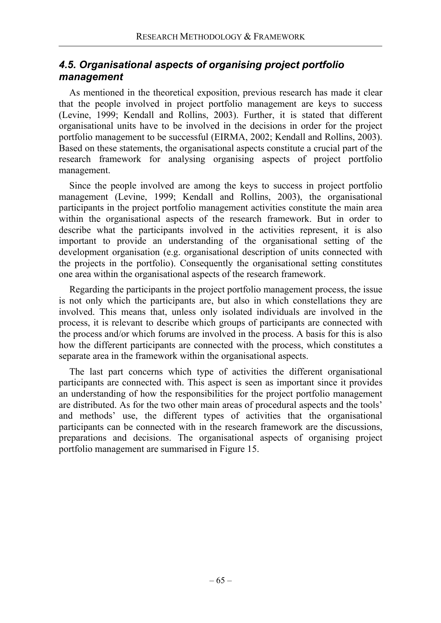## *4.5. Organisational aspects of organising project portfolio management*

As mentioned in the theoretical exposition, previous research has made it clear that the people involved in project portfolio management are keys to success (Levine, 1999; Kendall and Rollins, 2003). Further, it is stated that different organisational units have to be involved in the decisions in order for the project portfolio management to be successful (EIRMA, 2002; Kendall and Rollins, 2003). Based on these statements, the organisational aspects constitute a crucial part of the research framework for analysing organising aspects of project portfolio management.

Since the people involved are among the keys to success in project portfolio management (Levine, 1999; Kendall and Rollins, 2003), the organisational participants in the project portfolio management activities constitute the main area within the organisational aspects of the research framework. But in order to describe what the participants involved in the activities represent, it is also important to provide an understanding of the organisational setting of the development organisation (e.g. organisational description of units connected with the projects in the portfolio). Consequently the organisational setting constitutes one area within the organisational aspects of the research framework.

Regarding the participants in the project portfolio management process, the issue is not only which the participants are, but also in which constellations they are involved. This means that, unless only isolated individuals are involved in the process, it is relevant to describe which groups of participants are connected with the process and/or which forums are involved in the process. A basis for this is also how the different participants are connected with the process, which constitutes a separate area in the framework within the organisational aspects.

The last part concerns which type of activities the different organisational participants are connected with. This aspect is seen as important since it provides an understanding of how the responsibilities for the project portfolio management are distributed. As for the two other main areas of procedural aspects and the tools' and methods' use, the different types of activities that the organisational participants can be connected with in the research framework are the discussions, preparations and decisions. The organisational aspects of organising project portfolio management are summarised in Figure 15.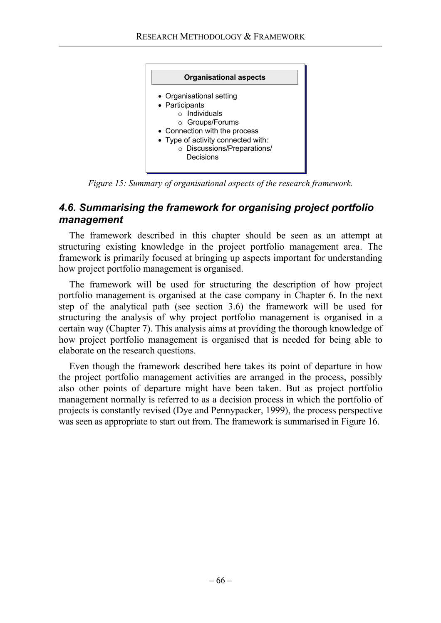

*Figure 15: Summary of organisational aspects of the research framework.* 

## *4.6. Summarising the framework for organising project portfolio management*

The framework described in this chapter should be seen as an attempt at structuring existing knowledge in the project portfolio management area. The framework is primarily focused at bringing up aspects important for understanding how project portfolio management is organised.

The framework will be used for structuring the description of how project portfolio management is organised at the case company in Chapter 6. In the next step of the analytical path (see section 3.6) the framework will be used for structuring the analysis of why project portfolio management is organised in a certain way (Chapter 7). This analysis aims at providing the thorough knowledge of how project portfolio management is organised that is needed for being able to elaborate on the research questions.

Even though the framework described here takes its point of departure in how the project portfolio management activities are arranged in the process, possibly also other points of departure might have been taken. But as project portfolio management normally is referred to as a decision process in which the portfolio of projects is constantly revised (Dye and Pennypacker, 1999), the process perspective was seen as appropriate to start out from. The framework is summarised in Figure 16.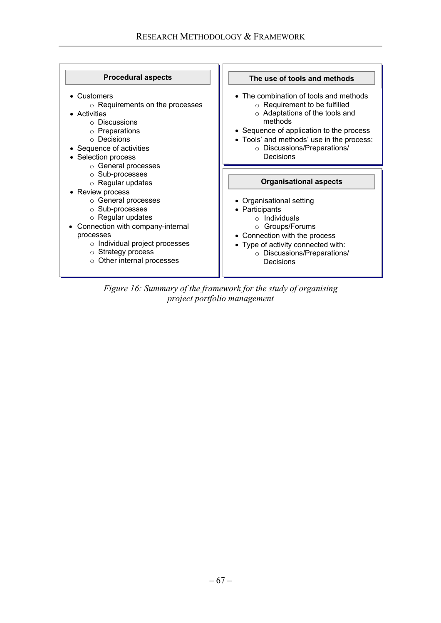| <b>Procedural aspects</b>                                                                                                                                                                                            | The use of tools and methods                                                                                                                                                                                                                                    |
|----------------------------------------------------------------------------------------------------------------------------------------------------------------------------------------------------------------------|-----------------------------------------------------------------------------------------------------------------------------------------------------------------------------------------------------------------------------------------------------------------|
| • Customers<br>$\circ$ Requirements on the processes<br>• Activities<br>$\circ$ Discussions<br>$\circ$ Preparations<br>$\circ$ Decisions<br>• Sequence of activities<br>• Selection process<br>○ General processes   | • The combination of tools and methods<br>$\circ$ Requirement to be fulfilled<br>o Adaptations of the tools and<br>methods<br>• Sequence of application to the process<br>• Tools' and methods' use in the process:<br>o Discussions/Preparations/<br>Decisions |
| ○ Sub-processes<br>$\circ$ Regular updates<br>• Review process                                                                                                                                                       | <b>Organisational aspects</b>                                                                                                                                                                                                                                   |
| ○ General processes<br>○ Sub-processes<br>$\circ$ Regular updates<br>Connection with company-internal<br>processes<br>$\circ$ Individual project processes<br>○ Strategy process<br>$\circ$ Other internal processes | • Organisational setting<br>• Participants<br>$\circ$ Individuals<br>○ Groups/Forums<br>• Connection with the process<br>• Type of activity connected with:<br>o Discussions/Preparations/<br>Decisions                                                         |

*Figure 16: Summary of the framework for the study of organising project portfolio management*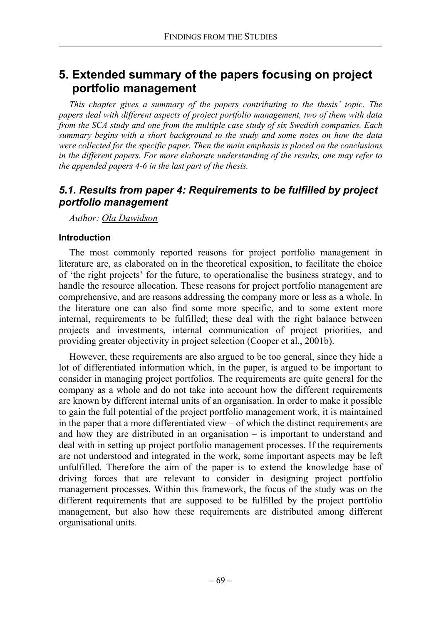# **5. Extended summary of the papers focusing on project portfolio management**

*This chapter gives a summary of the papers contributing to the thesis' topic. The papers deal with different aspects of project portfolio management, two of them with data from the SCA study and one from the multiple case study of six Swedish companies. Each summary begins with a short background to the study and some notes on how the data were collected for the specific paper. Then the main emphasis is placed on the conclusions in the different papers. For more elaborate understanding of the results, one may refer to the appended papers 4-6 in the last part of the thesis.* 

## *5.1. Results from paper 4: Requirements to be fulfilled by project portfolio management*

*Author: Ola Dawidson*

#### **Introduction**

The most commonly reported reasons for project portfolio management in literature are, as elaborated on in the theoretical exposition, to facilitate the choice of 'the right projects' for the future, to operationalise the business strategy, and to handle the resource allocation. These reasons for project portfolio management are comprehensive, and are reasons addressing the company more or less as a whole. In the literature one can also find some more specific, and to some extent more internal, requirements to be fulfilled; these deal with the right balance between projects and investments, internal communication of project priorities, and providing greater objectivity in project selection (Cooper et al., 2001b).

However, these requirements are also argued to be too general, since they hide a lot of differentiated information which, in the paper, is argued to be important to consider in managing project portfolios. The requirements are quite general for the company as a whole and do not take into account how the different requirements are known by different internal units of an organisation. In order to make it possible to gain the full potential of the project portfolio management work, it is maintained in the paper that a more differentiated view – of which the distinct requirements are and how they are distributed in an organisation – is important to understand and deal with in setting up project portfolio management processes. If the requirements are not understood and integrated in the work, some important aspects may be left unfulfilled. Therefore the aim of the paper is to extend the knowledge base of driving forces that are relevant to consider in designing project portfolio management processes. Within this framework, the focus of the study was on the different requirements that are supposed to be fulfilled by the project portfolio management, but also how these requirements are distributed among different organisational units.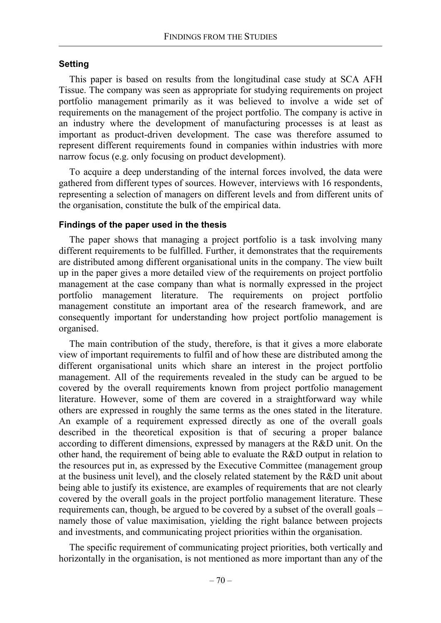#### **Setting**

This paper is based on results from the longitudinal case study at SCA AFH Tissue. The company was seen as appropriate for studying requirements on project portfolio management primarily as it was believed to involve a wide set of requirements on the management of the project portfolio. The company is active in an industry where the development of manufacturing processes is at least as important as product-driven development. The case was therefore assumed to represent different requirements found in companies within industries with more narrow focus (e.g. only focusing on product development).

To acquire a deep understanding of the internal forces involved, the data were gathered from different types of sources. However, interviews with 16 respondents, representing a selection of managers on different levels and from different units of the organisation, constitute the bulk of the empirical data.

#### **Findings of the paper used in the thesis**

The paper shows that managing a project portfolio is a task involving many different requirements to be fulfilled. Further, it demonstrates that the requirements are distributed among different organisational units in the company. The view built up in the paper gives a more detailed view of the requirements on project portfolio management at the case company than what is normally expressed in the project portfolio management literature. The requirements on project portfolio management constitute an important area of the research framework, and are consequently important for understanding how project portfolio management is organised.

The main contribution of the study, therefore, is that it gives a more elaborate view of important requirements to fulfil and of how these are distributed among the different organisational units which share an interest in the project portfolio management. All of the requirements revealed in the study can be argued to be covered by the overall requirements known from project portfolio management literature. However, some of them are covered in a straightforward way while others are expressed in roughly the same terms as the ones stated in the literature. An example of a requirement expressed directly as one of the overall goals described in the theoretical exposition is that of securing a proper balance according to different dimensions, expressed by managers at the R&D unit. On the other hand, the requirement of being able to evaluate the R&D output in relation to the resources put in, as expressed by the Executive Committee (management group at the business unit level), and the closely related statement by the R&D unit about being able to justify its existence, are examples of requirements that are not clearly covered by the overall goals in the project portfolio management literature. These requirements can, though, be argued to be covered by a subset of the overall goals – namely those of value maximisation, yielding the right balance between projects and investments, and communicating project priorities within the organisation.

The specific requirement of communicating project priorities, both vertically and horizontally in the organisation, is not mentioned as more important than any of the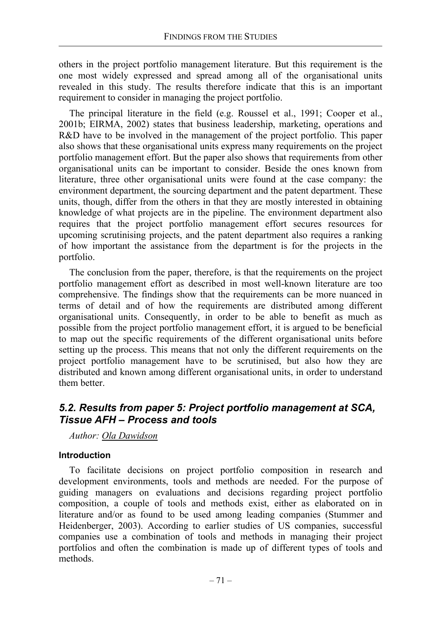others in the project portfolio management literature. But this requirement is the one most widely expressed and spread among all of the organisational units revealed in this study. The results therefore indicate that this is an important requirement to consider in managing the project portfolio.

The principal literature in the field (e.g. Roussel et al., 1991; Cooper et al., 2001b; EIRMA, 2002) states that business leadership, marketing, operations and R&D have to be involved in the management of the project portfolio. This paper also shows that these organisational units express many requirements on the project portfolio management effort. But the paper also shows that requirements from other organisational units can be important to consider. Beside the ones known from literature, three other organisational units were found at the case company: the environment department, the sourcing department and the patent department. These units, though, differ from the others in that they are mostly interested in obtaining knowledge of what projects are in the pipeline. The environment department also requires that the project portfolio management effort secures resources for upcoming scrutinising projects, and the patent department also requires a ranking of how important the assistance from the department is for the projects in the portfolio.

The conclusion from the paper, therefore, is that the requirements on the project portfolio management effort as described in most well-known literature are too comprehensive. The findings show that the requirements can be more nuanced in terms of detail and of how the requirements are distributed among different organisational units. Consequently, in order to be able to benefit as much as possible from the project portfolio management effort, it is argued to be beneficial to map out the specific requirements of the different organisational units before setting up the process. This means that not only the different requirements on the project portfolio management have to be scrutinised, but also how they are distributed and known among different organisational units, in order to understand them better.

## *5.2. Results from paper 5: Project portfolio management at SCA, Tissue AFH – Process and tools*

*Author: Ola Dawidson*

### **Introduction**

To facilitate decisions on project portfolio composition in research and development environments, tools and methods are needed. For the purpose of guiding managers on evaluations and decisions regarding project portfolio composition, a couple of tools and methods exist, either as elaborated on in literature and/or as found to be used among leading companies (Stummer and Heidenberger, 2003). According to earlier studies of US companies, successful companies use a combination of tools and methods in managing their project portfolios and often the combination is made up of different types of tools and methods.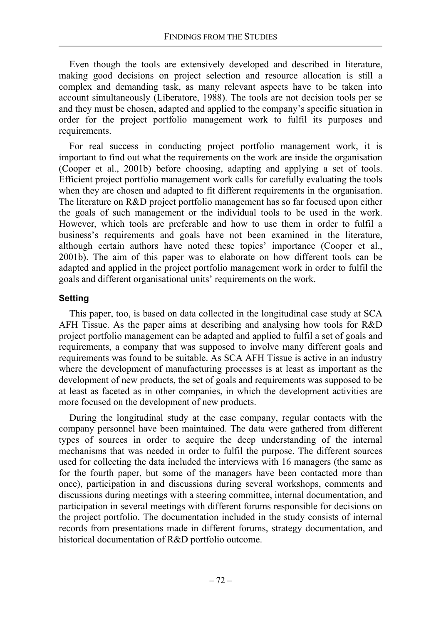Even though the tools are extensively developed and described in literature, making good decisions on project selection and resource allocation is still a complex and demanding task, as many relevant aspects have to be taken into account simultaneously (Liberatore, 1988). The tools are not decision tools per se and they must be chosen, adapted and applied to the company's specific situation in order for the project portfolio management work to fulfil its purposes and requirements.

For real success in conducting project portfolio management work, it is important to find out what the requirements on the work are inside the organisation (Cooper et al., 2001b) before choosing, adapting and applying a set of tools. Efficient project portfolio management work calls for carefully evaluating the tools when they are chosen and adapted to fit different requirements in the organisation. The literature on R&D project portfolio management has so far focused upon either the goals of such management or the individual tools to be used in the work. However, which tools are preferable and how to use them in order to fulfil a business's requirements and goals have not been examined in the literature, although certain authors have noted these topics' importance (Cooper et al., 2001b). The aim of this paper was to elaborate on how different tools can be adapted and applied in the project portfolio management work in order to fulfil the goals and different organisational units' requirements on the work.

### **Setting**

This paper, too, is based on data collected in the longitudinal case study at SCA AFH Tissue. As the paper aims at describing and analysing how tools for R&D project portfolio management can be adapted and applied to fulfil a set of goals and requirements, a company that was supposed to involve many different goals and requirements was found to be suitable. As SCA AFH Tissue is active in an industry where the development of manufacturing processes is at least as important as the development of new products, the set of goals and requirements was supposed to be at least as faceted as in other companies, in which the development activities are more focused on the development of new products.

During the longitudinal study at the case company, regular contacts with the company personnel have been maintained. The data were gathered from different types of sources in order to acquire the deep understanding of the internal mechanisms that was needed in order to fulfil the purpose. The different sources used for collecting the data included the interviews with 16 managers (the same as for the fourth paper, but some of the managers have been contacted more than once), participation in and discussions during several workshops, comments and discussions during meetings with a steering committee, internal documentation, and participation in several meetings with different forums responsible for decisions on the project portfolio. The documentation included in the study consists of internal records from presentations made in different forums, strategy documentation, and historical documentation of R&D portfolio outcome.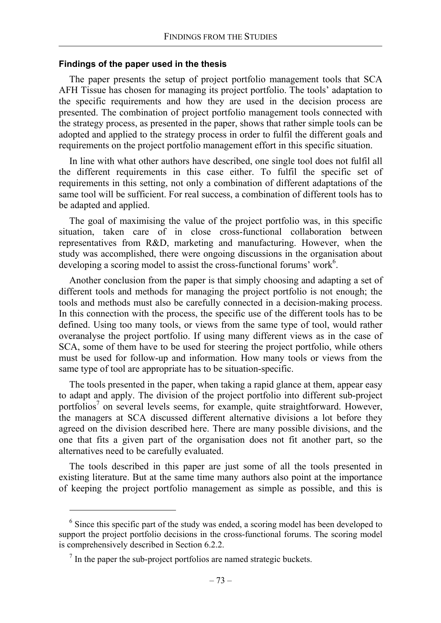#### **Findings of the paper used in the thesis**

The paper presents the setup of project portfolio management tools that SCA AFH Tissue has chosen for managing its project portfolio. The tools' adaptation to the specific requirements and how they are used in the decision process are presented. The combination of project portfolio management tools connected with the strategy process, as presented in the paper, shows that rather simple tools can be adopted and applied to the strategy process in order to fulfil the different goals and requirements on the project portfolio management effort in this specific situation.

In line with what other authors have described, one single tool does not fulfil all the different requirements in this case either. To fulfil the specific set of requirements in this setting, not only a combination of different adaptations of the same tool will be sufficient. For real success, a combination of different tools has to be adapted and applied.

The goal of maximising the value of the project portfolio was, in this specific situation, taken care of in close cross-functional collaboration between representatives from R&D, marketing and manufacturing. However, when the study was accomplished, there were ongoing discussions in the organisation about developing a scoring model to assist the cross-functional forums' work<sup>6</sup>.

Another conclusion from the paper is that simply choosing and adapting a set of different tools and methods for managing the project portfolio is not enough; the tools and methods must also be carefully connected in a decision-making process. In this connection with the process, the specific use of the different tools has to be defined. Using too many tools, or views from the same type of tool, would rather overanalyse the project portfolio. If using many different views as in the case of SCA, some of them have to be used for steering the project portfolio, while others must be used for follow-up and information. How many tools or views from the same type of tool are appropriate has to be situation-specific.

The tools presented in the paper, when taking a rapid glance at them, appear easy to adapt and apply. The division of the project portfolio into different sub-project portfolios<sup>7</sup> on several levels seems, for example, quite straightforward. However, the managers at SCA discussed different alternative divisions a lot before they agreed on the division described here. There are many possible divisions, and the one that fits a given part of the organisation does not fit another part, so the alternatives need to be carefully evaluated.

The tools described in this paper are just some of all the tools presented in existing literature. But at the same time many authors also point at the importance of keeping the project portfolio management as simple as possible, and this is

l

<sup>&</sup>lt;sup>6</sup> Since this specific part of the study was ended, a scoring model has been developed to support the project portfolio decisions in the cross-functional forums. The scoring model is comprehensively described in Section 6.2.2.

 $<sup>7</sup>$  In the paper the sub-project portfolios are named strategic buckets.</sup>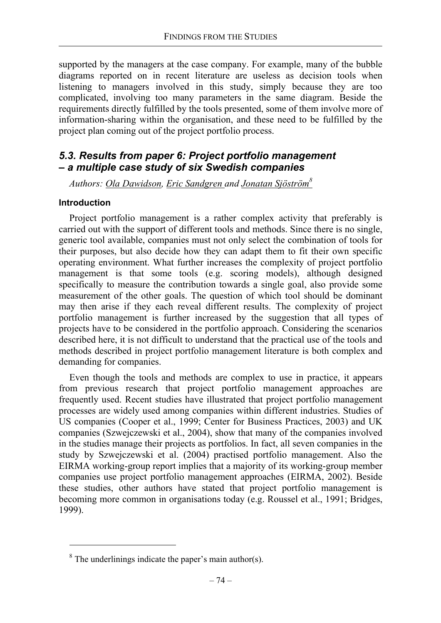supported by the managers at the case company. For example, many of the bubble diagrams reported on in recent literature are useless as decision tools when listening to managers involved in this study, simply because they are too complicated, involving too many parameters in the same diagram. Beside the requirements directly fulfilled by the tools presented, some of them involve more of information-sharing within the organisation, and these need to be fulfilled by the project plan coming out of the project portfolio process.

## *5.3. Results from paper 6: Project portfolio management – a multiple case study of six Swedish companies*

*Authors: Ola Dawidson, Eric Sandgren and Jonatan Sjöström8*

#### **Introduction**

 $\overline{a}$ 

Project portfolio management is a rather complex activity that preferably is carried out with the support of different tools and methods. Since there is no single, generic tool available, companies must not only select the combination of tools for their purposes, but also decide how they can adapt them to fit their own specific operating environment. What further increases the complexity of project portfolio management is that some tools (e.g. scoring models), although designed specifically to measure the contribution towards a single goal, also provide some measurement of the other goals. The question of which tool should be dominant may then arise if they each reveal different results. The complexity of project portfolio management is further increased by the suggestion that all types of projects have to be considered in the portfolio approach. Considering the scenarios described here, it is not difficult to understand that the practical use of the tools and methods described in project portfolio management literature is both complex and demanding for companies.

Even though the tools and methods are complex to use in practice, it appears from previous research that project portfolio management approaches are frequently used. Recent studies have illustrated that project portfolio management processes are widely used among companies within different industries. Studies of US companies (Cooper et al., 1999; Center for Business Practices, 2003) and UK companies (Szwejczewski et al., 2004), show that many of the companies involved in the studies manage their projects as portfolios. In fact, all seven companies in the study by Szwejczewski et al. (2004) practised portfolio management. Also the EIRMA working-group report implies that a majority of its working-group member companies use project portfolio management approaches (EIRMA, 2002). Beside these studies, other authors have stated that project portfolio management is becoming more common in organisations today (e.g. Roussel et al., 1991; Bridges, 1999).

 $8<sup>8</sup>$  The underlinings indicate the paper's main author(s).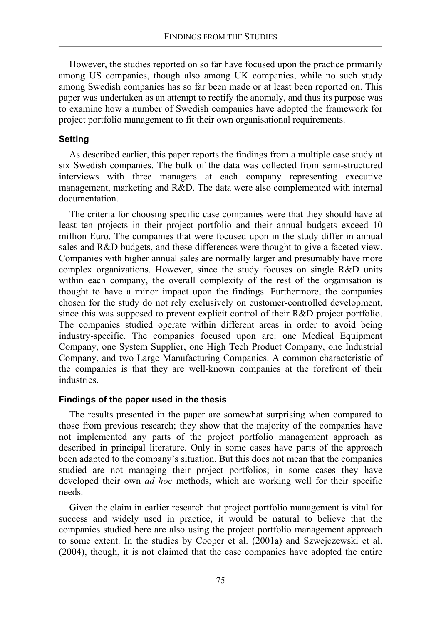However, the studies reported on so far have focused upon the practice primarily among US companies, though also among UK companies, while no such study among Swedish companies has so far been made or at least been reported on. This paper was undertaken as an attempt to rectify the anomaly, and thus its purpose was to examine how a number of Swedish companies have adopted the framework for project portfolio management to fit their own organisational requirements.

### **Setting**

As described earlier, this paper reports the findings from a multiple case study at six Swedish companies. The bulk of the data was collected from semi-structured interviews with three managers at each company representing executive management, marketing and R&D. The data were also complemented with internal documentation.

The criteria for choosing specific case companies were that they should have at least ten projects in their project portfolio and their annual budgets exceed 10 million Euro. The companies that were focused upon in the study differ in annual sales and R&D budgets, and these differences were thought to give a faceted view. Companies with higher annual sales are normally larger and presumably have more complex organizations. However, since the study focuses on single R&D units within each company, the overall complexity of the rest of the organisation is thought to have a minor impact upon the findings. Furthermore, the companies chosen for the study do not rely exclusively on customer-controlled development, since this was supposed to prevent explicit control of their R&D project portfolio. The companies studied operate within different areas in order to avoid being industry-specific. The companies focused upon are: one Medical Equipment Company, one System Supplier, one High Tech Product Company, one Industrial Company, and two Large Manufacturing Companies. A common characteristic of the companies is that they are well-known companies at the forefront of their industries.

### **Findings of the paper used in the thesis**

The results presented in the paper are somewhat surprising when compared to those from previous research; they show that the majority of the companies have not implemented any parts of the project portfolio management approach as described in principal literature. Only in some cases have parts of the approach been adapted to the company's situation. But this does not mean that the companies studied are not managing their project portfolios; in some cases they have developed their own *ad hoc* methods, which are working well for their specific needs.

Given the claim in earlier research that project portfolio management is vital for success and widely used in practice, it would be natural to believe that the companies studied here are also using the project portfolio management approach to some extent. In the studies by Cooper et al. (2001a) and Szwejczewski et al. (2004), though, it is not claimed that the case companies have adopted the entire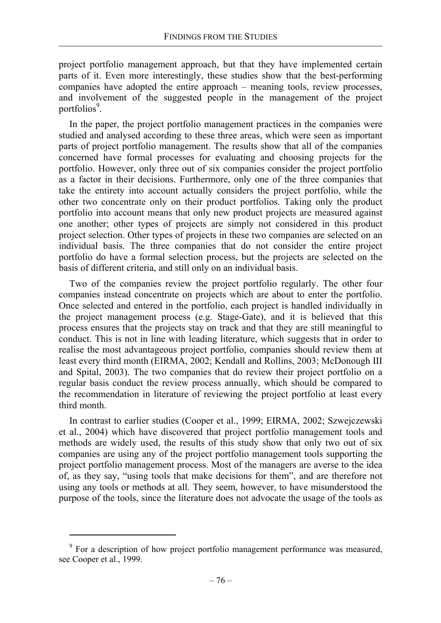project portfolio management approach, but that they have implemented certain parts of it. Even more interestingly, these studies show that the best-performing companies have adopted the entire approach – meaning tools, review processes, and involvement of the suggested people in the management of the project portfolios<sup>9</sup>.

In the paper, the project portfolio management practices in the companies were studied and analysed according to these three areas, which were seen as important parts of project portfolio management. The results show that all of the companies concerned have formal processes for evaluating and choosing projects for the portfolio. However, only three out of six companies consider the project portfolio as a factor in their decisions. Furthermore, only one of the three companies that take the entirety into account actually considers the project portfolio, while the other two concentrate only on their product portfolios. Taking only the product portfolio into account means that only new product projects are measured against one another; other types of projects are simply not considered in this product project selection. Other types of projects in these two companies are selected on an individual basis. The three companies that do not consider the entire project portfolio do have a formal selection process, but the projects are selected on the basis of different criteria, and still only on an individual basis.

Two of the companies review the project portfolio regularly. The other four companies instead concentrate on projects which are about to enter the portfolio. Once selected and entered in the portfolio, each project is handled individually in the project management process (e.g. Stage-Gate), and it is believed that this process ensures that the projects stay on track and that they are still meaningful to conduct. This is not in line with leading literature, which suggests that in order to realise the most advantageous project portfolio, companies should review them at least every third month (EIRMA, 2002; Kendall and Rollins, 2003; McDonough III and Spital, 2003). The two companies that do review their project portfolio on a regular basis conduct the review process annually, which should be compared to the recommendation in literature of reviewing the project portfolio at least every third month.

In contrast to earlier studies (Cooper et al., 1999; EIRMA, 2002; Szwejczewski et al., 2004) which have discovered that project portfolio management tools and methods are widely used, the results of this study show that only two out of six companies are using any of the project portfolio management tools supporting the project portfolio management process. Most of the managers are averse to the idea of, as they say, "using tools that make decisions for them", and are therefore not using any tools or methods at all. They seem, however, to have misunderstood the purpose of the tools, since the literature does not advocate the usage of the tools as

<sup>&</sup>lt;sup>9</sup> For a description of how project portfolio management performance was measured, see Cooper et al., 1999.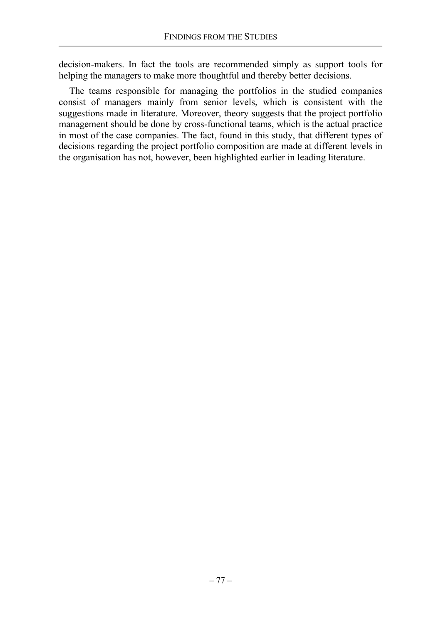decision-makers. In fact the tools are recommended simply as support tools for helping the managers to make more thoughtful and thereby better decisions.

The teams responsible for managing the portfolios in the studied companies consist of managers mainly from senior levels, which is consistent with the suggestions made in literature. Moreover, theory suggests that the project portfolio management should be done by cross-functional teams, which is the actual practice in most of the case companies. The fact, found in this study, that different types of decisions regarding the project portfolio composition are made at different levels in the organisation has not, however, been highlighted earlier in leading literature.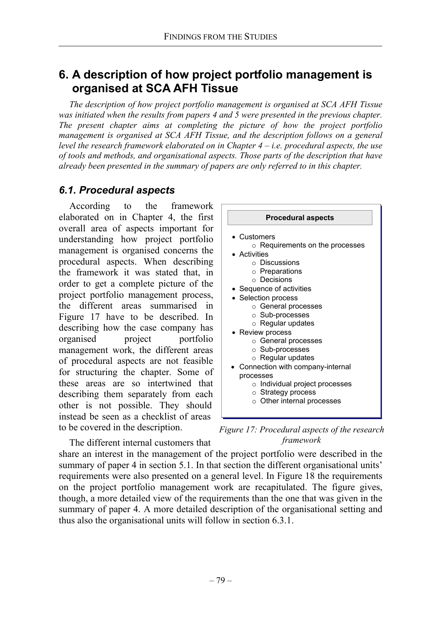# **6. A description of how project portfolio management is organised at SCA AFH Tissue**

*The description of how project portfolio management is organised at SCA AFH Tissue*  was initiated when the results from papers 4 and 5 were presented in the previous chapter. *The present chapter aims at completing the picture of how the project portfolio management is organised at SCA AFH Tissue, and the description follows on a general level the research framework elaborated on in Chapter 4 – i.e. procedural aspects, the use of tools and methods, and organisational aspects. Those parts of the description that have already been presented in the summary of papers are only referred to in this chapter.* 

## *6.1. Procedural aspects*

According to the framework elaborated on in Chapter 4, the first overall area of aspects important for understanding how project portfolio management is organised concerns the procedural aspects. When describing the framework it was stated that, in order to get a complete picture of the project portfolio management process, the different areas summarised in Figure 17 have to be described. In describing how the case company has organised project portfolio management work, the different areas of procedural aspects are not feasible for structuring the chapter. Some of these areas are so intertwined that describing them separately from each other is not possible. They should instead be seen as a checklist of areas to be covered in the description.



*Figure 17: Procedural aspects of the research framework* 

The different internal customers that share an interest in the management of the project portfolio were described in the summary of paper 4 in section 5.1. In that section the different organisational units' requirements were also presented on a general level. In Figure 18 the requirements on the project portfolio management work are recapitulated. The figure gives, though, a more detailed view of the requirements than the one that was given in the summary of paper 4. A more detailed description of the organisational setting and thus also the organisational units will follow in section 6.3.1.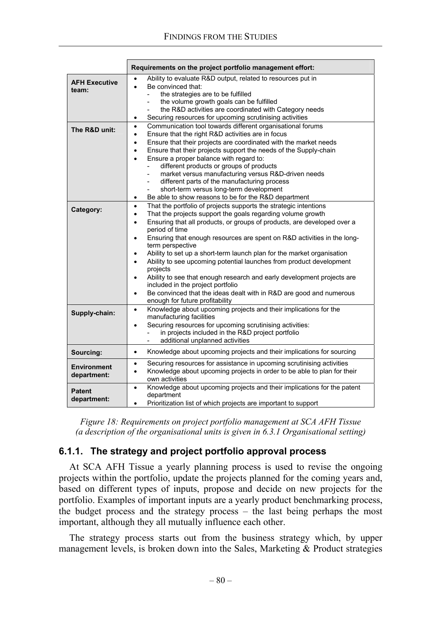|                                   | Requirements on the project portfolio management effort:                                                                                                                                                                                                                                                                                                                                                                                                                                                                                                                                                                                                                                                                                                                                                          |
|-----------------------------------|-------------------------------------------------------------------------------------------------------------------------------------------------------------------------------------------------------------------------------------------------------------------------------------------------------------------------------------------------------------------------------------------------------------------------------------------------------------------------------------------------------------------------------------------------------------------------------------------------------------------------------------------------------------------------------------------------------------------------------------------------------------------------------------------------------------------|
| <b>AFH Executive</b><br>team:     | Ability to evaluate R&D output, related to resources put in<br>Be convinced that:<br>$\bullet$<br>the strategies are to be fulfilled<br>the volume growth goals can be fulfilled<br>the R&D activities are coordinated with Category needs<br>Securing resources for upcoming scrutinising activities<br>٠                                                                                                                                                                                                                                                                                                                                                                                                                                                                                                        |
| The R&D unit:                     | Communication tool towards different organisational forums<br>$\bullet$<br>Ensure that the right R&D activities are in focus<br>Ensure that their projects are coordinated with the market needs<br>$\bullet$<br>Ensure that their projects support the needs of the Supply-chain<br>$\bullet$<br>Ensure a proper balance with regard to:<br>$\bullet$<br>different products or groups of products<br>market versus manufacturing versus R&D-driven needs<br>$\overline{a}$<br>different parts of the manufacturing process<br>short-term versus long-term development<br>Be able to show reasons to be for the R&D department<br>$\bullet$                                                                                                                                                                       |
| Category:                         | That the portfolio of projects supports the strategic intentions<br>$\bullet$<br>That the projects support the goals regarding volume growth<br>$\bullet$<br>Ensuring that all products, or groups of products, are developed over a<br>$\bullet$<br>period of time<br>Ensuring that enough resources are spent on R&D activities in the long-<br>٠<br>term perspective<br>Ability to set up a short-term launch plan for the market organisation<br>$\bullet$<br>Ability to see upcoming potential launches from product development<br>$\bullet$<br>projects<br>Ability to see that enough research and early development projects are<br>$\bullet$<br>included in the project portfolio<br>Be convinced that the ideas dealt with in R&D are good and numerous<br>$\bullet$<br>enough for future profitability |
| Supply-chain:                     | Knowledge about upcoming projects and their implications for the<br>$\bullet$<br>manufacturing facilities<br>Securing resources for upcoming scrutinising activities:<br>$\bullet$<br>in projects included in the R&D project portfolio<br>additional unplanned activities                                                                                                                                                                                                                                                                                                                                                                                                                                                                                                                                        |
| Sourcing:                         | Knowledge about upcoming projects and their implications for sourcing<br>$\bullet$                                                                                                                                                                                                                                                                                                                                                                                                                                                                                                                                                                                                                                                                                                                                |
| <b>Environment</b><br>department: | Securing resources for assistance in upcoming scrutinising activities<br>$\bullet$<br>Knowledge about upcoming projects in order to be able to plan for their<br>$\bullet$<br>own activities                                                                                                                                                                                                                                                                                                                                                                                                                                                                                                                                                                                                                      |
| <b>Patent</b><br>department:      | Knowledge about upcoming projects and their implications for the patent<br>$\bullet$<br>department<br>Prioritization list of which projects are important to support<br>$\bullet$                                                                                                                                                                                                                                                                                                                                                                                                                                                                                                                                                                                                                                 |

*Figure 18: Requirements on project portfolio management at SCA AFH Tissue (a description of the organisational units is given in 6.3.1 Organisational setting)*

## **6.1.1. The strategy and project portfolio approval process**

At SCA AFH Tissue a yearly planning process is used to revise the ongoing projects within the portfolio, update the projects planned for the coming years and, based on different types of inputs, propose and decide on new projects for the portfolio. Examples of important inputs are a yearly product benchmarking process, the budget process and the strategy process – the last being perhaps the most important, although they all mutually influence each other.

The strategy process starts out from the business strategy which, by upper management levels, is broken down into the Sales, Marketing & Product strategies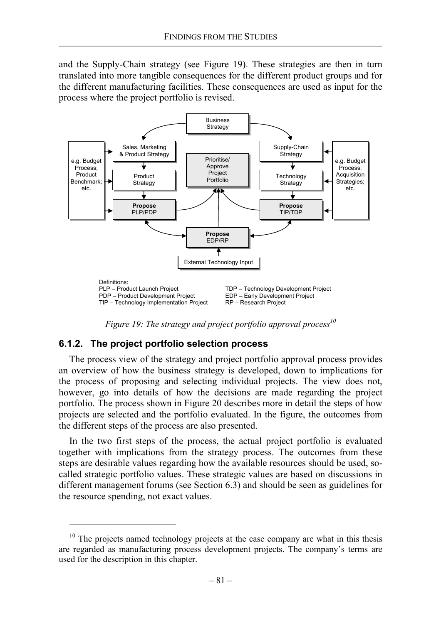and the Supply-Chain strategy (see Figure 19). These strategies are then in turn translated into more tangible consequences for the different product groups and for the different manufacturing facilities. These consequences are used as input for the process where the project portfolio is revised.



*Figure 19: The strategy and project portfolio approval process*<sup>10</sup>

### **6.1.2. The project portfolio selection process**

The process view of the strategy and project portfolio approval process provides an overview of how the business strategy is developed, down to implications for the process of proposing and selecting individual projects. The view does not, however, go into details of how the decisions are made regarding the project portfolio. The process shown in Figure 20 describes more in detail the steps of how projects are selected and the portfolio evaluated. In the figure, the outcomes from the different steps of the process are also presented.

In the two first steps of the process, the actual project portfolio is evaluated together with implications from the strategy process. The outcomes from these steps are desirable values regarding how the available resources should be used, socalled strategic portfolio values. These strategic values are based on discussions in different management forums (see Section 6.3) and should be seen as guidelines for the resource spending, not exact values.

<sup>&</sup>lt;sup>10</sup> The projects named technology projects at the case company are what in this thesis are regarded as manufacturing process development projects. The company's terms are used for the description in this chapter.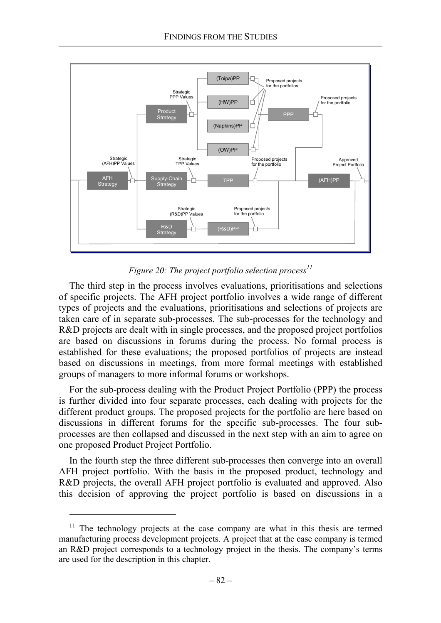

*Figure 20: The project portfolio selection process*<sup>11</sup>

The third step in the process involves evaluations, prioritisations and selections of specific projects. The AFH project portfolio involves a wide range of different types of projects and the evaluations, prioritisations and selections of projects are taken care of in separate sub-processes. The sub-processes for the technology and R&D projects are dealt with in single processes, and the proposed project portfolios are based on discussions in forums during the process. No formal process is established for these evaluations; the proposed portfolios of projects are instead based on discussions in meetings, from more formal meetings with established groups of managers to more informal forums or workshops.

For the sub-process dealing with the Product Project Portfolio (PPP) the process is further divided into four separate processes, each dealing with projects for the different product groups. The proposed projects for the portfolio are here based on discussions in different forums for the specific sub-processes. The four subprocesses are then collapsed and discussed in the next step with an aim to agree on one proposed Product Project Portfolio.

In the fourth step the three different sub-processes then converge into an overall AFH project portfolio. With the basis in the proposed product, technology and R&D projects, the overall AFH project portfolio is evaluated and approved. Also this decision of approving the project portfolio is based on discussions in a

l

 $11$  The technology projects at the case company are what in this thesis are termed manufacturing process development projects. A project that at the case company is termed an R&D project corresponds to a technology project in the thesis. The company's terms are used for the description in this chapter.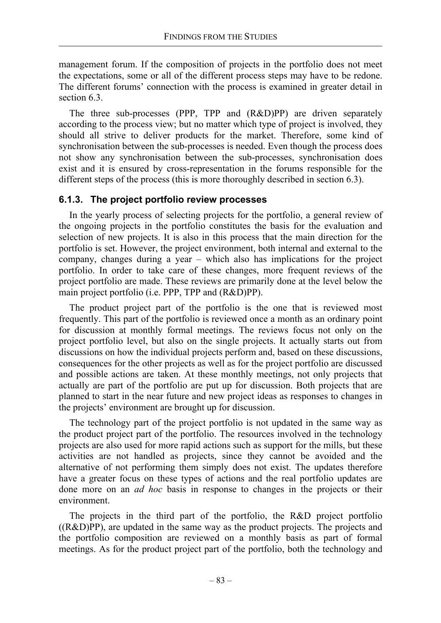management forum. If the composition of projects in the portfolio does not meet the expectations, some or all of the different process steps may have to be redone. The different forums' connection with the process is examined in greater detail in section 6.3.

The three sub-processes (PPP, TPP and (R&D)PP) are driven separately according to the process view; but no matter which type of project is involved, they should all strive to deliver products for the market. Therefore, some kind of synchronisation between the sub-processes is needed. Even though the process does not show any synchronisation between the sub-processes, synchronisation does exist and it is ensured by cross-representation in the forums responsible for the different steps of the process (this is more thoroughly described in section 6.3).

## **6.1.3. The project portfolio review processes**

In the yearly process of selecting projects for the portfolio, a general review of the ongoing projects in the portfolio constitutes the basis for the evaluation and selection of new projects. It is also in this process that the main direction for the portfolio is set. However, the project environment, both internal and external to the company, changes during a year – which also has implications for the project portfolio. In order to take care of these changes, more frequent reviews of the project portfolio are made. These reviews are primarily done at the level below the main project portfolio (i.e. PPP, TPP and (R&D)PP).

The product project part of the portfolio is the one that is reviewed most frequently. This part of the portfolio is reviewed once a month as an ordinary point for discussion at monthly formal meetings. The reviews focus not only on the project portfolio level, but also on the single projects. It actually starts out from discussions on how the individual projects perform and, based on these discussions, consequences for the other projects as well as for the project portfolio are discussed and possible actions are taken. At these monthly meetings, not only projects that actually are part of the portfolio are put up for discussion. Both projects that are planned to start in the near future and new project ideas as responses to changes in the projects' environment are brought up for discussion.

The technology part of the project portfolio is not updated in the same way as the product project part of the portfolio. The resources involved in the technology projects are also used for more rapid actions such as support for the mills, but these activities are not handled as projects, since they cannot be avoided and the alternative of not performing them simply does not exist. The updates therefore have a greater focus on these types of actions and the real portfolio updates are done more on an *ad hoc* basis in response to changes in the projects or their environment.

The projects in the third part of the portfolio, the R&D project portfolio  $((R&D)PP)$ , are updated in the same way as the product projects. The projects and the portfolio composition are reviewed on a monthly basis as part of formal meetings. As for the product project part of the portfolio, both the technology and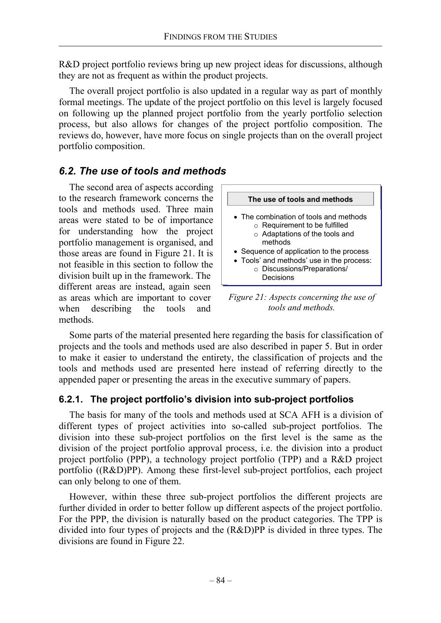R&D project portfolio reviews bring up new project ideas for discussions, although they are not as frequent as within the product projects.

The overall project portfolio is also updated in a regular way as part of monthly formal meetings. The update of the project portfolio on this level is largely focused on following up the planned project portfolio from the yearly portfolio selection process, but also allows for changes of the project portfolio composition. The reviews do, however, have more focus on single projects than on the overall project portfolio composition.

## *6.2. The use of tools and methods*

The second area of aspects according to the research framework concerns the tools and methods used. Three main areas were stated to be of importance for understanding how the project portfolio management is organised, and those areas are found in Figure 21. It is not feasible in this section to follow the division built up in the framework. The different areas are instead, again seen as areas which are important to cover when describing the tools and methods.



*Figure 21: Aspects concerning the use of tools and methods.* 

Some parts of the material presented here regarding the basis for classification of projects and the tools and methods used are also described in paper 5. But in order to make it easier to understand the entirety, the classification of projects and the tools and methods used are presented here instead of referring directly to the appended paper or presenting the areas in the executive summary of papers.

## **6.2.1. The project portfolio's division into sub-project portfolios**

The basis for many of the tools and methods used at SCA AFH is a division of different types of project activities into so-called sub-project portfolios. The division into these sub-project portfolios on the first level is the same as the division of the project portfolio approval process, i.e. the division into a product project portfolio (PPP), a technology project portfolio (TPP) and a R&D project portfolio ((R&D)PP). Among these first-level sub-project portfolios, each project can only belong to one of them.

However, within these three sub-project portfolios the different projects are further divided in order to better follow up different aspects of the project portfolio. For the PPP, the division is naturally based on the product categories. The TPP is divided into four types of projects and the (R&D)PP is divided in three types. The divisions are found in Figure 22.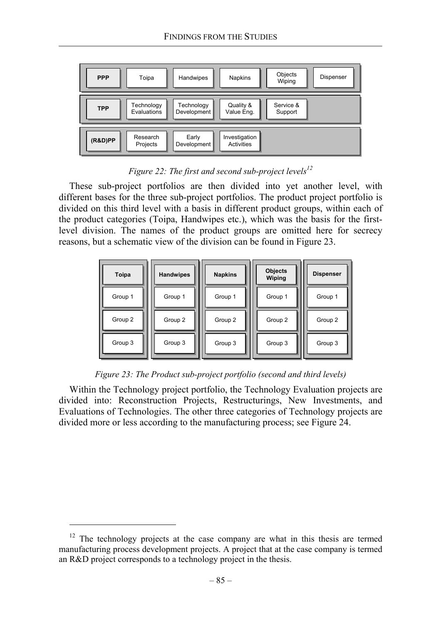

*Figure 22: The first and second sub-project levels<sup>12</sup>* 

These sub-project portfolios are then divided into yet another level, with different bases for the three sub-project portfolios. The product project portfolio is divided on this third level with a basis in different product groups, within each of the product categories (Toipa, Handwipes etc.), which was the basis for the firstlevel division. The names of the product groups are omitted here for secrecy reasons, but a schematic view of the division can be found in Figure 23.



*Figure 23: The Product sub-project portfolio (second and third levels)* 

Within the Technology project portfolio, the Technology Evaluation projects are divided into: Reconstruction Projects, Restructurings, New Investments, and Evaluations of Technologies. The other three categories of Technology projects are divided more or less according to the manufacturing process; see Figure 24.

 $12$  The technology projects at the case company are what in this thesis are termed manufacturing process development projects. A project that at the case company is termed an R&D project corresponds to a technology project in the thesis.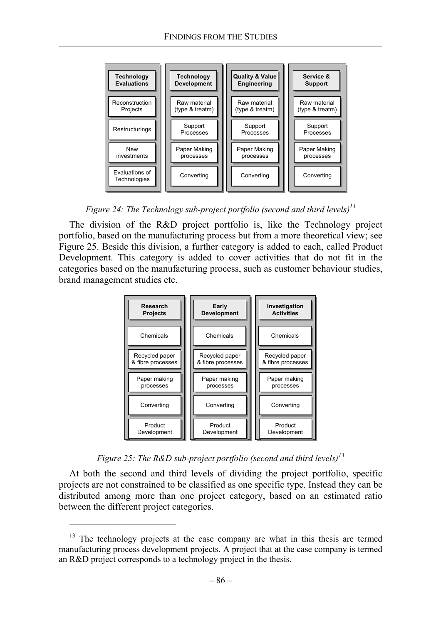

*Figure 24: The Technology sub-project portfolio (second and third levels)13*

The division of the R&D project portfolio is, like the Technology project portfolio, based on the manufacturing process but from a more theoretical view; see Figure 25. Beside this division, a further category is added to each, called Product Development. This category is added to cover activities that do not fit in the categories based on the manufacturing process, such as customer behaviour studies, brand management studies etc.



*Figure 25: The R&D sub-project portfolio (second and third levels)13*

At both the second and third levels of dividing the project portfolio, specific projects are not constrained to be classified as one specific type. Instead they can be distributed among more than one project category, based on an estimated ratio between the different project categories.

<sup>&</sup>lt;sup>13</sup> The technology projects at the case company are what in this thesis are termed manufacturing process development projects. A project that at the case company is termed an R&D project corresponds to a technology project in the thesis.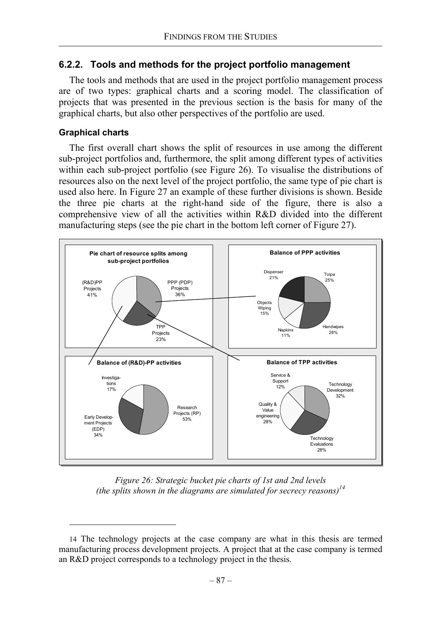### **6.2.2. Tools and methods for the project portfolio management**

The tools and methods that are used in the project portfolio management process are of two types: graphical charts and a scoring model. The classification of projects that was presented in the previous section is the basis for many of the graphical charts, but also other perspectives of the portfolio are used.

#### **Graphical charts**

The first overall chart shows the split of resources in use among the different sub-project portfolios and, furthermore, the split among different types of activities within each sub-project portfolio (see Figure 26). To visualise the distributions of resources also on the next level of the project portfolio, the same type of pie chart is used also here. In Figure 27 an example of these further divisions is shown. Beside the three pie charts at the right-hand side of the figure, there is also a comprehensive view of all the activities within R&D divided into the different manufacturing steps (see the pie chart in the bottom left corner of Figure 27).



*Figure 26: Strategic bucket pie charts of 1st and 2nd levels (the splits shown in the diagrams are simulated for secrecy reasons)14*

<sup>14</sup> The technology projects at the case company are what in this thesis are termed manufacturing process development projects. A project that at the case company is termed an R&D project corresponds to a technology project in the thesis.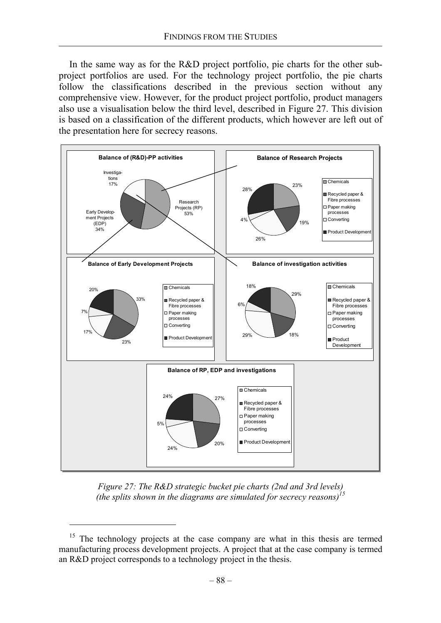In the same way as for the R&D project portfolio, pie charts for the other subproject portfolios are used. For the technology project portfolio, the pie charts follow the classifications described in the previous section without any comprehensive view. However, for the product project portfolio, product managers also use a visualisation below the third level, described in Figure 27. This division is based on a classification of the different products, which however are left out of the presentation here for secrecy reasons.



*Figure 27: The R&D strategic bucket pie charts (2nd and 3rd levels) (the splits shown in the diagrams are simulated for secrecy reasons)15*

<sup>&</sup>lt;sup>15</sup> The technology projects at the case company are what in this thesis are termed manufacturing process development projects. A project that at the case company is termed an R&D project corresponds to a technology project in the thesis.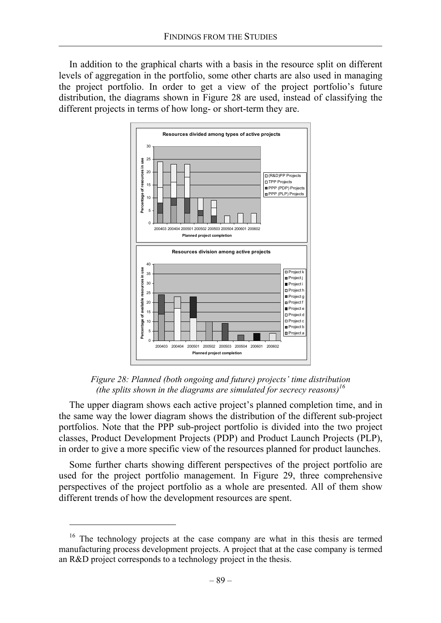In addition to the graphical charts with a basis in the resource split on different levels of aggregation in the portfolio, some other charts are also used in managing the project portfolio. In order to get a view of the project portfolio's future distribution, the diagrams shown in Figure 28 are used, instead of classifying the different projects in terms of how long- or short-term they are.



*Figure 28: Planned (both ongoing and future) projects' time distribution (the splits shown in the diagrams are simulated for secrecy reasons)16*

The upper diagram shows each active project's planned completion time, and in the same way the lower diagram shows the distribution of the different sub-project portfolios. Note that the PPP sub-project portfolio is divided into the two project classes, Product Development Projects (PDP) and Product Launch Projects (PLP), in order to give a more specific view of the resources planned for product launches.

Some further charts showing different perspectives of the project portfolio are used for the project portfolio management. In Figure 29, three comprehensive perspectives of the project portfolio as a whole are presented. All of them show different trends of how the development resources are spent.

The technology projects at the case company are what in this thesis are termed manufacturing process development projects. A project that at the case company is termed an R&D project corresponds to a technology project in the thesis.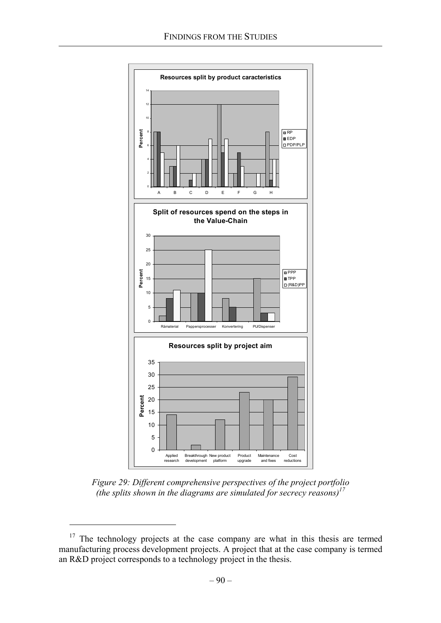

*Figure 29: Different comprehensive perspectives of the project portfolio (the splits shown in the diagrams are simulated for secrecy reasons)17*

<sup>&</sup>lt;sup>17</sup> The technology projects at the case company are what in this thesis are termed manufacturing process development projects. A project that at the case company is termed an R&D project corresponds to a technology project in the thesis.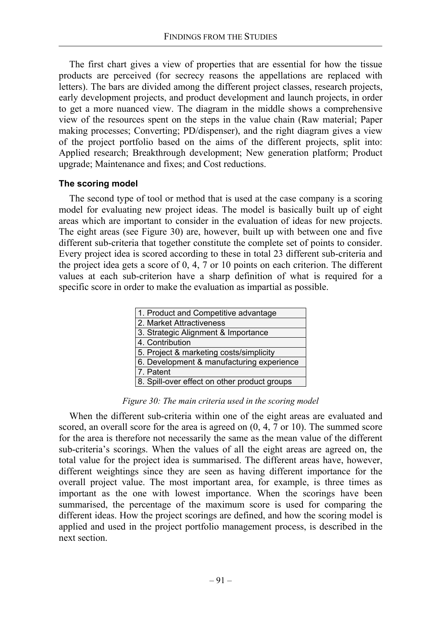The first chart gives a view of properties that are essential for how the tissue products are perceived (for secrecy reasons the appellations are replaced with letters). The bars are divided among the different project classes, research projects, early development projects, and product development and launch projects, in order to get a more nuanced view. The diagram in the middle shows a comprehensive view of the resources spent on the steps in the value chain (Raw material; Paper making processes; Converting; PD/dispenser), and the right diagram gives a view of the project portfolio based on the aims of the different projects, split into: Applied research; Breakthrough development; New generation platform; Product upgrade; Maintenance and fixes; and Cost reductions.

#### **The scoring model**

The second type of tool or method that is used at the case company is a scoring model for evaluating new project ideas. The model is basically built up of eight areas which are important to consider in the evaluation of ideas for new projects. The eight areas (see Figure 30) are, however, built up with between one and five different sub-criteria that together constitute the complete set of points to consider. Every project idea is scored according to these in total 23 different sub-criteria and the project idea gets a score of 0, 4, 7 or 10 points on each criterion. The different values at each sub-criterion have a sharp definition of what is required for a specific score in order to make the evaluation as impartial as possible.

| 1. Product and Competitive advantage         |
|----------------------------------------------|
| 2. Market Attractiveness                     |
| 3. Strategic Alignment & Importance          |
| 4. Contribution                              |
| 5. Project & marketing costs/simplicity      |
| 6. Development & manufacturing experience    |
| 7. Patent                                    |
| 8. Spill-over effect on other product groups |

*Figure 30: The main criteria used in the scoring model* 

When the different sub-criteria within one of the eight areas are evaluated and scored, an overall score for the area is agreed on (0, 4, 7 or 10). The summed score for the area is therefore not necessarily the same as the mean value of the different sub-criteria's scorings. When the values of all the eight areas are agreed on, the total value for the project idea is summarised. The different areas have, however, different weightings since they are seen as having different importance for the overall project value. The most important area, for example, is three times as important as the one with lowest importance. When the scorings have been summarised, the percentage of the maximum score is used for comparing the different ideas. How the project scorings are defined, and how the scoring model is applied and used in the project portfolio management process, is described in the next section.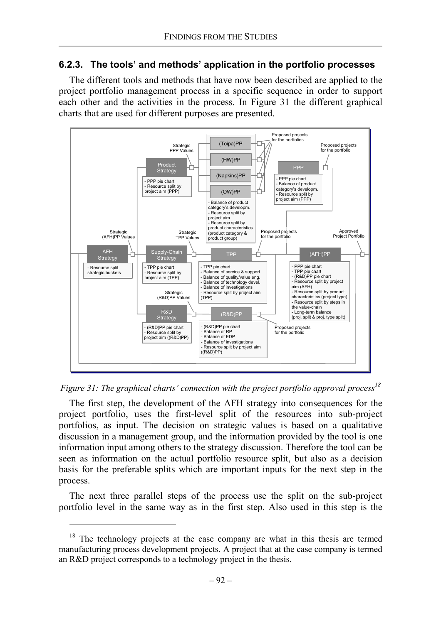### **6.2.3. The tools' and methods' application in the portfolio processes**

The different tools and methods that have now been described are applied to the project portfolio management process in a specific sequence in order to support each other and the activities in the process. In Figure 31 the different graphical charts that are used for different purposes are presented.





The first step, the development of the AFH strategy into consequences for the project portfolio, uses the first-level split of the resources into sub-project portfolios, as input. The decision on strategic values is based on a qualitative discussion in a management group, and the information provided by the tool is one information input among others to the strategy discussion. Therefore the tool can be seen as information on the actual portfolio resource split, but also as a decision basis for the preferable splits which are important inputs for the next step in the process.

The next three parallel steps of the process use the split on the sub-project portfolio level in the same way as in the first step. Also used in this step is the

The technology projects at the case company are what in this thesis are termed manufacturing process development projects. A project that at the case company is termed an R&D project corresponds to a technology project in the thesis.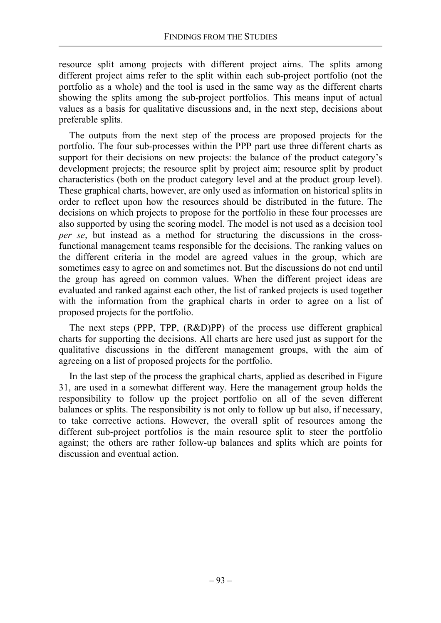resource split among projects with different project aims. The splits among different project aims refer to the split within each sub-project portfolio (not the portfolio as a whole) and the tool is used in the same way as the different charts showing the splits among the sub-project portfolios. This means input of actual values as a basis for qualitative discussions and, in the next step, decisions about preferable splits.

The outputs from the next step of the process are proposed projects for the portfolio. The four sub-processes within the PPP part use three different charts as support for their decisions on new projects: the balance of the product category's development projects; the resource split by project aim; resource split by product characteristics (both on the product category level and at the product group level). These graphical charts, however, are only used as information on historical splits in order to reflect upon how the resources should be distributed in the future. The decisions on which projects to propose for the portfolio in these four processes are also supported by using the scoring model. The model is not used as a decision tool *per se*, but instead as a method for structuring the discussions in the crossfunctional management teams responsible for the decisions. The ranking values on the different criteria in the model are agreed values in the group, which are sometimes easy to agree on and sometimes not. But the discussions do not end until the group has agreed on common values. When the different project ideas are evaluated and ranked against each other, the list of ranked projects is used together with the information from the graphical charts in order to agree on a list of proposed projects for the portfolio.

The next steps (PPP, TPP, (R&D)PP) of the process use different graphical charts for supporting the decisions. All charts are here used just as support for the qualitative discussions in the different management groups, with the aim of agreeing on a list of proposed projects for the portfolio.

In the last step of the process the graphical charts, applied as described in Figure 31, are used in a somewhat different way. Here the management group holds the responsibility to follow up the project portfolio on all of the seven different balances or splits. The responsibility is not only to follow up but also, if necessary, to take corrective actions. However, the overall split of resources among the different sub-project portfolios is the main resource split to steer the portfolio against; the others are rather follow-up balances and splits which are points for discussion and eventual action.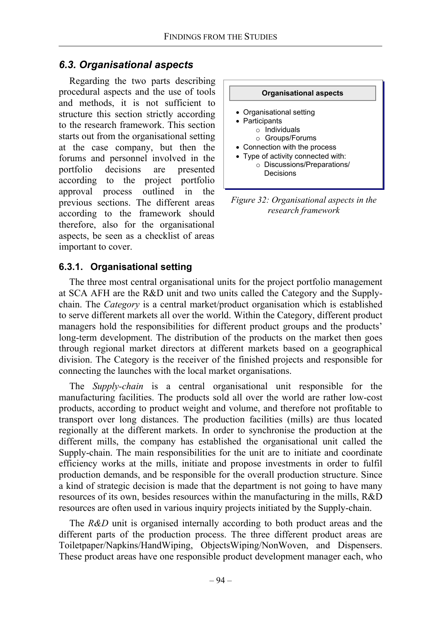## *6.3. Organisational aspects*

Regarding the two parts describing procedural aspects and the use of tools and methods, it is not sufficient to structure this section strictly according to the research framework. This section starts out from the organisational setting at the case company, but then the forums and personnel involved in the portfolio decisions are presented according to the project portfolio approval process outlined in the previous sections. The different areas according to the framework should therefore, also for the organisational aspects, be seen as a checklist of areas important to cover.



*Figure 32: Organisational aspects in the research framework* 

# **6.3.1. Organisational setting**

The three most central organisational units for the project portfolio management at SCA AFH are the R&D unit and two units called the Category and the Supplychain. The *Category* is a central market/product organisation which is established to serve different markets all over the world. Within the Category, different product managers hold the responsibilities for different product groups and the products' long-term development. The distribution of the products on the market then goes through regional market directors at different markets based on a geographical division. The Category is the receiver of the finished projects and responsible for connecting the launches with the local market organisations.

The *Supply-chain* is a central organisational unit responsible for the manufacturing facilities. The products sold all over the world are rather low-cost products, according to product weight and volume, and therefore not profitable to transport over long distances. The production facilities (mills) are thus located regionally at the different markets. In order to synchronise the production at the different mills, the company has established the organisational unit called the Supply-chain. The main responsibilities for the unit are to initiate and coordinate efficiency works at the mills, initiate and propose investments in order to fulfil production demands, and be responsible for the overall production structure. Since a kind of strategic decision is made that the department is not going to have many resources of its own, besides resources within the manufacturing in the mills, R&D resources are often used in various inquiry projects initiated by the Supply-chain.

The *R&D* unit is organised internally according to both product areas and the different parts of the production process. The three different product areas are Toiletpaper/Napkins/HandWiping, ObjectsWiping/NonWoven, and Dispensers. These product areas have one responsible product development manager each, who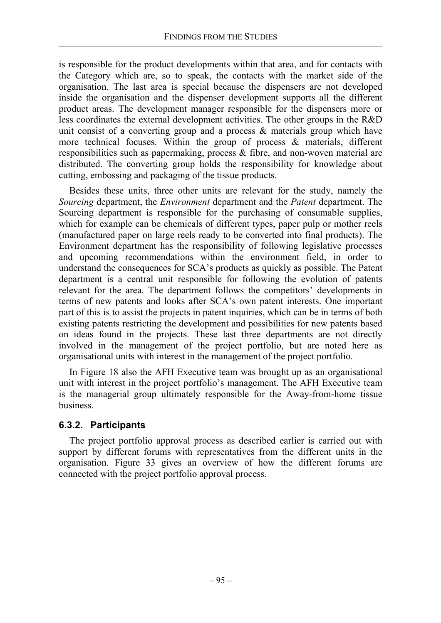is responsible for the product developments within that area, and for contacts with the Category which are, so to speak, the contacts with the market side of the organisation. The last area is special because the dispensers are not developed inside the organisation and the dispenser development supports all the different product areas. The development manager responsible for the dispensers more or less coordinates the external development activities. The other groups in the R&D unit consist of a converting group and a process & materials group which have more technical focuses. Within the group of process & materials, different responsibilities such as papermaking, process & fibre, and non-woven material are distributed. The converting group holds the responsibility for knowledge about cutting, embossing and packaging of the tissue products.

Besides these units, three other units are relevant for the study, namely the *Sourcing* department, the *Environment* department and the *Patent* department. The Sourcing department is responsible for the purchasing of consumable supplies, which for example can be chemicals of different types, paper pulp or mother reels (manufactured paper on large reels ready to be converted into final products). The Environment department has the responsibility of following legislative processes and upcoming recommendations within the environment field, in order to understand the consequences for SCA's products as quickly as possible. The Patent department is a central unit responsible for following the evolution of patents relevant for the area. The department follows the competitors' developments in terms of new patents and looks after SCA's own patent interests. One important part of this is to assist the projects in patent inquiries, which can be in terms of both existing patents restricting the development and possibilities for new patents based on ideas found in the projects. These last three departments are not directly involved in the management of the project portfolio, but are noted here as organisational units with interest in the management of the project portfolio.

In Figure 18 also the AFH Executive team was brought up as an organisational unit with interest in the project portfolio's management. The AFH Executive team is the managerial group ultimately responsible for the Away-from-home tissue business.

## **6.3.2. Participants**

The project portfolio approval process as described earlier is carried out with support by different forums with representatives from the different units in the organisation. Figure 33 gives an overview of how the different forums are connected with the project portfolio approval process.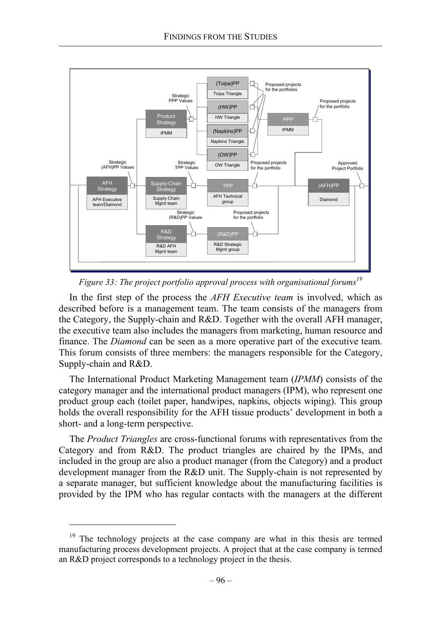

*Figure 33: The project portfolio approval process with organisational forums<sup>19</sup>*

In the first step of the process the *AFH Executive team* is involved, which as described before is a management team. The team consists of the managers from the Category, the Supply-chain and R&D. Together with the overall AFH manager, the executive team also includes the managers from marketing, human resource and finance. The *Diamond* can be seen as a more operative part of the executive team. This forum consists of three members: the managers responsible for the Category, Supply-chain and R&D.

The International Product Marketing Management team (*IPMM*) consists of the category manager and the international product managers (IPM), who represent one product group each (toilet paper, handwipes, napkins, objects wiping). This group holds the overall responsibility for the AFH tissue products' development in both a short- and a long-term perspective.

The *Product Triangles* are cross-functional forums with representatives from the Category and from R&D. The product triangles are chaired by the IPMs, and included in the group are also a product manager (from the Category) and a product development manager from the R&D unit. The Supply-chain is not represented by a separate manager, but sufficient knowledge about the manufacturing facilities is provided by the IPM who has regular contacts with the managers at the different

The technology projects at the case company are what in this thesis are termed manufacturing process development projects. A project that at the case company is termed an R&D project corresponds to a technology project in the thesis.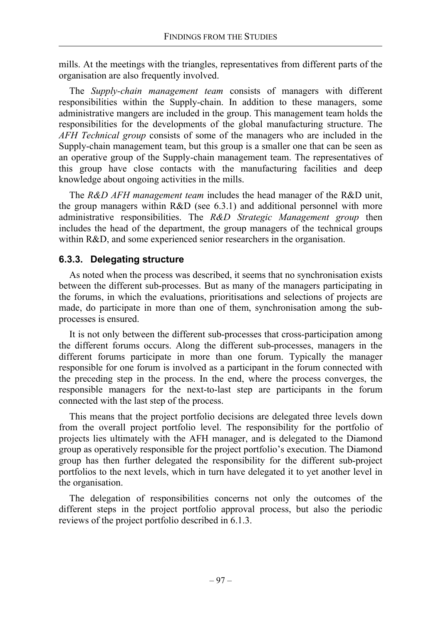mills. At the meetings with the triangles, representatives from different parts of the organisation are also frequently involved.

The *Supply-chain management team* consists of managers with different responsibilities within the Supply-chain. In addition to these managers, some administrative mangers are included in the group. This management team holds the responsibilities for the developments of the global manufacturing structure. The *AFH Technical group* consists of some of the managers who are included in the Supply-chain management team, but this group is a smaller one that can be seen as an operative group of the Supply-chain management team. The representatives of this group have close contacts with the manufacturing facilities and deep knowledge about ongoing activities in the mills.

The *R&D AFH management team* includes the head manager of the R&D unit, the group managers within R&D (see 6.3.1) and additional personnel with more administrative responsibilities. The *R&D Strategic Management group* then includes the head of the department, the group managers of the technical groups within R&D, and some experienced senior researchers in the organisation.

## **6.3.3. Delegating structure**

As noted when the process was described, it seems that no synchronisation exists between the different sub-processes. But as many of the managers participating in the forums, in which the evaluations, prioritisations and selections of projects are made, do participate in more than one of them, synchronisation among the subprocesses is ensured.

It is not only between the different sub-processes that cross-participation among the different forums occurs. Along the different sub-processes, managers in the different forums participate in more than one forum. Typically the manager responsible for one forum is involved as a participant in the forum connected with the preceding step in the process. In the end, where the process converges, the responsible managers for the next-to-last step are participants in the forum connected with the last step of the process.

This means that the project portfolio decisions are delegated three levels down from the overall project portfolio level. The responsibility for the portfolio of projects lies ultimately with the AFH manager, and is delegated to the Diamond group as operatively responsible for the project portfolio's execution. The Diamond group has then further delegated the responsibility for the different sub-project portfolios to the next levels, which in turn have delegated it to yet another level in the organisation.

The delegation of responsibilities concerns not only the outcomes of the different steps in the project portfolio approval process, but also the periodic reviews of the project portfolio described in 6.1.3.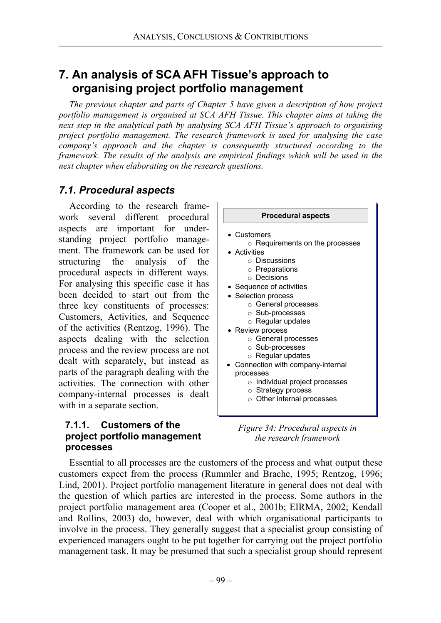# **7. An analysis of SCA AFH Tissue's approach to organising project portfolio management**

*The previous chapter and parts of Chapter 5 have given a description of how project portfolio management is organised at SCA AFH Tissue. This chapter aims at taking the next step in the analytical path by analysing SCA AFH Tissue's approach to organising project portfolio management. The research framework is used for analysing the case company's approach and the chapter is consequently structured according to the framework. The results of the analysis are empirical findings which will be used in the next chapter when elaborating on the research questions.* 

# *7.1. Procedural aspects*

According to the research framework several different procedural aspects are important for understanding project portfolio management. The framework can be used for structuring the analysis of the procedural aspects in different ways. For analysing this specific case it has been decided to start out from the three key constituents of processes: Customers, Activities, and Sequence of the activities (Rentzog, 1996). The aspects dealing with the selection process and the review process are not dealt with separately, but instead as parts of the paragraph dealing with the activities. The connection with other company-internal processes is dealt with in a separate section.

### **7.1.1. Customers of the project portfolio management processes**



*Figure 34: Procedural aspects in the research framework* 

Essential to all processes are the customers of the process and what output these customers expect from the process (Rummler and Brache, 1995; Rentzog, 1996; Lind, 2001). Project portfolio management literature in general does not deal with the question of which parties are interested in the process. Some authors in the project portfolio management area (Cooper et al., 2001b; EIRMA, 2002; Kendall and Rollins, 2003) do, however, deal with which organisational participants to involve in the process. They generally suggest that a specialist group consisting of experienced managers ought to be put together for carrying out the project portfolio management task. It may be presumed that such a specialist group should represent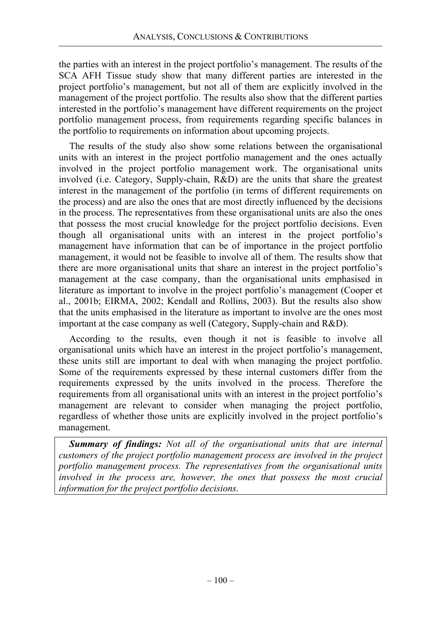the parties with an interest in the project portfolio's management. The results of the SCA AFH Tissue study show that many different parties are interested in the project portfolio's management, but not all of them are explicitly involved in the management of the project portfolio. The results also show that the different parties interested in the portfolio's management have different requirements on the project portfolio management process, from requirements regarding specific balances in the portfolio to requirements on information about upcoming projects.

The results of the study also show some relations between the organisational units with an interest in the project portfolio management and the ones actually involved in the project portfolio management work. The organisational units involved (i.e. Category, Supply-chain, R&D) are the units that share the greatest interest in the management of the portfolio (in terms of different requirements on the process) and are also the ones that are most directly influenced by the decisions in the process. The representatives from these organisational units are also the ones that possess the most crucial knowledge for the project portfolio decisions. Even though all organisational units with an interest in the project portfolio's management have information that can be of importance in the project portfolio management, it would not be feasible to involve all of them. The results show that there are more organisational units that share an interest in the project portfolio's management at the case company, than the organisational units emphasised in literature as important to involve in the project portfolio's management (Cooper et al., 2001b; EIRMA, 2002; Kendall and Rollins, 2003). But the results also show that the units emphasised in the literature as important to involve are the ones most important at the case company as well (Category, Supply-chain and R&D).

According to the results, even though it not is feasible to involve all organisational units which have an interest in the project portfolio's management, these units still are important to deal with when managing the project portfolio. Some of the requirements expressed by these internal customers differ from the requirements expressed by the units involved in the process. Therefore the requirements from all organisational units with an interest in the project portfolio's management are relevant to consider when managing the project portfolio, regardless of whether those units are explicitly involved in the project portfolio's management.

*Summary of findings: Not all of the organisational units that are internal customers of the project portfolio management process are involved in the project portfolio management process. The representatives from the organisational units involved in the process are, however, the ones that possess the most crucial information for the project portfolio decisions.*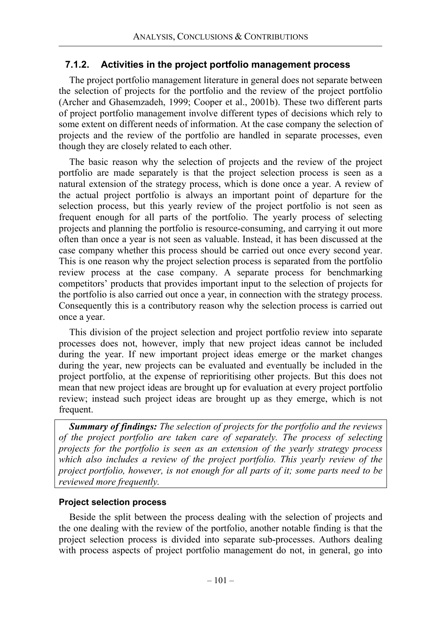## **7.1.2. Activities in the project portfolio management process**

The project portfolio management literature in general does not separate between the selection of projects for the portfolio and the review of the project portfolio (Archer and Ghasemzadeh, 1999; Cooper et al., 2001b). These two different parts of project portfolio management involve different types of decisions which rely to some extent on different needs of information. At the case company the selection of projects and the review of the portfolio are handled in separate processes, even though they are closely related to each other.

The basic reason why the selection of projects and the review of the project portfolio are made separately is that the project selection process is seen as a natural extension of the strategy process, which is done once a year. A review of the actual project portfolio is always an important point of departure for the selection process, but this yearly review of the project portfolio is not seen as frequent enough for all parts of the portfolio. The yearly process of selecting projects and planning the portfolio is resource-consuming, and carrying it out more often than once a year is not seen as valuable. Instead, it has been discussed at the case company whether this process should be carried out once every second year. This is one reason why the project selection process is separated from the portfolio review process at the case company. A separate process for benchmarking competitors' products that provides important input to the selection of projects for the portfolio is also carried out once a year, in connection with the strategy process. Consequently this is a contributory reason why the selection process is carried out once a year.

This division of the project selection and project portfolio review into separate processes does not, however, imply that new project ideas cannot be included during the year. If new important project ideas emerge or the market changes during the year, new projects can be evaluated and eventually be included in the project portfolio, at the expense of reprioritising other projects. But this does not mean that new project ideas are brought up for evaluation at every project portfolio review; instead such project ideas are brought up as they emerge, which is not frequent.

*Summary of findings: The selection of projects for the portfolio and the reviews of the project portfolio are taken care of separately. The process of selecting projects for the portfolio is seen as an extension of the yearly strategy process which also includes a review of the project portfolio. This yearly review of the project portfolio, however, is not enough for all parts of it; some parts need to be reviewed more frequently.*

### **Project selection process**

Beside the split between the process dealing with the selection of projects and the one dealing with the review of the portfolio, another notable finding is that the project selection process is divided into separate sub-processes. Authors dealing with process aspects of project portfolio management do not, in general, go into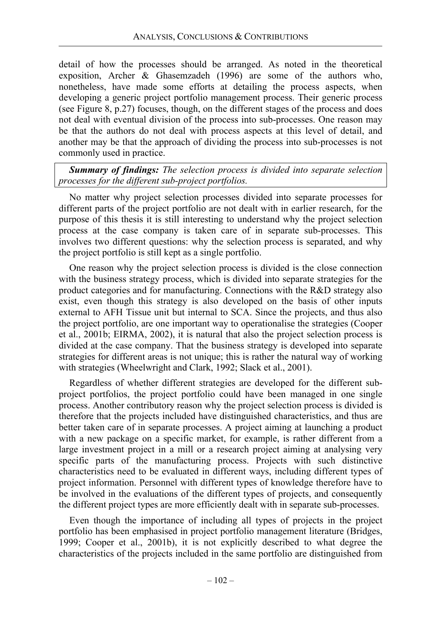detail of how the processes should be arranged. As noted in the theoretical exposition, Archer & Ghasemzadeh (1996) are some of the authors who, nonetheless, have made some efforts at detailing the process aspects, when developing a generic project portfolio management process. Their generic process (see Figure 8, p.27) focuses, though, on the different stages of the process and does not deal with eventual division of the process into sub-processes. One reason may be that the authors do not deal with process aspects at this level of detail, and another may be that the approach of dividing the process into sub-processes is not commonly used in practice.

*Summary of findings: The selection process is divided into separate selection processes for the different sub-project portfolios.*

No matter why project selection processes divided into separate processes for different parts of the project portfolio are not dealt with in earlier research, for the purpose of this thesis it is still interesting to understand why the project selection process at the case company is taken care of in separate sub-processes. This involves two different questions: why the selection process is separated, and why the project portfolio is still kept as a single portfolio.

One reason why the project selection process is divided is the close connection with the business strategy process, which is divided into separate strategies for the product categories and for manufacturing. Connections with the R&D strategy also exist, even though this strategy is also developed on the basis of other inputs external to AFH Tissue unit but internal to SCA. Since the projects, and thus also the project portfolio, are one important way to operationalise the strategies (Cooper et al., 2001b; EIRMA, 2002), it is natural that also the project selection process is divided at the case company. That the business strategy is developed into separate strategies for different areas is not unique; this is rather the natural way of working with strategies (Wheelwright and Clark, 1992; Slack et al., 2001).

Regardless of whether different strategies are developed for the different subproject portfolios, the project portfolio could have been managed in one single process. Another contributory reason why the project selection process is divided is therefore that the projects included have distinguished characteristics, and thus are better taken care of in separate processes. A project aiming at launching a product with a new package on a specific market, for example, is rather different from a large investment project in a mill or a research project aiming at analysing very specific parts of the manufacturing process. Projects with such distinctive characteristics need to be evaluated in different ways, including different types of project information. Personnel with different types of knowledge therefore have to be involved in the evaluations of the different types of projects, and consequently the different project types are more efficiently dealt with in separate sub-processes.

Even though the importance of including all types of projects in the project portfolio has been emphasised in project portfolio management literature (Bridges, 1999; Cooper et al., 2001b), it is not explicitly described to what degree the characteristics of the projects included in the same portfolio are distinguished from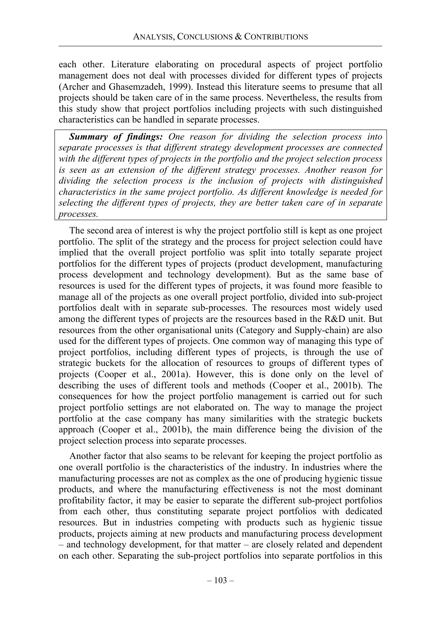each other. Literature elaborating on procedural aspects of project portfolio management does not deal with processes divided for different types of projects (Archer and Ghasemzadeh, 1999). Instead this literature seems to presume that all projects should be taken care of in the same process. Nevertheless, the results from this study show that project portfolios including projects with such distinguished characteristics can be handled in separate processes.

*Summary of findings: One reason for dividing the selection process into separate processes is that different strategy development processes are connected with the different types of projects in the portfolio and the project selection process is seen as an extension of the different strategy processes. Another reason for dividing the selection process is the inclusion of projects with distinguished characteristics in the same project portfolio. As different knowledge is needed for selecting the different types of projects, they are better taken care of in separate processes.* 

The second area of interest is why the project portfolio still is kept as one project portfolio. The split of the strategy and the process for project selection could have implied that the overall project portfolio was split into totally separate project portfolios for the different types of projects (product development, manufacturing process development and technology development). But as the same base of resources is used for the different types of projects, it was found more feasible to manage all of the projects as one overall project portfolio, divided into sub-project portfolios dealt with in separate sub-processes. The resources most widely used among the different types of projects are the resources based in the R&D unit. But resources from the other organisational units (Category and Supply-chain) are also used for the different types of projects. One common way of managing this type of project portfolios, including different types of projects, is through the use of strategic buckets for the allocation of resources to groups of different types of projects (Cooper et al., 2001a). However, this is done only on the level of describing the uses of different tools and methods (Cooper et al., 2001b). The consequences for how the project portfolio management is carried out for such project portfolio settings are not elaborated on. The way to manage the project portfolio at the case company has many similarities with the strategic buckets approach (Cooper et al., 2001b), the main difference being the division of the project selection process into separate processes.

Another factor that also seams to be relevant for keeping the project portfolio as one overall portfolio is the characteristics of the industry. In industries where the manufacturing processes are not as complex as the one of producing hygienic tissue products, and where the manufacturing effectiveness is not the most dominant profitability factor, it may be easier to separate the different sub-project portfolios from each other, thus constituting separate project portfolios with dedicated resources. But in industries competing with products such as hygienic tissue products, projects aiming at new products and manufacturing process development – and technology development, for that matter – are closely related and dependent on each other. Separating the sub-project portfolios into separate portfolios in this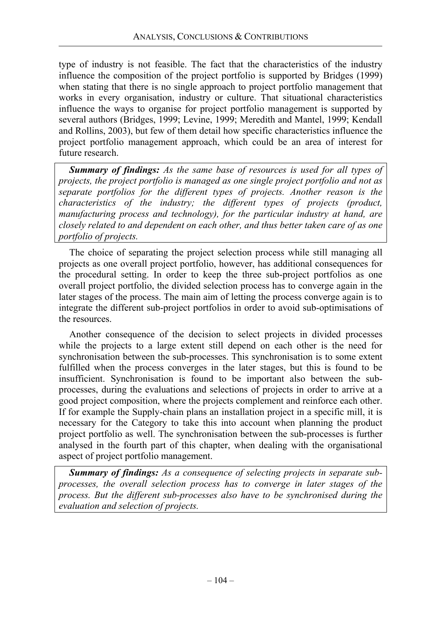type of industry is not feasible. The fact that the characteristics of the industry influence the composition of the project portfolio is supported by Bridges (1999) when stating that there is no single approach to project portfolio management that works in every organisation, industry or culture. That situational characteristics influence the ways to organise for project portfolio management is supported by several authors (Bridges, 1999; Levine, 1999; Meredith and Mantel, 1999; Kendall and Rollins, 2003), but few of them detail how specific characteristics influence the project portfolio management approach, which could be an area of interest for future research.

*Summary of findings: As the same base of resources is used for all types of projects, the project portfolio is managed as one single project portfolio and not as separate portfolios for the different types of projects. Another reason is the characteristics of the industry; the different types of projects (product, manufacturing process and technology), for the particular industry at hand, are closely related to and dependent on each other, and thus better taken care of as one portfolio of projects.* 

The choice of separating the project selection process while still managing all projects as one overall project portfolio, however, has additional consequences for the procedural setting. In order to keep the three sub-project portfolios as one overall project portfolio, the divided selection process has to converge again in the later stages of the process. The main aim of letting the process converge again is to integrate the different sub-project portfolios in order to avoid sub-optimisations of the resources.

Another consequence of the decision to select projects in divided processes while the projects to a large extent still depend on each other is the need for synchronisation between the sub-processes. This synchronisation is to some extent fulfilled when the process converges in the later stages, but this is found to be insufficient. Synchronisation is found to be important also between the subprocesses, during the evaluations and selections of projects in order to arrive at a good project composition, where the projects complement and reinforce each other. If for example the Supply-chain plans an installation project in a specific mill, it is necessary for the Category to take this into account when planning the product project portfolio as well. The synchronisation between the sub-processes is further analysed in the fourth part of this chapter, when dealing with the organisational aspect of project portfolio management.

*Summary of findings: As a consequence of selecting projects in separate subprocesses, the overall selection process has to converge in later stages of the process. But the different sub-processes also have to be synchronised during the evaluation and selection of projects.*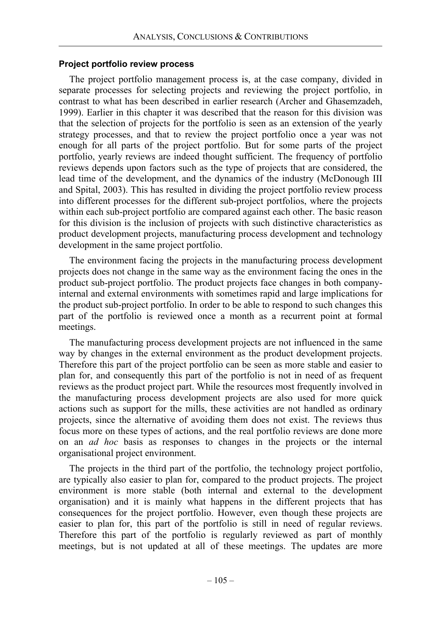#### **Project portfolio review process**

The project portfolio management process is, at the case company, divided in separate processes for selecting projects and reviewing the project portfolio, in contrast to what has been described in earlier research (Archer and Ghasemzadeh, 1999). Earlier in this chapter it was described that the reason for this division was that the selection of projects for the portfolio is seen as an extension of the yearly strategy processes, and that to review the project portfolio once a year was not enough for all parts of the project portfolio. But for some parts of the project portfolio, yearly reviews are indeed thought sufficient. The frequency of portfolio reviews depends upon factors such as the type of projects that are considered, the lead time of the development, and the dynamics of the industry (McDonough III and Spital, 2003). This has resulted in dividing the project portfolio review process into different processes for the different sub-project portfolios, where the projects within each sub-project portfolio are compared against each other. The basic reason for this division is the inclusion of projects with such distinctive characteristics as product development projects, manufacturing process development and technology development in the same project portfolio.

The environment facing the projects in the manufacturing process development projects does not change in the same way as the environment facing the ones in the product sub-project portfolio. The product projects face changes in both companyinternal and external environments with sometimes rapid and large implications for the product sub-project portfolio. In order to be able to respond to such changes this part of the portfolio is reviewed once a month as a recurrent point at formal meetings.

The manufacturing process development projects are not influenced in the same way by changes in the external environment as the product development projects. Therefore this part of the project portfolio can be seen as more stable and easier to plan for, and consequently this part of the portfolio is not in need of as frequent reviews as the product project part. While the resources most frequently involved in the manufacturing process development projects are also used for more quick actions such as support for the mills, these activities are not handled as ordinary projects, since the alternative of avoiding them does not exist. The reviews thus focus more on these types of actions, and the real portfolio reviews are done more on an *ad hoc* basis as responses to changes in the projects or the internal organisational project environment.

The projects in the third part of the portfolio, the technology project portfolio, are typically also easier to plan for, compared to the product projects. The project environment is more stable (both internal and external to the development organisation) and it is mainly what happens in the different projects that has consequences for the project portfolio. However, even though these projects are easier to plan for, this part of the portfolio is still in need of regular reviews. Therefore this part of the portfolio is regularly reviewed as part of monthly meetings, but is not updated at all of these meetings. The updates are more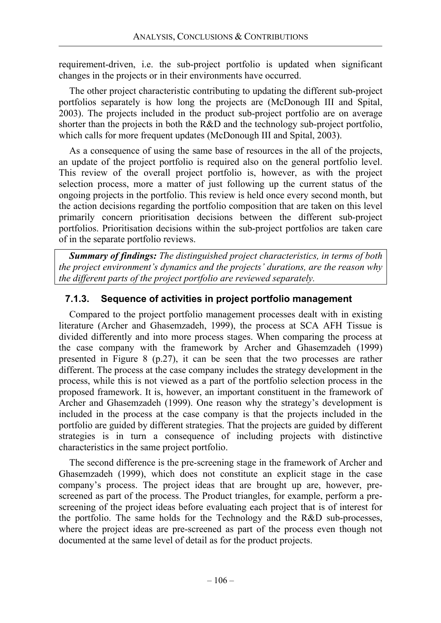requirement-driven, i.e. the sub-project portfolio is updated when significant changes in the projects or in their environments have occurred.

The other project characteristic contributing to updating the different sub-project portfolios separately is how long the projects are (McDonough III and Spital, 2003). The projects included in the product sub-project portfolio are on average shorter than the projects in both the R&D and the technology sub-project portfolio, which calls for more frequent updates (McDonough III and Spital, 2003).

As a consequence of using the same base of resources in the all of the projects, an update of the project portfolio is required also on the general portfolio level. This review of the overall project portfolio is, however, as with the project selection process, more a matter of just following up the current status of the ongoing projects in the portfolio. This review is held once every second month, but the action decisions regarding the portfolio composition that are taken on this level primarily concern prioritisation decisions between the different sub-project portfolios. Prioritisation decisions within the sub-project portfolios are taken care of in the separate portfolio reviews.

*Summary of findings: The distinguished project characteristics, in terms of both the project environment's dynamics and the projects' durations, are the reason why the different parts of the project portfolio are reviewed separately.* 

# **7.1.3. Sequence of activities in project portfolio management**

Compared to the project portfolio management processes dealt with in existing literature (Archer and Ghasemzadeh, 1999), the process at SCA AFH Tissue is divided differently and into more process stages. When comparing the process at the case company with the framework by Archer and Ghasemzadeh (1999) presented in Figure 8 (p.27), it can be seen that the two processes are rather different. The process at the case company includes the strategy development in the process, while this is not viewed as a part of the portfolio selection process in the proposed framework. It is, however, an important constituent in the framework of Archer and Ghasemzadeh (1999). One reason why the strategy's development is included in the process at the case company is that the projects included in the portfolio are guided by different strategies. That the projects are guided by different strategies is in turn a consequence of including projects with distinctive characteristics in the same project portfolio.

The second difference is the pre-screening stage in the framework of Archer and Ghasemzadeh (1999), which does not constitute an explicit stage in the case company's process. The project ideas that are brought up are, however, prescreened as part of the process. The Product triangles, for example, perform a prescreening of the project ideas before evaluating each project that is of interest for the portfolio. The same holds for the Technology and the R&D sub-processes, where the project ideas are pre-screened as part of the process even though not documented at the same level of detail as for the product projects.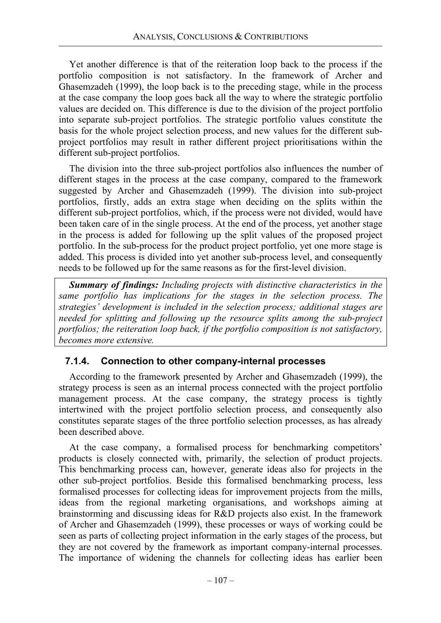Yet another difference is that of the reiteration loop back to the process if the portfolio composition is not satisfactory. In the framework of Archer and Ghasemzadeh (1999), the loop back is to the preceding stage, while in the process at the case company the loop goes back all the way to where the strategic portfolio values are decided on. This difference is due to the division of the project portfolio into separate sub-project portfolios. The strategic portfolio values constitute the basis for the whole project selection process, and new values for the different subproject portfolios may result in rather different project prioritisations within the different sub-project portfolios.

The division into the three sub-project portfolios also influences the number of different stages in the process at the case company, compared to the framework suggested by Archer and Ghasemzadeh (1999). The division into sub-project portfolios, firstly, adds an extra stage when deciding on the splits within the different sub-project portfolios, which, if the process were not divided, would have been taken care of in the single process. At the end of the process, yet another stage in the process is added for following up the split values of the proposed project portfolio. In the sub-process for the product project portfolio, yet one more stage is added. This process is divided into yet another sub-process level, and consequently needs to be followed up for the same reasons as for the first-level division.

*Summary of findings: Including projects with distinctive characteristics in the same portfolio has implications for the stages in the selection process. The strategies' development is included in the selection process; additional stages are needed for splitting and following up the resource splits among the sub-project portfolios; the reiteration loop back, if the portfolio composition is not satisfactory, becomes more extensive.*

### **7.1.4. Connection to other company-internal processes**

According to the framework presented by Archer and Ghasemzadeh (1999), the strategy process is seen as an internal process connected with the project portfolio management process. At the case company, the strategy process is tightly intertwined with the project portfolio selection process, and consequently also constitutes separate stages of the three portfolio selection processes, as has already been described above.

At the case company, a formalised process for benchmarking competitors' products is closely connected with, primarily, the selection of product projects. This benchmarking process can, however, generate ideas also for projects in the other sub-project portfolios. Beside this formalised benchmarking process, less formalised processes for collecting ideas for improvement projects from the mills, ideas from the regional marketing organisations, and workshops aiming at brainstorming and discussing ideas for R&D projects also exist. In the framework of Archer and Ghasemzadeh (1999), these processes or ways of working could be seen as parts of collecting project information in the early stages of the process, but they are not covered by the framework as important company-internal processes. The importance of widening the channels for collecting ideas has earlier been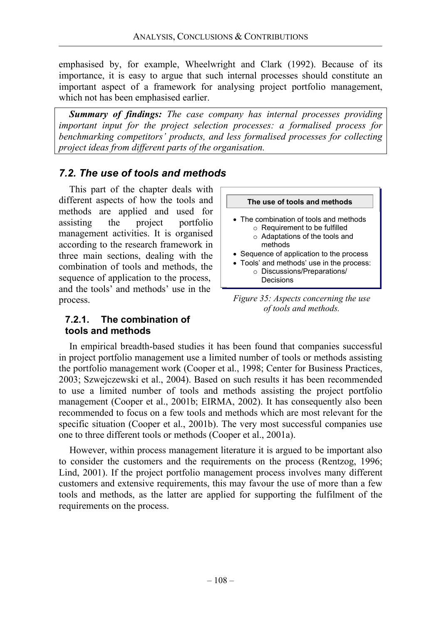emphasised by, for example, Wheelwright and Clark (1992). Because of its importance, it is easy to argue that such internal processes should constitute an important aspect of a framework for analysing project portfolio management, which not has been emphasised earlier.

*Summary of findings: The case company has internal processes providing important input for the project selection processes: a formalised process for benchmarking competitors' products, and less formalised processes for collecting project ideas from different parts of the organisation.*

# *7.2. The use of tools and methods*

This part of the chapter deals with different aspects of how the tools and methods are applied and used for assisting the project portfolio management activities. It is organised according to the research framework in three main sections, dealing with the combination of tools and methods, the sequence of application to the process, and the tools' and methods' use in the process.

**7.2.1. The combination of** 

**tools and methods** 



*Figure 35: Aspects concerning the use of tools and methods.* 

In empirical breadth-based studies it has been found that companies successful in project portfolio management use a limited number of tools or methods assisting the portfolio management work (Cooper et al., 1998; Center for Business Practices, 2003; Szwejczewski et al., 2004). Based on such results it has been recommended to use a limited number of tools and methods assisting the project portfolio management (Cooper et al., 2001b; EIRMA, 2002). It has consequently also been recommended to focus on a few tools and methods which are most relevant for the specific situation (Cooper et al., 2001b). The very most successful companies use one to three different tools or methods (Cooper et al., 2001a).

However, within process management literature it is argued to be important also to consider the customers and the requirements on the process (Rentzog, 1996; Lind, 2001). If the project portfolio management process involves many different customers and extensive requirements, this may favour the use of more than a few tools and methods, as the latter are applied for supporting the fulfilment of the requirements on the process.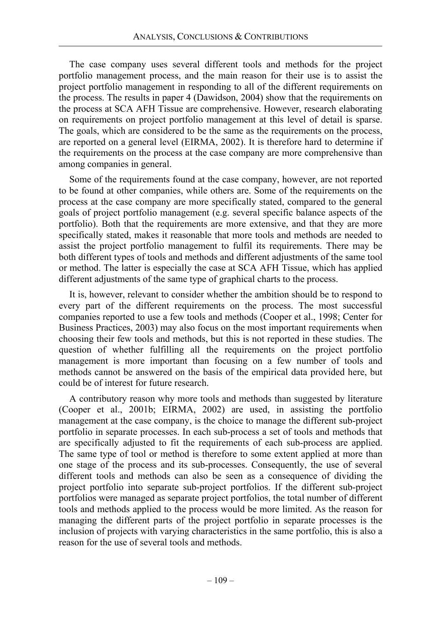The case company uses several different tools and methods for the project portfolio management process, and the main reason for their use is to assist the project portfolio management in responding to all of the different requirements on the process. The results in paper 4 (Dawidson, 2004) show that the requirements on the process at SCA AFH Tissue are comprehensive. However, research elaborating on requirements on project portfolio management at this level of detail is sparse. The goals, which are considered to be the same as the requirements on the process, are reported on a general level (EIRMA, 2002). It is therefore hard to determine if the requirements on the process at the case company are more comprehensive than among companies in general.

Some of the requirements found at the case company, however, are not reported to be found at other companies, while others are. Some of the requirements on the process at the case company are more specifically stated, compared to the general goals of project portfolio management (e.g. several specific balance aspects of the portfolio). Both that the requirements are more extensive, and that they are more specifically stated, makes it reasonable that more tools and methods are needed to assist the project portfolio management to fulfil its requirements. There may be both different types of tools and methods and different adjustments of the same tool or method. The latter is especially the case at SCA AFH Tissue, which has applied different adjustments of the same type of graphical charts to the process.

It is, however, relevant to consider whether the ambition should be to respond to every part of the different requirements on the process. The most successful companies reported to use a few tools and methods (Cooper et al., 1998; Center for Business Practices, 2003) may also focus on the most important requirements when choosing their few tools and methods, but this is not reported in these studies. The question of whether fulfilling all the requirements on the project portfolio management is more important than focusing on a few number of tools and methods cannot be answered on the basis of the empirical data provided here, but could be of interest for future research.

A contributory reason why more tools and methods than suggested by literature (Cooper et al., 2001b; EIRMA, 2002) are used, in assisting the portfolio management at the case company, is the choice to manage the different sub-project portfolio in separate processes. In each sub-process a set of tools and methods that are specifically adjusted to fit the requirements of each sub-process are applied. The same type of tool or method is therefore to some extent applied at more than one stage of the process and its sub-processes. Consequently, the use of several different tools and methods can also be seen as a consequence of dividing the project portfolio into separate sub-project portfolios. If the different sub-project portfolios were managed as separate project portfolios, the total number of different tools and methods applied to the process would be more limited. As the reason for managing the different parts of the project portfolio in separate processes is the inclusion of projects with varying characteristics in the same portfolio, this is also a reason for the use of several tools and methods.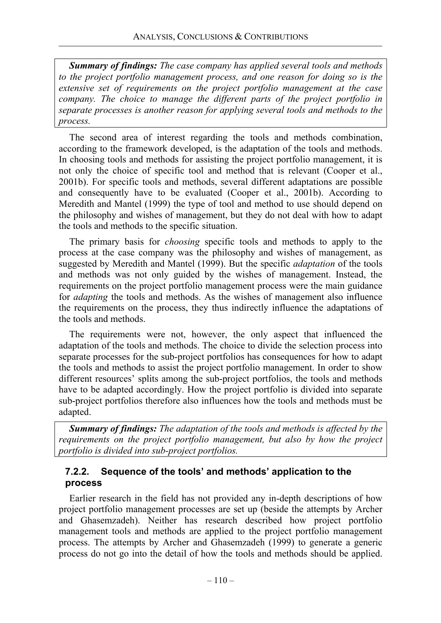*Summary of findings: The case company has applied several tools and methods to the project portfolio management process, and one reason for doing so is the extensive set of requirements on the project portfolio management at the case company. The choice to manage the different parts of the project portfolio in separate processes is another reason for applying several tools and methods to the process.*

The second area of interest regarding the tools and methods combination, according to the framework developed, is the adaptation of the tools and methods. In choosing tools and methods for assisting the project portfolio management, it is not only the choice of specific tool and method that is relevant (Cooper et al., 2001b). For specific tools and methods, several different adaptations are possible and consequently have to be evaluated (Cooper et al., 2001b). According to Meredith and Mantel (1999) the type of tool and method to use should depend on the philosophy and wishes of management, but they do not deal with how to adapt the tools and methods to the specific situation.

The primary basis for *choosing* specific tools and methods to apply to the process at the case company was the philosophy and wishes of management, as suggested by Meredith and Mantel (1999). But the specific *adaptation* of the tools and methods was not only guided by the wishes of management. Instead, the requirements on the project portfolio management process were the main guidance for *adapting* the tools and methods. As the wishes of management also influence the requirements on the process, they thus indirectly influence the adaptations of the tools and methods.

The requirements were not, however, the only aspect that influenced the adaptation of the tools and methods. The choice to divide the selection process into separate processes for the sub-project portfolios has consequences for how to adapt the tools and methods to assist the project portfolio management. In order to show different resources' splits among the sub-project portfolios, the tools and methods have to be adapted accordingly. How the project portfolio is divided into separate sub-project portfolios therefore also influences how the tools and methods must be adapted.

*Summary of findings: The adaptation of the tools and methods is affected by the requirements on the project portfolio management, but also by how the project portfolio is divided into sub-project portfolios.*

# **7.2.2. Sequence of the tools' and methods' application to the process**

Earlier research in the field has not provided any in-depth descriptions of how project portfolio management processes are set up (beside the attempts by Archer and Ghasemzadeh). Neither has research described how project portfolio management tools and methods are applied to the project portfolio management process. The attempts by Archer and Ghasemzadeh (1999) to generate a generic process do not go into the detail of how the tools and methods should be applied.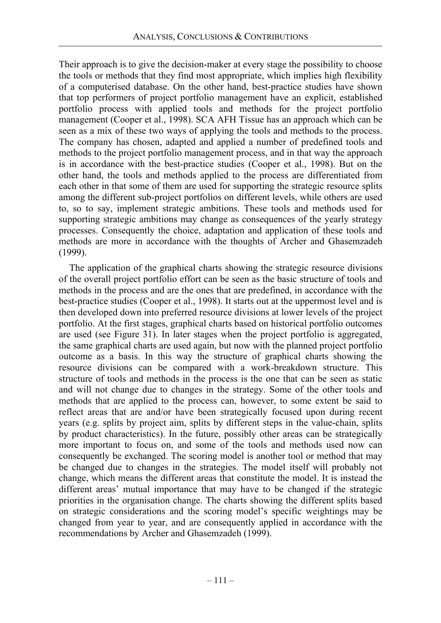Their approach is to give the decision-maker at every stage the possibility to choose the tools or methods that they find most appropriate, which implies high flexibility of a computerised database. On the other hand, best-practice studies have shown that top performers of project portfolio management have an explicit, established portfolio process with applied tools and methods for the project portfolio management (Cooper et al., 1998). SCA AFH Tissue has an approach which can be seen as a mix of these two ways of applying the tools and methods to the process. The company has chosen, adapted and applied a number of predefined tools and methods to the project portfolio management process, and in that way the approach is in accordance with the best-practice studies (Cooper et al., 1998). But on the other hand, the tools and methods applied to the process are differentiated from each other in that some of them are used for supporting the strategic resource splits among the different sub-project portfolios on different levels, while others are used to, so to say, implement strategic ambitions. These tools and methods used for supporting strategic ambitions may change as consequences of the yearly strategy processes. Consequently the choice, adaptation and application of these tools and methods are more in accordance with the thoughts of Archer and Ghasemzadeh (1999).

The application of the graphical charts showing the strategic resource divisions of the overall project portfolio effort can be seen as the basic structure of tools and methods in the process and are the ones that are predefined, in accordance with the best-practice studies (Cooper et al., 1998). It starts out at the uppermost level and is then developed down into preferred resource divisions at lower levels of the project portfolio. At the first stages, graphical charts based on historical portfolio outcomes are used (see Figure 31). In later stages when the project portfolio is aggregated, the same graphical charts are used again, but now with the planned project portfolio outcome as a basis. In this way the structure of graphical charts showing the resource divisions can be compared with a work-breakdown structure. This structure of tools and methods in the process is the one that can be seen as static and will not change due to changes in the strategy. Some of the other tools and methods that are applied to the process can, however, to some extent be said to reflect areas that are and/or have been strategically focused upon during recent years (e.g. splits by project aim, splits by different steps in the value-chain, splits by product characteristics). In the future, possibly other areas can be strategically more important to focus on, and some of the tools and methods used now can consequently be exchanged. The scoring model is another tool or method that may be changed due to changes in the strategies. The model itself will probably not change, which means the different areas that constitute the model. It is instead the different areas' mutual importance that may have to be changed if the strategic priorities in the organisation change. The charts showing the different splits based on strategic considerations and the scoring model's specific weightings may be changed from year to year, and are consequently applied in accordance with the recommendations by Archer and Ghasemzadeh (1999).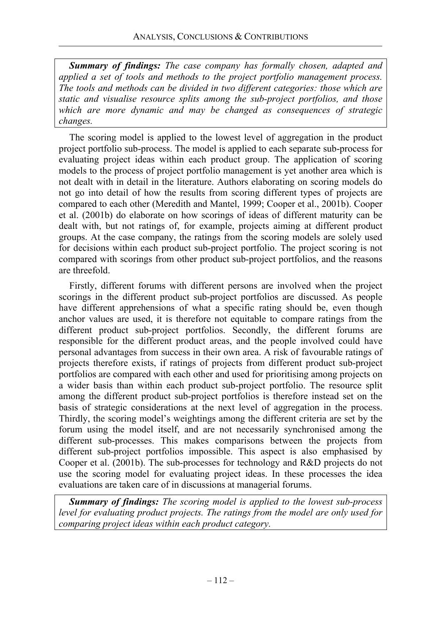*Summary of findings: The case company has formally chosen, adapted and applied a set of tools and methods to the project portfolio management process. The tools and methods can be divided in two different categories: those which are static and visualise resource splits among the sub-project portfolios, and those which are more dynamic and may be changed as consequences of strategic changes.*

The scoring model is applied to the lowest level of aggregation in the product project portfolio sub-process. The model is applied to each separate sub-process for evaluating project ideas within each product group. The application of scoring models to the process of project portfolio management is yet another area which is not dealt with in detail in the literature. Authors elaborating on scoring models do not go into detail of how the results from scoring different types of projects are compared to each other (Meredith and Mantel, 1999; Cooper et al., 2001b). Cooper et al. (2001b) do elaborate on how scorings of ideas of different maturity can be dealt with, but not ratings of, for example, projects aiming at different product groups. At the case company, the ratings from the scoring models are solely used for decisions within each product sub-project portfolio. The project scoring is not compared with scorings from other product sub-project portfolios, and the reasons are threefold.

Firstly, different forums with different persons are involved when the project scorings in the different product sub-project portfolios are discussed. As people have different apprehensions of what a specific rating should be, even though anchor values are used, it is therefore not equitable to compare ratings from the different product sub-project portfolios. Secondly, the different forums are responsible for the different product areas, and the people involved could have personal advantages from success in their own area. A risk of favourable ratings of projects therefore exists, if ratings of projects from different product sub-project portfolios are compared with each other and used for prioritising among projects on a wider basis than within each product sub-project portfolio. The resource split among the different product sub-project portfolios is therefore instead set on the basis of strategic considerations at the next level of aggregation in the process. Thirdly, the scoring model's weightings among the different criteria are set by the forum using the model itself, and are not necessarily synchronised among the different sub-processes. This makes comparisons between the projects from different sub-project portfolios impossible. This aspect is also emphasised by Cooper et al. (2001b). The sub-processes for technology and R&D projects do not use the scoring model for evaluating project ideas. In these processes the idea evaluations are taken care of in discussions at managerial forums.

*Summary of findings: The scoring model is applied to the lowest sub-process level for evaluating product projects. The ratings from the model are only used for comparing project ideas within each product category.*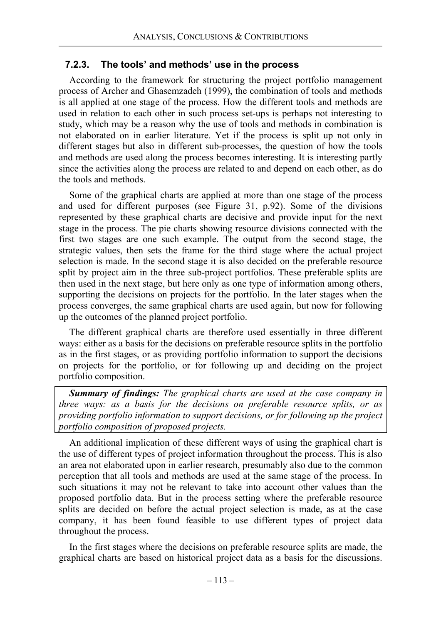#### **7.2.3. The tools' and methods' use in the process**

According to the framework for structuring the project portfolio management process of Archer and Ghasemzadeh (1999), the combination of tools and methods is all applied at one stage of the process. How the different tools and methods are used in relation to each other in such process set-ups is perhaps not interesting to study, which may be a reason why the use of tools and methods in combination is not elaborated on in earlier literature. Yet if the process is split up not only in different stages but also in different sub-processes, the question of how the tools and methods are used along the process becomes interesting. It is interesting partly since the activities along the process are related to and depend on each other, as do the tools and methods.

Some of the graphical charts are applied at more than one stage of the process and used for different purposes (see Figure 31, p.92). Some of the divisions represented by these graphical charts are decisive and provide input for the next stage in the process. The pie charts showing resource divisions connected with the first two stages are one such example. The output from the second stage, the strategic values, then sets the frame for the third stage where the actual project selection is made. In the second stage it is also decided on the preferable resource split by project aim in the three sub-project portfolios. These preferable splits are then used in the next stage, but here only as one type of information among others, supporting the decisions on projects for the portfolio. In the later stages when the process converges, the same graphical charts are used again, but now for following up the outcomes of the planned project portfolio.

The different graphical charts are therefore used essentially in three different ways: either as a basis for the decisions on preferable resource splits in the portfolio as in the first stages, or as providing portfolio information to support the decisions on projects for the portfolio, or for following up and deciding on the project portfolio composition.

*Summary of findings: The graphical charts are used at the case company in three ways: as a basis for the decisions on preferable resource splits, or as providing portfolio information to support decisions, or for following up the project portfolio composition of proposed projects.* 

An additional implication of these different ways of using the graphical chart is the use of different types of project information throughout the process. This is also an area not elaborated upon in earlier research, presumably also due to the common perception that all tools and methods are used at the same stage of the process. In such situations it may not be relevant to take into account other values than the proposed portfolio data. But in the process setting where the preferable resource splits are decided on before the actual project selection is made, as at the case company, it has been found feasible to use different types of project data throughout the process.

In the first stages where the decisions on preferable resource splits are made, the graphical charts are based on historical project data as a basis for the discussions.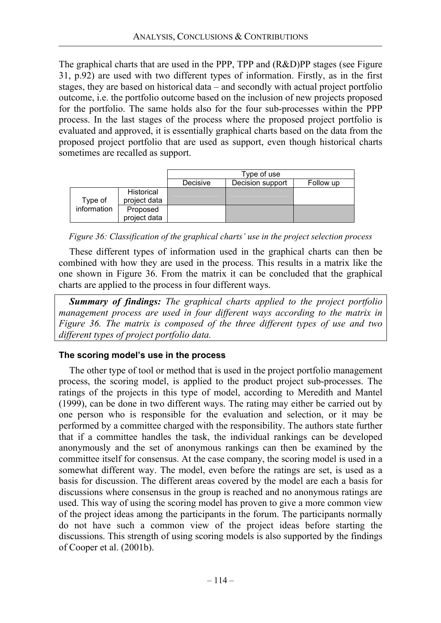The graphical charts that are used in the PPP, TPP and (R&D)PP stages (see Figure 31, p.92) are used with two different types of information. Firstly, as in the first stages, they are based on historical data – and secondly with actual project portfolio outcome, i.e. the portfolio outcome based on the inclusion of new projects proposed for the portfolio. The same holds also for the four sub-processes within the PPP process. In the last stages of the process where the proposed project portfolio is evaluated and approved, it is essentially graphical charts based on the data from the proposed project portfolio that are used as support, even though historical charts sometimes are recalled as support.

|                        |                   | Type of use |                  |           |
|------------------------|-------------------|-------------|------------------|-----------|
|                        |                   | Decisive    | Decision support | Follow up |
| Type of<br>information | <b>Historical</b> |             |                  |           |
|                        | project data      |             |                  |           |
|                        | Proposed          |             |                  |           |
|                        | project data      |             |                  |           |

*Figure 36: Classification of the graphical charts' use in the project selection process* 

These different types of information used in the graphical charts can then be combined with how they are used in the process. This results in a matrix like the one shown in Figure 36. From the matrix it can be concluded that the graphical charts are applied to the process in four different ways.

*Summary of findings: The graphical charts applied to the project portfolio management process are used in four different ways according to the matrix in Figure 36. The matrix is composed of the three different types of use and two different types of project portfolio data.*

## **The scoring model's use in the process**

The other type of tool or method that is used in the project portfolio management process, the scoring model, is applied to the product project sub-processes. The ratings of the projects in this type of model, according to Meredith and Mantel (1999), can be done in two different ways. The rating may either be carried out by one person who is responsible for the evaluation and selection, or it may be performed by a committee charged with the responsibility. The authors state further that if a committee handles the task, the individual rankings can be developed anonymously and the set of anonymous rankings can then be examined by the committee itself for consensus. At the case company, the scoring model is used in a somewhat different way. The model, even before the ratings are set, is used as a basis for discussion. The different areas covered by the model are each a basis for discussions where consensus in the group is reached and no anonymous ratings are used. This way of using the scoring model has proven to give a more common view of the project ideas among the participants in the forum. The participants normally do not have such a common view of the project ideas before starting the discussions. This strength of using scoring models is also supported by the findings of Cooper et al. (2001b).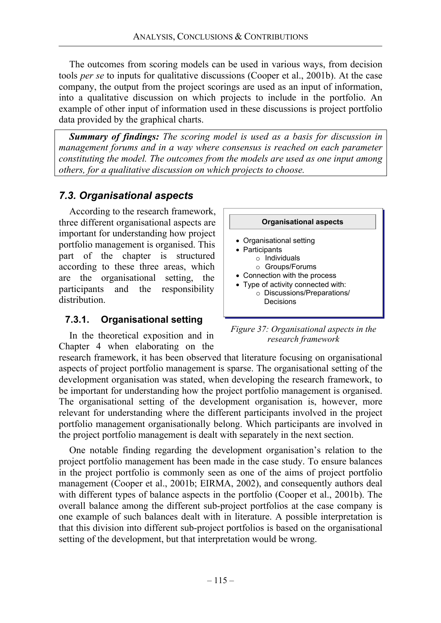The outcomes from scoring models can be used in various ways, from decision tools *per se* to inputs for qualitative discussions (Cooper et al., 2001b). At the case company, the output from the project scorings are used as an input of information, into a qualitative discussion on which projects to include in the portfolio. An example of other input of information used in these discussions is project portfolio data provided by the graphical charts.

*Summary of findings: The scoring model is used as a basis for discussion in management forums and in a way where consensus is reached on each parameter constituting the model. The outcomes from the models are used as one input among others, for a qualitative discussion on which projects to choose.*

# *7.3. Organisational aspects*

According to the research framework, three different organisational aspects are important for understanding how project portfolio management is organised. This part of the chapter is structured according to these three areas, which are the organisational setting, the participants and the responsibility distribution.

## **7.3.1. Organisational setting**

In the theoretical exposition and in Chapter 4 when elaborating on the



*Figure 37: Organisational aspects in the research framework* 

research framework, it has been observed that literature focusing on organisational aspects of project portfolio management is sparse. The organisational setting of the development organisation was stated, when developing the research framework, to be important for understanding how the project portfolio management is organised. The organisational setting of the development organisation is, however, more relevant for understanding where the different participants involved in the project portfolio management organisationally belong. Which participants are involved in the project portfolio management is dealt with separately in the next section.

One notable finding regarding the development organisation's relation to the project portfolio management has been made in the case study. To ensure balances in the project portfolio is commonly seen as one of the aims of project portfolio management (Cooper et al., 2001b; EIRMA, 2002), and consequently authors deal with different types of balance aspects in the portfolio (Cooper et al., 2001b). The overall balance among the different sub-project portfolios at the case company is one example of such balances dealt with in literature. A possible interpretation is that this division into different sub-project portfolios is based on the organisational setting of the development, but that interpretation would be wrong.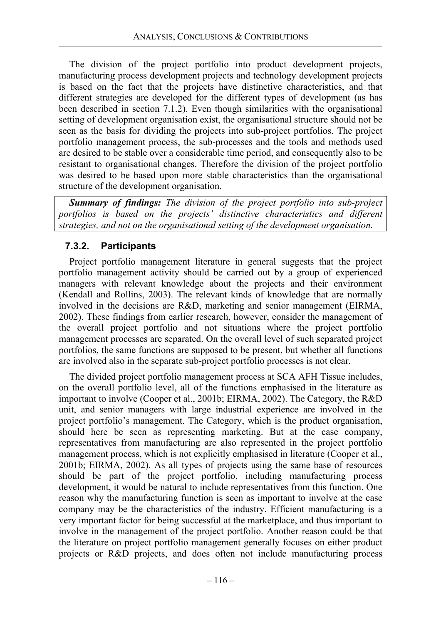The division of the project portfolio into product development projects, manufacturing process development projects and technology development projects is based on the fact that the projects have distinctive characteristics, and that different strategies are developed for the different types of development (as has been described in section 7.1.2). Even though similarities with the organisational setting of development organisation exist, the organisational structure should not be seen as the basis for dividing the projects into sub-project portfolios. The project portfolio management process, the sub-processes and the tools and methods used are desired to be stable over a considerable time period, and consequently also to be resistant to organisational changes. Therefore the division of the project portfolio was desired to be based upon more stable characteristics than the organisational structure of the development organisation.

*Summary of findings: The division of the project portfolio into sub-project portfolios is based on the projects' distinctive characteristics and different strategies, and not on the organisational setting of the development organisation.*

# **7.3.2. Participants**

Project portfolio management literature in general suggests that the project portfolio management activity should be carried out by a group of experienced managers with relevant knowledge about the projects and their environment (Kendall and Rollins, 2003). The relevant kinds of knowledge that are normally involved in the decisions are R&D, marketing and senior management (EIRMA, 2002). These findings from earlier research, however, consider the management of the overall project portfolio and not situations where the project portfolio management processes are separated. On the overall level of such separated project portfolios, the same functions are supposed to be present, but whether all functions are involved also in the separate sub-project portfolio processes is not clear.

The divided project portfolio management process at SCA AFH Tissue includes, on the overall portfolio level, all of the functions emphasised in the literature as important to involve (Cooper et al., 2001b; EIRMA, 2002). The Category, the R&D unit, and senior managers with large industrial experience are involved in the project portfolio's management. The Category, which is the product organisation, should here be seen as representing marketing. But at the case company, representatives from manufacturing are also represented in the project portfolio management process, which is not explicitly emphasised in literature (Cooper et al., 2001b; EIRMA, 2002). As all types of projects using the same base of resources should be part of the project portfolio, including manufacturing process development, it would be natural to include representatives from this function. One reason why the manufacturing function is seen as important to involve at the case company may be the characteristics of the industry. Efficient manufacturing is a very important factor for being successful at the marketplace, and thus important to involve in the management of the project portfolio. Another reason could be that the literature on project portfolio management generally focuses on either product projects or R&D projects, and does often not include manufacturing process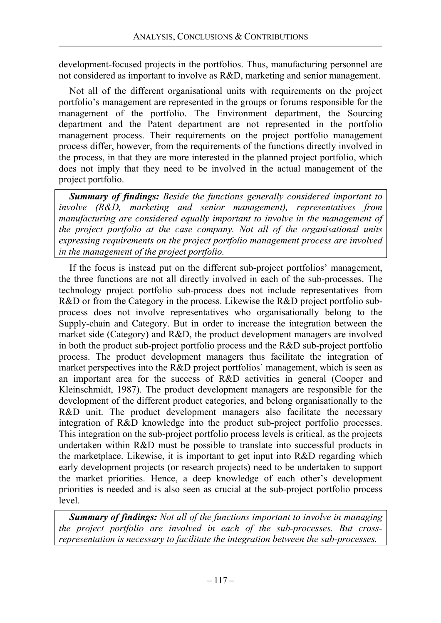development-focused projects in the portfolios. Thus, manufacturing personnel are not considered as important to involve as R&D, marketing and senior management.

Not all of the different organisational units with requirements on the project portfolio's management are represented in the groups or forums responsible for the management of the portfolio. The Environment department, the Sourcing department and the Patent department are not represented in the portfolio management process. Their requirements on the project portfolio management process differ, however, from the requirements of the functions directly involved in the process, in that they are more interested in the planned project portfolio, which does not imply that they need to be involved in the actual management of the project portfolio.

*Summary of findings: Beside the functions generally considered important to involve (R&D, marketing and senior management), representatives from manufacturing are considered equally important to involve in the management of the project portfolio at the case company. Not all of the organisational units expressing requirements on the project portfolio management process are involved in the management of the project portfolio.* 

If the focus is instead put on the different sub-project portfolios' management, the three functions are not all directly involved in each of the sub-processes. The technology project portfolio sub-process does not include representatives from R&D or from the Category in the process. Likewise the R&D project portfolio subprocess does not involve representatives who organisationally belong to the Supply-chain and Category. But in order to increase the integration between the market side (Category) and R&D, the product development managers are involved in both the product sub-project portfolio process and the R&D sub-project portfolio process. The product development managers thus facilitate the integration of market perspectives into the R&D project portfolios' management, which is seen as an important area for the success of R&D activities in general (Cooper and Kleinschmidt, 1987). The product development managers are responsible for the development of the different product categories, and belong organisationally to the R&D unit. The product development managers also facilitate the necessary integration of R&D knowledge into the product sub-project portfolio processes. This integration on the sub-project portfolio process levels is critical, as the projects undertaken within R&D must be possible to translate into successful products in the marketplace. Likewise, it is important to get input into R&D regarding which early development projects (or research projects) need to be undertaken to support the market priorities. Hence, a deep knowledge of each other's development priorities is needed and is also seen as crucial at the sub-project portfolio process level.

*Summary of findings: Not all of the functions important to involve in managing the project portfolio are involved in each of the sub-processes. But crossrepresentation is necessary to facilitate the integration between the sub-processes.*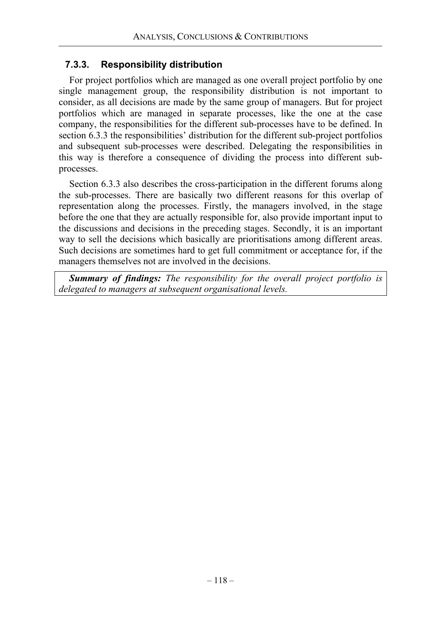## **7.3.3. Responsibility distribution**

For project portfolios which are managed as one overall project portfolio by one single management group, the responsibility distribution is not important to consider, as all decisions are made by the same group of managers. But for project portfolios which are managed in separate processes, like the one at the case company, the responsibilities for the different sub-processes have to be defined. In section 6.3.3 the responsibilities' distribution for the different sub-project portfolios and subsequent sub-processes were described. Delegating the responsibilities in this way is therefore a consequence of dividing the process into different subprocesses.

Section 6.3.3 also describes the cross-participation in the different forums along the sub-processes. There are basically two different reasons for this overlap of representation along the processes. Firstly, the managers involved, in the stage before the one that they are actually responsible for, also provide important input to the discussions and decisions in the preceding stages. Secondly, it is an important way to sell the decisions which basically are prioritisations among different areas. Such decisions are sometimes hard to get full commitment or acceptance for, if the managers themselves not are involved in the decisions.

*Summary of findings: The responsibility for the overall project portfolio is delegated to managers at subsequent organisational levels.*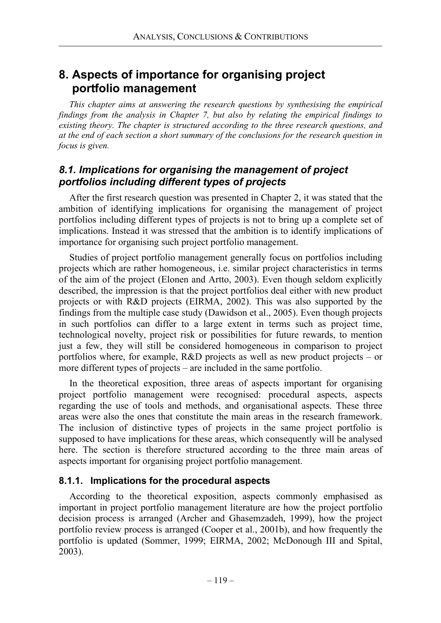# **8. Aspects of importance for organising project portfolio management**

*This chapter aims at answering the research questions by synthesising the empirical findings from the analysis in Chapter 7, but also by relating the empirical findings to existing theory. The chapter is structured according to the three research questions, and at the end of each section a short summary of the conclusions for the research question in focus is given.* 

# *8.1. Implications for organising the management of project portfolios including different types of projects*

After the first research question was presented in Chapter 2, it was stated that the ambition of identifying implications for organising the management of project portfolios including different types of projects is not to bring up a complete set of implications. Instead it was stressed that the ambition is to identify implications of importance for organising such project portfolio management.

Studies of project portfolio management generally focus on portfolios including projects which are rather homogeneous, i.e. similar project characteristics in terms of the aim of the project (Elonen and Artto, 2003). Even though seldom explicitly described, the impression is that the project portfolios deal either with new product projects or with R&D projects (EIRMA, 2002). This was also supported by the findings from the multiple case study (Dawidson et al., 2005). Even though projects in such portfolios can differ to a large extent in terms such as project time, technological novelty, project risk or possibilities for future rewards, to mention just a few, they will still be considered homogeneous in comparison to project portfolios where, for example, R&D projects as well as new product projects – or more different types of projects – are included in the same portfolio.

In the theoretical exposition, three areas of aspects important for organising project portfolio management were recognised: procedural aspects, aspects regarding the use of tools and methods, and organisational aspects. These three areas were also the ones that constitute the main areas in the research framework. The inclusion of distinctive types of projects in the same project portfolio is supposed to have implications for these areas, which consequently will be analysed here. The section is therefore structured according to the three main areas of aspects important for organising project portfolio management.

## **8.1.1. Implications for the procedural aspects**

According to the theoretical exposition, aspects commonly emphasised as important in project portfolio management literature are how the project portfolio decision process is arranged (Archer and Ghasemzadeh, 1999), how the project portfolio review process is arranged (Cooper et al., 2001b), and how frequently the portfolio is updated (Sommer, 1999; EIRMA, 2002; McDonough III and Spital, 2003).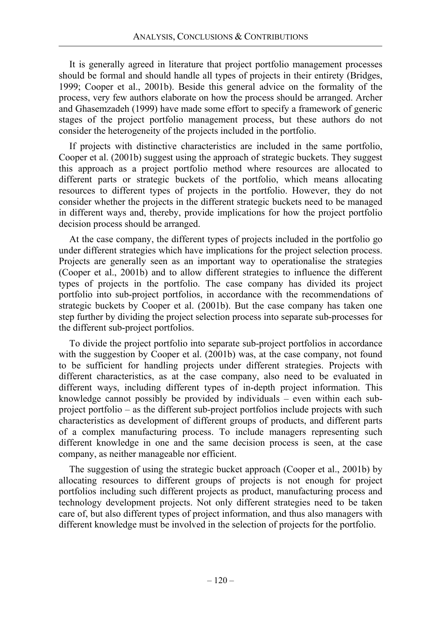It is generally agreed in literature that project portfolio management processes should be formal and should handle all types of projects in their entirety (Bridges, 1999; Cooper et al., 2001b). Beside this general advice on the formality of the process, very few authors elaborate on how the process should be arranged. Archer and Ghasemzadeh (1999) have made some effort to specify a framework of generic stages of the project portfolio management process, but these authors do not consider the heterogeneity of the projects included in the portfolio.

If projects with distinctive characteristics are included in the same portfolio, Cooper et al. (2001b) suggest using the approach of strategic buckets. They suggest this approach as a project portfolio method where resources are allocated to different parts or strategic buckets of the portfolio, which means allocating resources to different types of projects in the portfolio. However, they do not consider whether the projects in the different strategic buckets need to be managed in different ways and, thereby, provide implications for how the project portfolio decision process should be arranged.

At the case company, the different types of projects included in the portfolio go under different strategies which have implications for the project selection process. Projects are generally seen as an important way to operationalise the strategies (Cooper et al., 2001b) and to allow different strategies to influence the different types of projects in the portfolio. The case company has divided its project portfolio into sub-project portfolios, in accordance with the recommendations of strategic buckets by Cooper et al. (2001b). But the case company has taken one step further by dividing the project selection process into separate sub-processes for the different sub-project portfolios.

To divide the project portfolio into separate sub-project portfolios in accordance with the suggestion by Cooper et al. (2001b) was, at the case company, not found to be sufficient for handling projects under different strategies. Projects with different characteristics, as at the case company, also need to be evaluated in different ways, including different types of in-depth project information. This knowledge cannot possibly be provided by individuals – even within each subproject portfolio – as the different sub-project portfolios include projects with such characteristics as development of different groups of products, and different parts of a complex manufacturing process. To include managers representing such different knowledge in one and the same decision process is seen, at the case company, as neither manageable nor efficient.

The suggestion of using the strategic bucket approach (Cooper et al., 2001b) by allocating resources to different groups of projects is not enough for project portfolios including such different projects as product, manufacturing process and technology development projects. Not only different strategies need to be taken care of, but also different types of project information, and thus also managers with different knowledge must be involved in the selection of projects for the portfolio.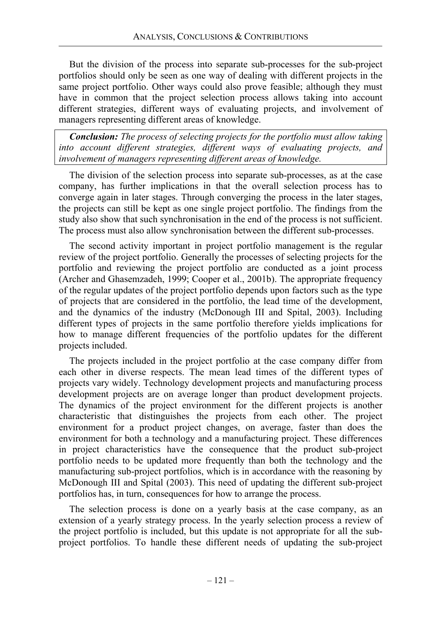But the division of the process into separate sub-processes for the sub-project portfolios should only be seen as one way of dealing with different projects in the same project portfolio. Other ways could also prove feasible; although they must have in common that the project selection process allows taking into account different strategies, different ways of evaluating projects, and involvement of managers representing different areas of knowledge.

*Conclusion: The process of selecting projects for the portfolio must allow taking into account different strategies, different ways of evaluating projects, and involvement of managers representing different areas of knowledge.* 

The division of the selection process into separate sub-processes, as at the case company, has further implications in that the overall selection process has to converge again in later stages. Through converging the process in the later stages, the projects can still be kept as one single project portfolio. The findings from the study also show that such synchronisation in the end of the process is not sufficient. The process must also allow synchronisation between the different sub-processes.

The second activity important in project portfolio management is the regular review of the project portfolio. Generally the processes of selecting projects for the portfolio and reviewing the project portfolio are conducted as a joint process (Archer and Ghasemzadeh, 1999; Cooper et al., 2001b). The appropriate frequency of the regular updates of the project portfolio depends upon factors such as the type of projects that are considered in the portfolio, the lead time of the development, and the dynamics of the industry (McDonough III and Spital, 2003). Including different types of projects in the same portfolio therefore yields implications for how to manage different frequencies of the portfolio updates for the different projects included.

The projects included in the project portfolio at the case company differ from each other in diverse respects. The mean lead times of the different types of projects vary widely. Technology development projects and manufacturing process development projects are on average longer than product development projects. The dynamics of the project environment for the different projects is another characteristic that distinguishes the projects from each other. The project environment for a product project changes, on average, faster than does the environment for both a technology and a manufacturing project. These differences in project characteristics have the consequence that the product sub-project portfolio needs to be updated more frequently than both the technology and the manufacturing sub-project portfolios, which is in accordance with the reasoning by McDonough III and Spital (2003). This need of updating the different sub-project portfolios has, in turn, consequences for how to arrange the process.

The selection process is done on a yearly basis at the case company, as an extension of a yearly strategy process. In the yearly selection process a review of the project portfolio is included, but this update is not appropriate for all the subproject portfolios. To handle these different needs of updating the sub-project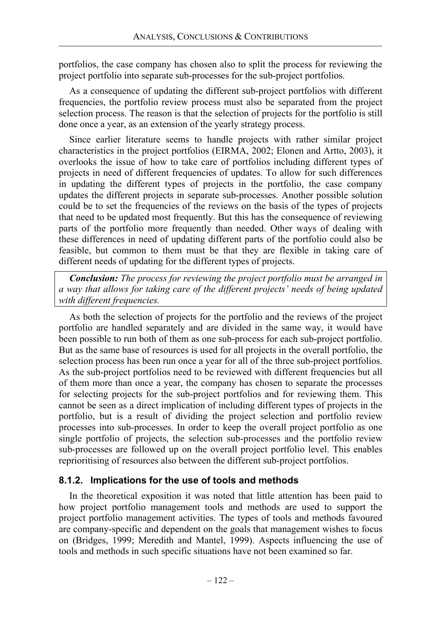portfolios, the case company has chosen also to split the process for reviewing the project portfolio into separate sub-processes for the sub-project portfolios.

As a consequence of updating the different sub-project portfolios with different frequencies, the portfolio review process must also be separated from the project selection process. The reason is that the selection of projects for the portfolio is still done once a year, as an extension of the yearly strategy process.

Since earlier literature seems to handle projects with rather similar project characteristics in the project portfolios (EIRMA, 2002; Elonen and Artto, 2003), it overlooks the issue of how to take care of portfolios including different types of projects in need of different frequencies of updates. To allow for such differences in updating the different types of projects in the portfolio, the case company updates the different projects in separate sub-processes. Another possible solution could be to set the frequencies of the reviews on the basis of the types of projects that need to be updated most frequently. But this has the consequence of reviewing parts of the portfolio more frequently than needed. Other ways of dealing with these differences in need of updating different parts of the portfolio could also be feasible, but common to them must be that they are flexible in taking care of different needs of updating for the different types of projects.

*Conclusion: The process for reviewing the project portfolio must be arranged in a way that allows for taking care of the different projects' needs of being updated with different frequencies.* 

As both the selection of projects for the portfolio and the reviews of the project portfolio are handled separately and are divided in the same way, it would have been possible to run both of them as one sub-process for each sub-project portfolio. But as the same base of resources is used for all projects in the overall portfolio, the selection process has been run once a year for all of the three sub-project portfolios. As the sub-project portfolios need to be reviewed with different frequencies but all of them more than once a year, the company has chosen to separate the processes for selecting projects for the sub-project portfolios and for reviewing them. This cannot be seen as a direct implication of including different types of projects in the portfolio, but is a result of dividing the project selection and portfolio review processes into sub-processes. In order to keep the overall project portfolio as one single portfolio of projects, the selection sub-processes and the portfolio review sub-processes are followed up on the overall project portfolio level. This enables reprioritising of resources also between the different sub-project portfolios.

### **8.1.2. Implications for the use of tools and methods**

In the theoretical exposition it was noted that little attention has been paid to how project portfolio management tools and methods are used to support the project portfolio management activities. The types of tools and methods favoured are company-specific and dependent on the goals that management wishes to focus on (Bridges, 1999; Meredith and Mantel, 1999). Aspects influencing the use of tools and methods in such specific situations have not been examined so far.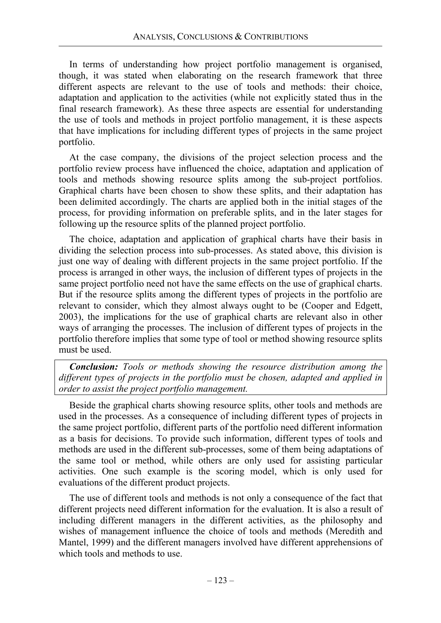In terms of understanding how project portfolio management is organised, though, it was stated when elaborating on the research framework that three different aspects are relevant to the use of tools and methods: their choice, adaptation and application to the activities (while not explicitly stated thus in the final research framework). As these three aspects are essential for understanding the use of tools and methods in project portfolio management, it is these aspects that have implications for including different types of projects in the same project portfolio.

At the case company, the divisions of the project selection process and the portfolio review process have influenced the choice, adaptation and application of tools and methods showing resource splits among the sub-project portfolios. Graphical charts have been chosen to show these splits, and their adaptation has been delimited accordingly. The charts are applied both in the initial stages of the process, for providing information on preferable splits, and in the later stages for following up the resource splits of the planned project portfolio.

The choice, adaptation and application of graphical charts have their basis in dividing the selection process into sub-processes. As stated above, this division is just one way of dealing with different projects in the same project portfolio. If the process is arranged in other ways, the inclusion of different types of projects in the same project portfolio need not have the same effects on the use of graphical charts. But if the resource splits among the different types of projects in the portfolio are relevant to consider, which they almost always ought to be (Cooper and Edgett, 2003), the implications for the use of graphical charts are relevant also in other ways of arranging the processes. The inclusion of different types of projects in the portfolio therefore implies that some type of tool or method showing resource splits must be used.

*Conclusion: Tools or methods showing the resource distribution among the different types of projects in the portfolio must be chosen, adapted and applied in order to assist the project portfolio management.* 

Beside the graphical charts showing resource splits, other tools and methods are used in the processes. As a consequence of including different types of projects in the same project portfolio, different parts of the portfolio need different information as a basis for decisions. To provide such information, different types of tools and methods are used in the different sub-processes, some of them being adaptations of the same tool or method, while others are only used for assisting particular activities. One such example is the scoring model, which is only used for evaluations of the different product projects.

The use of different tools and methods is not only a consequence of the fact that different projects need different information for the evaluation. It is also a result of including different managers in the different activities, as the philosophy and wishes of management influence the choice of tools and methods (Meredith and Mantel, 1999) and the different managers involved have different apprehensions of which tools and methods to use.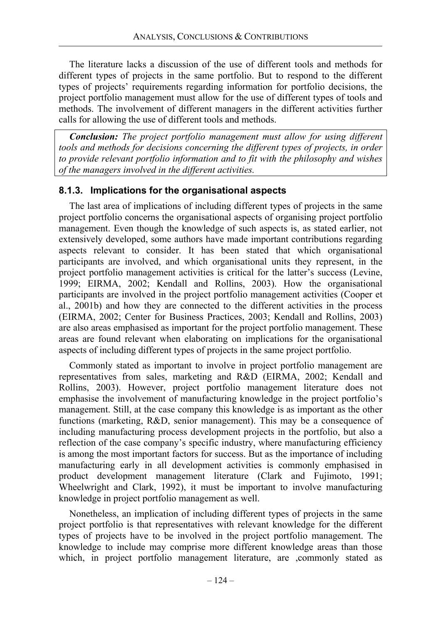The literature lacks a discussion of the use of different tools and methods for different types of projects in the same portfolio. But to respond to the different types of projects' requirements regarding information for portfolio decisions, the project portfolio management must allow for the use of different types of tools and methods. The involvement of different managers in the different activities further calls for allowing the use of different tools and methods.

*Conclusion: The project portfolio management must allow for using different tools and methods for decisions concerning the different types of projects, in order to provide relevant portfolio information and to fit with the philosophy and wishes of the managers involved in the different activities.* 

### **8.1.3. Implications for the organisational aspects**

The last area of implications of including different types of projects in the same project portfolio concerns the organisational aspects of organising project portfolio management. Even though the knowledge of such aspects is, as stated earlier, not extensively developed, some authors have made important contributions regarding aspects relevant to consider. It has been stated that which organisational participants are involved, and which organisational units they represent, in the project portfolio management activities is critical for the latter's success (Levine, 1999; EIRMA, 2002; Kendall and Rollins, 2003). How the organisational participants are involved in the project portfolio management activities (Cooper et al., 2001b) and how they are connected to the different activities in the process (EIRMA, 2002; Center for Business Practices, 2003; Kendall and Rollins, 2003) are also areas emphasised as important for the project portfolio management. These areas are found relevant when elaborating on implications for the organisational aspects of including different types of projects in the same project portfolio.

Commonly stated as important to involve in project portfolio management are representatives from sales, marketing and R&D (EIRMA, 2002; Kendall and Rollins, 2003). However, project portfolio management literature does not emphasise the involvement of manufacturing knowledge in the project portfolio's management. Still, at the case company this knowledge is as important as the other functions (marketing, R&D, senior management). This may be a consequence of including manufacturing process development projects in the portfolio, but also a reflection of the case company's specific industry, where manufacturing efficiency is among the most important factors for success. But as the importance of including manufacturing early in all development activities is commonly emphasised in product development management literature (Clark and Fujimoto, 1991; Wheelwright and Clark, 1992), it must be important to involve manufacturing knowledge in project portfolio management as well.

Nonetheless, an implication of including different types of projects in the same project portfolio is that representatives with relevant knowledge for the different types of projects have to be involved in the project portfolio management. The knowledge to include may comprise more different knowledge areas than those which, in project portfolio management literature, are ,commonly stated as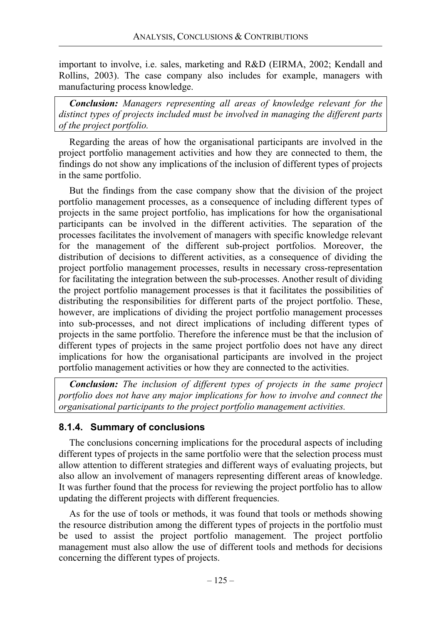important to involve, i.e. sales, marketing and R&D (EIRMA, 2002; Kendall and Rollins, 2003). The case company also includes for example, managers with manufacturing process knowledge.

*Conclusion: Managers representing all areas of knowledge relevant for the distinct types of projects included must be involved in managing the different parts of the project portfolio.* 

Regarding the areas of how the organisational participants are involved in the project portfolio management activities and how they are connected to them, the findings do not show any implications of the inclusion of different types of projects in the same portfolio.

But the findings from the case company show that the division of the project portfolio management processes, as a consequence of including different types of projects in the same project portfolio, has implications for how the organisational participants can be involved in the different activities. The separation of the processes facilitates the involvement of managers with specific knowledge relevant for the management of the different sub-project portfolios. Moreover, the distribution of decisions to different activities, as a consequence of dividing the project portfolio management processes, results in necessary cross-representation for facilitating the integration between the sub-processes. Another result of dividing the project portfolio management processes is that it facilitates the possibilities of distributing the responsibilities for different parts of the project portfolio. These, however, are implications of dividing the project portfolio management processes into sub-processes, and not direct implications of including different types of projects in the same portfolio. Therefore the inference must be that the inclusion of different types of projects in the same project portfolio does not have any direct implications for how the organisational participants are involved in the project portfolio management activities or how they are connected to the activities.

*Conclusion: The inclusion of different types of projects in the same project portfolio does not have any major implications for how to involve and connect the organisational participants to the project portfolio management activities.* 

# **8.1.4. Summary of conclusions**

The conclusions concerning implications for the procedural aspects of including different types of projects in the same portfolio were that the selection process must allow attention to different strategies and different ways of evaluating projects, but also allow an involvement of managers representing different areas of knowledge. It was further found that the process for reviewing the project portfolio has to allow updating the different projects with different frequencies.

As for the use of tools or methods, it was found that tools or methods showing the resource distribution among the different types of projects in the portfolio must be used to assist the project portfolio management. The project portfolio management must also allow the use of different tools and methods for decisions concerning the different types of projects.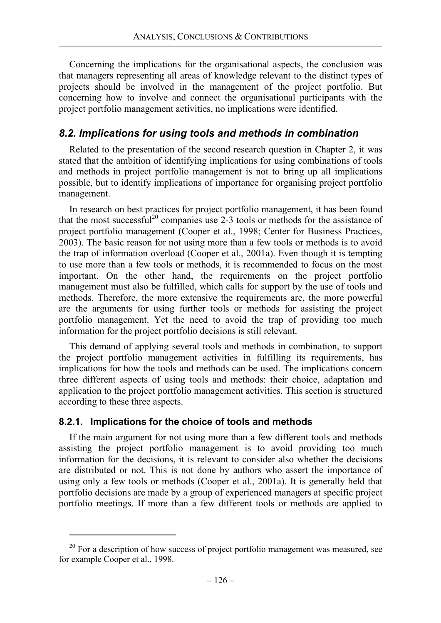Concerning the implications for the organisational aspects, the conclusion was that managers representing all areas of knowledge relevant to the distinct types of projects should be involved in the management of the project portfolio. But concerning how to involve and connect the organisational participants with the project portfolio management activities, no implications were identified.

# *8.2. Implications for using tools and methods in combination*

Related to the presentation of the second research question in Chapter 2, it was stated that the ambition of identifying implications for using combinations of tools and methods in project portfolio management is not to bring up all implications possible, but to identify implications of importance for organising project portfolio management.

In research on best practices for project portfolio management, it has been found that the most successful<sup>20</sup> companies use  $2\text{-}3$  tools or methods for the assistance of project portfolio management (Cooper et al., 1998; Center for Business Practices, 2003). The basic reason for not using more than a few tools or methods is to avoid the trap of information overload (Cooper et al., 2001a). Even though it is tempting to use more than a few tools or methods, it is recommended to focus on the most important. On the other hand, the requirements on the project portfolio management must also be fulfilled, which calls for support by the use of tools and methods. Therefore, the more extensive the requirements are, the more powerful are the arguments for using further tools or methods for assisting the project portfolio management. Yet the need to avoid the trap of providing too much information for the project portfolio decisions is still relevant.

This demand of applying several tools and methods in combination, to support the project portfolio management activities in fulfilling its requirements, has implications for how the tools and methods can be used. The implications concern three different aspects of using tools and methods: their choice, adaptation and application to the project portfolio management activities. This section is structured according to these three aspects.

### **8.2.1. Implications for the choice of tools and methods**

If the main argument for not using more than a few different tools and methods assisting the project portfolio management is to avoid providing too much information for the decisions, it is relevant to consider also whether the decisions are distributed or not. This is not done by authors who assert the importance of using only a few tools or methods (Cooper et al., 2001a). It is generally held that portfolio decisions are made by a group of experienced managers at specific project portfolio meetings. If more than a few different tools or methods are applied to

 $20$  For a description of how success of project portfolio management was measured, see for example Cooper et al., 1998.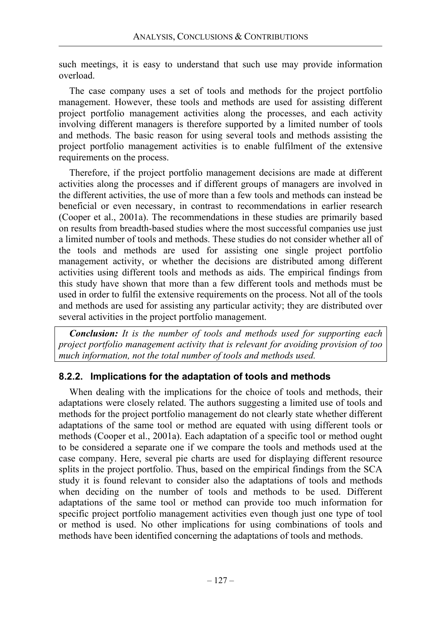such meetings, it is easy to understand that such use may provide information overload.

The case company uses a set of tools and methods for the project portfolio management. However, these tools and methods are used for assisting different project portfolio management activities along the processes, and each activity involving different managers is therefore supported by a limited number of tools and methods. The basic reason for using several tools and methods assisting the project portfolio management activities is to enable fulfilment of the extensive requirements on the process.

Therefore, if the project portfolio management decisions are made at different activities along the processes and if different groups of managers are involved in the different activities, the use of more than a few tools and methods can instead be beneficial or even necessary, in contrast to recommendations in earlier research (Cooper et al., 2001a). The recommendations in these studies are primarily based on results from breadth-based studies where the most successful companies use just a limited number of tools and methods. These studies do not consider whether all of the tools and methods are used for assisting one single project portfolio management activity, or whether the decisions are distributed among different activities using different tools and methods as aids. The empirical findings from this study have shown that more than a few different tools and methods must be used in order to fulfil the extensive requirements on the process. Not all of the tools and methods are used for assisting any particular activity; they are distributed over several activities in the project portfolio management.

*Conclusion: It is the number of tools and methods used for supporting each project portfolio management activity that is relevant for avoiding provision of too much information, not the total number of tools and methods used.* 

## **8.2.2. Implications for the adaptation of tools and methods**

When dealing with the implications for the choice of tools and methods, their adaptations were closely related. The authors suggesting a limited use of tools and methods for the project portfolio management do not clearly state whether different adaptations of the same tool or method are equated with using different tools or methods (Cooper et al., 2001a). Each adaptation of a specific tool or method ought to be considered a separate one if we compare the tools and methods used at the case company. Here, several pie charts are used for displaying different resource splits in the project portfolio. Thus, based on the empirical findings from the SCA study it is found relevant to consider also the adaptations of tools and methods when deciding on the number of tools and methods to be used. Different adaptations of the same tool or method can provide too much information for specific project portfolio management activities even though just one type of tool or method is used. No other implications for using combinations of tools and methods have been identified concerning the adaptations of tools and methods.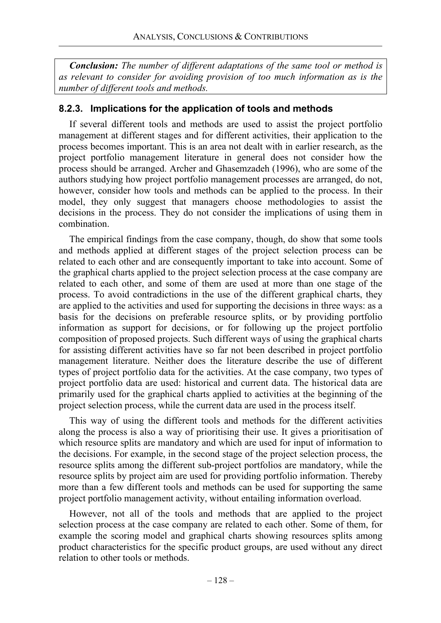*Conclusion: The number of different adaptations of the same tool or method is as relevant to consider for avoiding provision of too much information as is the number of different tools and methods.* 

### **8.2.3. Implications for the application of tools and methods**

If several different tools and methods are used to assist the project portfolio management at different stages and for different activities, their application to the process becomes important. This is an area not dealt with in earlier research, as the project portfolio management literature in general does not consider how the process should be arranged. Archer and Ghasemzadeh (1996), who are some of the authors studying how project portfolio management processes are arranged, do not, however, consider how tools and methods can be applied to the process. In their model, they only suggest that managers choose methodologies to assist the decisions in the process. They do not consider the implications of using them in combination.

The empirical findings from the case company, though, do show that some tools and methods applied at different stages of the project selection process can be related to each other and are consequently important to take into account. Some of the graphical charts applied to the project selection process at the case company are related to each other, and some of them are used at more than one stage of the process. To avoid contradictions in the use of the different graphical charts, they are applied to the activities and used for supporting the decisions in three ways: as a basis for the decisions on preferable resource splits, or by providing portfolio information as support for decisions, or for following up the project portfolio composition of proposed projects. Such different ways of using the graphical charts for assisting different activities have so far not been described in project portfolio management literature. Neither does the literature describe the use of different types of project portfolio data for the activities. At the case company, two types of project portfolio data are used: historical and current data. The historical data are primarily used for the graphical charts applied to activities at the beginning of the project selection process, while the current data are used in the process itself.

This way of using the different tools and methods for the different activities along the process is also a way of prioritising their use. It gives a prioritisation of which resource splits are mandatory and which are used for input of information to the decisions. For example, in the second stage of the project selection process, the resource splits among the different sub-project portfolios are mandatory, while the resource splits by project aim are used for providing portfolio information. Thereby more than a few different tools and methods can be used for supporting the same project portfolio management activity, without entailing information overload.

However, not all of the tools and methods that are applied to the project selection process at the case company are related to each other. Some of them, for example the scoring model and graphical charts showing resources splits among product characteristics for the specific product groups, are used without any direct relation to other tools or methods.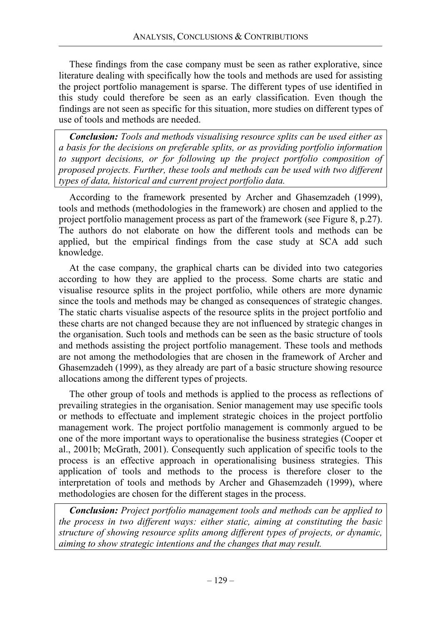These findings from the case company must be seen as rather explorative, since literature dealing with specifically how the tools and methods are used for assisting the project portfolio management is sparse. The different types of use identified in this study could therefore be seen as an early classification. Even though the findings are not seen as specific for this situation, more studies on different types of use of tools and methods are needed.

*Conclusion: Tools and methods visualising resource splits can be used either as a basis for the decisions on preferable splits, or as providing portfolio information to support decisions, or for following up the project portfolio composition of proposed projects. Further, these tools and methods can be used with two different types of data, historical and current project portfolio data.* 

According to the framework presented by Archer and Ghasemzadeh (1999), tools and methods (methodologies in the framework) are chosen and applied to the project portfolio management process as part of the framework (see Figure 8, p.27). The authors do not elaborate on how the different tools and methods can be applied, but the empirical findings from the case study at SCA add such knowledge.

At the case company, the graphical charts can be divided into two categories according to how they are applied to the process. Some charts are static and visualise resource splits in the project portfolio, while others are more dynamic since the tools and methods may be changed as consequences of strategic changes. The static charts visualise aspects of the resource splits in the project portfolio and these charts are not changed because they are not influenced by strategic changes in the organisation. Such tools and methods can be seen as the basic structure of tools and methods assisting the project portfolio management. These tools and methods are not among the methodologies that are chosen in the framework of Archer and Ghasemzadeh (1999), as they already are part of a basic structure showing resource allocations among the different types of projects.

The other group of tools and methods is applied to the process as reflections of prevailing strategies in the organisation. Senior management may use specific tools or methods to effectuate and implement strategic choices in the project portfolio management work. The project portfolio management is commonly argued to be one of the more important ways to operationalise the business strategies (Cooper et al., 2001b; McGrath, 2001). Consequently such application of specific tools to the process is an effective approach in operationalising business strategies. This application of tools and methods to the process is therefore closer to the interpretation of tools and methods by Archer and Ghasemzadeh (1999), where methodologies are chosen for the different stages in the process.

*Conclusion: Project portfolio management tools and methods can be applied to the process in two different ways: either static, aiming at constituting the basic structure of showing resource splits among different types of projects, or dynamic, aiming to show strategic intentions and the changes that may result.*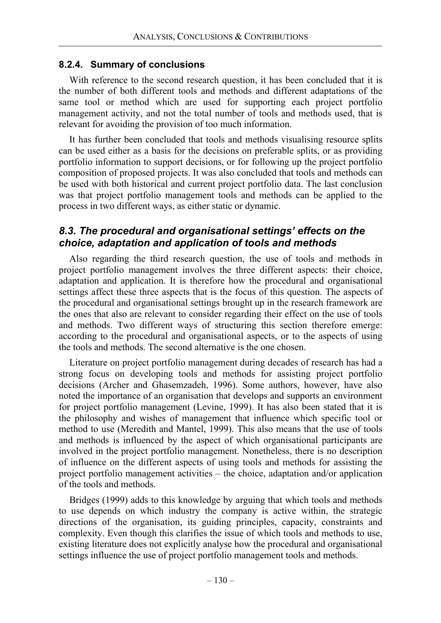### **8.2.4. Summary of conclusions**

With reference to the second research question, it has been concluded that it is the number of both different tools and methods and different adaptations of the same tool or method which are used for supporting each project portfolio management activity, and not the total number of tools and methods used, that is relevant for avoiding the provision of too much information.

It has further been concluded that tools and methods visualising resource splits can be used either as a basis for the decisions on preferable splits, or as providing portfolio information to support decisions, or for following up the project portfolio composition of proposed projects. It was also concluded that tools and methods can be used with both historical and current project portfolio data. The last conclusion was that project portfolio management tools and methods can be applied to the process in two different ways, as either static or dynamic.

# *8.3. The procedural and organisational settings' effects on the choice, adaptation and application of tools and methods*

Also regarding the third research question, the use of tools and methods in project portfolio management involves the three different aspects: their choice, adaptation and application. It is therefore how the procedural and organisational settings affect these three aspects that is the focus of this question. The aspects of the procedural and organisational settings brought up in the research framework are the ones that also are relevant to consider regarding their effect on the use of tools and methods. Two different ways of structuring this section therefore emerge: according to the procedural and organisational aspects, or to the aspects of using the tools and methods. The second alternative is the one chosen.

Literature on project portfolio management during decades of research has had a strong focus on developing tools and methods for assisting project portfolio decisions (Archer and Ghasemzadeh, 1996). Some authors, however, have also noted the importance of an organisation that develops and supports an environment for project portfolio management (Levine, 1999). It has also been stated that it is the philosophy and wishes of management that influence which specific tool or method to use (Meredith and Mantel, 1999). This also means that the use of tools and methods is influenced by the aspect of which organisational participants are involved in the project portfolio management. Nonetheless, there is no description of influence on the different aspects of using tools and methods for assisting the project portfolio management activities – the choice, adaptation and/or application of the tools and methods.

Bridges (1999) adds to this knowledge by arguing that which tools and methods to use depends on which industry the company is active within, the strategic directions of the organisation, its guiding principles, capacity, constraints and complexity. Even though this clarifies the issue of which tools and methods to use, existing literature does not explicitly analyse how the procedural and organisational settings influence the use of project portfolio management tools and methods.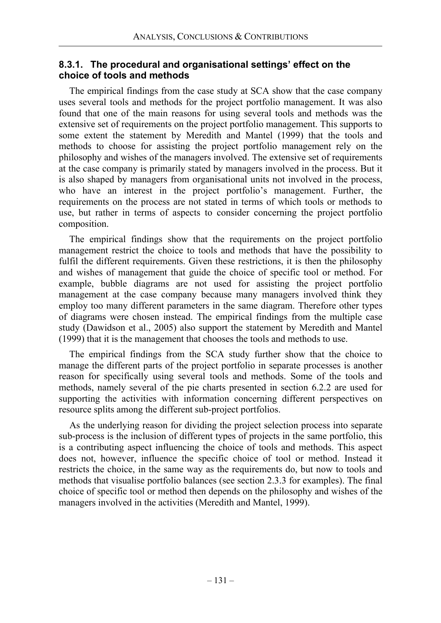### **8.3.1. The procedural and organisational settings' effect on the choice of tools and methods**

The empirical findings from the case study at SCA show that the case company uses several tools and methods for the project portfolio management. It was also found that one of the main reasons for using several tools and methods was the extensive set of requirements on the project portfolio management. This supports to some extent the statement by Meredith and Mantel (1999) that the tools and methods to choose for assisting the project portfolio management rely on the philosophy and wishes of the managers involved. The extensive set of requirements at the case company is primarily stated by managers involved in the process. But it is also shaped by managers from organisational units not involved in the process, who have an interest in the project portfolio's management. Further, the requirements on the process are not stated in terms of which tools or methods to use, but rather in terms of aspects to consider concerning the project portfolio composition.

The empirical findings show that the requirements on the project portfolio management restrict the choice to tools and methods that have the possibility to fulfil the different requirements. Given these restrictions, it is then the philosophy and wishes of management that guide the choice of specific tool or method. For example, bubble diagrams are not used for assisting the project portfolio management at the case company because many managers involved think they employ too many different parameters in the same diagram. Therefore other types of diagrams were chosen instead. The empirical findings from the multiple case study (Dawidson et al., 2005) also support the statement by Meredith and Mantel (1999) that it is the management that chooses the tools and methods to use.

The empirical findings from the SCA study further show that the choice to manage the different parts of the project portfolio in separate processes is another reason for specifically using several tools and methods. Some of the tools and methods, namely several of the pie charts presented in section 6.2.2 are used for supporting the activities with information concerning different perspectives on resource splits among the different sub-project portfolios.

As the underlying reason for dividing the project selection process into separate sub-process is the inclusion of different types of projects in the same portfolio, this is a contributing aspect influencing the choice of tools and methods. This aspect does not, however, influence the specific choice of tool or method. Instead it restricts the choice, in the same way as the requirements do, but now to tools and methods that visualise portfolio balances (see section 2.3.3 for examples). The final choice of specific tool or method then depends on the philosophy and wishes of the managers involved in the activities (Meredith and Mantel, 1999).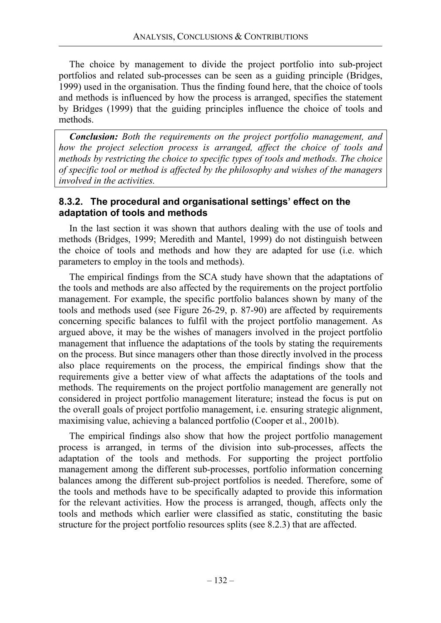The choice by management to divide the project portfolio into sub-project portfolios and related sub-processes can be seen as a guiding principle (Bridges, 1999) used in the organisation. Thus the finding found here, that the choice of tools and methods is influenced by how the process is arranged, specifies the statement by Bridges (1999) that the guiding principles influence the choice of tools and methods.

*Conclusion: Both the requirements on the project portfolio management, and how the project selection process is arranged, affect the choice of tools and methods by restricting the choice to specific types of tools and methods. The choice of specific tool or method is affected by the philosophy and wishes of the managers involved in the activities.* 

## **8.3.2. The procedural and organisational settings' effect on the adaptation of tools and methods**

In the last section it was shown that authors dealing with the use of tools and methods (Bridges, 1999; Meredith and Mantel, 1999) do not distinguish between the choice of tools and methods and how they are adapted for use (i.e. which parameters to employ in the tools and methods).

The empirical findings from the SCA study have shown that the adaptations of the tools and methods are also affected by the requirements on the project portfolio management. For example, the specific portfolio balances shown by many of the tools and methods used (see Figure 26-29, p. 87-90) are affected by requirements concerning specific balances to fulfil with the project portfolio management. As argued above, it may be the wishes of managers involved in the project portfolio management that influence the adaptations of the tools by stating the requirements on the process. But since managers other than those directly involved in the process also place requirements on the process, the empirical findings show that the requirements give a better view of what affects the adaptations of the tools and methods. The requirements on the project portfolio management are generally not considered in project portfolio management literature; instead the focus is put on the overall goals of project portfolio management, i.e. ensuring strategic alignment, maximising value, achieving a balanced portfolio (Cooper et al., 2001b).

The empirical findings also show that how the project portfolio management process is arranged, in terms of the division into sub-processes, affects the adaptation of the tools and methods. For supporting the project portfolio management among the different sub-processes, portfolio information concerning balances among the different sub-project portfolios is needed. Therefore, some of the tools and methods have to be specifically adapted to provide this information for the relevant activities. How the process is arranged, though, affects only the tools and methods which earlier were classified as static, constituting the basic structure for the project portfolio resources splits (see 8.2.3) that are affected.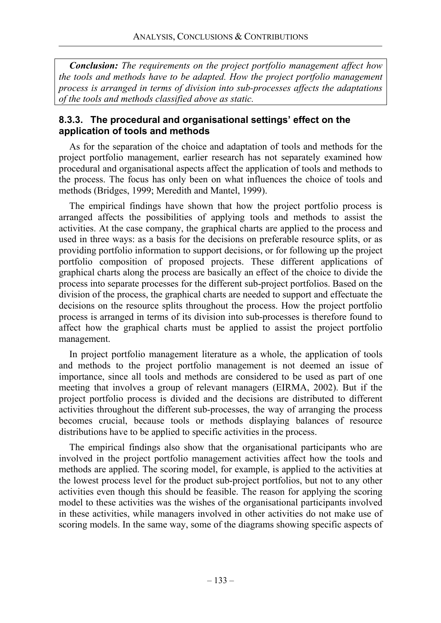*Conclusion: The requirements on the project portfolio management affect how the tools and methods have to be adapted. How the project portfolio management process is arranged in terms of division into sub-processes affects the adaptations of the tools and methods classified above as static.* 

### **8.3.3. The procedural and organisational settings' effect on the application of tools and methods**

As for the separation of the choice and adaptation of tools and methods for the project portfolio management, earlier research has not separately examined how procedural and organisational aspects affect the application of tools and methods to the process. The focus has only been on what influences the choice of tools and methods (Bridges, 1999; Meredith and Mantel, 1999).

The empirical findings have shown that how the project portfolio process is arranged affects the possibilities of applying tools and methods to assist the activities. At the case company, the graphical charts are applied to the process and used in three ways: as a basis for the decisions on preferable resource splits, or as providing portfolio information to support decisions, or for following up the project portfolio composition of proposed projects. These different applications of graphical charts along the process are basically an effect of the choice to divide the process into separate processes for the different sub-project portfolios. Based on the division of the process, the graphical charts are needed to support and effectuate the decisions on the resource splits throughout the process. How the project portfolio process is arranged in terms of its division into sub-processes is therefore found to affect how the graphical charts must be applied to assist the project portfolio management.

In project portfolio management literature as a whole, the application of tools and methods to the project portfolio management is not deemed an issue of importance, since all tools and methods are considered to be used as part of one meeting that involves a group of relevant managers (EIRMA, 2002). But if the project portfolio process is divided and the decisions are distributed to different activities throughout the different sub-processes, the way of arranging the process becomes crucial, because tools or methods displaying balances of resource distributions have to be applied to specific activities in the process.

The empirical findings also show that the organisational participants who are involved in the project portfolio management activities affect how the tools and methods are applied. The scoring model, for example, is applied to the activities at the lowest process level for the product sub-project portfolios, but not to any other activities even though this should be feasible. The reason for applying the scoring model to these activities was the wishes of the organisational participants involved in these activities, while managers involved in other activities do not make use of scoring models. In the same way, some of the diagrams showing specific aspects of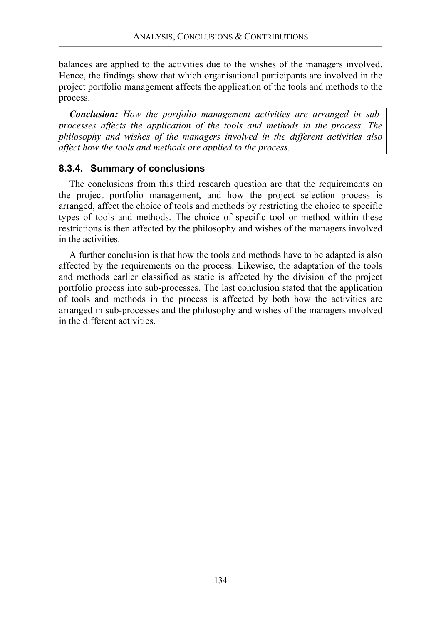balances are applied to the activities due to the wishes of the managers involved. Hence, the findings show that which organisational participants are involved in the project portfolio management affects the application of the tools and methods to the process.

*Conclusion: How the portfolio management activities are arranged in subprocesses affects the application of the tools and methods in the process. The philosophy and wishes of the managers involved in the different activities also affect how the tools and methods are applied to the process.* 

### **8.3.4. Summary of conclusions**

The conclusions from this third research question are that the requirements on the project portfolio management, and how the project selection process is arranged, affect the choice of tools and methods by restricting the choice to specific types of tools and methods. The choice of specific tool or method within these restrictions is then affected by the philosophy and wishes of the managers involved in the activities.

A further conclusion is that how the tools and methods have to be adapted is also affected by the requirements on the process. Likewise, the adaptation of the tools and methods earlier classified as static is affected by the division of the project portfolio process into sub-processes. The last conclusion stated that the application of tools and methods in the process is affected by both how the activities are arranged in sub-processes and the philosophy and wishes of the managers involved in the different activities.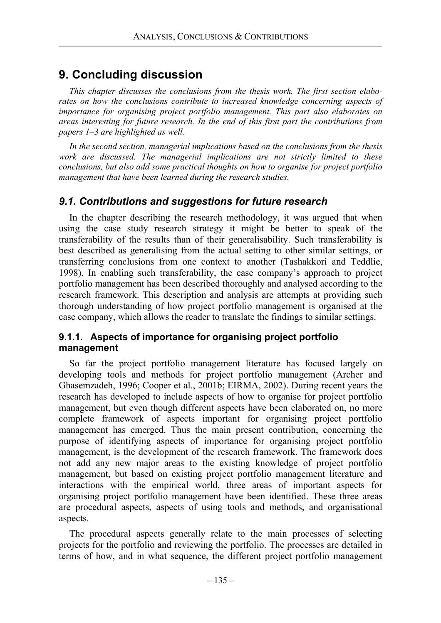# **9. Concluding discussion**

*This chapter discusses the conclusions from the thesis work. The first section elaborates on how the conclusions contribute to increased knowledge concerning aspects of importance for organising project portfolio management. This part also elaborates on areas interesting for future research. In the end of this first part the contributions from papers 1–3 are highlighted as well.* 

*In the second section, managerial implications based on the conclusions from the thesis work are discussed. The managerial implications are not strictly limited to these conclusions, but also add some practical thoughts on how to organise for project portfolio management that have been learned during the research studies.* 

## *9.1. Contributions and suggestions for future research*

In the chapter describing the research methodology, it was argued that when using the case study research strategy it might be better to speak of the transferability of the results than of their generalisability. Such transferability is best described as generalising from the actual setting to other similar settings, or transferring conclusions from one context to another (Tashakkori and Teddlie, 1998). In enabling such transferability, the case company's approach to project portfolio management has been described thoroughly and analysed according to the research framework. This description and analysis are attempts at providing such thorough understanding of how project portfolio management is organised at the case company, which allows the reader to translate the findings to similar settings.

### **9.1.1. Aspects of importance for organising project portfolio management**

So far the project portfolio management literature has focused largely on developing tools and methods for project portfolio management (Archer and Ghasemzadeh, 1996; Cooper et al., 2001b; EIRMA, 2002). During recent years the research has developed to include aspects of how to organise for project portfolio management, but even though different aspects have been elaborated on, no more complete framework of aspects important for organising project portfolio management has emerged. Thus the main present contribution, concerning the purpose of identifying aspects of importance for organising project portfolio management, is the development of the research framework. The framework does not add any new major areas to the existing knowledge of project portfolio management, but based on existing project portfolio management literature and interactions with the empirical world, three areas of important aspects for organising project portfolio management have been identified. These three areas are procedural aspects, aspects of using tools and methods, and organisational aspects.

The procedural aspects generally relate to the main processes of selecting projects for the portfolio and reviewing the portfolio. The processes are detailed in terms of how, and in what sequence, the different project portfolio management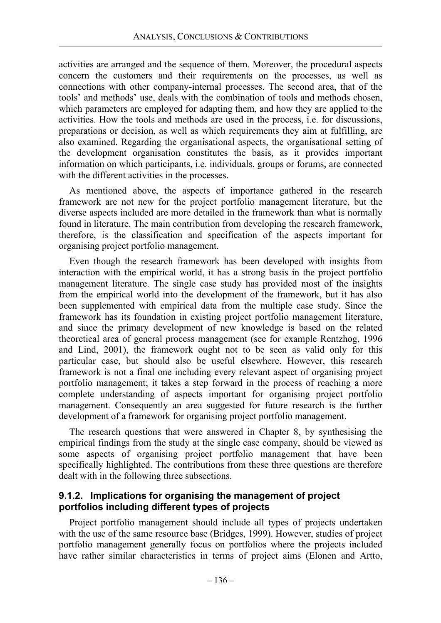activities are arranged and the sequence of them. Moreover, the procedural aspects concern the customers and their requirements on the processes, as well as connections with other company-internal processes. The second area, that of the tools' and methods' use, deals with the combination of tools and methods chosen, which parameters are employed for adapting them, and how they are applied to the activities. How the tools and methods are used in the process, i.e. for discussions, preparations or decision, as well as which requirements they aim at fulfilling, are also examined. Regarding the organisational aspects, the organisational setting of the development organisation constitutes the basis, as it provides important information on which participants, i.e. individuals, groups or forums, are connected with the different activities in the processes.

As mentioned above, the aspects of importance gathered in the research framework are not new for the project portfolio management literature, but the diverse aspects included are more detailed in the framework than what is normally found in literature. The main contribution from developing the research framework, therefore, is the classification and specification of the aspects important for organising project portfolio management.

Even though the research framework has been developed with insights from interaction with the empirical world, it has a strong basis in the project portfolio management literature. The single case study has provided most of the insights from the empirical world into the development of the framework, but it has also been supplemented with empirical data from the multiple case study. Since the framework has its foundation in existing project portfolio management literature, and since the primary development of new knowledge is based on the related theoretical area of general process management (see for example Rentzhog, 1996 and Lind, 2001), the framework ought not to be seen as valid only for this particular case, but should also be useful elsewhere. However, this research framework is not a final one including every relevant aspect of organising project portfolio management; it takes a step forward in the process of reaching a more complete understanding of aspects important for organising project portfolio management. Consequently an area suggested for future research is the further development of a framework for organising project portfolio management.

The research questions that were answered in Chapter 8, by synthesising the empirical findings from the study at the single case company, should be viewed as some aspects of organising project portfolio management that have been specifically highlighted. The contributions from these three questions are therefore dealt with in the following three subsections.

### **9.1.2. Implications for organising the management of project portfolios including different types of projects**

Project portfolio management should include all types of projects undertaken with the use of the same resource base (Bridges, 1999). However, studies of project portfolio management generally focus on portfolios where the projects included have rather similar characteristics in terms of project aims (Elonen and Artto,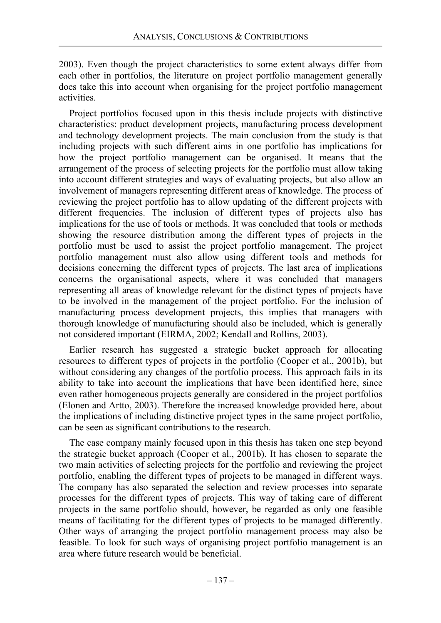2003). Even though the project characteristics to some extent always differ from each other in portfolios, the literature on project portfolio management generally does take this into account when organising for the project portfolio management activities.

Project portfolios focused upon in this thesis include projects with distinctive characteristics: product development projects, manufacturing process development and technology development projects. The main conclusion from the study is that including projects with such different aims in one portfolio has implications for how the project portfolio management can be organised. It means that the arrangement of the process of selecting projects for the portfolio must allow taking into account different strategies and ways of evaluating projects, but also allow an involvement of managers representing different areas of knowledge. The process of reviewing the project portfolio has to allow updating of the different projects with different frequencies. The inclusion of different types of projects also has implications for the use of tools or methods. It was concluded that tools or methods showing the resource distribution among the different types of projects in the portfolio must be used to assist the project portfolio management. The project portfolio management must also allow using different tools and methods for decisions concerning the different types of projects. The last area of implications concerns the organisational aspects, where it was concluded that managers representing all areas of knowledge relevant for the distinct types of projects have to be involved in the management of the project portfolio. For the inclusion of manufacturing process development projects, this implies that managers with thorough knowledge of manufacturing should also be included, which is generally not considered important (EIRMA, 2002; Kendall and Rollins, 2003).

Earlier research has suggested a strategic bucket approach for allocating resources to different types of projects in the portfolio (Cooper et al., 2001b), but without considering any changes of the portfolio process. This approach fails in its ability to take into account the implications that have been identified here, since even rather homogeneous projects generally are considered in the project portfolios (Elonen and Artto, 2003). Therefore the increased knowledge provided here, about the implications of including distinctive project types in the same project portfolio, can be seen as significant contributions to the research.

The case company mainly focused upon in this thesis has taken one step beyond the strategic bucket approach (Cooper et al., 2001b). It has chosen to separate the two main activities of selecting projects for the portfolio and reviewing the project portfolio, enabling the different types of projects to be managed in different ways. The company has also separated the selection and review processes into separate processes for the different types of projects. This way of taking care of different projects in the same portfolio should, however, be regarded as only one feasible means of facilitating for the different types of projects to be managed differently. Other ways of arranging the project portfolio management process may also be feasible. To look for such ways of organising project portfolio management is an area where future research would be beneficial.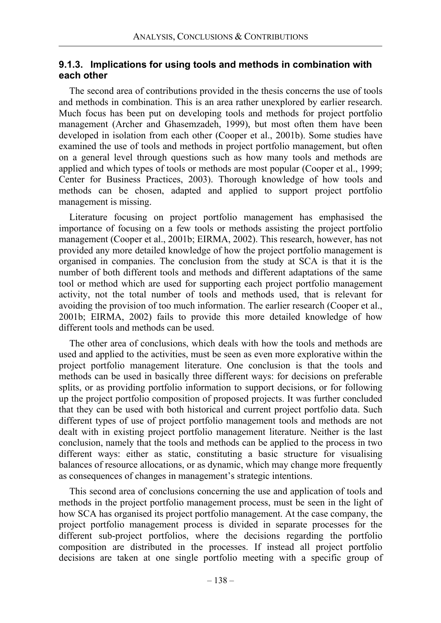#### **9.1.3. Implications for using tools and methods in combination with each other**

The second area of contributions provided in the thesis concerns the use of tools and methods in combination. This is an area rather unexplored by earlier research. Much focus has been put on developing tools and methods for project portfolio management (Archer and Ghasemzadeh, 1999), but most often them have been developed in isolation from each other (Cooper et al., 2001b). Some studies have examined the use of tools and methods in project portfolio management, but often on a general level through questions such as how many tools and methods are applied and which types of tools or methods are most popular (Cooper et al., 1999; Center for Business Practices, 2003). Thorough knowledge of how tools and methods can be chosen, adapted and applied to support project portfolio management is missing.

Literature focusing on project portfolio management has emphasised the importance of focusing on a few tools or methods assisting the project portfolio management (Cooper et al., 2001b; EIRMA, 2002). This research, however, has not provided any more detailed knowledge of how the project portfolio management is organised in companies. The conclusion from the study at SCA is that it is the number of both different tools and methods and different adaptations of the same tool or method which are used for supporting each project portfolio management activity, not the total number of tools and methods used, that is relevant for avoiding the provision of too much information. The earlier research (Cooper et al., 2001b; EIRMA, 2002) fails to provide this more detailed knowledge of how different tools and methods can be used.

The other area of conclusions, which deals with how the tools and methods are used and applied to the activities, must be seen as even more explorative within the project portfolio management literature. One conclusion is that the tools and methods can be used in basically three different ways: for decisions on preferable splits, or as providing portfolio information to support decisions, or for following up the project portfolio composition of proposed projects. It was further concluded that they can be used with both historical and current project portfolio data. Such different types of use of project portfolio management tools and methods are not dealt with in existing project portfolio management literature. Neither is the last conclusion, namely that the tools and methods can be applied to the process in two different ways: either as static, constituting a basic structure for visualising balances of resource allocations, or as dynamic, which may change more frequently as consequences of changes in management's strategic intentions.

This second area of conclusions concerning the use and application of tools and methods in the project portfolio management process, must be seen in the light of how SCA has organised its project portfolio management. At the case company, the project portfolio management process is divided in separate processes for the different sub-project portfolios, where the decisions regarding the portfolio composition are distributed in the processes. If instead all project portfolio decisions are taken at one single portfolio meeting with a specific group of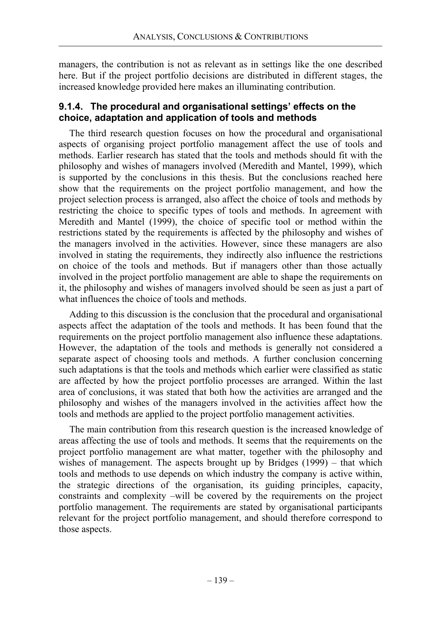managers, the contribution is not as relevant as in settings like the one described here. But if the project portfolio decisions are distributed in different stages, the increased knowledge provided here makes an illuminating contribution.

### **9.1.4. The procedural and organisational settings' effects on the choice, adaptation and application of tools and methods**

The third research question focuses on how the procedural and organisational aspects of organising project portfolio management affect the use of tools and methods. Earlier research has stated that the tools and methods should fit with the philosophy and wishes of managers involved (Meredith and Mantel, 1999), which is supported by the conclusions in this thesis. But the conclusions reached here show that the requirements on the project portfolio management, and how the project selection process is arranged, also affect the choice of tools and methods by restricting the choice to specific types of tools and methods. In agreement with Meredith and Mantel (1999), the choice of specific tool or method within the restrictions stated by the requirements is affected by the philosophy and wishes of the managers involved in the activities. However, since these managers are also involved in stating the requirements, they indirectly also influence the restrictions on choice of the tools and methods. But if managers other than those actually involved in the project portfolio management are able to shape the requirements on it, the philosophy and wishes of managers involved should be seen as just a part of what influences the choice of tools and methods.

Adding to this discussion is the conclusion that the procedural and organisational aspects affect the adaptation of the tools and methods. It has been found that the requirements on the project portfolio management also influence these adaptations. However, the adaptation of the tools and methods is generally not considered a separate aspect of choosing tools and methods. A further conclusion concerning such adaptations is that the tools and methods which earlier were classified as static are affected by how the project portfolio processes are arranged. Within the last area of conclusions, it was stated that both how the activities are arranged and the philosophy and wishes of the managers involved in the activities affect how the tools and methods are applied to the project portfolio management activities.

The main contribution from this research question is the increased knowledge of areas affecting the use of tools and methods. It seems that the requirements on the project portfolio management are what matter, together with the philosophy and wishes of management. The aspects brought up by Bridges (1999) – that which tools and methods to use depends on which industry the company is active within, the strategic directions of the organisation, its guiding principles, capacity, constraints and complexity –will be covered by the requirements on the project portfolio management. The requirements are stated by organisational participants relevant for the project portfolio management, and should therefore correspond to those aspects.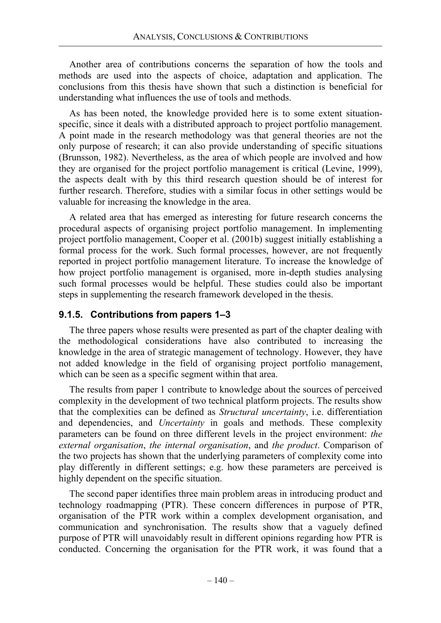Another area of contributions concerns the separation of how the tools and methods are used into the aspects of choice, adaptation and application. The conclusions from this thesis have shown that such a distinction is beneficial for understanding what influences the use of tools and methods.

As has been noted, the knowledge provided here is to some extent situationspecific, since it deals with a distributed approach to project portfolio management. A point made in the research methodology was that general theories are not the only purpose of research; it can also provide understanding of specific situations (Brunsson, 1982). Nevertheless, as the area of which people are involved and how they are organised for the project portfolio management is critical (Levine, 1999), the aspects dealt with by this third research question should be of interest for further research. Therefore, studies with a similar focus in other settings would be valuable for increasing the knowledge in the area.

A related area that has emerged as interesting for future research concerns the procedural aspects of organising project portfolio management. In implementing project portfolio management, Cooper et al. (2001b) suggest initially establishing a formal process for the work. Such formal processes, however, are not frequently reported in project portfolio management literature. To increase the knowledge of how project portfolio management is organised, more in-depth studies analysing such formal processes would be helpful. These studies could also be important steps in supplementing the research framework developed in the thesis.

### **9.1.5. Contributions from papers 1–3**

The three papers whose results were presented as part of the chapter dealing with the methodological considerations have also contributed to increasing the knowledge in the area of strategic management of technology. However, they have not added knowledge in the field of organising project portfolio management, which can be seen as a specific segment within that area.

The results from paper 1 contribute to knowledge about the sources of perceived complexity in the development of two technical platform projects. The results show that the complexities can be defined as *Structural uncertainty*, i.e. differentiation and dependencies, and *Uncertainty* in goals and methods. These complexity parameters can be found on three different levels in the project environment: *the external organisation*, *the internal organisation*, and *the product*. Comparison of the two projects has shown that the underlying parameters of complexity come into play differently in different settings; e.g. how these parameters are perceived is highly dependent on the specific situation.

The second paper identifies three main problem areas in introducing product and technology roadmapping (PTR). These concern differences in purpose of PTR, organisation of the PTR work within a complex development organisation, and communication and synchronisation. The results show that a vaguely defined purpose of PTR will unavoidably result in different opinions regarding how PTR is conducted. Concerning the organisation for the PTR work, it was found that a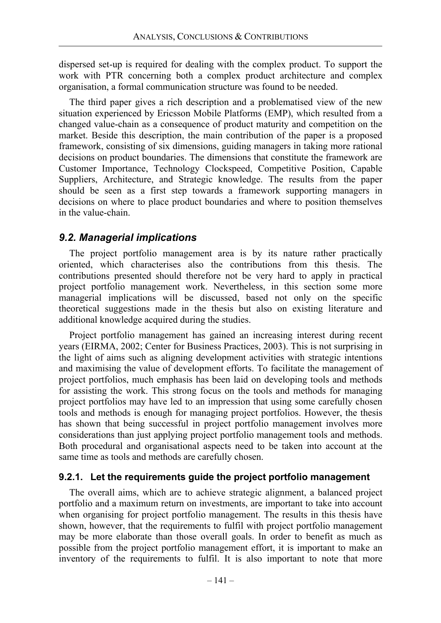dispersed set-up is required for dealing with the complex product. To support the work with PTR concerning both a complex product architecture and complex organisation, a formal communication structure was found to be needed.

The third paper gives a rich description and a problematised view of the new situation experienced by Ericsson Mobile Platforms (EMP), which resulted from a changed value-chain as a consequence of product maturity and competition on the market. Beside this description, the main contribution of the paper is a proposed framework, consisting of six dimensions, guiding managers in taking more rational decisions on product boundaries. The dimensions that constitute the framework are Customer Importance, Technology Clockspeed, Competitive Position, Capable Suppliers, Architecture, and Strategic knowledge. The results from the paper should be seen as a first step towards a framework supporting managers in decisions on where to place product boundaries and where to position themselves in the value-chain.

### *9.2. Managerial implications*

The project portfolio management area is by its nature rather practically oriented, which characterises also the contributions from this thesis. The contributions presented should therefore not be very hard to apply in practical project portfolio management work. Nevertheless, in this section some more managerial implications will be discussed, based not only on the specific theoretical suggestions made in the thesis but also on existing literature and additional knowledge acquired during the studies.

Project portfolio management has gained an increasing interest during recent years (EIRMA, 2002; Center for Business Practices, 2003). This is not surprising in the light of aims such as aligning development activities with strategic intentions and maximising the value of development efforts. To facilitate the management of project portfolios, much emphasis has been laid on developing tools and methods for assisting the work. This strong focus on the tools and methods for managing project portfolios may have led to an impression that using some carefully chosen tools and methods is enough for managing project portfolios. However, the thesis has shown that being successful in project portfolio management involves more considerations than just applying project portfolio management tools and methods. Both procedural and organisational aspects need to be taken into account at the same time as tools and methods are carefully chosen.

#### **9.2.1. Let the requirements guide the project portfolio management**

The overall aims, which are to achieve strategic alignment, a balanced project portfolio and a maximum return on investments, are important to take into account when organising for project portfolio management. The results in this thesis have shown, however, that the requirements to fulfil with project portfolio management may be more elaborate than those overall goals. In order to benefit as much as possible from the project portfolio management effort, it is important to make an inventory of the requirements to fulfil. It is also important to note that more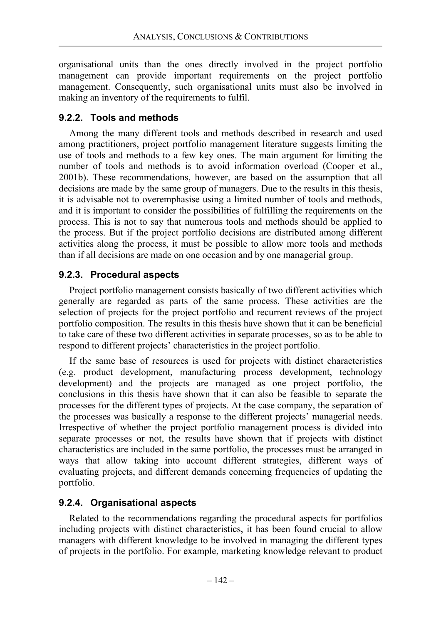organisational units than the ones directly involved in the project portfolio management can provide important requirements on the project portfolio management. Consequently, such organisational units must also be involved in making an inventory of the requirements to fulfil.

### **9.2.2. Tools and methods**

Among the many different tools and methods described in research and used among practitioners, project portfolio management literature suggests limiting the use of tools and methods to a few key ones. The main argument for limiting the number of tools and methods is to avoid information overload (Cooper et al., 2001b). These recommendations, however, are based on the assumption that all decisions are made by the same group of managers. Due to the results in this thesis, it is advisable not to overemphasise using a limited number of tools and methods, and it is important to consider the possibilities of fulfilling the requirements on the process. This is not to say that numerous tools and methods should be applied to the process. But if the project portfolio decisions are distributed among different activities along the process, it must be possible to allow more tools and methods than if all decisions are made on one occasion and by one managerial group.

# **9.2.3. Procedural aspects**

Project portfolio management consists basically of two different activities which generally are regarded as parts of the same process. These activities are the selection of projects for the project portfolio and recurrent reviews of the project portfolio composition. The results in this thesis have shown that it can be beneficial to take care of these two different activities in separate processes, so as to be able to respond to different projects' characteristics in the project portfolio.

If the same base of resources is used for projects with distinct characteristics (e.g. product development, manufacturing process development, technology development) and the projects are managed as one project portfolio, the conclusions in this thesis have shown that it can also be feasible to separate the processes for the different types of projects. At the case company, the separation of the processes was basically a response to the different projects' managerial needs. Irrespective of whether the project portfolio management process is divided into separate processes or not, the results have shown that if projects with distinct characteristics are included in the same portfolio, the processes must be arranged in ways that allow taking into account different strategies, different ways of evaluating projects, and different demands concerning frequencies of updating the portfolio.

# **9.2.4. Organisational aspects**

Related to the recommendations regarding the procedural aspects for portfolios including projects with distinct characteristics, it has been found crucial to allow managers with different knowledge to be involved in managing the different types of projects in the portfolio. For example, marketing knowledge relevant to product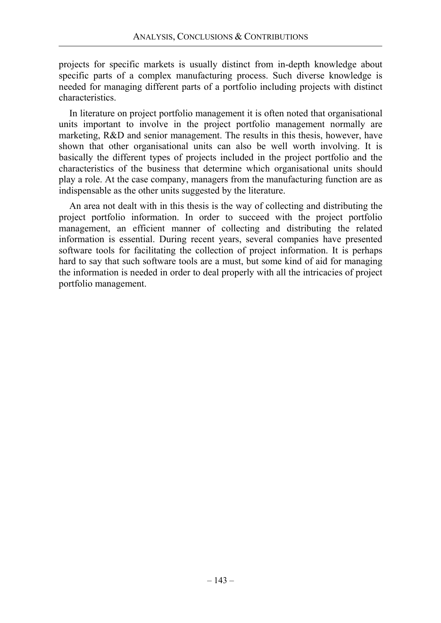projects for specific markets is usually distinct from in-depth knowledge about specific parts of a complex manufacturing process. Such diverse knowledge is needed for managing different parts of a portfolio including projects with distinct characteristics.

In literature on project portfolio management it is often noted that organisational units important to involve in the project portfolio management normally are marketing, R&D and senior management. The results in this thesis, however, have shown that other organisational units can also be well worth involving. It is basically the different types of projects included in the project portfolio and the characteristics of the business that determine which organisational units should play a role. At the case company, managers from the manufacturing function are as indispensable as the other units suggested by the literature.

An area not dealt with in this thesis is the way of collecting and distributing the project portfolio information. In order to succeed with the project portfolio management, an efficient manner of collecting and distributing the related information is essential. During recent years, several companies have presented software tools for facilitating the collection of project information. It is perhaps hard to say that such software tools are a must, but some kind of aid for managing the information is needed in order to deal properly with all the intricacies of project portfolio management.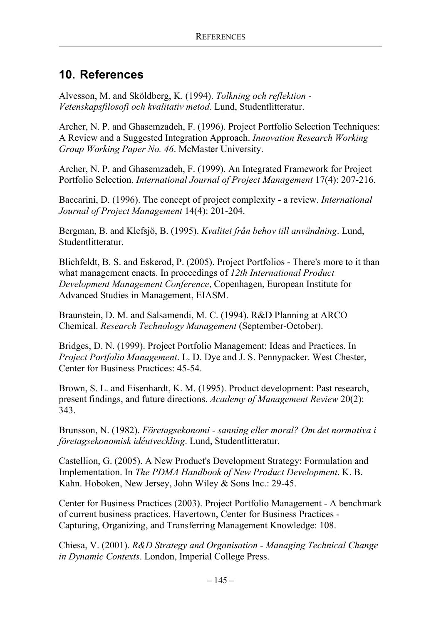# **10. References**

Alvesson, M. and Sköldberg, K. (1994). *Tolkning och reflektion - Vetenskapsfilosofi och kvalitativ metod*. Lund, Studentlitteratur.

Archer, N. P. and Ghasemzadeh, F. (1996). Project Portfolio Selection Techniques: A Review and a Suggested Integration Approach. *Innovation Research Working Group Working Paper No. 46*. McMaster University.

Archer, N. P. and Ghasemzadeh, F. (1999). An Integrated Framework for Project Portfolio Selection. *International Journal of Project Management* 17(4): 207-216.

Baccarini, D. (1996). The concept of project complexity - a review. *International Journal of Project Management* 14(4): 201-204.

Bergman, B. and Klefsjö, B. (1995). *Kvalitet från behov till användning*. Lund, Studentlitteratur.

Blichfeldt, B. S. and Eskerod, P. (2005). Project Portfolios - There's more to it than what management enacts. In proceedings of *12th International Product Development Management Conference*, Copenhagen, European Institute for Advanced Studies in Management, EIASM.

Braunstein, D. M. and Salsamendi, M. C. (1994). R&D Planning at ARCO Chemical. *Research Technology Management* (September-October).

Bridges, D. N. (1999). Project Portfolio Management: Ideas and Practices. In *Project Portfolio Management*. L. D. Dye and J. S. Pennypacker. West Chester, Center for Business Practices: 45-54.

Brown, S. L. and Eisenhardt, K. M. (1995). Product development: Past research, present findings, and future directions. *Academy of Management Review* 20(2): 343.

Brunsson, N. (1982). *Företagsekonomi - sanning eller moral? Om det normativa i företagsekonomisk idéutveckling*. Lund, Studentlitteratur.

Castellion, G. (2005). A New Product's Development Strategy: Formulation and Implementation. In *The PDMA Handbook of New Product Development*. K. B. Kahn. Hoboken, New Jersey, John Wiley & Sons Inc.: 29-45.

Center for Business Practices (2003). Project Portfolio Management - A benchmark of current business practices. Havertown, Center for Business Practices - Capturing, Organizing, and Transferring Management Knowledge: 108.

Chiesa, V. (2001). *R&D Strategy and Organisation - Managing Technical Change in Dynamic Contexts*. London, Imperial College Press.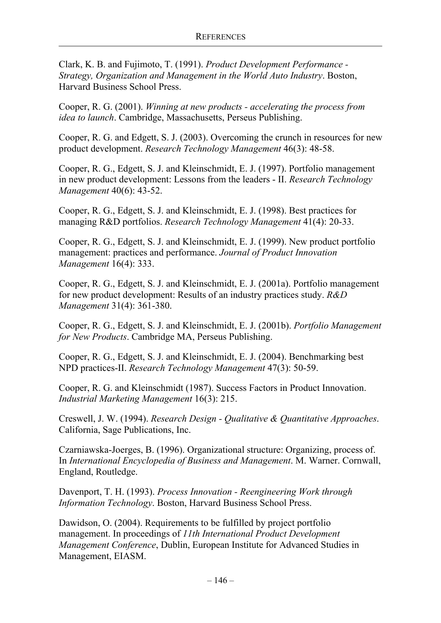Clark, K. B. and Fujimoto, T. (1991). *Product Development Performance - Strategy, Organization and Management in the World Auto Industry*. Boston, Harvard Business School Press.

Cooper, R. G. (2001). *Winning at new products - accelerating the process from idea to launch*. Cambridge, Massachusetts, Perseus Publishing.

Cooper, R. G. and Edgett, S. J. (2003). Overcoming the crunch in resources for new product development. *Research Technology Management* 46(3): 48-58.

Cooper, R. G., Edgett, S. J. and Kleinschmidt, E. J. (1997). Portfolio management in new product development: Lessons from the leaders - II. *Research Technology Management* 40(6): 43-52.

Cooper, R. G., Edgett, S. J. and Kleinschmidt, E. J. (1998). Best practices for managing R&D portfolios. *Research Technology Management* 41(4): 20-33.

Cooper, R. G., Edgett, S. J. and Kleinschmidt, E. J. (1999). New product portfolio management: practices and performance. *Journal of Product Innovation Management* 16(4): 333.

Cooper, R. G., Edgett, S. J. and Kleinschmidt, E. J. (2001a). Portfolio management for new product development: Results of an industry practices study. *R&D Management* 31(4): 361-380.

Cooper, R. G., Edgett, S. J. and Kleinschmidt, E. J. (2001b). *Portfolio Management for New Products*. Cambridge MA, Perseus Publishing.

Cooper, R. G., Edgett, S. J. and Kleinschmidt, E. J. (2004). Benchmarking best NPD practices-II. *Research Technology Management* 47(3): 50-59.

Cooper, R. G. and Kleinschmidt (1987). Success Factors in Product Innovation. *Industrial Marketing Management* 16(3): 215.

Creswell, J. W. (1994). *Research Design - Qualitative & Quantitative Approaches*. California, Sage Publications, Inc.

Czarniawska-Joerges, B. (1996). Organizational structure: Organizing, process of. In *International Encyclopedia of Business and Management*. M. Warner. Cornwall, England, Routledge.

Davenport, T. H. (1993). *Process Innovation - Reengineering Work through Information Technology*. Boston, Harvard Business School Press.

Dawidson, O. (2004). Requirements to be fulfilled by project portfolio management. In proceedings of *11th International Product Development Management Conference*, Dublin, European Institute for Advanced Studies in Management, EIASM.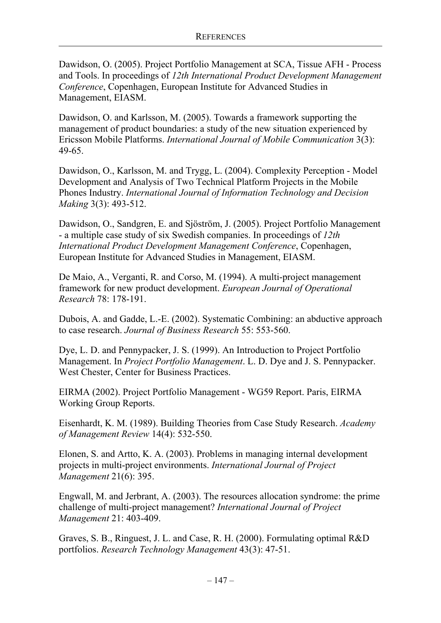Dawidson, O. (2005). Project Portfolio Management at SCA, Tissue AFH - Process and Tools. In proceedings of *12th International Product Development Management Conference*, Copenhagen, European Institute for Advanced Studies in Management, EIASM.

Dawidson, O. and Karlsson, M. (2005). Towards a framework supporting the management of product boundaries: a study of the new situation experienced by Ericsson Mobile Platforms. *International Journal of Mobile Communication* 3(3): 49-65.

Dawidson, O., Karlsson, M. and Trygg, L. (2004). Complexity Perception - Model Development and Analysis of Two Technical Platform Projects in the Mobile Phones Industry. *International Journal of Information Technology and Decision Making* 3(3): 493-512.

Dawidson, O., Sandgren, E. and Sjöström, J. (2005). Project Portfolio Management - a multiple case study of six Swedish companies. In proceedings of *12th International Product Development Management Conference*, Copenhagen, European Institute for Advanced Studies in Management, EIASM.

De Maio, A., Verganti, R. and Corso, M. (1994). A multi-project management framework for new product development. *European Journal of Operational Research* 78: 178-191.

Dubois, A. and Gadde, L.-E. (2002). Systematic Combining: an abductive approach to case research. *Journal of Business Research* 55: 553-560.

Dye, L. D. and Pennypacker, J. S. (1999). An Introduction to Project Portfolio Management. In *Project Portfolio Management*. L. D. Dye and J. S. Pennypacker. West Chester, Center for Business Practices.

EIRMA (2002). Project Portfolio Management - WG59 Report. Paris, EIRMA Working Group Reports.

Eisenhardt, K. M. (1989). Building Theories from Case Study Research. *Academy of Management Review* 14(4): 532-550.

Elonen, S. and Artto, K. A. (2003). Problems in managing internal development projects in multi-project environments. *International Journal of Project Management* 21(6): 395.

Engwall, M. and Jerbrant, A. (2003). The resources allocation syndrome: the prime challenge of multi-project management? *International Journal of Project Management* 21: 403-409.

Graves, S. B., Ringuest, J. L. and Case, R. H. (2000). Formulating optimal R&D portfolios. *Research Technology Management* 43(3): 47-51.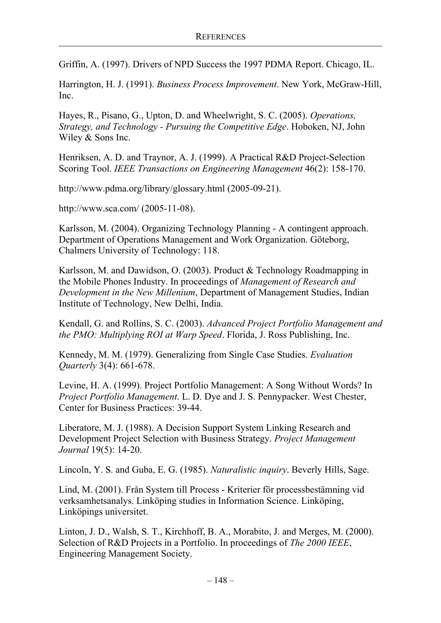Griffin, A. (1997). Drivers of NPD Success the 1997 PDMA Report. Chicago, IL.

Harrington, H. J. (1991). *Business Process Improvement*. New York, McGraw-Hill, Inc.

Hayes, R., Pisano, G., Upton, D. and Wheelwright, S. C. (2005). *Operations, Strategy, and Technology - Pursuing the Competitive Edge*. Hoboken, NJ, John Wiley & Sons Inc.

Henriksen, A. D. and Traynor, A. J. (1999). A Practical R&D Project-Selection Scoring Tool. *IEEE Transactions on Engineering Management* 46(2): 158-170.

http://www.pdma.org/library/glossary.html (2005-09-21).

http://www.sca.com/ (2005-11-08).

Karlsson, M. (2004). Organizing Technology Planning - A contingent approach. Department of Operations Management and Work Organization. Göteborg, Chalmers University of Technology: 118.

Karlsson, M. and Dawidson, O. (2003). Product & Technology Roadmapping in the Mobile Phones Industry. In proceedings of *Management of Research and Development in the New Millenium*, Department of Management Studies, Indian Institute of Technology, New Delhi, India.

Kendall, G. and Rollins, S. C. (2003). *Advanced Project Portfolio Management and the PMO: Multiplying ROI at Warp Speed*. Florida, J. Ross Publishing, Inc.

Kennedy, M. M. (1979). Generalizing from Single Case Studies. *Evaluation Quarterly* 3(4): 661-678.

Levine, H. A. (1999). Project Portfolio Management: A Song Without Words? In *Project Portfolio Management*. L. D. Dye and J. S. Pennypacker. West Chester, Center for Business Practices: 39-44.

Liberatore, M. J. (1988). A Decision Support System Linking Research and Development Project Selection with Business Strategy. *Project Management Journal* 19(5): 14-20.

Lincoln, Y. S. and Guba, E. G. (1985). *Naturalistic inquiry*. Beverly Hills, Sage.

Lind, M. (2001). Från System till Process - Kriterier för processbestämning vid verksamhetsanalys. Linköping studies in Information Science. Linköping, Linköpings universitet.

Linton, J. D., Walsh, S. T., Kirchhoff, B. A., Morabito, J. and Merges, M. (2000). Selection of R&D Projects in a Portfolio. In proceedings of *The 2000 IEEE*, Engineering Management Society.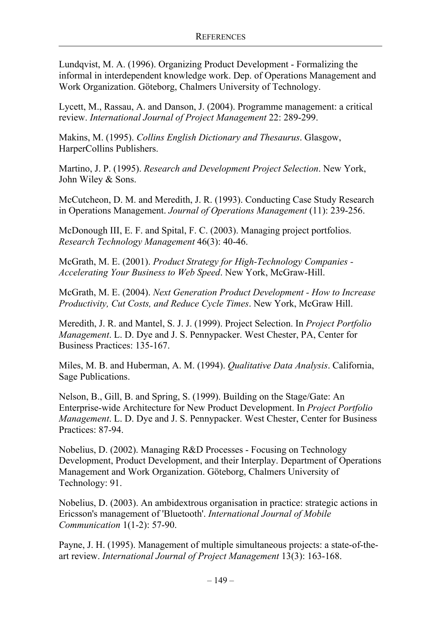Lundqvist, M. A. (1996). Organizing Product Development - Formalizing the informal in interdependent knowledge work. Dep. of Operations Management and Work Organization. Göteborg, Chalmers University of Technology.

Lycett, M., Rassau, A. and Danson, J. (2004). Programme management: a critical review. *International Journal of Project Management* 22: 289-299.

Makins, M. (1995). *Collins English Dictionary and Thesaurus*. Glasgow, HarperCollins Publishers.

Martino, J. P. (1995). *Research and Development Project Selection*. New York, John Wiley & Sons.

McCutcheon, D. M. and Meredith, J. R. (1993). Conducting Case Study Research in Operations Management. *Journal of Operations Management* (11): 239-256.

McDonough III, E. F. and Spital, F. C. (2003). Managing project portfolios. *Research Technology Management* 46(3): 40-46.

McGrath, M. E. (2001). *Product Strategy for High-Technology Companies - Accelerating Your Business to Web Speed*. New York, McGraw-Hill.

McGrath, M. E. (2004). *Next Generation Product Development - How to Increase Productivity, Cut Costs, and Reduce Cycle Times*. New York, McGraw Hill.

Meredith, J. R. and Mantel, S. J. J. (1999). Project Selection. In *Project Portfolio Management*. L. D. Dye and J. S. Pennypacker. West Chester, PA, Center for Business Practices: 135-167.

Miles, M. B. and Huberman, A. M. (1994). *Qualitative Data Analysis*. California, Sage Publications.

Nelson, B., Gill, B. and Spring, S. (1999). Building on the Stage/Gate: An Enterprise-wide Architecture for New Product Development. In *Project Portfolio Management*. L. D. Dye and J. S. Pennypacker. West Chester, Center for Business Practices: 87-94.

Nobelius, D. (2002). Managing R&D Processes - Focusing on Technology Development, Product Development, and their Interplay. Department of Operations Management and Work Organization. Göteborg, Chalmers University of Technology: 91.

Nobelius, D. (2003). An ambidextrous organisation in practice: strategic actions in Ericsson's management of 'Bluetooth'. *International Journal of Mobile Communication* 1(1-2): 57-90.

Payne, J. H. (1995). Management of multiple simultaneous projects: a state-of-theart review. *International Journal of Project Management* 13(3): 163-168.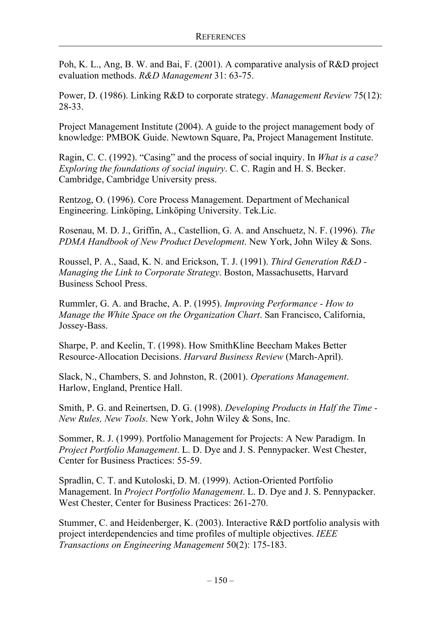Poh, K. L., Ang, B. W. and Bai, F. (2001). A comparative analysis of R&D project evaluation methods. *R&D Management* 31: 63-75.

Power, D. (1986). Linking R&D to corporate strategy. *Management Review* 75(12): 28-33.

Project Management Institute (2004). A guide to the project management body of knowledge: PMBOK Guide. Newtown Square, Pa, Project Management Institute.

Ragin, C. C. (1992). "Casing" and the process of social inquiry. In *What is a case? Exploring the foundations of social inquiry*. C. C. Ragin and H. S. Becker. Cambridge, Cambridge University press.

Rentzog, O. (1996). Core Process Management. Department of Mechanical Engineering. Linköping, Linköping University. Tek.Lic.

Rosenau, M. D. J., Griffin, A., Castellion, G. A. and Anschuetz, N. F. (1996). *The PDMA Handbook of New Product Development*. New York, John Wiley & Sons.

Roussel, P. A., Saad, K. N. and Erickson, T. J. (1991). *Third Generation R&D - Managing the Link to Corporate Strategy*. Boston, Massachusetts, Harvard Business School Press.

Rummler, G. A. and Brache, A. P. (1995). *Improving Performance - How to Manage the White Space on the Organization Chart*. San Francisco, California, Jossey-Bass.

Sharpe, P. and Keelin, T. (1998). How SmithKline Beecham Makes Better Resource-Allocation Decisions. *Harvard Business Review* (March-April).

Slack, N., Chambers, S. and Johnston, R. (2001). *Operations Management*. Harlow, England, Prentice Hall.

Smith, P. G. and Reinertsen, D. G. (1998). *Developing Products in Half the Time - New Rules, New Tools*. New York, John Wiley & Sons, Inc.

Sommer, R. J. (1999). Portfolio Management for Projects: A New Paradigm. In *Project Portfolio Management*. L. D. Dye and J. S. Pennypacker. West Chester, Center for Business Practices: 55-59.

Spradlin, C. T. and Kutoloski, D. M. (1999). Action-Oriented Portfolio Management. In *Project Portfolio Management*. L. D. Dye and J. S. Pennypacker. West Chester, Center for Business Practices: 261-270.

Stummer, C. and Heidenberger, K. (2003). Interactive R&D portfolio analysis with project interdependencies and time profiles of multiple objectives. *IEEE Transactions on Engineering Management* 50(2): 175-183.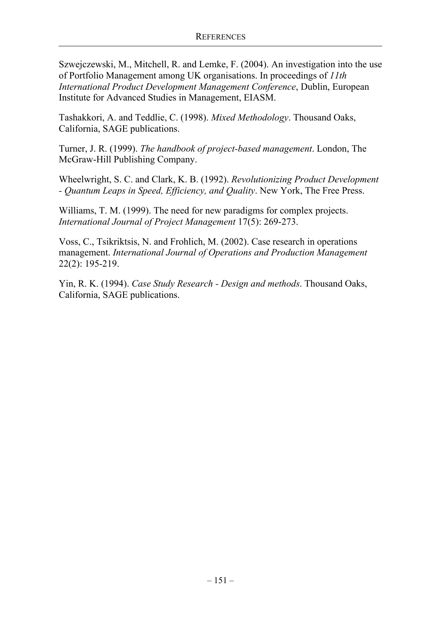Szwejczewski, M., Mitchell, R. and Lemke, F. (2004). An investigation into the use of Portfolio Management among UK organisations. In proceedings of *11th International Product Development Management Conference*, Dublin, European Institute for Advanced Studies in Management, EIASM.

Tashakkori, A. and Teddlie, C. (1998). *Mixed Methodology*. Thousand Oaks, California, SAGE publications.

Turner, J. R. (1999). *The handbook of project-based management*. London, The McGraw-Hill Publishing Company.

Wheelwright, S. C. and Clark, K. B. (1992). *Revolutionizing Product Development - Quantum Leaps in Speed, Efficiency, and Quality*. New York, The Free Press.

Williams, T. M. (1999). The need for new paradigms for complex projects. *International Journal of Project Management* 17(5): 269-273.

Voss, C., Tsikriktsis, N. and Frohlich, M. (2002). Case research in operations management. *International Journal of Operations and Production Management*  22(2): 195-219.

Yin, R. K. (1994). *Case Study Research - Design and methods*. Thousand Oaks, California, SAGE publications.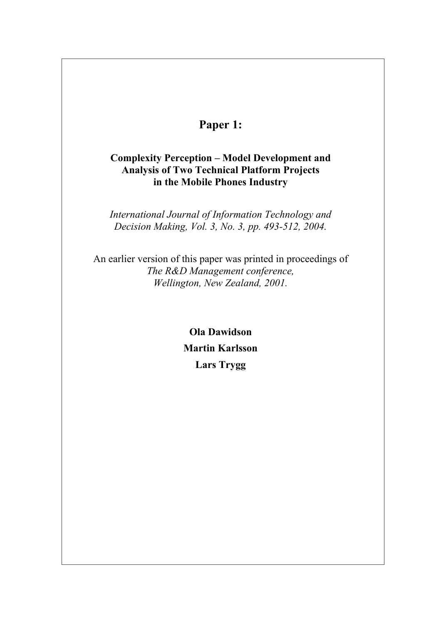# **Paper 1:**

## **Complexity Perception – Model Development and Analysis of Two Technical Platform Projects in the Mobile Phones Industry**

*International Journal of Information Technology and Decision Making, Vol. 3, No. 3, pp. 493-512, 2004.* 

An earlier version of this paper was printed in proceedings of *The R&D Management conference, Wellington, New Zealand, 2001.* 

> **Ola Dawidson Martin Karlsson Lars Trygg**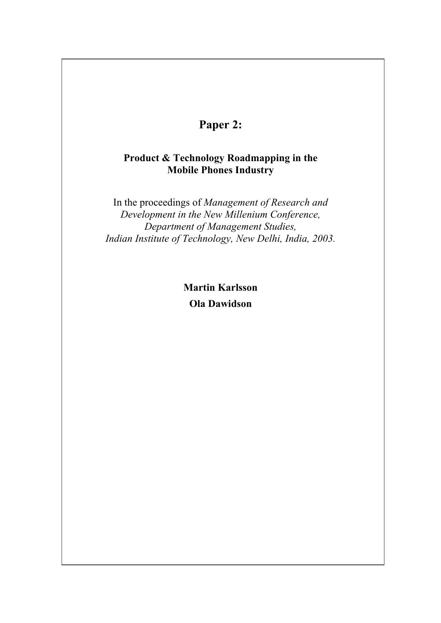# **Paper 2:**

### **Product & Technology Roadmapping in the Mobile Phones Industry**

In the proceedings of *Management of Research and Development in the New Millenium Conference, Department of Management Studies, Indian Institute of Technology, New Delhi, India, 2003.* 

> **Martin Karlsson Ola Dawidson**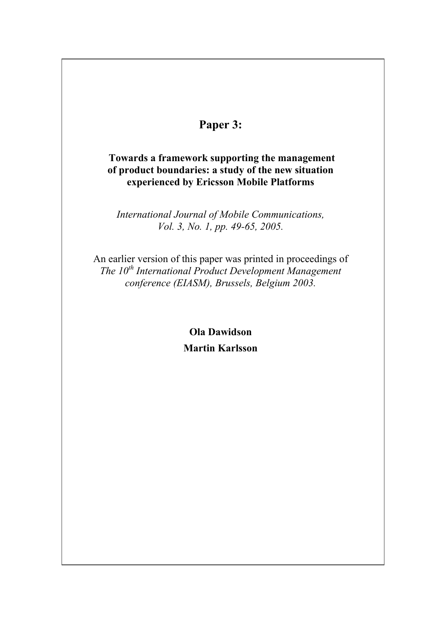# **Paper 3:**

### **Towards a framework supporting the management of product boundaries: a study of the new situation experienced by Ericsson Mobile Platforms**

*International Journal of Mobile Communications, Vol. 3, No. 1, pp. 49-65, 2005.* 

An earlier version of this paper was printed in proceedings of *The 10th International Product Development Management conference (EIASM), Brussels, Belgium 2003.* 

> **Ola Dawidson Martin Karlsson**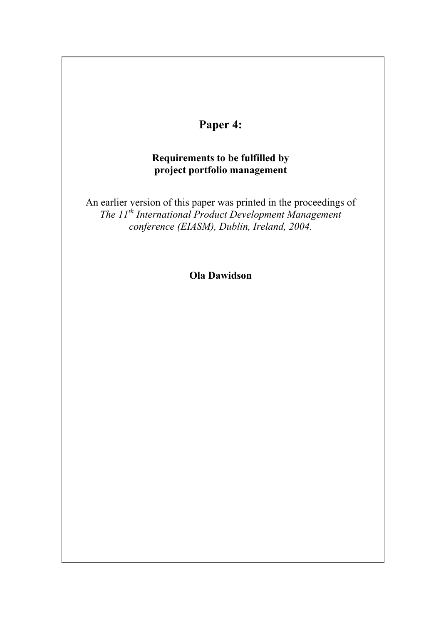

### **Requirements to be fulfilled by project portfolio management**

An earlier version of this paper was printed in the proceedings of *The 11th International Product Development Management conference (EIASM), Dublin, Ireland, 2004.*

**Ola Dawidson**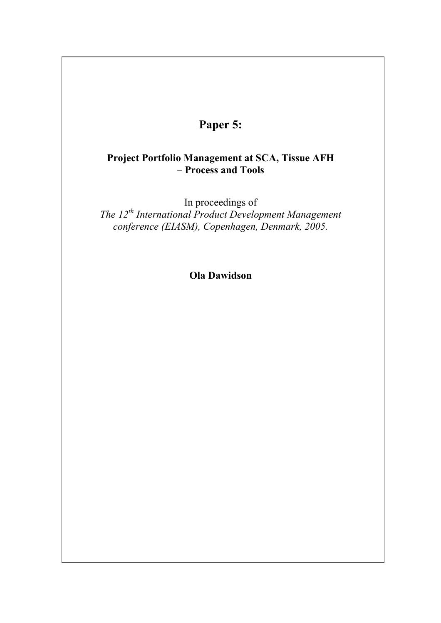# **Paper 5:**

### **Project Portfolio Management at SCA, Tissue AFH – Process and Tools**

In proceedings of *The 12th International Product Development Management conference (EIASM), Copenhagen, Denmark, 2005.*

**Ola Dawidson**